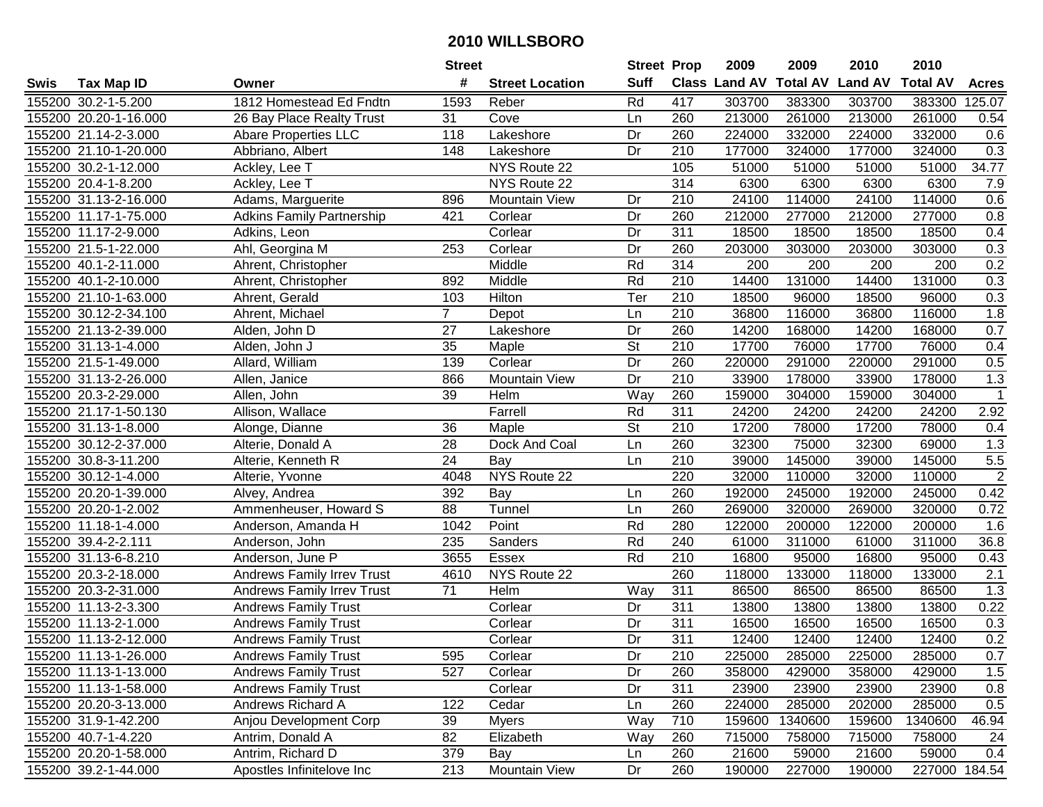|      |                       |                                   | <b>Street</b>    |                        | <b>Street Prop</b>       |                  | 2009                 | 2009            | 2010           | 2010            |               |
|------|-----------------------|-----------------------------------|------------------|------------------------|--------------------------|------------------|----------------------|-----------------|----------------|-----------------|---------------|
| Swis | <b>Tax Map ID</b>     | Owner                             | #                | <b>Street Location</b> | <b>Suff</b>              |                  | <b>Class Land AV</b> | <b>Total AV</b> | <b>Land AV</b> | <b>Total AV</b> | <b>Acres</b>  |
|      | 155200 30.2-1-5.200   | 1812 Homestead Ed Fndtn           | 1593             | Reber                  | Rd                       | 417              | 303700               | 383300          | 303700         | 383300          | 125.07        |
|      | 155200 20.20-1-16.000 | 26 Bay Place Realty Trust         | 31               | Cove                   | Ln                       | 260              | 213000               | 261000          | 213000         | 261000          | 0.54          |
|      | 155200 21.14-2-3.000  | <b>Abare Properties LLC</b>       | 118              | Lakeshore              | Dr                       | 260              | 224000               | 332000          | 224000         | 332000          | 0.6           |
|      | 155200 21.10-1-20.000 | Abbriano, Albert                  | 148              | Lakeshore              | Dr                       | 210              | 177000               | 324000          | 177000         | 324000          | 0.3           |
|      | 155200 30.2-1-12.000  | Ackley, Lee T                     |                  | NYS Route 22           |                          | 105              | 51000                | 51000           | 51000          | 51000           | 34.77         |
|      | 155200 20.4-1-8.200   | Ackley, Lee T                     |                  | NYS Route 22           |                          | 314              | 6300                 | 6300            | 6300           | 6300            | 7.9           |
|      | 155200 31.13-2-16.000 | Adams, Marguerite                 | 896              | <b>Mountain View</b>   | Dr                       | 210              | 24100                | 114000          | 24100          | 114000          | 0.6           |
|      | 155200 11.17-1-75.000 | <b>Adkins Family Partnership</b>  | 421              | Corlear                | Dr                       | 260              | 212000               | 277000          | 212000         | 277000          | 0.8           |
|      | 155200 11.17-2-9.000  | Adkins, Leon                      |                  | Corlear                | Dr                       | $\overline{311}$ | 18500                | 18500           | 18500          | 18500           | 0.4           |
|      | 155200 21.5-1-22.000  | Ahl, Georgina M                   | 253              | Corlear                | Dr                       | 260              | 203000               | 303000          | 203000         | 303000          | 0.3           |
|      | 155200 40.1-2-11.000  | Ahrent, Christopher               |                  | Middle                 | Rd                       | 314              | 200                  | 200             | 200            | 200             | 0.2           |
|      | 155200 40.1-2-10.000  | Ahrent, Christopher               | 892              | Middle                 | Rd                       | 210              | 14400                | 131000          | 14400          | 131000          | 0.3           |
|      | 155200 21.10-1-63.000 | Ahrent, Gerald                    | 103              | Hilton                 | Ter                      | 210              | 18500                | 96000           | 18500          | 96000           | 0.3           |
|      | 155200 30.12-2-34.100 | Ahrent, Michael                   | $\overline{7}$   | Depot                  | Ln                       | $\overline{210}$ | 36800                | 116000          | 36800          | 116000          | 1.8           |
|      | 155200 21.13-2-39.000 | Alden, John D                     | $\overline{27}$  | Lakeshore              | $\overline{Dr}$          | 260              | 14200                | 168000          | 14200          | 168000          | 0.7           |
|      | 155200 31.13-1-4.000  | Alden, John J                     | 35               | Maple                  | $\overline{\mathsf{St}}$ | 210              | 17700                | 76000           | 17700          | 76000           | 0.4           |
|      | 155200 21.5-1-49.000  | Allard, William                   | 139              | Corlear                | $\overline{Dr}$          | 260              | 220000               | 291000          | 220000         | 291000          | 0.5           |
|      | 155200 31.13-2-26.000 | Allen, Janice                     | 866              | <b>Mountain View</b>   | Dr                       | $\overline{210}$ | 33900                | 178000          | 33900          | 178000          | 1.3           |
|      | 155200 20.3-2-29.000  | Allen, John                       | $\overline{39}$  | Helm                   | Way                      | 260              | 159000               | 304000          | 159000         | 304000          | $\mathbf{1}$  |
|      | 155200 21.17-1-50.130 | Allison, Wallace                  |                  | Farrell                | Rd                       | 311              | 24200                | 24200           | 24200          | 24200           | 2.92          |
|      | 155200 31.13-1-8.000  | Alonge, Dianne                    | 36               | Maple                  | St                       | 210              | 17200                | 78000           | 17200          | 78000           | 0.4           |
|      | 155200 30.12-2-37.000 | Alterie, Donald A                 | 28               | Dock And Coal          | Ln                       | 260              | 32300                | 75000           | 32300          | 69000           | 1.3           |
|      | 155200 30.8-3-11.200  | Alterie, Kenneth R                | 24               | Bay                    | Ln                       | 210              | 39000                | 145000          | 39000          | 145000          | $5.5\,$       |
|      | 155200 30.12-1-4.000  | Alterie, Yvonne                   | 4048             | NYS Route 22           |                          | 220              | 32000                | 110000          | 32000          | 110000          | $\sqrt{2}$    |
|      | 155200 20.20-1-39.000 | Alvey, Andrea                     | 392              | Bay                    | Ln                       | 260              | 192000               | 245000          | 192000         | 245000          | 0.42          |
|      | 155200 20.20-1-2.002  | Ammenheuser, Howard S             | 88               | Tunnel                 | Ln                       | 260              | 269000               | 320000          | 269000         | 320000          | 0.72          |
|      | 155200 11.18-1-4.000  | Anderson, Amanda H                | 1042             | Point                  | Rd                       | 280              | 122000               | 200000          | 122000         | 200000          | 1.6           |
|      | 155200 39.4-2-2.111   | Anderson, John                    | 235              | Sanders                | Rd                       | 240              | 61000                | 311000          | 61000          | 311000          | 36.8          |
|      | 155200 31.13-6-8.210  | Anderson, June P                  | 3655             | Essex                  | Rd                       | 210              | 16800                | 95000           | 16800          | 95000           | 0.43          |
|      | 155200 20.3-2-18.000  | <b>Andrews Family Irrev Trust</b> | 4610             | NYS Route 22           |                          | 260              | 118000               | 133000          | 118000         | 133000          | 2.1           |
|      | 155200 20.3-2-31.000  | <b>Andrews Family Irrev Trust</b> | 71               | Helm                   | Way                      | 311              | 86500                | 86500           | 86500          | 86500           | 1.3           |
|      | 155200 11.13-2-3.300  | <b>Andrews Family Trust</b>       |                  | Corlear                | Dr                       | 311              | 13800                | 13800           | 13800          | 13800           | 0.22          |
|      | 155200 11.13-2-1.000  | <b>Andrews Family Trust</b>       |                  | Corlear                | Dr                       | 311              | 16500                | 16500           | 16500          | 16500           | 0.3           |
|      | 155200 11.13-2-12.000 | <b>Andrews Family Trust</b>       |                  | Corlear                | Dr                       | $\overline{311}$ | 12400                | 12400           | 12400          | 12400           | 0.2           |
|      | 155200 11.13-1-26.000 | <b>Andrews Family Trust</b>       | 595              | Corlear                | Dr                       | 210              | 225000               | 285000          | 225000         | 285000          | 0.7           |
|      | 155200 11.13-1-13.000 | <b>Andrews Family Trust</b>       | 527              | Corlear                | Dr                       | 260              | 358000               | 429000          | 358000         | 429000          | 1.5           |
|      | 155200 11.13-1-58.000 | <b>Andrews Family Trust</b>       |                  | Corlear                | Dr                       | 311              | 23900                | 23900           | 23900          | 23900           | 0.8           |
|      | 155200 20.20-3-13.000 | Andrews Richard A                 | 122              | Cedar                  | Ln                       | 260              | 224000               | 285000          | 202000         | 285000          | 0.5           |
|      | 155200 31.9-1-42.200  | Anjou Development Corp            | 39               | <b>Myers</b>           | Way                      | 710              | 159600               | 1340600         | 159600         | 1340600         | 46.94         |
|      | 155200 40.7-1-4.220   | Antrim, Donald A                  | 82               | Elizabeth              | Way                      | 260              | 715000               | 758000          | 715000         | 758000          | 24            |
|      | 155200 20.20-1-58.000 | Antrim, Richard D                 | 379              | Bay                    | Ln                       | 260              | 21600                | 59000           | 21600          | 59000           | 0.4           |
|      | 155200 39.2-1-44.000  | Apostles Infinitelove Inc         | $\overline{213}$ | <b>Mountain View</b>   | Dr                       | 260              | 190000               | 227000          | 190000         |                 | 227000 184.54 |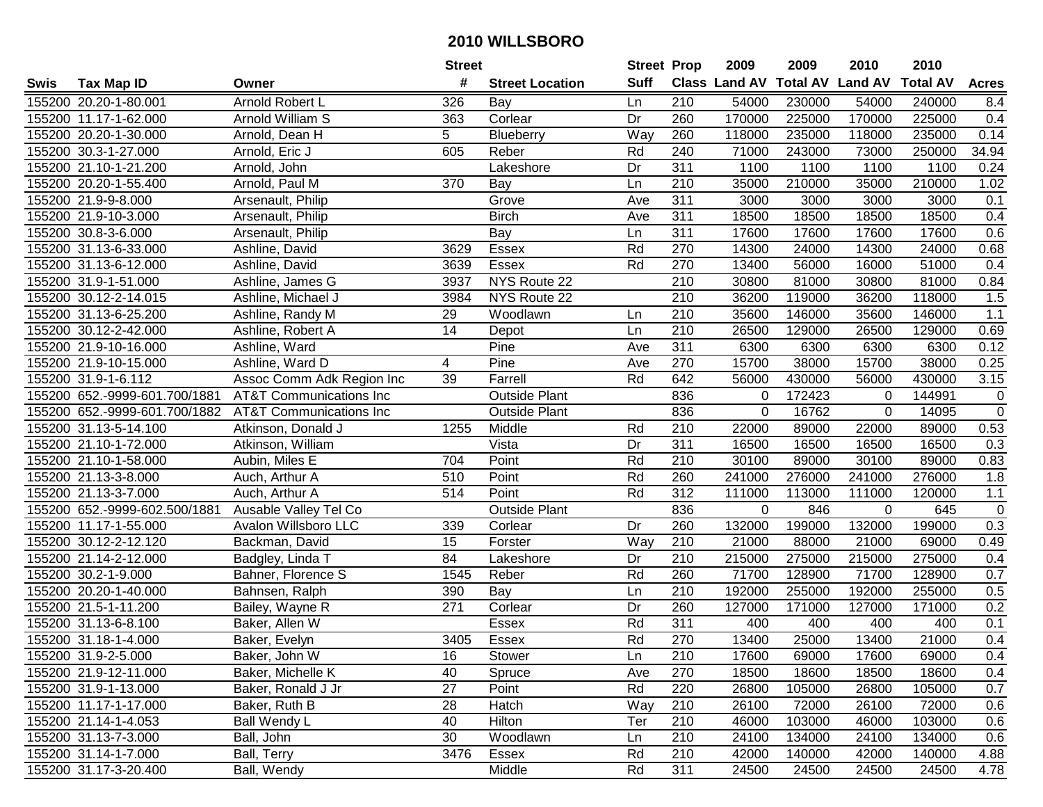|      |                               |                                    | <b>Street</b> |                        | <b>Street Prop</b> |                  | 2009           | 2009            | 2010           | 2010            |              |
|------|-------------------------------|------------------------------------|---------------|------------------------|--------------------|------------------|----------------|-----------------|----------------|-----------------|--------------|
| Swis | <b>Tax Map ID</b>             | Owner                              | #             | <b>Street Location</b> | <b>Suff</b>        |                  | Class Land AV  | <b>Total AV</b> | <b>Land AV</b> | <b>Total AV</b> | <b>Acres</b> |
|      | 155200 20.20-1-80.001         | Arnold Robert L                    | 326           | Bay                    | Ln                 | 210              | 54000          | 230000          | 54000          | 240000          | 8.4          |
|      | 155200 11.17-1-62.000         | Arnold William S                   | 363           | Corlear                | Dr                 | 260              | 170000         | 225000          | 170000         | 225000          | 0.4          |
|      | 155200 20.20-1-30.000         | Arnold, Dean H                     | 5             | Blueberry              | Way                | 260              | 118000         | 235000          | 118000         | 235000          | 0.14         |
|      | 155200 30.3-1-27.000          | Arnold, Eric J                     | 605           | Reber                  | Rd                 | 240              | 71000          | 243000          | 73000          | 250000          | 34.94        |
|      | 155200 21.10-1-21.200         | Arnold, John                       |               | Lakeshore              | Dr                 | 311              | 1100           | 1100            | 1100           | 1100            | 0.24         |
|      | 155200 20.20-1-55.400         | Arnold, Paul M                     | 370           | Bay                    | Ln                 | 210              | 35000          | 210000          | 35000          | 210000          | 1.02         |
|      | 155200 21.9-9-8.000           | Arsenault, Philip                  |               | Grove                  | Ave                | 311              | 3000           | 3000            | 3000           | 3000            | 0.1          |
|      | 155200 21.9-10-3.000          | Arsenault, Philip                  |               | <b>Birch</b>           | Ave                | 311              | 18500          | 18500           | 18500          | 18500           | 0.4          |
|      | 155200 30.8-3-6.000           | Arsenault, Philip                  |               | Bay                    | Ln                 | 311              | 17600          | 17600           | 17600          | 17600           | 0.6          |
|      | 155200 31.13-6-33.000         | Ashline, David                     | 3629          | Essex                  | Rd                 | 270              | 14300          | 24000           | 14300          | 24000           | 0.68         |
|      | 155200 31.13-6-12.000         | Ashline, David                     | 3639          | Essex                  | Rd                 | 270              | 13400          | 56000           | 16000          | 51000           | 0.4          |
|      | 155200 31.9-1-51.000          | Ashline, James G                   | 3937          | NYS Route 22           |                    | 210              | 30800          | 81000           | 30800          | 81000           | 0.84         |
|      | 155200 30.12-2-14.015         | Ashline, Michael J                 | 3984          | NYS Route 22           |                    | 210              | 36200          | 119000          | 36200          | 118000          | 1.5          |
|      | 155200 31.13-6-25.200         | Ashline, Randy M                   | 29            | Woodlawn               | Ln                 | 210              | 35600          | 146000          | 35600          | 146000          | 1.1          |
|      | 155200 30.12-2-42.000         | Ashline, Robert A                  | 14            | Depot                  | Ln                 | 210              | 26500          | 129000          | 26500          | 129000          | 0.69         |
|      | 155200 21.9-10-16.000         | Ashline, Ward                      |               | Pine                   | Ave                | 311              | 6300           | 6300            | 6300           | 6300            | 0.12         |
|      | 155200 21.9-10-15.000         | Ashline, Ward D                    | 4             | Pine                   | Ave                | 270              | 15700          | 38000           | 15700          | 38000           | 0.25         |
|      | 155200 31.9-1-6.112           | Assoc Comm Adk Region Inc          | 39            | Farrell                | Rd                 | 642              | 56000          | 430000          | 56000          | 430000          | 3.15         |
|      | 155200 652.-9999-601.700/1881 | <b>AT&amp;T Communications Inc</b> |               | <b>Outside Plant</b>   |                    | 836              | $\mathbf 0$    | 172423          | 0              | 144991          | $\pmb{0}$    |
|      | 155200 652.-9999-601.700/1882 | <b>AT&amp;T Communications Inc</b> |               | <b>Outside Plant</b>   |                    | 836              | $\Omega$       | 16762           | 0              | 14095           | $\mathbf 0$  |
|      | 155200 31.13-5-14.100         | Atkinson, Donald J                 | 1255          | Middle                 | Rd                 | 210              | 22000          | 89000           | 22000          | 89000           | 0.53         |
|      | 155200 21.10-1-72.000         | Atkinson, William                  |               | Vista                  | Dr                 | 311              | 16500          | 16500           | 16500          | 16500           | 0.3          |
|      | 155200 21.10-1-58.000         | Aubin, Miles E                     | 704           | Point                  | Rd                 | 210              | 30100          | 89000           | 30100          | 89000           | 0.83         |
|      | 155200 21.13-3-8.000          | Auch, Arthur A                     | 510           | Point                  | Rd                 | 260              | 241000         | 276000          | 241000         | 276000          | 1.8          |
|      | 155200 21.13-3-7.000          | Auch, Arthur A                     | 514           | Point                  | Rd                 | $\overline{312}$ | 111000         | 113000          | 111000         | 120000          | $1.1$        |
|      | 155200 652.-9999-602.500/1881 | Ausable Valley Tel Co              |               | <b>Outside Plant</b>   |                    | 836              | $\overline{0}$ | 846             | 0              | 645             | $\mathbf 0$  |
|      | 155200 11.17-1-55.000         | Avalon Willsboro LLC               | 339           | Corlear                | Dr                 | 260              | 132000         | 199000          | 132000         | 199000          | 0.3          |
|      | 155200 30.12-2-12.120         | Backman, David                     | 15            | Forster                | Way                | 210              | 21000          | 88000           | 21000          | 69000           | 0.49         |
|      | 155200 21.14-2-12.000         | Badgley, Linda T                   | 84            | Lakeshore              | Dr                 | 210              | 215000         | 275000          | 215000         | 275000          | 0.4          |
|      | 155200 30.2-1-9.000           | Bahner, Florence S                 | 1545          | Reber                  | Rd                 | 260              | 71700          | 128900          | 71700          | 128900          | 0.7          |
|      | 155200 20.20-1-40.000         | Bahnsen, Ralph                     | 390           | Bay                    | Ln                 | $\overline{210}$ | 192000         | 255000          | 192000         | 255000          | 0.5          |
|      | 155200 21.5-1-11.200          | Bailey, Wayne R                    | 271           | Corlear                | Dr                 | 260              | 127000         | 171000          | 127000         | 171000          | 0.2          |
|      | 155200 31.13-6-8.100          | Baker, Allen W                     |               | <b>Essex</b>           | Rd                 | 311              | 400            | 400             | 400            | 400             | 0.1          |
|      | 155200 31.18-1-4.000          | Baker, Evelyn                      | 3405          | Essex                  | Rd                 | 270              | 13400          | 25000           | 13400          | 21000           | 0.4          |
|      | 155200 31.9-2-5.000           | Baker, John W                      | 16            | Stower                 | Ln                 | 210              | 17600          | 69000           | 17600          | 69000           | 0.4          |
|      | 155200 21.9-12-11.000         | Baker, Michelle K                  | 40            | Spruce                 | Ave                | 270              | 18500          | 18600           | 18500          | 18600           | 0.4          |
|      | 155200 31.9-1-13.000          | Baker, Ronald J Jr                 | 27            | Point                  | Rd                 | 220              | 26800          | 105000          | 26800          | 105000          | 0.7          |
|      | 155200 11.17-1-17.000         | Baker, Ruth B                      | 28            | Hatch                  | Way                | 210              | 26100          | 72000           | 26100          | 72000           | 0.6          |
|      | 155200 21.14-1-4.053          | Ball Wendy L                       | 40            | Hilton                 | Ter                | 210              | 46000          | 103000          | 46000          | 103000          | 0.6          |
|      | 155200 31.13-7-3.000          | Ball, John                         | 30            | Woodlawn               | Ln                 | 210              | 24100          | 134000          | 24100          | 134000          | 0.6          |
|      | 155200 31.14-1-7.000          | Ball, Terry                        | 3476          | Essex                  | Rd                 | 210              | 42000          | 140000          | 42000          | 140000          | 4.88         |
|      | 155200 31.17-3-20.400         | Ball, Wendy                        |               | Middle                 | Rd                 | 311              | 24500          | 24500           | 24500          | 24500           | 4.78         |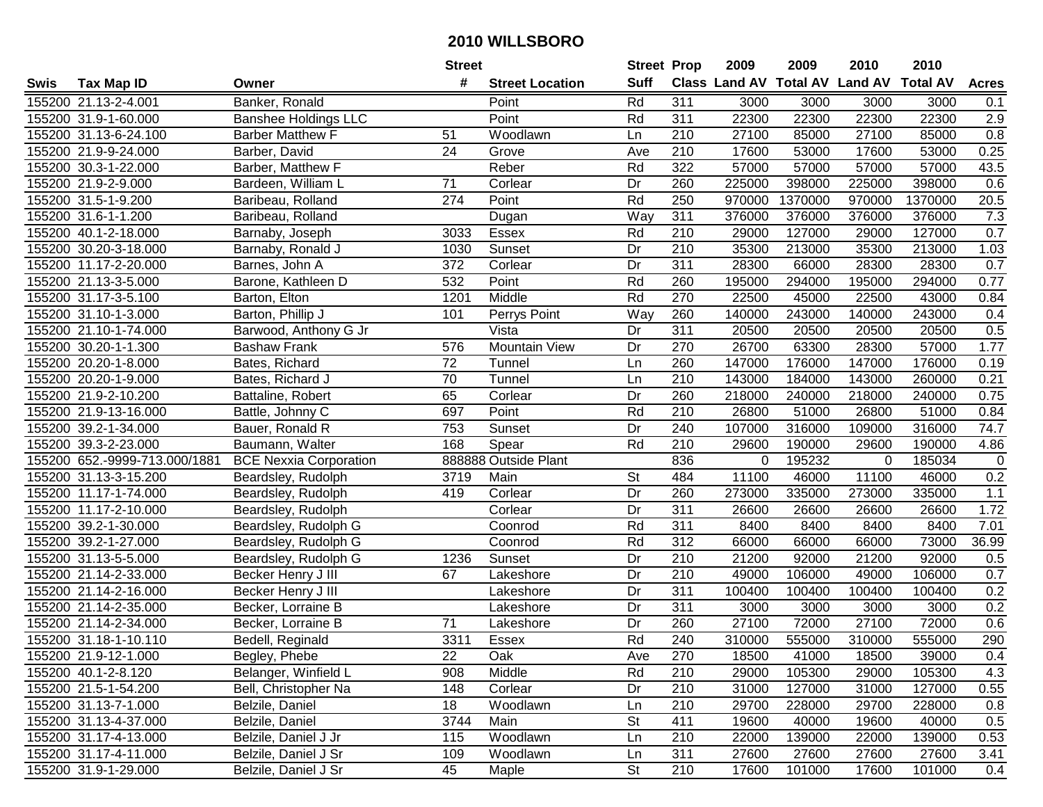|      |                               |                               | <b>Street</b> |                        | <b>Street Prop</b> |                  | 2009   | 2009    | 2010                           | 2010            |              |
|------|-------------------------------|-------------------------------|---------------|------------------------|--------------------|------------------|--------|---------|--------------------------------|-----------------|--------------|
| Swis | <b>Tax Map ID</b>             | Owner                         | #             | <b>Street Location</b> | <b>Suff</b>        |                  |        |         | Class Land AV Total AV Land AV | <b>Total AV</b> | <b>Acres</b> |
|      | 155200 21.13-2-4.001          | Banker, Ronald                |               | Point                  | Rd                 | 311              | 3000   | 3000    | 3000                           | 3000            | 0.1          |
|      | 155200 31.9-1-60.000          | <b>Banshee Holdings LLC</b>   |               | Point                  | Rd                 | 311              | 22300  | 22300   | 22300                          | 22300           | 2.9          |
|      | 155200 31.13-6-24.100         | <b>Barber Matthew F</b>       | 51            | Woodlawn               | Ln                 | 210              | 27100  | 85000   | 27100                          | 85000           | 0.8          |
|      | 155200 21.9-9-24.000          | Barber, David                 | 24            | Grove                  | Ave                | 210              | 17600  | 53000   | 17600                          | 53000           | 0.25         |
|      | 155200 30.3-1-22.000          | Barber, Matthew F             |               | Reber                  | Rd                 | 322              | 57000  | 57000   | 57000                          | 57000           | 43.5         |
|      | 155200 21.9-2-9.000           | Bardeen, William L            | 71            | Corlear                | Dr                 | 260              | 225000 | 398000  | 225000                         | 398000          | 0.6          |
|      | 155200 31.5-1-9.200           | Baribeau, Rolland             | 274           | Point                  | Rd                 | 250              | 970000 | 1370000 | 970000                         | 1370000         | 20.5         |
|      | 155200 31.6-1-1.200           | Baribeau, Rolland             |               | Dugan                  | $\overline{Way}$   | 311              | 376000 | 376000  | 376000                         | 376000          | 7.3          |
|      | 155200 40.1-2-18.000          | Barnaby, Joseph               | 3033          | Essex                  | Rd                 | $\overline{210}$ | 29000  | 127000  | 29000                          | 127000          | 0.7          |
|      | 155200 30.20-3-18.000         | Barnaby, Ronald J             | 1030          | Sunset                 | Dr                 | 210              | 35300  | 213000  | 35300                          | 213000          | 1.03         |
|      | 155200 11.17-2-20.000         | Barnes, John A                | 372           | Corlear                | Dr                 | 311              | 28300  | 66000   | 28300                          | 28300           | 0.7          |
|      | 155200 21.13-3-5.000          | Barone, Kathleen D            | 532           | Point                  | Rd                 | 260              | 195000 | 294000  | 195000                         | 294000          | 0.77         |
|      | 155200 31.17-3-5.100          | Barton, Elton                 | 1201          | Middle                 | Rd                 | 270              | 22500  | 45000   | 22500                          | 43000           | 0.84         |
|      | 155200 31.10-1-3.000          | Barton, Phillip J             | 101           | Perrys Point           | Way                | 260              | 140000 | 243000  | 140000                         | 243000          | 0.4          |
|      | 155200 21.10-1-74.000         | Barwood, Anthony G Jr         |               | Vista                  | Dr                 | 311              | 20500  | 20500   | 20500                          | 20500           | 0.5          |
|      | 155200 30.20-1-1.300          | <b>Bashaw Frank</b>           | 576           | <b>Mountain View</b>   | Dr                 | 270              | 26700  | 63300   | 28300                          | 57000           | 1.77         |
|      | 155200 20.20-1-8.000          | Bates, Richard                | 72            | Tunnel                 | Ln                 | 260              | 147000 | 176000  | 147000                         | 176000          | 0.19         |
|      | 155200 20.20-1-9.000          | Bates, Richard J              | 70            | Tunnel                 | Ln                 | 210              | 143000 | 184000  | 143000                         | 260000          | 0.21         |
|      | 155200 21.9-2-10.200          | Battaline, Robert             | 65            | Corlear                | Dr                 | 260              | 218000 | 240000  | 218000                         | 240000          | 0.75         |
|      | 155200 21.9-13-16.000         | Battle, Johnny C              | 697           | Point                  | Rd                 | 210              | 26800  | 51000   | 26800                          | 51000           | 0.84         |
|      | 155200 39.2-1-34.000          | Bauer, Ronald R               | 753           | Sunset                 | Dr                 | 240              | 107000 | 316000  | 109000                         | 316000          | 74.7         |
|      | 155200 39.3-2-23.000          | Baumann, Walter               | 168           | Spear                  | Rd                 | 210              | 29600  | 190000  | 29600                          | 190000          | 4.86         |
|      | 155200 652.-9999-713.000/1881 | <b>BCE Nexxia Corporation</b> |               | 888888 Outside Plant   |                    | 836              | 0      | 195232  | 0                              | 185034          | $\mathbf 0$  |
|      | 155200 31.13-3-15.200         | Beardsley, Rudolph            | 3719          | Main                   | St                 | 484              | 11100  | 46000   | 11100                          | 46000           | 0.2          |
|      | 155200 11.17-1-74.000         | Beardsley, Rudolph            | 419           | Corlear                | Dr                 | 260              | 273000 | 335000  | 273000                         | 335000          | 1.1          |
|      | 155200 11.17-2-10.000         | Beardsley, Rudolph            |               | Corlear                | Dr                 | 311              | 26600  | 26600   | 26600                          | 26600           | 1.72         |
|      | 155200 39.2-1-30.000          | Beardsley, Rudolph G          |               | Coonrod                | Rd                 | 311              | 8400   | 8400    | 8400                           | 8400            | 7.01         |
|      | 155200 39.2-1-27.000          | Beardsley, Rudolph G          |               | Coonrod                | Rd                 | 312              | 66000  | 66000   | 66000                          | 73000           | 36.99        |
|      | 155200 31.13-5-5.000          | Beardsley, Rudolph G          | 1236          | Sunset                 | Dr                 | $\overline{210}$ | 21200  | 92000   | 21200                          | 92000           | 0.5          |
|      | 155200 21.14-2-33.000         | Becker Henry J III            | 67            | Lakeshore              | Dr                 | $\overline{210}$ | 49000  | 106000  | 49000                          | 106000          | 0.7          |
|      | 155200 21.14-2-16.000         | Becker Henry J III            |               | Lakeshore              | $\overline{Dr}$    | 311              | 100400 | 100400  | 100400                         | 100400          | 0.2          |
|      | 155200 21.14-2-35.000         | Becker, Lorraine B            |               | Lakeshore              | Dr                 | 311              | 3000   | 3000    | 3000                           | 3000            | 0.2          |
|      | 155200 21.14-2-34.000         | Becker, Lorraine B            | 71            | Lakeshore              | Dr                 | 260              | 27100  | 72000   | 27100                          | 72000           | 0.6          |
|      | 155200 31.18-1-10.110         | Bedell, Reginald              | 3311          | Essex                  | Rd                 | 240              | 310000 | 555000  | 310000                         | 555000          | 290          |
|      | 155200 21.9-12-1.000          | Begley, Phebe                 | 22            | Oak                    | Ave                | 270              | 18500  | 41000   | 18500                          | 39000           | 0.4          |
|      | 155200 40.1-2-8.120           | Belanger, Winfield L          | 908           | Middle                 | Rd                 | 210              | 29000  | 105300  | 29000                          | 105300          | 4.3          |
|      | 155200 21.5-1-54.200          | Bell, Christopher Na          | 148           | Corlear                | Dr                 | 210              | 31000  | 127000  | 31000                          | 127000          | 0.55         |
|      | 155200 31.13-7-1.000          | Belzile, Daniel               | 18            | Woodlawn               | Ln                 | 210              | 29700  | 228000  | 29700                          | 228000          | 0.8          |
|      | 155200 31.13-4-37.000         | Belzile, Daniel               | 3744          | Main                   | <b>St</b>          | 411              | 19600  | 40000   | 19600                          | 40000           | 0.5          |
|      | 155200 31.17-4-13.000         | Belzile, Daniel J Jr          | 115           | Woodlawn               | Ln                 | 210              | 22000  | 139000  | 22000                          | 139000          | 0.53         |
|      | 155200 31.17-4-11.000         | Belzile, Daniel J Sr          | 109           | Woodlawn               | Ln                 | 311              | 27600  | 27600   | 27600                          | 27600           | 3.41         |
|      | 155200 31.9-1-29.000          | Belzile, Daniel J Sr          | 45            | Maple                  | <b>St</b>          | 210              | 17600  | 101000  | 17600                          | 101000          | 0.4          |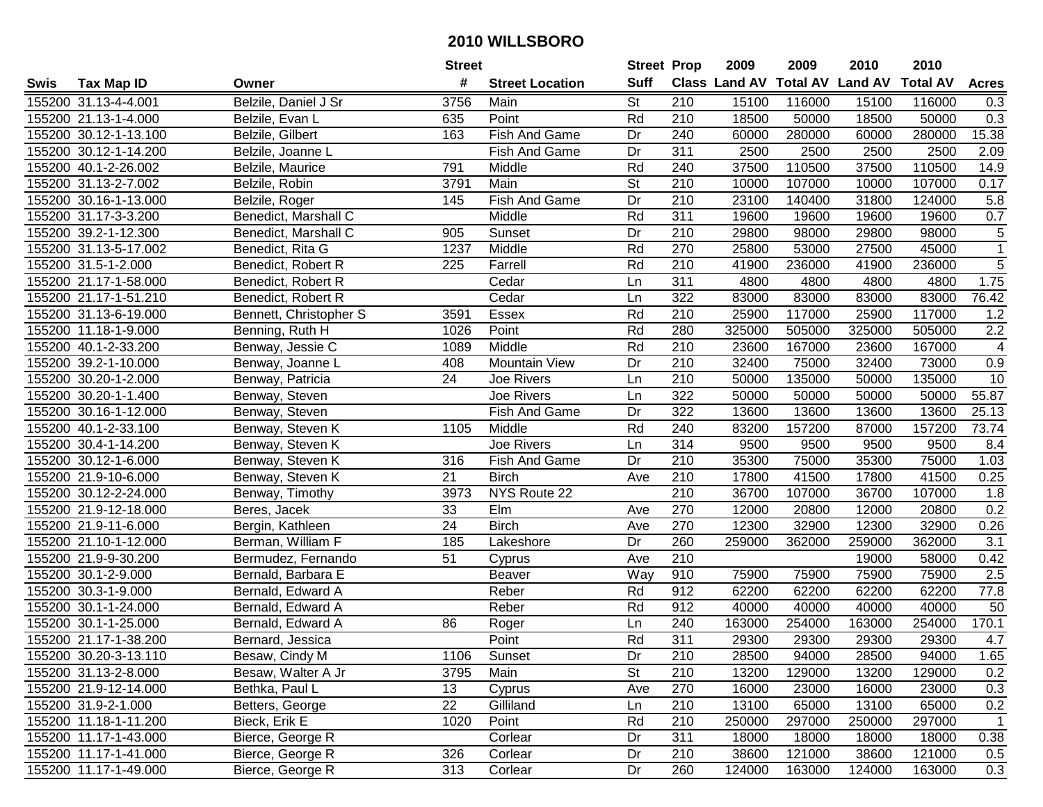|      |                       |                             | <b>Street</b> |                        | <b>Street Prop</b>       |                  | 2009   | 2009   | 2010                           | 2010            |                         |
|------|-----------------------|-----------------------------|---------------|------------------------|--------------------------|------------------|--------|--------|--------------------------------|-----------------|-------------------------|
| Swis | <b>Tax Map ID</b>     | Owner                       | #             | <b>Street Location</b> | <b>Suff</b>              |                  |        |        | Class Land AV Total AV Land AV | <b>Total AV</b> | <b>Acres</b>            |
|      | 155200 31.13-4-4.001  | Belzile, Daniel J Sr        | 3756          | Main                   | <b>St</b>                | 210              | 15100  | 116000 | 15100                          | 116000          | 0.3                     |
|      | 155200 21.13-1-4.000  | Belzile, Evan L             | 635           | Point                  | Rd                       | 210              | 18500  | 50000  | 18500                          | 50000           | 0.3                     |
|      | 155200 30.12-1-13.100 | Belzile, Gilbert            | 163           | Fish And Game          | Dr                       | 240              | 60000  | 280000 | 60000                          | 280000          | 15.38                   |
|      | 155200 30.12-1-14.200 | Belzile, Joanne L           |               | Fish And Game          | Dr                       | 311              | 2500   | 2500   | 2500                           | 2500            | 2.09                    |
|      | 155200 40.1-2-26.002  | Belzile, Maurice            | 791           | Middle                 | Rd                       | 240              | 37500  | 110500 | 37500                          | 110500          | 14.9                    |
|      | 155200 31.13-2-7.002  | Belzile, Robin              | 3791          | Main                   | $\overline{\mathsf{St}}$ | 210              | 10000  | 107000 | 10000                          | 107000          | 0.17                    |
|      | 155200 30.16-1-13.000 | Belzile, Roger              | 145           | Fish And Game          | Dr                       | 210              | 23100  | 140400 | 31800                          | 124000          | 5.8                     |
|      | 155200 31.17-3-3.200  | <b>Benedict, Marshall C</b> |               | Middle                 | Rd                       | 311              | 19600  | 19600  | 19600                          | 19600           | 0.7                     |
|      | 155200 39.2-1-12.300  | Benedict, Marshall C        | 905           | Sunset                 | Dr                       | 210              | 29800  | 98000  | 29800                          | 98000           | $\overline{5}$          |
|      | 155200 31.13-5-17.002 | Benedict, Rita G            | 1237          | Middle                 | Rd                       | 270              | 25800  | 53000  | 27500                          | 45000           | $\overline{1}$          |
|      | 155200 31.5-1-2.000   | Benedict, Robert R          | 225           | Farrell                | Rd                       | 210              | 41900  | 236000 | 41900                          | 236000          | $\overline{5}$          |
|      | 155200 21.17-1-58.000 | Benedict, Robert R          |               | Cedar                  | Ln                       | 311              | 4800   | 4800   | 4800                           | 4800            | 1.75                    |
|      | 155200 21.17-1-51.210 | Benedict, Robert R          |               | Cedar                  | Ln                       | 322              | 83000  | 83000  | 83000                          | 83000           | 76.42                   |
|      | 155200 31.13-6-19.000 | Bennett, Christopher S      | 3591          | Essex                  | Rd                       | 210              | 25900  | 117000 | 25900                          | 117000          | 1.2                     |
|      | 155200 11.18-1-9.000  | Benning, Ruth H             | 1026          | Point                  | Rd                       | 280              | 325000 | 505000 | 325000                         | 505000          | 2.2                     |
|      | 155200 40.1-2-33.200  | Benway, Jessie C            | 1089          | Middle                 | Rd                       | 210              | 23600  | 167000 | 23600                          | 167000          | $\overline{\mathbf{4}}$ |
|      | 155200 39.2-1-10.000  | Benway, Joanne L            | 408           | <b>Mountain View</b>   | Dr                       | 210              | 32400  | 75000  | 32400                          | 73000           | 0.9                     |
|      | 155200 30.20-1-2.000  | Benway, Patricia            | 24            | Joe Rivers             | Ln                       | 210              | 50000  | 135000 | 50000                          | 135000          | 10                      |
|      | 155200 30.20-1-1.400  | Benway, Steven              |               | Joe Rivers             | Ln                       | 322              | 50000  | 50000  | 50000                          | 50000           | 55.87                   |
|      | 155200 30.16-1-12.000 | Benway, Steven              |               | Fish And Game          | Dr                       | 322              | 13600  | 13600  | 13600                          | 13600           | 25.13                   |
|      | 155200 40.1-2-33.100  | Benway, Steven K            | 1105          | Middle                 | Rd                       | 240              | 83200  | 157200 | 87000                          | 157200          | 73.74                   |
|      | 155200 30.4-1-14.200  | Benway, Steven K            |               | Joe Rivers             | Ln                       | 314              | 9500   | 9500   | 9500                           | 9500            | 8.4                     |
|      | 155200 30.12-1-6.000  | Benway, Steven K            | 316           | Fish And Game          | Dr                       | 210              | 35300  | 75000  | 35300                          | 75000           | 1.03                    |
|      | 155200 21.9-10-6.000  | Benway, Steven K            | 21            | <b>Birch</b>           | Ave                      | 210              | 17800  | 41500  | 17800                          | 41500           | 0.25                    |
|      | 155200 30.12-2-24.000 | Benway, Timothy             | 3973          | NYS Route 22           |                          | $\overline{210}$ | 36700  | 107000 | 36700                          | 107000          | 1.8                     |
|      | 155200 21.9-12-18.000 | Beres, Jacek                | 33            | Elm                    | Ave                      | 270              | 12000  | 20800  | 12000                          | 20800           | 0.2                     |
|      | 155200 21.9-11-6.000  | Bergin, Kathleen            | 24            | <b>Birch</b>           | Ave                      | 270              | 12300  | 32900  | 12300                          | 32900           | 0.26                    |
|      | 155200 21.10-1-12.000 | Berman, William F           | 185           | Lakeshore              | Dr                       | 260              | 259000 | 362000 | 259000                         | 362000          | 3.1                     |
|      | 155200 21.9-9-30.200  | Bermudez, Fernando          | 51            | Cyprus                 | Ave                      | $\overline{210}$ |        |        | 19000                          | 58000           | 0.42                    |
|      | 155200 30.1-2-9.000   | Bernald, Barbara E          |               | Beaver                 | Way                      | 910              | 75900  | 75900  | 75900                          | 75900           | 2.5                     |
|      | 155200 30.3-1-9.000   | Bernald, Edward A           |               | Reber                  | Rd                       | 912              | 62200  | 62200  | 62200                          | 62200           | 77.8                    |
|      | 155200 30.1-1-24.000  | Bernald, Edward A           |               | Reber                  | Rd                       | 912              | 40000  | 40000  | 40000                          | 40000           | 50                      |
|      | 155200 30.1-1-25.000  | Bernald, Edward A           | 86            | Roger                  | Ln                       | 240              | 163000 | 254000 | 163000                         | 254000          | 170.1                   |
|      | 155200 21.17-1-38.200 | Bernard, Jessica            |               | Point                  | Rd                       | 311              | 29300  | 29300  | 29300                          | 29300           | 4.7                     |
|      | 155200 30.20-3-13.110 | Besaw, Cindy M              | 1106          | Sunset                 | Dr                       | 210              | 28500  | 94000  | 28500                          | 94000           | 1.65                    |
|      | 155200 31.13-2-8.000  | Besaw, Walter A Jr          | 3795          | Main                   | <b>St</b>                | 210              | 13200  | 129000 | 13200                          | 129000          | 0.2                     |
|      | 155200 21.9-12-14.000 | Bethka, Paul L              | 13            | Cyprus                 | Ave                      | 270              | 16000  | 23000  | 16000                          | 23000           | 0.3                     |
|      | 155200 31.9-2-1.000   | Betters, George             | 22            | Gilliland              | Ln                       | 210              | 13100  | 65000  | 13100                          | 65000           | 0.2                     |
|      | 155200 11.18-1-11.200 | Bieck, Erik E               | 1020          | Point                  | Rd                       | 210              | 250000 | 297000 | 250000                         | 297000          | $\overline{1}$          |
|      | 155200 11.17-1-43.000 | Bierce, George R            |               | Corlear                | Dr                       | 311              | 18000  | 18000  | 18000                          | 18000           | 0.38                    |
|      | 155200 11.17-1-41.000 | Bierce, George R            | 326           | Corlear                | Dr                       | 210              | 38600  | 121000 | 38600                          | 121000          | 0.5                     |
|      | 155200 11.17-1-49.000 | Bierce, George R            | 313           | Corlear                | Dr                       | 260              | 124000 | 163000 | 124000                         | 163000          | 0.3                     |
|      |                       |                             |               |                        |                          |                  |        |        |                                |                 |                         |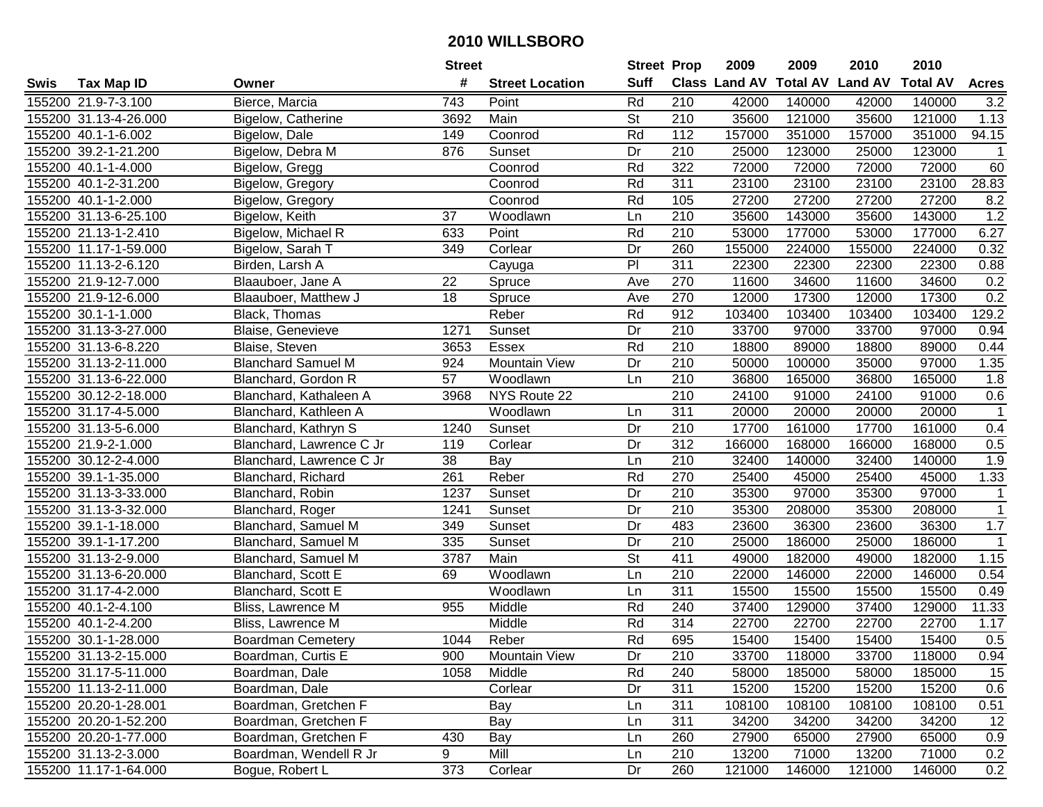|      |                       |                           | <b>Street</b>   |                        | <b>Street Prop</b>       |                  | 2009                 | 2009            | 2010           | 2010            |              |
|------|-----------------------|---------------------------|-----------------|------------------------|--------------------------|------------------|----------------------|-----------------|----------------|-----------------|--------------|
| Swis | <b>Tax Map ID</b>     | Owner                     | #               | <b>Street Location</b> | <b>Suff</b>              |                  | <b>Class Land AV</b> | <b>Total AV</b> | <b>Land AV</b> | <b>Total AV</b> | <b>Acres</b> |
|      | 155200 21.9-7-3.100   | Bierce, Marcia            | 743             | Point                  | Rd                       | 210              | 42000                | 140000          | 42000          | 140000          | 3.2          |
|      | 155200 31.13-4-26.000 | Bigelow, Catherine        | 3692            | Main                   | <b>St</b>                | 210              | 35600                | 121000          | 35600          | 121000          | 1.13         |
|      | 155200 40.1-1-6.002   | Bigelow, Dale             | 149             | Coonrod                | Rd                       | 112              | 157000               | 351000          | 157000         | 351000          | 94.15        |
|      | 155200 39.2-1-21.200  | Bigelow, Debra M          | 876             | Sunset                 | Dr                       | 210              | 25000                | 123000          | 25000          | 123000          | $\mathbf{1}$ |
|      | 155200 40.1-1-4.000   | Bigelow, Gregg            |                 | Coonrod                | Rd                       | 322              | 72000                | 72000           | 72000          | 72000           | 60           |
|      | 155200 40.1-2-31.200  | Bigelow, Gregory          |                 | Coonrod                | Rd                       | 311              | 23100                | 23100           | 23100          | 23100           | 28.83        |
|      | 155200 40.1-1-2.000   | <b>Bigelow, Gregory</b>   |                 | Coonrod                | Rd                       | 105              | 27200                | 27200           | 27200          | 27200           | 8.2          |
|      | 155200 31.13-6-25.100 | Bigelow, Keith            | $\overline{37}$ | Woodlawn               | Ln                       | 210              | 35600                | 143000          | 35600          | 143000          | 1.2          |
|      | 155200 21.13-1-2.410  | Bigelow, Michael R        | 633             | Point                  | Rd                       | $\overline{210}$ | 53000                | 177000          | 53000          | 177000          | 6.27         |
|      | 155200 11.17-1-59.000 | Bigelow, Sarah T          | 349             | Corlear                | Dr                       | 260              | 155000               | 224000          | 155000         | 224000          | 0.32         |
|      | 155200 11.13-2-6.120  | Birden, Larsh A           |                 | Cayuga                 | $\overline{P}$           | 311              | 22300                | 22300           | 22300          | 22300           | 0.88         |
|      | 155200 21.9-12-7.000  | Blaauboer, Jane A         | 22              | Spruce                 | Ave                      | 270              | 11600                | 34600           | 11600          | 34600           | 0.2          |
|      | 155200 21.9-12-6.000  | Blaauboer, Matthew J      | 18              | Spruce                 | Ave                      | 270              | 12000                | 17300           | 12000          | 17300           | 0.2          |
|      | 155200 30.1-1-1.000   | Black, Thomas             |                 | Reber                  | Rd                       | 912              | 103400               | 103400          | 103400         | 103400          | 129.2        |
|      | 155200 31.13-3-27.000 | Blaise, Genevieve         | 1271            | Sunset                 | Dr                       | 210              | 33700                | 97000           | 33700          | 97000           | 0.94         |
|      | 155200 31.13-6-8.220  | Blaise, Steven            | 3653            | Essex                  | Rd                       | 210              | 18800                | 89000           | 18800          | 89000           | 0.44         |
|      | 155200 31.13-2-11.000 | <b>Blanchard Samuel M</b> | 924             | Mountain View          | Dr                       | 210              | 50000                | 100000          | 35000          | 97000           | 1.35         |
|      | 155200 31.13-6-22.000 | Blanchard, Gordon R       | 57              | Woodlawn               | Ln                       | 210              | 36800                | 165000          | 36800          | 165000          | 1.8          |
|      | 155200 30.12-2-18.000 | Blanchard, Kathaleen A    | 3968            | NYS Route 22           |                          | 210              | 24100                | 91000           | 24100          | 91000           | 0.6          |
|      | 155200 31.17-4-5.000  | Blanchard, Kathleen A     |                 | Woodlawn               | Ln                       | 311              | 20000                | 20000           | 20000          | 20000           | $\mathbf{1}$ |
|      | 155200 31.13-5-6.000  | Blanchard, Kathryn S      | 1240            | Sunset                 | Dr                       | 210              | 17700                | 161000          | 17700          | 161000          | 0.4          |
|      | 155200 21.9-2-1.000   | Blanchard, Lawrence C Jr  | 119             | Corlear                | Dr                       | 312              | 166000               | 168000          | 166000         | 168000          | 0.5          |
|      | 155200 30.12-2-4.000  | Blanchard, Lawrence C Jr  | 38              | Bay                    | Ln                       | 210              | 32400                | 140000          | 32400          | 140000          | 1.9          |
|      | 155200 39.1-1-35.000  | Blanchard, Richard        | 261             | Reber                  | Rd                       | 270              | 25400                | 45000           | 25400          | 45000           | 1.33         |
|      | 155200 31.13-3-33.000 | Blanchard, Robin          | 1237            | Sunset                 | Dr                       | 210              | 35300                | 97000           | 35300          | 97000           | $\mathbf{1}$ |
|      | 155200 31.13-3-32.000 | Blanchard, Roger          | 1241            | Sunset                 | Dr                       | 210              | 35300                | 208000          | 35300          | 208000          | $\mathbf{1}$ |
|      | 155200 39.1-1-18.000  | Blanchard, Samuel M       | 349             | Sunset                 | Dr                       | 483              | 23600                | 36300           | 23600          | 36300           | 1.7          |
|      | 155200 39.1-1-17.200  | Blanchard, Samuel M       | 335             | Sunset                 | Dr                       | 210              | 25000                | 186000          | 25000          | 186000          | 1            |
|      | 155200 31.13-2-9.000  | Blanchard, Samuel M       | 3787            | Main                   | $\overline{\mathsf{St}}$ | 411              | 49000                | 182000          | 49000          | 182000          | 1.15         |
|      | 155200 31.13-6-20.000 | Blanchard, Scott E        | 69              | Woodlawn               | Ln                       | $\overline{210}$ | 22000                | 146000          | 22000          | 146000          | 0.54         |
|      | 155200 31.17-4-2.000  | Blanchard, Scott E        |                 | Woodlawn               | Ln                       | 311              | 15500                | 15500           | 15500          | 15500           | 0.49         |
|      | 155200 40.1-2-4.100   | Bliss, Lawrence M         | 955             | Middle                 | Rd                       | 240              | 37400                | 129000          | 37400          | 129000          | 11.33        |
|      | 155200 40.1-2-4.200   | Bliss, Lawrence M         |                 | Middle                 | Rd                       | $\overline{314}$ | 22700                | 22700           | 22700          | 22700           | 1.17         |
|      | 155200 30.1-1-28.000  | <b>Boardman Cemetery</b>  | 1044            | Reber                  | Rd                       | 695              | 15400                | 15400           | 15400          | 15400           | 0.5          |
|      | 155200 31.13-2-15.000 | Boardman, Curtis E        | 900             | <b>Mountain View</b>   | Dr                       | 210              | 33700                | 118000          | 33700          | 118000          | 0.94         |
|      | 155200 31.17-5-11.000 | Boardman, Dale            | 1058            | Middle                 | Rd                       | 240              | 58000                | 185000          | 58000          | 185000          | 15           |
|      | 155200 11.13-2-11.000 | Boardman, Dale            |                 | Corlear                | Dr                       | 311              | 15200                | 15200           | 15200          | 15200           | 0.6          |
|      | 155200 20.20-1-28.001 | Boardman, Gretchen F      |                 | Bay                    | Ln                       | 311              | 108100               | 108100          | 108100         | 108100          | 0.51         |
|      | 155200 20.20-1-52.200 | Boardman, Gretchen F      |                 | Bay                    | Ln                       | 311              | 34200                | 34200           | 34200          | 34200           | 12           |
|      | 155200 20.20-1-77.000 | Boardman, Gretchen F      | 430             | Bay                    | Ln                       | 260              | 27900                | 65000           | 27900          | 65000           | 0.9          |
|      | 155200 31.13-2-3.000  | Boardman, Wendell R Jr    | 9               | Mill                   | Ln                       | 210              | 13200                | 71000           | 13200          | 71000           | 0.2          |
|      | 155200 11.17-1-64.000 | Bogue, Robert L           | 373             | Corlear                | Dr                       | 260              | 121000               | 146000          | 121000         | 146000          | 0.2          |
|      |                       |                           |                 |                        |                          |                  |                      |                 |                |                 |              |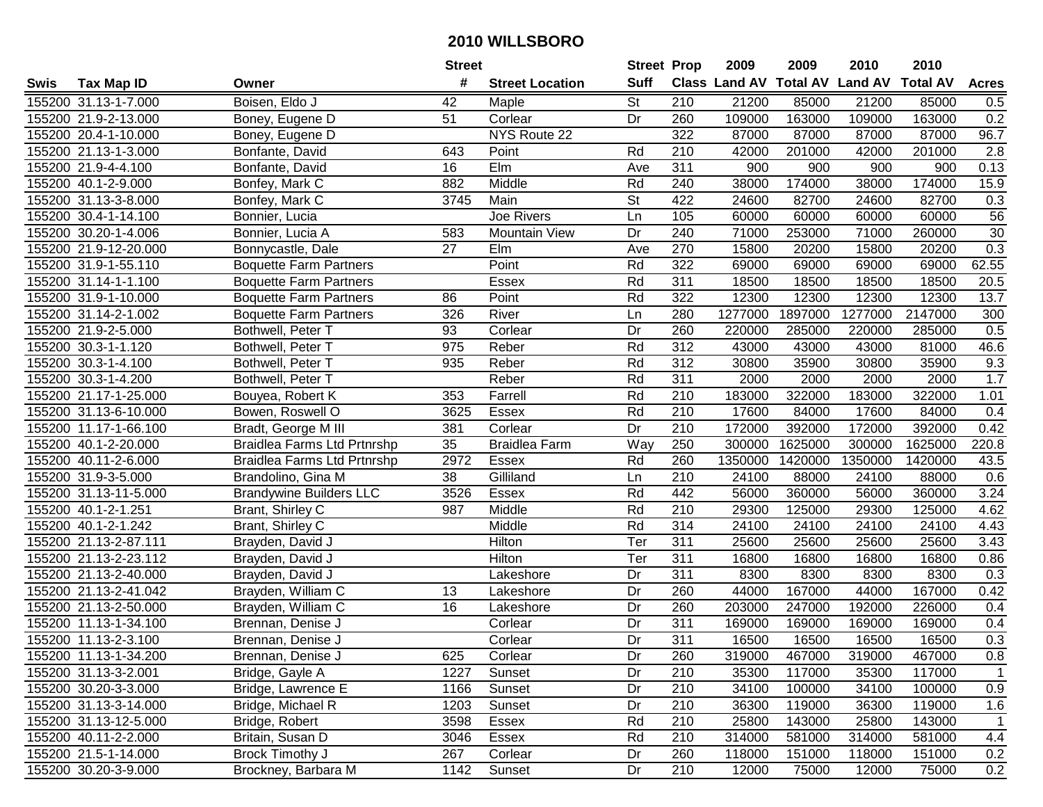|      |                       |                                | <b>Street</b> |                        | <b>Street Prop</b> |                  | 2009                          | 2009    | 2010           | 2010            |              |
|------|-----------------------|--------------------------------|---------------|------------------------|--------------------|------------------|-------------------------------|---------|----------------|-----------------|--------------|
| Swis | <b>Tax Map ID</b>     | Owner                          | #             | <b>Street Location</b> | <b>Suff</b>        |                  | <b>Class Land AV Total AV</b> |         | <b>Land AV</b> | <b>Total AV</b> | <b>Acres</b> |
|      | 155200 31.13-1-7.000  | Boisen, Eldo J                 | 42            | Maple                  | <b>St</b>          | 210              | 21200                         | 85000   | 21200          | 85000           | 0.5          |
|      | 155200 21.9-2-13.000  | Boney, Eugene D                | 51            | Corlear                | Dr                 | 260              | 109000                        | 163000  | 109000         | 163000          | 0.2          |
|      | 155200 20.4-1-10.000  | Boney, Eugene D                |               | NYS Route 22           |                    | 322              | 87000                         | 87000   | 87000          | 87000           | 96.7         |
|      | 155200 21.13-1-3.000  | Bonfante, David                | 643           | Point                  | Rd                 | 210              | 42000                         | 201000  | 42000          | 201000          | 2.8          |
|      | 155200 21.9-4-4.100   | Bonfante, David                | 16            | Elm                    | Ave                | 311              | 900                           | 900     | 900            | 900             | 0.13         |
|      | 155200 40.1-2-9.000   | Bonfey, Mark C                 | 882           | Middle                 | Rd                 | 240              | 38000                         | 174000  | 38000          | 174000          | 15.9         |
|      | 155200 31.13-3-8.000  | Bonfey, Mark C                 | 3745          | Main                   | St                 | 422              | 24600                         | 82700   | 24600          | 82700           | 0.3          |
|      | 155200 30.4-1-14.100  | Bonnier, Lucia                 |               | <b>Joe Rivers</b>      | Ln                 | 105              | 60000                         | 60000   | 60000          | 60000           | 56           |
|      | 155200 30.20-1-4.006  | Bonnier, Lucia A               | 583           | <b>Mountain View</b>   | Dr                 | 240              | 71000                         | 253000  | 71000          | 260000          | 30           |
|      | 155200 21.9-12-20.000 | Bonnycastle, Dale              | 27            | Elm                    | Ave                | 270              | 15800                         | 20200   | 15800          | 20200           | 0.3          |
|      | 155200 31.9-1-55.110  | <b>Boquette Farm Partners</b>  |               | Point                  | Rd                 | 322              | 69000                         | 69000   | 69000          | 69000           | 62.55        |
|      | 155200 31.14-1-1.100  | <b>Boquette Farm Partners</b>  |               | <b>Essex</b>           | Rd                 | 311              | 18500                         | 18500   | 18500          | 18500           | 20.5         |
|      | 155200 31.9-1-10.000  | <b>Boquette Farm Partners</b>  | 86            | Point                  | Rd                 | 322              | 12300                         | 12300   | 12300          | 12300           | 13.7         |
|      | 155200 31.14-2-1.002  | <b>Boquette Farm Partners</b>  | 326           | River                  | Ln                 | 280              | 1277000                       | 1897000 | 1277000        | 2147000         | 300          |
|      | 155200 21.9-2-5.000   | Bothwell, Peter T              | 93            | Corlear                | Dr                 | 260              | 220000                        | 285000  | 220000         | 285000          | 0.5          |
|      | 155200 30.3-1-1.120   | Bothwell, Peter T              | 975           | Reber                  | Rd                 | 312              | 43000                         | 43000   | 43000          | 81000           | 46.6         |
|      | 155200 30.3-1-4.100   | Bothwell, Peter T              | 935           | Reber                  | Rd                 | $\overline{312}$ | 30800                         | 35900   | 30800          | 35900           | 9.3          |
|      | 155200 30.3-1-4.200   | Bothwell, Peter T              |               | Reber                  | Rd                 | 311              | 2000                          | 2000    | 2000           | 2000            | 1.7          |
|      | 155200 21.17-1-25.000 | Bouyea, Robert K               | 353           | Farrell                | Rd                 | 210              | 183000                        | 322000  | 183000         | 322000          | 1.01         |
|      | 155200 31.13-6-10.000 | Bowen, Roswell O               | 3625          | <b>Essex</b>           | Rd                 | 210              | 17600                         | 84000   | 17600          | 84000           | 0.4          |
|      | 155200 11.17-1-66.100 | Bradt, George M III            | 381           | Corlear                | Dr                 | 210              | 172000                        | 392000  | 172000         | 392000          | 0.42         |
|      | 155200 40.1-2-20.000  | Braidlea Farms Ltd Prtnrshp    | 35            | <b>Braidlea Farm</b>   | Way                | 250              | 300000                        | 1625000 | 300000         | 1625000         | 220.8        |
|      | 155200 40.11-2-6.000  | Braidlea Farms Ltd Prtnrshp    | 2972          | Essex                  | Rd                 | 260              | 1350000                       | 1420000 | 1350000        | 1420000         | 43.5         |
|      | 155200 31.9-3-5.000   | Brandolino, Gina M             | 38            | Gilliland              | Ln                 | 210              | 24100                         | 88000   | 24100          | 88000           | 0.6          |
|      | 155200 31.13-11-5.000 | <b>Brandywine Builders LLC</b> | 3526          | Essex                  | Rd                 | 442              | 56000                         | 360000  | 56000          | 360000          | 3.24         |
|      | 155200 40.1-2-1.251   | Brant, Shirley C               | 987           | Middle                 | Rd                 | 210              | 29300                         | 125000  | 29300          | 125000          | 4.62         |
|      | 155200 40.1-2-1.242   | Brant, Shirley C               |               | Middle                 | Rd                 | 314              | 24100                         | 24100   | 24100          | 24100           | 4.43         |
|      | 155200 21.13-2-87.111 | Brayden, David J               |               | <b>Hilton</b>          | Ter                | 311              | 25600                         | 25600   | 25600          | 25600           | 3.43         |
|      | 155200 21.13-2-23.112 | Brayden, David J               |               | Hilton                 | Ter                | 311              | 16800                         | 16800   | 16800          | 16800           | 0.86         |
|      | 155200 21.13-2-40.000 | Brayden, David J               |               | Lakeshore              | Dr                 | $\overline{311}$ | 8300                          | 8300    | 8300           | 8300            | 0.3          |
|      | 155200 21.13-2-41.042 | Brayden, William C             | 13            | Lakeshore              | $\overline{Dr}$    | 260              | 44000                         | 167000  | 44000          | 167000          | 0.42         |
|      | 155200 21.13-2-50.000 | Brayden, William C             | 16            | Lakeshore              | Dr                 | 260              | 203000                        | 247000  | 192000         | 226000          | 0.4          |
|      | 155200 11.13-1-34.100 | Brennan, Denise J              |               | Corlear                | $\overline{Dr}$    | 311              | 169000                        | 169000  | 169000         | 169000          | 0.4          |
|      | 155200 11.13-2-3.100  | Brennan, Denise J              |               | Corlear                | $\overline{Dr}$    | 311              | 16500                         | 16500   | 16500          | 16500           | 0.3          |
|      | 155200 11.13-1-34.200 | Brennan, Denise J              | 625           | Corlear                | Dr                 | 260              | 319000                        | 467000  | 319000         | 467000          | 0.8          |
|      | 155200 31.13-3-2.001  | Bridge, Gayle A                | 1227          | Sunset                 | Dr                 | 210              | 35300                         | 117000  | 35300          | 117000          | $\mathbf{1}$ |
|      | 155200 30.20-3-3.000  | Bridge, Lawrence E             | 1166          | Sunset                 | Dr                 | 210              | 34100                         | 100000  | 34100          | 100000          | 0.9          |
|      | 155200 31.13-3-14.000 | Bridge, Michael R              | 1203          | Sunset                 | Dr                 | 210              | 36300                         | 119000  | 36300          | 119000          | 1.6          |
|      | 155200 31.13-12-5.000 | Bridge, Robert                 | 3598          | Essex                  | Rd                 | 210              | 25800                         | 143000  | 25800          | 143000          | $\mathbf{1}$ |
|      | 155200 40.11-2-2.000  | Britain, Susan D               | 3046          | Essex                  | Rd                 | 210              | 314000                        | 581000  | 314000         | 581000          | 4.4          |
|      | 155200 21.5-1-14.000  | Brock Timothy J                | 267           | Corlear                | Dr                 | 260              | 118000                        | 151000  | 118000         | 151000          | 0.2          |
|      | 155200 30.20-3-9.000  | Brockney, Barbara M            | 1142          | Sunset                 | Dr                 | 210              | 12000                         | 75000   | 12000          | 75000           | 0.2          |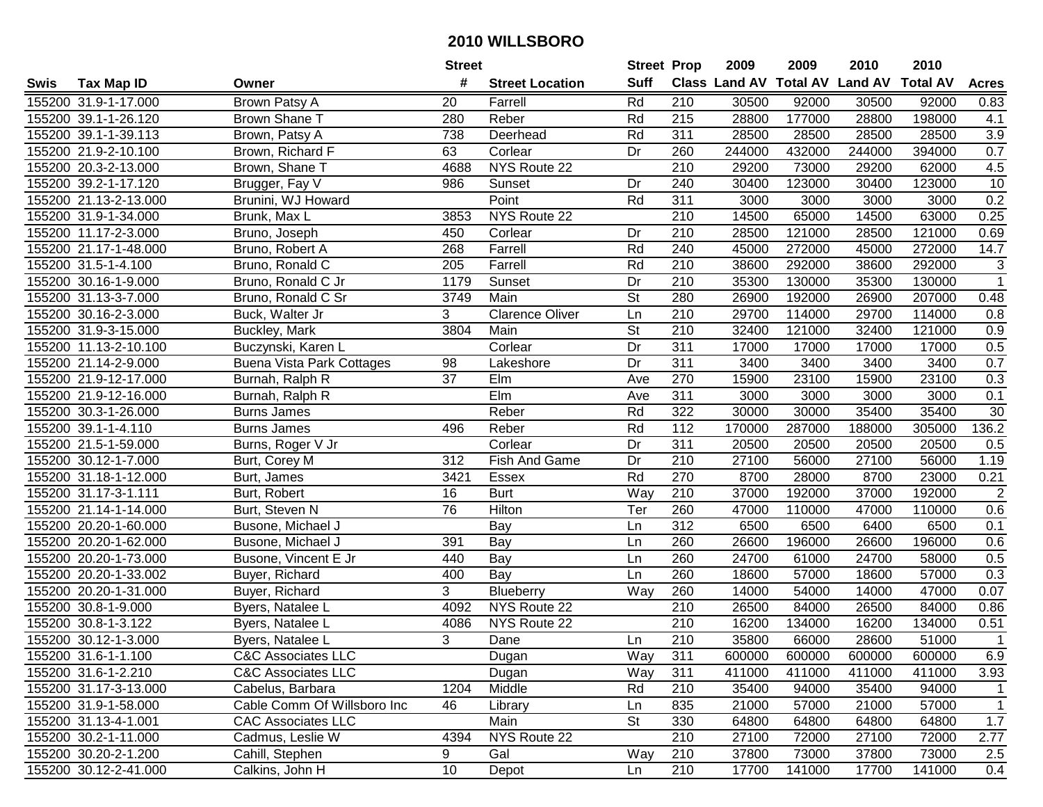|      |                       |                                  | <b>Street</b> |                        | <b>Street Prop</b>       |                  | 2009   | 2009   | 2010                           | 2010            |                   |
|------|-----------------------|----------------------------------|---------------|------------------------|--------------------------|------------------|--------|--------|--------------------------------|-----------------|-------------------|
| Swis | <b>Tax Map ID</b>     | Owner                            | #             | <b>Street Location</b> | <b>Suff</b>              |                  |        |        | Class Land AV Total AV Land AV | <b>Total AV</b> | <b>Acres</b>      |
|      | 155200 31.9-1-17.000  | Brown Patsy A                    | 20            | Farrell                | Rd                       | 210              | 30500  | 92000  | 30500                          | 92000           | 0.83              |
|      | 155200 39.1-1-26.120  | <b>Brown Shane T</b>             | 280           | Reber                  | Rd                       | 215              | 28800  | 177000 | 28800                          | 198000          | 4.1               |
|      | 155200 39.1-1-39.113  | Brown, Patsy A                   | 738           | Deerhead               | Rd                       | 311              | 28500  | 28500  | 28500                          | 28500           | $3.9\,$           |
|      | 155200 21.9-2-10.100  | Brown, Richard F                 | 63            | Corlear                | Dr                       | 260              | 244000 | 432000 | 244000                         | 394000          | 0.7               |
|      | 155200 20.3-2-13.000  | Brown, Shane T                   | 4688          | NYS Route 22           |                          | $\overline{210}$ | 29200  | 73000  | 29200                          | 62000           | 4.5               |
|      | 155200 39.2-1-17.120  | Brugger, Fay V                   | 986           | Sunset                 | Dr                       | 240              | 30400  | 123000 | 30400                          | 123000          | 10                |
|      | 155200 21.13-2-13.000 | Brunini, WJ Howard               |               | Point                  | Rd                       | 311              | 3000   | 3000   | 3000                           | 3000            | 0.2               |
|      | 155200 31.9-1-34.000  | Brunk, Max L                     | 3853          | NYS Route 22           |                          | 210              | 14500  | 65000  | 14500                          | 63000           | 0.25              |
|      | 155200 11.17-2-3.000  | Bruno, Joseph                    | 450           | Corlear                | Dr                       | $\overline{210}$ | 28500  | 121000 | 28500                          | 121000          | 0.69              |
|      | 155200 21.17-1-48.000 | Bruno, Robert A                  | 268           | Farrell                | Rd                       | 240              | 45000  | 272000 | 45000                          | 272000          | 14.7              |
|      | 155200 31.5-1-4.100   | Bruno, Ronald C                  | 205           | Farrell                | Rd                       | 210              | 38600  | 292000 | 38600                          | 292000          | 3                 |
|      | 155200 30.16-1-9.000  | Bruno, Ronald C Jr               | 1179          | Sunset                 | Dr                       | 210              | 35300  | 130000 | 35300                          | 130000          | $\mathbf{1}$      |
|      | 155200 31.13-3-7.000  | Bruno, Ronald C Sr               | 3749          | Main                   | $\overline{\mathsf{St}}$ | 280              | 26900  | 192000 | 26900                          | 207000          | 0.48              |
|      | 155200 30.16-2-3.000  | Buck, Walter Jr                  | 3             | <b>Clarence Oliver</b> | Ln                       | 210              | 29700  | 114000 | 29700                          | 114000          | 0.8               |
|      | 155200 31.9-3-15.000  | Buckley, Mark                    | 3804          | Main                   | St                       | 210              | 32400  | 121000 | 32400                          | 121000          | 0.9               |
|      | 155200 11.13-2-10.100 | Buczynski, Karen L               |               | Corlear                | Dr                       | 311              | 17000  | 17000  | 17000                          | 17000           | 0.5               |
|      | 155200 21.14-2-9.000  | <b>Buena Vista Park Cottages</b> | 98            | Lakeshore              | Dr                       | $\overline{311}$ | 3400   | 3400   | 3400                           | 3400            | 0.7               |
|      | 155200 21.9-12-17.000 | Burnah, Ralph R                  | 37            | Elm                    | Ave                      | 270              | 15900  | 23100  | 15900                          | 23100           | 0.3               |
|      | 155200 21.9-12-16.000 | Burnah, Ralph R                  |               | Elm                    | Ave                      | 311              | 3000   | 3000   | 3000                           | 3000            | 0.1               |
|      | 155200 30.3-1-26.000  | <b>Burns James</b>               |               | Reber                  | Rd                       | 322              | 30000  | 30000  | 35400                          | 35400           | 30                |
|      | 155200 39.1-1-4.110   | <b>Burns James</b>               | 496           | Reber                  | Rd                       | 112              | 170000 | 287000 | 188000                         | 305000          | 136.2             |
|      | 155200 21.5-1-59.000  | Burns, Roger V Jr                |               | Corlear                | Dr                       | 311              | 20500  | 20500  | 20500                          | 20500           | 0.5               |
|      | 155200 30.12-1-7.000  | Burt, Corey M                    | 312           | Fish And Game          | Dr                       | 210              | 27100  | 56000  | 27100                          | 56000           | 1.19              |
|      | 155200 31.18-1-12.000 | Burt, James                      | 3421          | Essex                  | Rd                       | 270              | 8700   | 28000  | 8700                           | 23000           | 0.21              |
|      | 155200 31.17-3-1.111  | Burt, Robert                     | 16            | <b>Burt</b>            | Way                      | 210              | 37000  | 192000 | 37000                          | 192000          | $\overline{2}$    |
|      | 155200 21.14-1-14.000 | Burt, Steven N                   | 76            | Hilton                 | Ter                      | 260              | 47000  | 110000 | 47000                          | 110000          | 0.6               |
|      | 155200 20.20-1-60.000 | Busone, Michael J                |               | Bay                    | Ln                       | $\overline{312}$ | 6500   | 6500   | 6400                           | 6500            | 0.1               |
|      | 155200 20.20-1-62.000 | Busone, Michael J                | 391           | Bay                    | Ln                       | 260              | 26600  | 196000 | 26600                          | 196000          | 0.6               |
|      | 155200 20.20-1-73.000 | Busone, Vincent E Jr             | 440           | Bay                    | Ln                       | 260              | 24700  | 61000  | 24700                          | 58000           | 0.5               |
|      | 155200 20.20-1-33.002 | Buyer, Richard                   | 400           | Bay                    | Ln                       | 260              | 18600  | 57000  | 18600                          | 57000           | $\overline{0.3}$  |
|      | 155200 20.20-1-31.000 | Buyer, Richard                   | 3             | Blueberry              | Way                      | 260              | 14000  | 54000  | 14000                          | 47000           | $\overline{0.07}$ |
|      | 155200 30.8-1-9.000   | Byers, Natalee L                 | 4092          | NYS Route 22           |                          | 210              | 26500  | 84000  | 26500                          | 84000           | 0.86              |
|      | 155200 30.8-1-3.122   | Byers, Natalee L                 | 4086          | NYS Route 22           |                          | $\overline{210}$ | 16200  | 134000 | 16200                          | 134000          | 0.51              |
|      | 155200 30.12-1-3.000  | Byers, Natalee L                 | 3             | Dane                   | Ln                       | $\overline{210}$ | 35800  | 66000  | 28600                          | 51000           | $\overline{1}$    |
|      | 155200 31.6-1-1.100   | <b>C&amp;C Associates LLC</b>    |               | Dugan                  | Way                      | 311              | 600000 | 600000 | 600000                         | 600000          | 6.9               |
|      | 155200 31.6-1-2.210   | <b>C&amp;C Associates LLC</b>    |               | Dugan                  | Way                      | 311              | 411000 | 411000 | 411000                         | 411000          | 3.93              |
|      | 155200 31.17-3-13.000 | Cabelus, Barbara                 | 1204          | Middle                 | Rd                       | 210              | 35400  | 94000  | 35400                          | 94000           | $\mathbf{1}$      |
|      | 155200 31.9-1-58.000  | Cable Comm Of Willsboro Inc      | 46            | Library                | Ln                       | 835              | 21000  | 57000  | 21000                          | 57000           | $\mathbf{1}$      |
|      | 155200 31.13-4-1.001  | <b>CAC</b> Associates LLC        |               | Main                   | <b>St</b>                | 330              | 64800  | 64800  | 64800                          | 64800           | 1.7               |
|      | 155200 30.2-1-11.000  | Cadmus, Leslie W                 | 4394          | NYS Route 22           |                          | 210              | 27100  | 72000  | 27100                          | 72000           | 2.77              |
|      | 155200 30.20-2-1.200  | Cahill, Stephen                  | 9             | Gal                    | Way                      | 210              | 37800  | 73000  | 37800                          | 73000           | 2.5               |
|      | 155200 30.12-2-41.000 | Calkins, John H                  | 10            | Depot                  | Ln                       | 210              | 17700  | 141000 | 17700                          | 141000          | 0.4               |
|      |                       |                                  |               |                        |                          |                  |        |        |                                |                 |                   |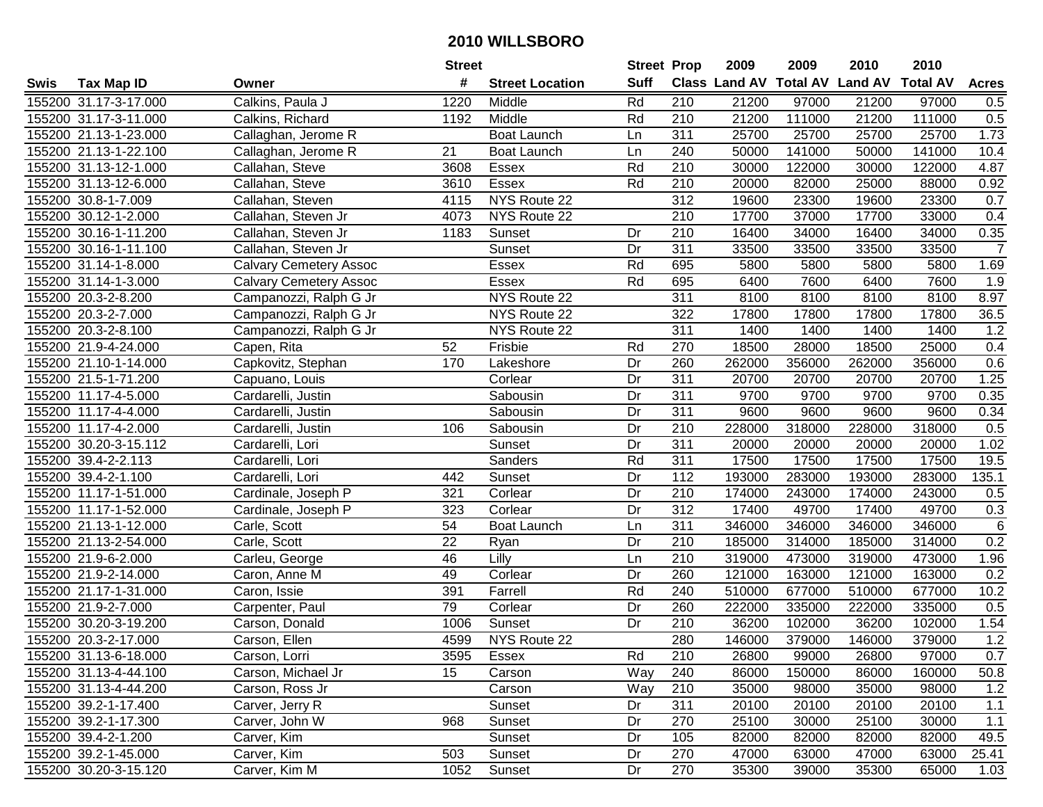|      |                       |                               | <b>Street</b> |                        | <b>Street Prop</b> |                  | 2009                          | 2009   | 2010           | 2010            |                |
|------|-----------------------|-------------------------------|---------------|------------------------|--------------------|------------------|-------------------------------|--------|----------------|-----------------|----------------|
| Swis | <b>Tax Map ID</b>     | Owner                         | #             | <b>Street Location</b> | <b>Suff</b>        |                  | <b>Class Land AV Total AV</b> |        | <b>Land AV</b> | <b>Total AV</b> | <b>Acres</b>   |
|      | 155200 31.17-3-17.000 | Calkins, Paula J              | 1220          | Middle                 | Rd                 | 210              | 21200                         | 97000  | 21200          | 97000           | 0.5            |
|      | 155200 31.17-3-11.000 | Calkins, Richard              | 1192          | Middle                 | Rd                 | 210              | 21200                         | 111000 | 21200          | 111000          | 0.5            |
|      | 155200 21.13-1-23.000 | Callaghan, Jerome R           |               | <b>Boat Launch</b>     | Ln                 | 311              | 25700                         | 25700  | 25700          | 25700           | 1.73           |
|      | 155200 21.13-1-22.100 | Callaghan, Jerome R           | 21            | Boat Launch            | Ln                 | 240              | 50000                         | 141000 | 50000          | 141000          | 10.4           |
|      | 155200 31.13-12-1.000 | Callahan, Steve               | 3608          | Essex                  | Rd                 | 210              | 30000                         | 122000 | 30000          | 122000          | 4.87           |
|      | 155200 31.13-12-6.000 | Callahan, Steve               | 3610          | Essex                  | Rd                 | 210              | 20000                         | 82000  | 25000          | 88000           | 0.92           |
|      | 155200 30.8-1-7.009   | Callahan, Steven              | 4115          | NYS Route 22           |                    | 312              | 19600                         | 23300  | 19600          | 23300           | 0.7            |
|      | 155200 30.12-1-2.000  | Callahan, Steven Jr           | 4073          | NYS Route 22           |                    | 210              | 17700                         | 37000  | 17700          | 33000           | 0.4            |
|      | 155200 30.16-1-11.200 | Callahan, Steven Jr           | 1183          | Sunset                 | Dr                 | $\overline{210}$ | 16400                         | 34000  | 16400          | 34000           | 0.35           |
|      | 155200 30.16-1-11.100 | Callahan, Steven Jr           |               | Sunset                 | Dr                 | 311              | 33500                         | 33500  | 33500          | 33500           | $\overline{7}$ |
|      | 155200 31.14-1-8.000  | <b>Calvary Cemetery Assoc</b> |               | Essex                  | Rd                 | 695              | 5800                          | 5800   | 5800           | 5800            | 1.69           |
|      | 155200 31.14-1-3.000  | <b>Calvary Cemetery Assoc</b> |               | <b>Essex</b>           | Rd                 | 695              | 6400                          | 7600   | 6400           | 7600            | 1.9            |
|      | 155200 20.3-2-8.200   | Campanozzi, Ralph G Jr        |               | NYS Route 22           |                    | $\overline{311}$ | 8100                          | 8100   | 8100           | 8100            | 8.97           |
|      | 155200 20.3-2-7.000   | Campanozzi, Ralph G Jr        |               | NYS Route 22           |                    | 322              | 17800                         | 17800  | 17800          | 17800           | 36.5           |
|      | 155200 20.3-2-8.100   | Campanozzi, Ralph G Jr        |               | NYS Route 22           |                    | 311              | 1400                          | 1400   | 1400           | 1400            | 1.2            |
|      | 155200 21.9-4-24.000  | Capen, Rita                   | 52            | Frisbie                | Rd                 | 270              | 18500                         | 28000  | 18500          | 25000           | 0.4            |
|      | 155200 21.10-1-14.000 | Capkovitz, Stephan            | 170           | Lakeshore              | Dr                 | 260              | 262000                        | 356000 | 262000         | 356000          | 0.6            |
|      | 155200 21.5-1-71.200  | Capuano, Louis                |               | Corlear                | Dr                 | 311              | 20700                         | 20700  | 20700          | 20700           | 1.25           |
|      | 155200 11.17-4-5.000  | Cardarelli, Justin            |               | Sabousin               | Dr                 | 311              | 9700                          | 9700   | 9700           | 9700            | 0.35           |
|      | 155200 11.17-4-4.000  | Cardarelli, Justin            |               | Sabousin               | Dr                 | 311              | 9600                          | 9600   | 9600           | 9600            | 0.34           |
|      | 155200 11.17-4-2.000  | Cardarelli, Justin            | 106           | Sabousin               | Dr                 | 210              | 228000                        | 318000 | 228000         | 318000          | 0.5            |
|      | 155200 30.20-3-15.112 | Cardarelli, Lori              |               | Sunset                 | Dr                 | 311              | 20000                         | 20000  | 20000          | 20000           | 1.02           |
|      | 155200 39.4-2-2.113   | Cardarelli, Lori              |               | Sanders                | Rd                 | 311              | 17500                         | 17500  | 17500          | 17500           | 19.5           |
|      | 155200 39.4-2-1.100   | Cardarelli, Lori              | 442           | Sunset                 | Dr                 | 112              | 193000                        | 283000 | 193000         | 283000          | 135.1          |
|      | 155200 11.17-1-51.000 | Cardinale, Joseph P           | 321           | Corlear                | Dr                 | 210              | 174000                        | 243000 | 174000         | 243000          | 0.5            |
|      | 155200 11.17-1-52.000 | Cardinale, Joseph P           | 323           | Corlear                | Dr                 | 312              | 17400                         | 49700  | 17400          | 49700           | 0.3            |
|      | 155200 21.13-1-12.000 | Carle, Scott                  | 54            | Boat Launch            | Ln                 | 311              | 346000                        | 346000 | 346000         | 346000          | $\,6\,$        |
|      | 155200 21.13-2-54.000 | Carle, Scott                  | 22            | Ryan                   | Dr                 | 210              | 185000                        | 314000 | 185000         | 314000          | 0.2            |
|      | 155200 21.9-6-2.000   | Carleu, George                | 46            | Lilly                  | Ln                 | $\overline{210}$ | 319000                        | 473000 | 319000         | 473000          | 1.96           |
|      | 155200 21.9-2-14.000  | Caron, Anne M                 | 49            | Corlear                | Dr                 | 260              | 121000                        | 163000 | 121000         | 163000          | 0.2            |
|      | 155200 21.17-1-31.000 | Caron, Issie                  | 391           | Farrell                | Rd                 | 240              | 510000                        | 677000 | 510000         | 677000          | 10.2           |
|      | 155200 21.9-2-7.000   | Carpenter, Paul               | 79            | Corlear                | Dr                 | 260              | 222000                        | 335000 | 222000         | 335000          | 0.5            |
|      | 155200 30.20-3-19.200 | Carson, Donald                | 1006          | Sunset                 | Dr                 | $\overline{210}$ | 36200                         | 102000 | 36200          | 102000          | 1.54           |
|      | 155200 20.3-2-17.000  | Carson, Ellen                 | 4599          | NYS Route 22           |                    | 280              | 146000                        | 379000 | 146000         | 379000          | 1.2            |
|      | 155200 31.13-6-18.000 | Carson, Lorri                 | 3595          | Essex                  | Rd                 | 210              | 26800                         | 99000  | 26800          | 97000           | 0.7            |
|      | 155200 31.13-4-44.100 | Carson, Michael Jr            | 15            | Carson                 | Way                | 240              | 86000                         | 150000 | 86000          | 160000          | 50.8           |
|      | 155200 31.13-4-44.200 | Carson, Ross Jr               |               | Carson                 | Way                | 210              | 35000                         | 98000  | 35000          | 98000           | 1.2            |
|      | 155200 39.2-1-17.400  | Carver, Jerry R               |               | Sunset                 | Dr                 | 311              | 20100                         | 20100  | 20100          | 20100           | 1.1            |
|      | 155200 39.2-1-17.300  | Carver, John W                | 968           | Sunset                 | Dr                 | 270              | 25100                         | 30000  | 25100          | 30000           | 1.1            |
|      | 155200 39.4-2-1.200   | Carver, Kim                   |               | Sunset                 | Dr                 | 105              | 82000                         | 82000  | 82000          | 82000           | 49.5           |
|      | 155200 39.2-1-45.000  | Carver, Kim                   | 503           | Sunset                 | Dr                 | 270              | 47000                         | 63000  | 47000          | 63000           | 25.41          |
|      | 155200 30.20-3-15.120 | Carver, Kim M                 | 1052          | Sunset                 | Dr                 | 270              | 35300                         | 39000  | 35300          | 65000           | 1.03           |
|      |                       |                               |               |                        |                    |                  |                               |        |                |                 |                |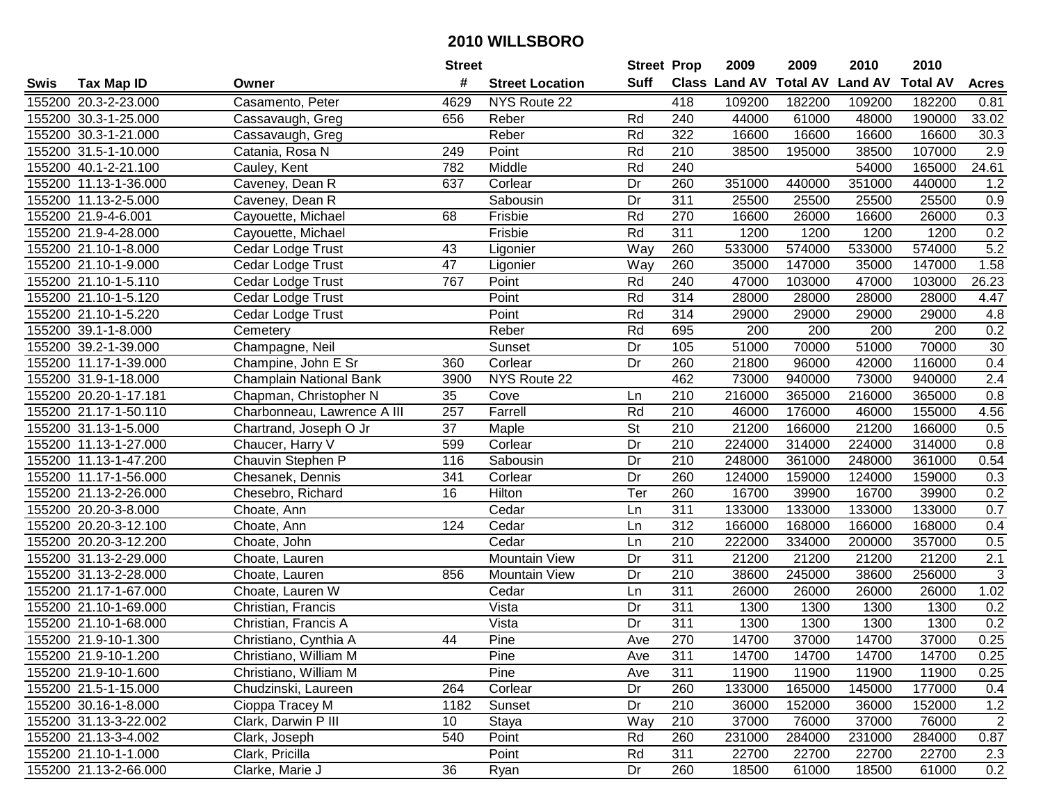|      |                       |                             | <b>Street</b> |                        | <b>Street Prop</b>       |                  | 2009          | 2009            | 2010           | 2010            |                |
|------|-----------------------|-----------------------------|---------------|------------------------|--------------------------|------------------|---------------|-----------------|----------------|-----------------|----------------|
| Swis | <b>Tax Map ID</b>     | Owner                       | #             | <b>Street Location</b> | <b>Suff</b>              |                  | Class Land AV | <b>Total AV</b> | <b>Land AV</b> | <b>Total AV</b> | <b>Acres</b>   |
|      | 155200 20.3-2-23.000  | Casamento, Peter            | 4629          | NYS Route 22           |                          | 418              | 109200        | 182200          | 109200         | 182200          | 0.81           |
|      | 155200 30.3-1-25.000  | Cassavaugh, Greg            | 656           | Reber                  | Rd                       | 240              | 44000         | 61000           | 48000          | 190000          | 33.02          |
|      | 155200 30.3-1-21.000  | Cassavaugh, Greg            |               | Reber                  | Rd                       | 322              | 16600         | 16600           | 16600          | 16600           | 30.3           |
|      | 155200 31.5-1-10.000  | Catania, Rosa N             | 249           | Point                  | Rd                       | 210              | 38500         | 195000          | 38500          | 107000          | 2.9            |
|      | 155200 40.1-2-21.100  | Cauley, Kent                | 782           | Middle                 | Rd                       | 240              |               |                 | 54000          | 165000          | 24.61          |
|      | 155200 11.13-1-36.000 | Caveney, Dean R             | 637           | Corlear                | Dr                       | 260              | 351000        | 440000          | 351000         | 440000          | 1.2            |
|      | 155200 11.13-2-5.000  | Caveney, Dean R             |               | Sabousin               | Dr                       | 311              | 25500         | 25500           | 25500          | 25500           | 0.9            |
|      | 155200 21.9-4-6.001   | Cayouette, Michael          | 68            | Frisbie                | Rd                       | 270              | 16600         | 26000           | 16600          | 26000           | 0.3            |
|      | 155200 21.9-4-28.000  | Cayouette, Michael          |               | Frisbie                | Rd                       | 311              | 1200          | 1200            | 1200           | 1200            | 0.2            |
|      | 155200 21.10-1-8.000  | Cedar Lodge Trust           | 43            | Ligonier               | Way                      | 260              | 533000        | 574000          | 533000         | 574000          | 5.2            |
|      | 155200 21.10-1-9.000  | Cedar Lodge Trust           | 47            | Ligonier               | Way                      | 260              | 35000         | 147000          | 35000          | 147000          | 1.58           |
|      | 155200 21.10-1-5.110  | Cedar Lodge Trust           | 767           | Point                  | Rd                       | 240              | 47000         | 103000          | 47000          | 103000          | 26.23          |
|      | 155200 21.10-1-5.120  | Cedar Lodge Trust           |               | Point                  | Rd                       | 314              | 28000         | 28000           | 28000          | 28000           | 4.47           |
|      | 155200 21.10-1-5.220  | Cedar Lodge Trust           |               | Point                  | Rd                       | 314              | 29000         | 29000           | 29000          | 29000           | 4.8            |
|      | 155200 39.1-1-8.000   | Cemetery                    |               | Reber                  | Rd                       | 695              | 200           | 200             | 200            | 200             | 0.2            |
|      | 155200 39.2-1-39.000  | Champagne, Neil             |               | Sunset                 | Dr                       | 105              | 51000         | 70000           | 51000          | 70000           | 30             |
|      | 155200 11.17-1-39.000 | Champine, John E Sr         | 360           | Corlear                | Dr                       | 260              | 21800         | 96000           | 42000          | 116000          | 0.4            |
|      | 155200 31.9-1-18.000  | Champlain National Bank     | 3900          | NYS Route 22           |                          | 462              | 73000         | 940000          | 73000          | 940000          | 2.4            |
|      | 155200 20.20-1-17.181 | Chapman, Christopher N      | 35            | Cove                   | Ln                       | 210              | 216000        | 365000          | 216000         | 365000          | 0.8            |
|      | 155200 21.17-1-50.110 | Charbonneau, Lawrence A III | 257           | Farrell                | Rd                       | 210              | 46000         | 176000          | 46000          | 155000          | 4.56           |
|      | 155200 31.13-1-5.000  | Chartrand, Joseph O Jr      | 37            | Maple                  | $\overline{\mathsf{St}}$ | 210              | 21200         | 166000          | 21200          | 166000          | 0.5            |
|      | 155200 11.13-1-27.000 | Chaucer, Harry V            | 599           | Corlear                | Dr                       | 210              | 224000        | 314000          | 224000         | 314000          | 0.8            |
|      | 155200 11.13-1-47.200 | Chauvin Stephen P           | 116           | Sabousin               | Dr                       | 210              | 248000        | 361000          | 248000         | 361000          | 0.54           |
|      | 155200 11.17-1-56.000 | Chesanek, Dennis            | 341           | Corlear                | Dr                       | 260              | 124000        | 159000          | 124000         | 159000          | 0.3            |
|      | 155200 21.13-2-26.000 | Chesebro, Richard           | 16            | Hilton                 | Ter                      | 260              | 16700         | 39900           | 16700          | 39900           | 0.2            |
|      | 155200 20.20-3-8.000  | Choate, Ann                 |               | Cedar                  | Ln                       | $\overline{311}$ | 133000        | 133000          | 133000         | 133000          | 0.7            |
|      | 155200 20.20-3-12.100 | Choate, Ann                 | 124           | Cedar                  | Ln                       | $\overline{312}$ | 166000        | 168000          | 166000         | 168000          | 0.4            |
|      | 155200 20.20-3-12.200 | Choate, John                |               | Cedar                  | Ln                       | 210              | 222000        | 334000          | 200000         | 357000          | 0.5            |
|      | 155200 31.13-2-29.000 | Choate, Lauren              |               | Mountain View          | Dr                       | $\overline{311}$ | 21200         | 21200           | 21200          | 21200           | 2.1            |
|      | 155200 31.13-2-28.000 | Choate, Lauren              | 856           | Mountain View          | Dr                       | $\overline{210}$ | 38600         | 245000          | 38600          | 256000          | 3              |
|      | 155200 21.17-1-67.000 | Choate, Lauren W            |               | Cedar                  | Ln                       | 311              | 26000         | 26000           | 26000          | 26000           | 1.02           |
|      | 155200 21.10-1-69.000 | Christian, Francis          |               | Vista                  | Dr                       | 311              | 1300          | 1300            | 1300           | 1300            | 0.2            |
|      | 155200 21.10-1-68.000 | Christian, Francis A        |               | Vista                  | $\overline{Dr}$          | 311              | 1300          | 1300            | 1300           | 1300            | 0.2            |
|      | 155200 21.9-10-1.300  | Christiano, Cynthia A       | 44            | Pine                   | Ave                      | 270              | 14700         | 37000           | 14700          | 37000           | 0.25           |
|      | 155200 21.9-10-1.200  | Christiano, William M       |               | Pine                   | Ave                      | 311              | 14700         | 14700           | 14700          | 14700           | 0.25           |
|      | 155200 21.9-10-1.600  | Christiano, William M       |               | Pine                   | Ave                      | 311              | 11900         | 11900           | 11900          | 11900           | 0.25           |
|      | 155200 21.5-1-15.000  | Chudzinski, Laureen         | 264           | Corlear                | Dr                       | 260              | 133000        | 165000          | 145000         | 177000          | 0.4            |
|      | 155200 30.16-1-8.000  | Cioppa Tracey M             | 1182          | Sunset                 | Dr                       | 210              | 36000         | 152000          | 36000          | 152000          | 1.2            |
|      | 155200 31.13-3-22.002 | Clark, Darwin P III         | 10            | Staya                  | Way                      | 210              | 37000         | 76000           | 37000          | 76000           | $\overline{2}$ |
|      | 155200 21.13-3-4.002  | Clark, Joseph               | 540           | Point                  | Rd                       | 260              | 231000        | 284000          | 231000         | 284000          | 0.87           |
|      | 155200 21.10-1-1.000  | Clark, Pricilla             |               | Point                  | Rd                       | 311              | 22700         | 22700           | 22700          | 22700           | 2.3            |
|      | 155200 21.13-2-66.000 | Clarke, Marie J             | 36            | Ryan                   | Dr                       | 260              | 18500         | 61000           | 18500          | 61000           | 0.2            |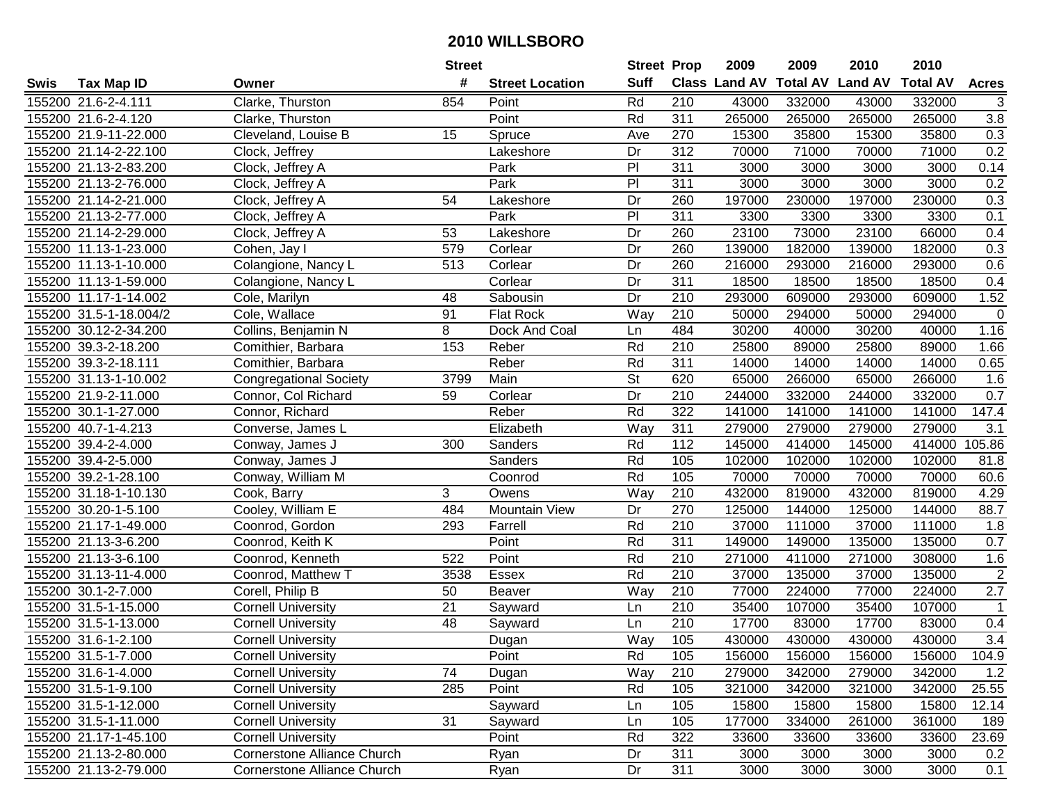| #<br><b>Suff</b><br><b>Total AV</b><br><b>Land AV</b><br><b>Class Land AV</b><br><b>Total AV</b><br><b>Tax Map ID</b><br><b>Street Location</b><br><b>Acres</b><br>Swis<br>Owner<br>Rd<br>155200 21.6-2-4.111<br>Clarke, Thurston<br>854<br>210<br>43000<br>332000<br>43000<br>332000<br>Point<br>3<br>311<br>265000<br>265000<br>3.8<br>155200 21.6-2-4.120<br>Point<br>Rd<br>265000<br>265000<br>Clarke, Thurston<br>155200 21.9-11-22.000<br>Cleveland, Louise B<br>15<br>270<br>15300<br>35800<br>15300<br>35800<br>0.3<br>Spruce<br>Ave<br>0.2<br>155200 21.14-2-22.100<br>312<br>70000<br>71000<br>Clock, Jeffrey<br>Dr<br>71000<br>70000<br>Lakeshore<br>$\overline{P}$<br>311<br>155200 21.13-2-83.200<br>3000<br>3000<br>3000<br>3000<br>0.14<br>Clock, Jeffrey A<br>Park<br>Park<br>$\overline{P}$<br>0.2<br>155200 21.13-2-76.000<br>311<br>3000<br>3000<br>3000<br>3000<br>Clock, Jeffrey A<br>155200 21.14-2-21.000<br>197000<br>230000<br>197000<br>230000<br>0.3<br>Clock, Jeffrey A<br>54<br>Dr<br>260<br>Lakeshore<br>$\overline{P}$<br>311<br>155200 21.13-2-77.000<br>Park<br>3300<br>3300<br>3300<br>3300<br>0.1<br>Clock, Jeffrey A<br>23100<br>23100<br>155200 21.14-2-29.000<br>53<br>Dr<br>260<br>73000<br>66000<br>0.4<br>Clock, Jeffrey A<br>Lakeshore<br>260<br>155200 11.13-1-23.000<br>579<br>Dr<br>139000<br>182000<br>139000<br>182000<br>0.3<br>Cohen, Jay I<br>Corlear<br>Dr<br>260<br>216000<br>0.6<br>155200 11.13-1-10.000<br>Colangione, Nancy L<br>513<br>Corlear<br>216000<br>293000<br>293000<br>155200 11.13-1-59.000<br>Corlear<br>Dr<br>311<br>18500<br>18500<br>18500<br>18500<br>0.4<br>Colangione, Nancy L<br>$\overline{210}$<br>1.52<br>48<br>Dr<br>293000<br>609000<br>293000<br>609000<br>155200 11.17-1-14.002<br>Cole, Marilyn<br>Sabousin<br>Way<br>210<br>155200 31.5-1-18.004/2<br>Cole, Wallace<br>91<br><b>Flat Rock</b><br>50000<br>294000<br>50000<br>294000<br>$\mathbf 0$<br>8<br>484<br>1.16<br>155200 30.12-2-34.200<br>Collins, Benjamin N<br>Dock And Coal<br>30200<br>40000<br>30200<br>40000<br>Ln<br>153<br>210<br>155200 39.3-2-18.200<br>Rd<br>25800<br>89000<br>25800<br>89000<br>1.66<br>Comithier, Barbara<br>Reber<br>Rd<br>311<br>155200 39.3-2-18.111<br>Reber<br>14000<br>14000<br>14000<br>14000<br>0.65<br>Comithier, Barbara<br>$\overline{\mathsf{St}}$<br>155200 31.13-1-10.002<br>3799<br>Main<br>620<br>65000<br>266000<br>65000<br>266000<br>1.6<br><b>Congregational Society</b><br>210<br>0.7<br>155200 21.9-2-11.000<br>59<br>Dr<br>244000<br>332000<br>244000<br>Connor, Col Richard<br>Corlear<br>332000<br>Rd<br>155200 30.1-1-27.000<br>Reber<br>322<br>141000<br>141000<br>141000<br>141000<br>147.4<br>Connor, Richard<br>Way<br>311<br>279000<br>279000<br>279000<br>3.1<br>155200 40.7-1-4.213<br>Elizabeth<br>279000<br>Converse, James L<br>Rd<br>155200 39.4-2-4.000<br>300<br>Sanders<br>112<br>145000<br>414000<br>145000<br>414000<br>105.86<br>Conway, James J<br>155200 39.4-2-5.000<br>Sanders<br>Rd<br>105<br>102000<br>102000<br>102000<br>102000<br>81.8<br>Conway, James J<br>155200 39.2-1-28.100<br>Conway, William M<br>Rd<br>105<br>70000<br>70000<br>70000<br>70000<br>60.6<br>Coonrod<br>3<br>Way<br>210<br>432000<br>819000<br>432000<br>819000<br>4.29<br>155200 31.18-1-10.130<br>Cook, Barry<br>Owens<br>155200 30.20-1-5.100<br>Cooley, William E<br>484<br>Dr<br>270<br>125000<br>144000<br><b>Mountain View</b><br>125000<br>144000<br>88.7<br>155200 21.17-1-49.000<br>Rd<br>210<br>37000<br>111000<br>37000<br>Coonrod, Gordon<br>293<br>Farrell<br>111000<br>1.8<br>Rd<br>311<br>149000<br>149000<br>135000<br>155200 21.13-3-6.200<br>Coonrod, Keith K<br>Point<br>135000<br>0.7<br>$\overline{210}$<br>155200 21.13-3-6.100<br>522<br>Point<br>Rd<br>271000<br>411000<br>271000<br>308000<br>1.6<br>Coonrod, Kenneth<br>Rd<br>$\overline{210}$<br>$\overline{2}$<br>155200 31.13-11-4.000<br>Coonrod, Matthew T<br>3538<br>Essex<br>37000<br>135000<br>37000<br>135000<br>2.7<br>155200 30.1-2-7.000<br>Way<br>$\overline{210}$<br>77000<br>224000<br>77000<br>224000<br>Corell, Philip B<br>50<br><b>Beaver</b><br>155200 31.5-1-15.000<br>21<br>210<br>35400<br>107000<br>35400<br>107000<br>Cornell University<br>Sayward<br>$\overline{1}$<br>Ln<br>210<br>$\overline{48}$<br>17700<br>17700<br>83000<br>155200 31.5-1-13.000<br>Sayward<br>83000<br>0.4<br><b>Cornell University</b><br>Ln<br>$\overline{3.4}$<br>155200 31.6-1-2.100<br>Way<br>105<br>430000<br>430000<br>430000<br>430000<br><b>Cornell University</b><br>Dugan<br>155200 31.5-1-7.000<br><b>Cornell University</b><br>Point<br>Rd<br>105<br>156000<br>156000<br>156000<br>156000<br>104.9<br>155200 31.6-1-4.000<br><b>Cornell University</b><br>74<br>Dugan<br>Way<br>210<br>279000<br>342000<br>279000<br>342000<br>1.2<br>285<br>Point<br>Rd<br>321000<br>342000<br>155200 31.5-1-9.100<br><b>Cornell University</b><br>105<br>321000<br>342000<br>25.55<br>12.14<br>155200 31.5-1-12.000<br><b>Cornell University</b><br>Sayward<br>105<br>15800<br>15800<br>Ln<br>15800<br>15800<br>155200 31.5-1-11.000<br><b>Cornell University</b><br>31<br>105<br>Sayward<br>177000<br>334000<br>261000<br>361000<br>189<br>Ln<br>322<br>23.69<br>155200 21.17-1-45.100<br><b>Cornell University</b><br>Point<br>Rd<br>33600<br>33600<br>33600<br>33600<br>155200 21.13-2-80.000<br><b>Cornerstone Alliance Church</b><br>311<br>3000<br>3000<br>3000<br>0.2<br>Ryan<br>Dr<br>3000<br>155200 21.13-2-79.000<br>311<br>Dr<br>3000<br>3000<br>3000<br>0.1<br>Cornerstone Alliance Church<br>Ryan<br>3000 |  | <b>Street</b> | <b>Street Prop</b> | 2009 | 2009 | 2010 | 2010 |  |
|--------------------------------------------------------------------------------------------------------------------------------------------------------------------------------------------------------------------------------------------------------------------------------------------------------------------------------------------------------------------------------------------------------------------------------------------------------------------------------------------------------------------------------------------------------------------------------------------------------------------------------------------------------------------------------------------------------------------------------------------------------------------------------------------------------------------------------------------------------------------------------------------------------------------------------------------------------------------------------------------------------------------------------------------------------------------------------------------------------------------------------------------------------------------------------------------------------------------------------------------------------------------------------------------------------------------------------------------------------------------------------------------------------------------------------------------------------------------------------------------------------------------------------------------------------------------------------------------------------------------------------------------------------------------------------------------------------------------------------------------------------------------------------------------------------------------------------------------------------------------------------------------------------------------------------------------------------------------------------------------------------------------------------------------------------------------------------------------------------------------------------------------------------------------------------------------------------------------------------------------------------------------------------------------------------------------------------------------------------------------------------------------------------------------------------------------------------------------------------------------------------------------------------------------------------------------------------------------------------------------------------------------------------------------------------------------------------------------------------------------------------------------------------------------------------------------------------------------------------------------------------------------------------------------------------------------------------------------------------------------------------------------------------------------------------------------------------------------------------------------------------------------------------------------------------------------------------------------------------------------------------------------------------------------------------------------------------------------------------------------------------------------------------------------------------------------------------------------------------------------------------------------------------------------------------------------------------------------------------------------------------------------------------------------------------------------------------------------------------------------------------------------------------------------------------------------------------------------------------------------------------------------------------------------------------------------------------------------------------------------------------------------------------------------------------------------------------------------------------------------------------------------------------------------------------------------------------------------------------------------------------------------------------------------------------------------------------------------------------------------------------------------------------------------------------------------------------------------------------------------------------------------------------------------------------------------------------------------------------------------------------------------------------------------------------------------------------------------------------------------------------------------------------------------------------------------------------------------------------------------------------------------------------------------------------------------------------------------------------------------------------------------------------------------------------------------------------------------------------------------------------------------------------------------------------------------------------------------------------------------------------------------------------------------------------------------------------------------------------------------------------------------------------------------------------------------------------------------------------------------------------------------------------------------------------------------------------------------------------|--|---------------|--------------------|------|------|------|------|--|
|                                                                                                                                                                                                                                                                                                                                                                                                                                                                                                                                                                                                                                                                                                                                                                                                                                                                                                                                                                                                                                                                                                                                                                                                                                                                                                                                                                                                                                                                                                                                                                                                                                                                                                                                                                                                                                                                                                                                                                                                                                                                                                                                                                                                                                                                                                                                                                                                                                                                                                                                                                                                                                                                                                                                                                                                                                                                                                                                                                                                                                                                                                                                                                                                                                                                                                                                                                                                                                                                                                                                                                                                                                                                                                                                                                                                                                                                                                                                                                                                                                                                                                                                                                                                                                                                                                                                                                                                                                                                                                                                                                                                                                                                                                                                                                                                                                                                                                                                                                                                                                                                                                                                                                                                                                                                                                                                                                                                                                                                                                                                                                                                        |  |               |                    |      |      |      |      |  |
|                                                                                                                                                                                                                                                                                                                                                                                                                                                                                                                                                                                                                                                                                                                                                                                                                                                                                                                                                                                                                                                                                                                                                                                                                                                                                                                                                                                                                                                                                                                                                                                                                                                                                                                                                                                                                                                                                                                                                                                                                                                                                                                                                                                                                                                                                                                                                                                                                                                                                                                                                                                                                                                                                                                                                                                                                                                                                                                                                                                                                                                                                                                                                                                                                                                                                                                                                                                                                                                                                                                                                                                                                                                                                                                                                                                                                                                                                                                                                                                                                                                                                                                                                                                                                                                                                                                                                                                                                                                                                                                                                                                                                                                                                                                                                                                                                                                                                                                                                                                                                                                                                                                                                                                                                                                                                                                                                                                                                                                                                                                                                                                                        |  |               |                    |      |      |      |      |  |
|                                                                                                                                                                                                                                                                                                                                                                                                                                                                                                                                                                                                                                                                                                                                                                                                                                                                                                                                                                                                                                                                                                                                                                                                                                                                                                                                                                                                                                                                                                                                                                                                                                                                                                                                                                                                                                                                                                                                                                                                                                                                                                                                                                                                                                                                                                                                                                                                                                                                                                                                                                                                                                                                                                                                                                                                                                                                                                                                                                                                                                                                                                                                                                                                                                                                                                                                                                                                                                                                                                                                                                                                                                                                                                                                                                                                                                                                                                                                                                                                                                                                                                                                                                                                                                                                                                                                                                                                                                                                                                                                                                                                                                                                                                                                                                                                                                                                                                                                                                                                                                                                                                                                                                                                                                                                                                                                                                                                                                                                                                                                                                                                        |  |               |                    |      |      |      |      |  |
|                                                                                                                                                                                                                                                                                                                                                                                                                                                                                                                                                                                                                                                                                                                                                                                                                                                                                                                                                                                                                                                                                                                                                                                                                                                                                                                                                                                                                                                                                                                                                                                                                                                                                                                                                                                                                                                                                                                                                                                                                                                                                                                                                                                                                                                                                                                                                                                                                                                                                                                                                                                                                                                                                                                                                                                                                                                                                                                                                                                                                                                                                                                                                                                                                                                                                                                                                                                                                                                                                                                                                                                                                                                                                                                                                                                                                                                                                                                                                                                                                                                                                                                                                                                                                                                                                                                                                                                                                                                                                                                                                                                                                                                                                                                                                                                                                                                                                                                                                                                                                                                                                                                                                                                                                                                                                                                                                                                                                                                                                                                                                                                                        |  |               |                    |      |      |      |      |  |
|                                                                                                                                                                                                                                                                                                                                                                                                                                                                                                                                                                                                                                                                                                                                                                                                                                                                                                                                                                                                                                                                                                                                                                                                                                                                                                                                                                                                                                                                                                                                                                                                                                                                                                                                                                                                                                                                                                                                                                                                                                                                                                                                                                                                                                                                                                                                                                                                                                                                                                                                                                                                                                                                                                                                                                                                                                                                                                                                                                                                                                                                                                                                                                                                                                                                                                                                                                                                                                                                                                                                                                                                                                                                                                                                                                                                                                                                                                                                                                                                                                                                                                                                                                                                                                                                                                                                                                                                                                                                                                                                                                                                                                                                                                                                                                                                                                                                                                                                                                                                                                                                                                                                                                                                                                                                                                                                                                                                                                                                                                                                                                                                        |  |               |                    |      |      |      |      |  |
|                                                                                                                                                                                                                                                                                                                                                                                                                                                                                                                                                                                                                                                                                                                                                                                                                                                                                                                                                                                                                                                                                                                                                                                                                                                                                                                                                                                                                                                                                                                                                                                                                                                                                                                                                                                                                                                                                                                                                                                                                                                                                                                                                                                                                                                                                                                                                                                                                                                                                                                                                                                                                                                                                                                                                                                                                                                                                                                                                                                                                                                                                                                                                                                                                                                                                                                                                                                                                                                                                                                                                                                                                                                                                                                                                                                                                                                                                                                                                                                                                                                                                                                                                                                                                                                                                                                                                                                                                                                                                                                                                                                                                                                                                                                                                                                                                                                                                                                                                                                                                                                                                                                                                                                                                                                                                                                                                                                                                                                                                                                                                                                                        |  |               |                    |      |      |      |      |  |
|                                                                                                                                                                                                                                                                                                                                                                                                                                                                                                                                                                                                                                                                                                                                                                                                                                                                                                                                                                                                                                                                                                                                                                                                                                                                                                                                                                                                                                                                                                                                                                                                                                                                                                                                                                                                                                                                                                                                                                                                                                                                                                                                                                                                                                                                                                                                                                                                                                                                                                                                                                                                                                                                                                                                                                                                                                                                                                                                                                                                                                                                                                                                                                                                                                                                                                                                                                                                                                                                                                                                                                                                                                                                                                                                                                                                                                                                                                                                                                                                                                                                                                                                                                                                                                                                                                                                                                                                                                                                                                                                                                                                                                                                                                                                                                                                                                                                                                                                                                                                                                                                                                                                                                                                                                                                                                                                                                                                                                                                                                                                                                                                        |  |               |                    |      |      |      |      |  |
|                                                                                                                                                                                                                                                                                                                                                                                                                                                                                                                                                                                                                                                                                                                                                                                                                                                                                                                                                                                                                                                                                                                                                                                                                                                                                                                                                                                                                                                                                                                                                                                                                                                                                                                                                                                                                                                                                                                                                                                                                                                                                                                                                                                                                                                                                                                                                                                                                                                                                                                                                                                                                                                                                                                                                                                                                                                                                                                                                                                                                                                                                                                                                                                                                                                                                                                                                                                                                                                                                                                                                                                                                                                                                                                                                                                                                                                                                                                                                                                                                                                                                                                                                                                                                                                                                                                                                                                                                                                                                                                                                                                                                                                                                                                                                                                                                                                                                                                                                                                                                                                                                                                                                                                                                                                                                                                                                                                                                                                                                                                                                                                                        |  |               |                    |      |      |      |      |  |
|                                                                                                                                                                                                                                                                                                                                                                                                                                                                                                                                                                                                                                                                                                                                                                                                                                                                                                                                                                                                                                                                                                                                                                                                                                                                                                                                                                                                                                                                                                                                                                                                                                                                                                                                                                                                                                                                                                                                                                                                                                                                                                                                                                                                                                                                                                                                                                                                                                                                                                                                                                                                                                                                                                                                                                                                                                                                                                                                                                                                                                                                                                                                                                                                                                                                                                                                                                                                                                                                                                                                                                                                                                                                                                                                                                                                                                                                                                                                                                                                                                                                                                                                                                                                                                                                                                                                                                                                                                                                                                                                                                                                                                                                                                                                                                                                                                                                                                                                                                                                                                                                                                                                                                                                                                                                                                                                                                                                                                                                                                                                                                                                        |  |               |                    |      |      |      |      |  |
|                                                                                                                                                                                                                                                                                                                                                                                                                                                                                                                                                                                                                                                                                                                                                                                                                                                                                                                                                                                                                                                                                                                                                                                                                                                                                                                                                                                                                                                                                                                                                                                                                                                                                                                                                                                                                                                                                                                                                                                                                                                                                                                                                                                                                                                                                                                                                                                                                                                                                                                                                                                                                                                                                                                                                                                                                                                                                                                                                                                                                                                                                                                                                                                                                                                                                                                                                                                                                                                                                                                                                                                                                                                                                                                                                                                                                                                                                                                                                                                                                                                                                                                                                                                                                                                                                                                                                                                                                                                                                                                                                                                                                                                                                                                                                                                                                                                                                                                                                                                                                                                                                                                                                                                                                                                                                                                                                                                                                                                                                                                                                                                                        |  |               |                    |      |      |      |      |  |
|                                                                                                                                                                                                                                                                                                                                                                                                                                                                                                                                                                                                                                                                                                                                                                                                                                                                                                                                                                                                                                                                                                                                                                                                                                                                                                                                                                                                                                                                                                                                                                                                                                                                                                                                                                                                                                                                                                                                                                                                                                                                                                                                                                                                                                                                                                                                                                                                                                                                                                                                                                                                                                                                                                                                                                                                                                                                                                                                                                                                                                                                                                                                                                                                                                                                                                                                                                                                                                                                                                                                                                                                                                                                                                                                                                                                                                                                                                                                                                                                                                                                                                                                                                                                                                                                                                                                                                                                                                                                                                                                                                                                                                                                                                                                                                                                                                                                                                                                                                                                                                                                                                                                                                                                                                                                                                                                                                                                                                                                                                                                                                                                        |  |               |                    |      |      |      |      |  |
|                                                                                                                                                                                                                                                                                                                                                                                                                                                                                                                                                                                                                                                                                                                                                                                                                                                                                                                                                                                                                                                                                                                                                                                                                                                                                                                                                                                                                                                                                                                                                                                                                                                                                                                                                                                                                                                                                                                                                                                                                                                                                                                                                                                                                                                                                                                                                                                                                                                                                                                                                                                                                                                                                                                                                                                                                                                                                                                                                                                                                                                                                                                                                                                                                                                                                                                                                                                                                                                                                                                                                                                                                                                                                                                                                                                                                                                                                                                                                                                                                                                                                                                                                                                                                                                                                                                                                                                                                                                                                                                                                                                                                                                                                                                                                                                                                                                                                                                                                                                                                                                                                                                                                                                                                                                                                                                                                                                                                                                                                                                                                                                                        |  |               |                    |      |      |      |      |  |
|                                                                                                                                                                                                                                                                                                                                                                                                                                                                                                                                                                                                                                                                                                                                                                                                                                                                                                                                                                                                                                                                                                                                                                                                                                                                                                                                                                                                                                                                                                                                                                                                                                                                                                                                                                                                                                                                                                                                                                                                                                                                                                                                                                                                                                                                                                                                                                                                                                                                                                                                                                                                                                                                                                                                                                                                                                                                                                                                                                                                                                                                                                                                                                                                                                                                                                                                                                                                                                                                                                                                                                                                                                                                                                                                                                                                                                                                                                                                                                                                                                                                                                                                                                                                                                                                                                                                                                                                                                                                                                                                                                                                                                                                                                                                                                                                                                                                                                                                                                                                                                                                                                                                                                                                                                                                                                                                                                                                                                                                                                                                                                                                        |  |               |                    |      |      |      |      |  |
|                                                                                                                                                                                                                                                                                                                                                                                                                                                                                                                                                                                                                                                                                                                                                                                                                                                                                                                                                                                                                                                                                                                                                                                                                                                                                                                                                                                                                                                                                                                                                                                                                                                                                                                                                                                                                                                                                                                                                                                                                                                                                                                                                                                                                                                                                                                                                                                                                                                                                                                                                                                                                                                                                                                                                                                                                                                                                                                                                                                                                                                                                                                                                                                                                                                                                                                                                                                                                                                                                                                                                                                                                                                                                                                                                                                                                                                                                                                                                                                                                                                                                                                                                                                                                                                                                                                                                                                                                                                                                                                                                                                                                                                                                                                                                                                                                                                                                                                                                                                                                                                                                                                                                                                                                                                                                                                                                                                                                                                                                                                                                                                                        |  |               |                    |      |      |      |      |  |
|                                                                                                                                                                                                                                                                                                                                                                                                                                                                                                                                                                                                                                                                                                                                                                                                                                                                                                                                                                                                                                                                                                                                                                                                                                                                                                                                                                                                                                                                                                                                                                                                                                                                                                                                                                                                                                                                                                                                                                                                                                                                                                                                                                                                                                                                                                                                                                                                                                                                                                                                                                                                                                                                                                                                                                                                                                                                                                                                                                                                                                                                                                                                                                                                                                                                                                                                                                                                                                                                                                                                                                                                                                                                                                                                                                                                                                                                                                                                                                                                                                                                                                                                                                                                                                                                                                                                                                                                                                                                                                                                                                                                                                                                                                                                                                                                                                                                                                                                                                                                                                                                                                                                                                                                                                                                                                                                                                                                                                                                                                                                                                                                        |  |               |                    |      |      |      |      |  |
|                                                                                                                                                                                                                                                                                                                                                                                                                                                                                                                                                                                                                                                                                                                                                                                                                                                                                                                                                                                                                                                                                                                                                                                                                                                                                                                                                                                                                                                                                                                                                                                                                                                                                                                                                                                                                                                                                                                                                                                                                                                                                                                                                                                                                                                                                                                                                                                                                                                                                                                                                                                                                                                                                                                                                                                                                                                                                                                                                                                                                                                                                                                                                                                                                                                                                                                                                                                                                                                                                                                                                                                                                                                                                                                                                                                                                                                                                                                                                                                                                                                                                                                                                                                                                                                                                                                                                                                                                                                                                                                                                                                                                                                                                                                                                                                                                                                                                                                                                                                                                                                                                                                                                                                                                                                                                                                                                                                                                                                                                                                                                                                                        |  |               |                    |      |      |      |      |  |
|                                                                                                                                                                                                                                                                                                                                                                                                                                                                                                                                                                                                                                                                                                                                                                                                                                                                                                                                                                                                                                                                                                                                                                                                                                                                                                                                                                                                                                                                                                                                                                                                                                                                                                                                                                                                                                                                                                                                                                                                                                                                                                                                                                                                                                                                                                                                                                                                                                                                                                                                                                                                                                                                                                                                                                                                                                                                                                                                                                                                                                                                                                                                                                                                                                                                                                                                                                                                                                                                                                                                                                                                                                                                                                                                                                                                                                                                                                                                                                                                                                                                                                                                                                                                                                                                                                                                                                                                                                                                                                                                                                                                                                                                                                                                                                                                                                                                                                                                                                                                                                                                                                                                                                                                                                                                                                                                                                                                                                                                                                                                                                                                        |  |               |                    |      |      |      |      |  |
|                                                                                                                                                                                                                                                                                                                                                                                                                                                                                                                                                                                                                                                                                                                                                                                                                                                                                                                                                                                                                                                                                                                                                                                                                                                                                                                                                                                                                                                                                                                                                                                                                                                                                                                                                                                                                                                                                                                                                                                                                                                                                                                                                                                                                                                                                                                                                                                                                                                                                                                                                                                                                                                                                                                                                                                                                                                                                                                                                                                                                                                                                                                                                                                                                                                                                                                                                                                                                                                                                                                                                                                                                                                                                                                                                                                                                                                                                                                                                                                                                                                                                                                                                                                                                                                                                                                                                                                                                                                                                                                                                                                                                                                                                                                                                                                                                                                                                                                                                                                                                                                                                                                                                                                                                                                                                                                                                                                                                                                                                                                                                                                                        |  |               |                    |      |      |      |      |  |
|                                                                                                                                                                                                                                                                                                                                                                                                                                                                                                                                                                                                                                                                                                                                                                                                                                                                                                                                                                                                                                                                                                                                                                                                                                                                                                                                                                                                                                                                                                                                                                                                                                                                                                                                                                                                                                                                                                                                                                                                                                                                                                                                                                                                                                                                                                                                                                                                                                                                                                                                                                                                                                                                                                                                                                                                                                                                                                                                                                                                                                                                                                                                                                                                                                                                                                                                                                                                                                                                                                                                                                                                                                                                                                                                                                                                                                                                                                                                                                                                                                                                                                                                                                                                                                                                                                                                                                                                                                                                                                                                                                                                                                                                                                                                                                                                                                                                                                                                                                                                                                                                                                                                                                                                                                                                                                                                                                                                                                                                                                                                                                                                        |  |               |                    |      |      |      |      |  |
|                                                                                                                                                                                                                                                                                                                                                                                                                                                                                                                                                                                                                                                                                                                                                                                                                                                                                                                                                                                                                                                                                                                                                                                                                                                                                                                                                                                                                                                                                                                                                                                                                                                                                                                                                                                                                                                                                                                                                                                                                                                                                                                                                                                                                                                                                                                                                                                                                                                                                                                                                                                                                                                                                                                                                                                                                                                                                                                                                                                                                                                                                                                                                                                                                                                                                                                                                                                                                                                                                                                                                                                                                                                                                                                                                                                                                                                                                                                                                                                                                                                                                                                                                                                                                                                                                                                                                                                                                                                                                                                                                                                                                                                                                                                                                                                                                                                                                                                                                                                                                                                                                                                                                                                                                                                                                                                                                                                                                                                                                                                                                                                                        |  |               |                    |      |      |      |      |  |
|                                                                                                                                                                                                                                                                                                                                                                                                                                                                                                                                                                                                                                                                                                                                                                                                                                                                                                                                                                                                                                                                                                                                                                                                                                                                                                                                                                                                                                                                                                                                                                                                                                                                                                                                                                                                                                                                                                                                                                                                                                                                                                                                                                                                                                                                                                                                                                                                                                                                                                                                                                                                                                                                                                                                                                                                                                                                                                                                                                                                                                                                                                                                                                                                                                                                                                                                                                                                                                                                                                                                                                                                                                                                                                                                                                                                                                                                                                                                                                                                                                                                                                                                                                                                                                                                                                                                                                                                                                                                                                                                                                                                                                                                                                                                                                                                                                                                                                                                                                                                                                                                                                                                                                                                                                                                                                                                                                                                                                                                                                                                                                                                        |  |               |                    |      |      |      |      |  |
|                                                                                                                                                                                                                                                                                                                                                                                                                                                                                                                                                                                                                                                                                                                                                                                                                                                                                                                                                                                                                                                                                                                                                                                                                                                                                                                                                                                                                                                                                                                                                                                                                                                                                                                                                                                                                                                                                                                                                                                                                                                                                                                                                                                                                                                                                                                                                                                                                                                                                                                                                                                                                                                                                                                                                                                                                                                                                                                                                                                                                                                                                                                                                                                                                                                                                                                                                                                                                                                                                                                                                                                                                                                                                                                                                                                                                                                                                                                                                                                                                                                                                                                                                                                                                                                                                                                                                                                                                                                                                                                                                                                                                                                                                                                                                                                                                                                                                                                                                                                                                                                                                                                                                                                                                                                                                                                                                                                                                                                                                                                                                                                                        |  |               |                    |      |      |      |      |  |
|                                                                                                                                                                                                                                                                                                                                                                                                                                                                                                                                                                                                                                                                                                                                                                                                                                                                                                                                                                                                                                                                                                                                                                                                                                                                                                                                                                                                                                                                                                                                                                                                                                                                                                                                                                                                                                                                                                                                                                                                                                                                                                                                                                                                                                                                                                                                                                                                                                                                                                                                                                                                                                                                                                                                                                                                                                                                                                                                                                                                                                                                                                                                                                                                                                                                                                                                                                                                                                                                                                                                                                                                                                                                                                                                                                                                                                                                                                                                                                                                                                                                                                                                                                                                                                                                                                                                                                                                                                                                                                                                                                                                                                                                                                                                                                                                                                                                                                                                                                                                                                                                                                                                                                                                                                                                                                                                                                                                                                                                                                                                                                                                        |  |               |                    |      |      |      |      |  |
|                                                                                                                                                                                                                                                                                                                                                                                                                                                                                                                                                                                                                                                                                                                                                                                                                                                                                                                                                                                                                                                                                                                                                                                                                                                                                                                                                                                                                                                                                                                                                                                                                                                                                                                                                                                                                                                                                                                                                                                                                                                                                                                                                                                                                                                                                                                                                                                                                                                                                                                                                                                                                                                                                                                                                                                                                                                                                                                                                                                                                                                                                                                                                                                                                                                                                                                                                                                                                                                                                                                                                                                                                                                                                                                                                                                                                                                                                                                                                                                                                                                                                                                                                                                                                                                                                                                                                                                                                                                                                                                                                                                                                                                                                                                                                                                                                                                                                                                                                                                                                                                                                                                                                                                                                                                                                                                                                                                                                                                                                                                                                                                                        |  |               |                    |      |      |      |      |  |
|                                                                                                                                                                                                                                                                                                                                                                                                                                                                                                                                                                                                                                                                                                                                                                                                                                                                                                                                                                                                                                                                                                                                                                                                                                                                                                                                                                                                                                                                                                                                                                                                                                                                                                                                                                                                                                                                                                                                                                                                                                                                                                                                                                                                                                                                                                                                                                                                                                                                                                                                                                                                                                                                                                                                                                                                                                                                                                                                                                                                                                                                                                                                                                                                                                                                                                                                                                                                                                                                                                                                                                                                                                                                                                                                                                                                                                                                                                                                                                                                                                                                                                                                                                                                                                                                                                                                                                                                                                                                                                                                                                                                                                                                                                                                                                                                                                                                                                                                                                                                                                                                                                                                                                                                                                                                                                                                                                                                                                                                                                                                                                                                        |  |               |                    |      |      |      |      |  |
|                                                                                                                                                                                                                                                                                                                                                                                                                                                                                                                                                                                                                                                                                                                                                                                                                                                                                                                                                                                                                                                                                                                                                                                                                                                                                                                                                                                                                                                                                                                                                                                                                                                                                                                                                                                                                                                                                                                                                                                                                                                                                                                                                                                                                                                                                                                                                                                                                                                                                                                                                                                                                                                                                                                                                                                                                                                                                                                                                                                                                                                                                                                                                                                                                                                                                                                                                                                                                                                                                                                                                                                                                                                                                                                                                                                                                                                                                                                                                                                                                                                                                                                                                                                                                                                                                                                                                                                                                                                                                                                                                                                                                                                                                                                                                                                                                                                                                                                                                                                                                                                                                                                                                                                                                                                                                                                                                                                                                                                                                                                                                                                                        |  |               |                    |      |      |      |      |  |
|                                                                                                                                                                                                                                                                                                                                                                                                                                                                                                                                                                                                                                                                                                                                                                                                                                                                                                                                                                                                                                                                                                                                                                                                                                                                                                                                                                                                                                                                                                                                                                                                                                                                                                                                                                                                                                                                                                                                                                                                                                                                                                                                                                                                                                                                                                                                                                                                                                                                                                                                                                                                                                                                                                                                                                                                                                                                                                                                                                                                                                                                                                                                                                                                                                                                                                                                                                                                                                                                                                                                                                                                                                                                                                                                                                                                                                                                                                                                                                                                                                                                                                                                                                                                                                                                                                                                                                                                                                                                                                                                                                                                                                                                                                                                                                                                                                                                                                                                                                                                                                                                                                                                                                                                                                                                                                                                                                                                                                                                                                                                                                                                        |  |               |                    |      |      |      |      |  |
|                                                                                                                                                                                                                                                                                                                                                                                                                                                                                                                                                                                                                                                                                                                                                                                                                                                                                                                                                                                                                                                                                                                                                                                                                                                                                                                                                                                                                                                                                                                                                                                                                                                                                                                                                                                                                                                                                                                                                                                                                                                                                                                                                                                                                                                                                                                                                                                                                                                                                                                                                                                                                                                                                                                                                                                                                                                                                                                                                                                                                                                                                                                                                                                                                                                                                                                                                                                                                                                                                                                                                                                                                                                                                                                                                                                                                                                                                                                                                                                                                                                                                                                                                                                                                                                                                                                                                                                                                                                                                                                                                                                                                                                                                                                                                                                                                                                                                                                                                                                                                                                                                                                                                                                                                                                                                                                                                                                                                                                                                                                                                                                                        |  |               |                    |      |      |      |      |  |
|                                                                                                                                                                                                                                                                                                                                                                                                                                                                                                                                                                                                                                                                                                                                                                                                                                                                                                                                                                                                                                                                                                                                                                                                                                                                                                                                                                                                                                                                                                                                                                                                                                                                                                                                                                                                                                                                                                                                                                                                                                                                                                                                                                                                                                                                                                                                                                                                                                                                                                                                                                                                                                                                                                                                                                                                                                                                                                                                                                                                                                                                                                                                                                                                                                                                                                                                                                                                                                                                                                                                                                                                                                                                                                                                                                                                                                                                                                                                                                                                                                                                                                                                                                                                                                                                                                                                                                                                                                                                                                                                                                                                                                                                                                                                                                                                                                                                                                                                                                                                                                                                                                                                                                                                                                                                                                                                                                                                                                                                                                                                                                                                        |  |               |                    |      |      |      |      |  |
|                                                                                                                                                                                                                                                                                                                                                                                                                                                                                                                                                                                                                                                                                                                                                                                                                                                                                                                                                                                                                                                                                                                                                                                                                                                                                                                                                                                                                                                                                                                                                                                                                                                                                                                                                                                                                                                                                                                                                                                                                                                                                                                                                                                                                                                                                                                                                                                                                                                                                                                                                                                                                                                                                                                                                                                                                                                                                                                                                                                                                                                                                                                                                                                                                                                                                                                                                                                                                                                                                                                                                                                                                                                                                                                                                                                                                                                                                                                                                                                                                                                                                                                                                                                                                                                                                                                                                                                                                                                                                                                                                                                                                                                                                                                                                                                                                                                                                                                                                                                                                                                                                                                                                                                                                                                                                                                                                                                                                                                                                                                                                                                                        |  |               |                    |      |      |      |      |  |
|                                                                                                                                                                                                                                                                                                                                                                                                                                                                                                                                                                                                                                                                                                                                                                                                                                                                                                                                                                                                                                                                                                                                                                                                                                                                                                                                                                                                                                                                                                                                                                                                                                                                                                                                                                                                                                                                                                                                                                                                                                                                                                                                                                                                                                                                                                                                                                                                                                                                                                                                                                                                                                                                                                                                                                                                                                                                                                                                                                                                                                                                                                                                                                                                                                                                                                                                                                                                                                                                                                                                                                                                                                                                                                                                                                                                                                                                                                                                                                                                                                                                                                                                                                                                                                                                                                                                                                                                                                                                                                                                                                                                                                                                                                                                                                                                                                                                                                                                                                                                                                                                                                                                                                                                                                                                                                                                                                                                                                                                                                                                                                                                        |  |               |                    |      |      |      |      |  |
|                                                                                                                                                                                                                                                                                                                                                                                                                                                                                                                                                                                                                                                                                                                                                                                                                                                                                                                                                                                                                                                                                                                                                                                                                                                                                                                                                                                                                                                                                                                                                                                                                                                                                                                                                                                                                                                                                                                                                                                                                                                                                                                                                                                                                                                                                                                                                                                                                                                                                                                                                                                                                                                                                                                                                                                                                                                                                                                                                                                                                                                                                                                                                                                                                                                                                                                                                                                                                                                                                                                                                                                                                                                                                                                                                                                                                                                                                                                                                                                                                                                                                                                                                                                                                                                                                                                                                                                                                                                                                                                                                                                                                                                                                                                                                                                                                                                                                                                                                                                                                                                                                                                                                                                                                                                                                                                                                                                                                                                                                                                                                                                                        |  |               |                    |      |      |      |      |  |
|                                                                                                                                                                                                                                                                                                                                                                                                                                                                                                                                                                                                                                                                                                                                                                                                                                                                                                                                                                                                                                                                                                                                                                                                                                                                                                                                                                                                                                                                                                                                                                                                                                                                                                                                                                                                                                                                                                                                                                                                                                                                                                                                                                                                                                                                                                                                                                                                                                                                                                                                                                                                                                                                                                                                                                                                                                                                                                                                                                                                                                                                                                                                                                                                                                                                                                                                                                                                                                                                                                                                                                                                                                                                                                                                                                                                                                                                                                                                                                                                                                                                                                                                                                                                                                                                                                                                                                                                                                                                                                                                                                                                                                                                                                                                                                                                                                                                                                                                                                                                                                                                                                                                                                                                                                                                                                                                                                                                                                                                                                                                                                                                        |  |               |                    |      |      |      |      |  |
|                                                                                                                                                                                                                                                                                                                                                                                                                                                                                                                                                                                                                                                                                                                                                                                                                                                                                                                                                                                                                                                                                                                                                                                                                                                                                                                                                                                                                                                                                                                                                                                                                                                                                                                                                                                                                                                                                                                                                                                                                                                                                                                                                                                                                                                                                                                                                                                                                                                                                                                                                                                                                                                                                                                                                                                                                                                                                                                                                                                                                                                                                                                                                                                                                                                                                                                                                                                                                                                                                                                                                                                                                                                                                                                                                                                                                                                                                                                                                                                                                                                                                                                                                                                                                                                                                                                                                                                                                                                                                                                                                                                                                                                                                                                                                                                                                                                                                                                                                                                                                                                                                                                                                                                                                                                                                                                                                                                                                                                                                                                                                                                                        |  |               |                    |      |      |      |      |  |
|                                                                                                                                                                                                                                                                                                                                                                                                                                                                                                                                                                                                                                                                                                                                                                                                                                                                                                                                                                                                                                                                                                                                                                                                                                                                                                                                                                                                                                                                                                                                                                                                                                                                                                                                                                                                                                                                                                                                                                                                                                                                                                                                                                                                                                                                                                                                                                                                                                                                                                                                                                                                                                                                                                                                                                                                                                                                                                                                                                                                                                                                                                                                                                                                                                                                                                                                                                                                                                                                                                                                                                                                                                                                                                                                                                                                                                                                                                                                                                                                                                                                                                                                                                                                                                                                                                                                                                                                                                                                                                                                                                                                                                                                                                                                                                                                                                                                                                                                                                                                                                                                                                                                                                                                                                                                                                                                                                                                                                                                                                                                                                                                        |  |               |                    |      |      |      |      |  |
|                                                                                                                                                                                                                                                                                                                                                                                                                                                                                                                                                                                                                                                                                                                                                                                                                                                                                                                                                                                                                                                                                                                                                                                                                                                                                                                                                                                                                                                                                                                                                                                                                                                                                                                                                                                                                                                                                                                                                                                                                                                                                                                                                                                                                                                                                                                                                                                                                                                                                                                                                                                                                                                                                                                                                                                                                                                                                                                                                                                                                                                                                                                                                                                                                                                                                                                                                                                                                                                                                                                                                                                                                                                                                                                                                                                                                                                                                                                                                                                                                                                                                                                                                                                                                                                                                                                                                                                                                                                                                                                                                                                                                                                                                                                                                                                                                                                                                                                                                                                                                                                                                                                                                                                                                                                                                                                                                                                                                                                                                                                                                                                                        |  |               |                    |      |      |      |      |  |
|                                                                                                                                                                                                                                                                                                                                                                                                                                                                                                                                                                                                                                                                                                                                                                                                                                                                                                                                                                                                                                                                                                                                                                                                                                                                                                                                                                                                                                                                                                                                                                                                                                                                                                                                                                                                                                                                                                                                                                                                                                                                                                                                                                                                                                                                                                                                                                                                                                                                                                                                                                                                                                                                                                                                                                                                                                                                                                                                                                                                                                                                                                                                                                                                                                                                                                                                                                                                                                                                                                                                                                                                                                                                                                                                                                                                                                                                                                                                                                                                                                                                                                                                                                                                                                                                                                                                                                                                                                                                                                                                                                                                                                                                                                                                                                                                                                                                                                                                                                                                                                                                                                                                                                                                                                                                                                                                                                                                                                                                                                                                                                                                        |  |               |                    |      |      |      |      |  |
|                                                                                                                                                                                                                                                                                                                                                                                                                                                                                                                                                                                                                                                                                                                                                                                                                                                                                                                                                                                                                                                                                                                                                                                                                                                                                                                                                                                                                                                                                                                                                                                                                                                                                                                                                                                                                                                                                                                                                                                                                                                                                                                                                                                                                                                                                                                                                                                                                                                                                                                                                                                                                                                                                                                                                                                                                                                                                                                                                                                                                                                                                                                                                                                                                                                                                                                                                                                                                                                                                                                                                                                                                                                                                                                                                                                                                                                                                                                                                                                                                                                                                                                                                                                                                                                                                                                                                                                                                                                                                                                                                                                                                                                                                                                                                                                                                                                                                                                                                                                                                                                                                                                                                                                                                                                                                                                                                                                                                                                                                                                                                                                                        |  |               |                    |      |      |      |      |  |
|                                                                                                                                                                                                                                                                                                                                                                                                                                                                                                                                                                                                                                                                                                                                                                                                                                                                                                                                                                                                                                                                                                                                                                                                                                                                                                                                                                                                                                                                                                                                                                                                                                                                                                                                                                                                                                                                                                                                                                                                                                                                                                                                                                                                                                                                                                                                                                                                                                                                                                                                                                                                                                                                                                                                                                                                                                                                                                                                                                                                                                                                                                                                                                                                                                                                                                                                                                                                                                                                                                                                                                                                                                                                                                                                                                                                                                                                                                                                                                                                                                                                                                                                                                                                                                                                                                                                                                                                                                                                                                                                                                                                                                                                                                                                                                                                                                                                                                                                                                                                                                                                                                                                                                                                                                                                                                                                                                                                                                                                                                                                                                                                        |  |               |                    |      |      |      |      |  |
|                                                                                                                                                                                                                                                                                                                                                                                                                                                                                                                                                                                                                                                                                                                                                                                                                                                                                                                                                                                                                                                                                                                                                                                                                                                                                                                                                                                                                                                                                                                                                                                                                                                                                                                                                                                                                                                                                                                                                                                                                                                                                                                                                                                                                                                                                                                                                                                                                                                                                                                                                                                                                                                                                                                                                                                                                                                                                                                                                                                                                                                                                                                                                                                                                                                                                                                                                                                                                                                                                                                                                                                                                                                                                                                                                                                                                                                                                                                                                                                                                                                                                                                                                                                                                                                                                                                                                                                                                                                                                                                                                                                                                                                                                                                                                                                                                                                                                                                                                                                                                                                                                                                                                                                                                                                                                                                                                                                                                                                                                                                                                                                                        |  |               |                    |      |      |      |      |  |
|                                                                                                                                                                                                                                                                                                                                                                                                                                                                                                                                                                                                                                                                                                                                                                                                                                                                                                                                                                                                                                                                                                                                                                                                                                                                                                                                                                                                                                                                                                                                                                                                                                                                                                                                                                                                                                                                                                                                                                                                                                                                                                                                                                                                                                                                                                                                                                                                                                                                                                                                                                                                                                                                                                                                                                                                                                                                                                                                                                                                                                                                                                                                                                                                                                                                                                                                                                                                                                                                                                                                                                                                                                                                                                                                                                                                                                                                                                                                                                                                                                                                                                                                                                                                                                                                                                                                                                                                                                                                                                                                                                                                                                                                                                                                                                                                                                                                                                                                                                                                                                                                                                                                                                                                                                                                                                                                                                                                                                                                                                                                                                                                        |  |               |                    |      |      |      |      |  |
|                                                                                                                                                                                                                                                                                                                                                                                                                                                                                                                                                                                                                                                                                                                                                                                                                                                                                                                                                                                                                                                                                                                                                                                                                                                                                                                                                                                                                                                                                                                                                                                                                                                                                                                                                                                                                                                                                                                                                                                                                                                                                                                                                                                                                                                                                                                                                                                                                                                                                                                                                                                                                                                                                                                                                                                                                                                                                                                                                                                                                                                                                                                                                                                                                                                                                                                                                                                                                                                                                                                                                                                                                                                                                                                                                                                                                                                                                                                                                                                                                                                                                                                                                                                                                                                                                                                                                                                                                                                                                                                                                                                                                                                                                                                                                                                                                                                                                                                                                                                                                                                                                                                                                                                                                                                                                                                                                                                                                                                                                                                                                                                                        |  |               |                    |      |      |      |      |  |
|                                                                                                                                                                                                                                                                                                                                                                                                                                                                                                                                                                                                                                                                                                                                                                                                                                                                                                                                                                                                                                                                                                                                                                                                                                                                                                                                                                                                                                                                                                                                                                                                                                                                                                                                                                                                                                                                                                                                                                                                                                                                                                                                                                                                                                                                                                                                                                                                                                                                                                                                                                                                                                                                                                                                                                                                                                                                                                                                                                                                                                                                                                                                                                                                                                                                                                                                                                                                                                                                                                                                                                                                                                                                                                                                                                                                                                                                                                                                                                                                                                                                                                                                                                                                                                                                                                                                                                                                                                                                                                                                                                                                                                                                                                                                                                                                                                                                                                                                                                                                                                                                                                                                                                                                                                                                                                                                                                                                                                                                                                                                                                                                        |  |               |                    |      |      |      |      |  |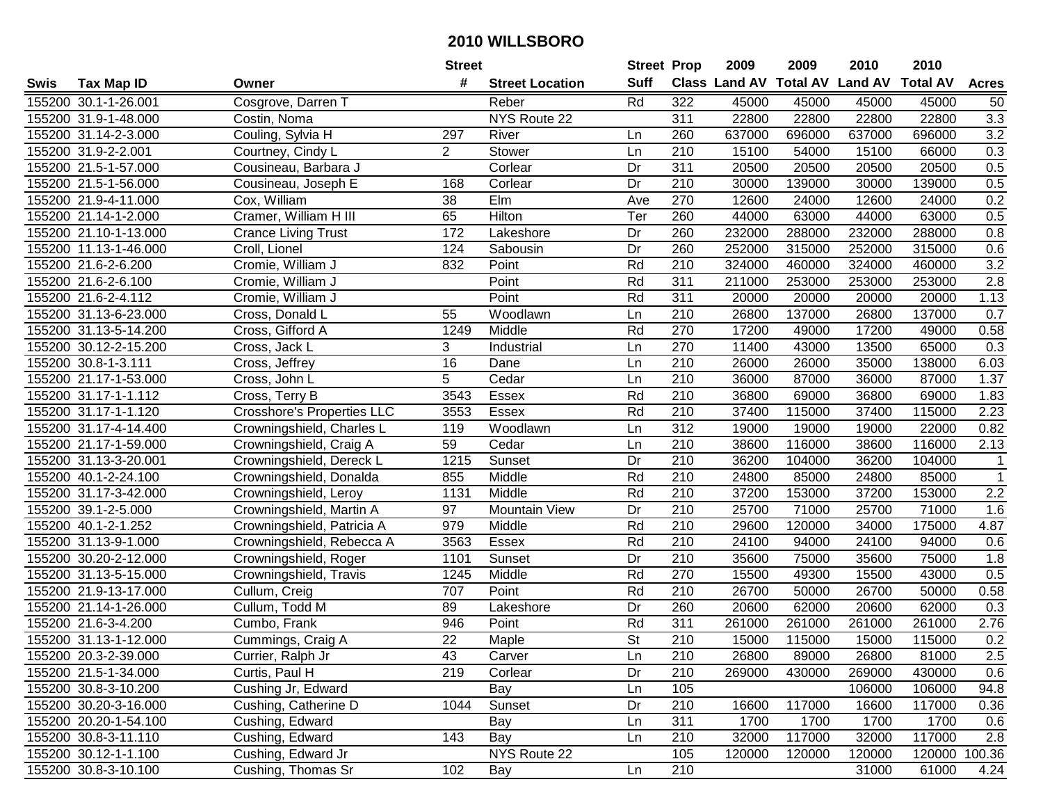|      |                       |                            | <b>Street</b>   |                        | <b>Street Prop</b>       |                  | 2009   | 2009   | 2010                           | 2010            |              |
|------|-----------------------|----------------------------|-----------------|------------------------|--------------------------|------------------|--------|--------|--------------------------------|-----------------|--------------|
| Swis | <b>Tax Map ID</b>     | Owner                      | #               | <b>Street Location</b> | <b>Suff</b>              |                  |        |        | Class Land AV Total AV Land AV | <b>Total AV</b> | <b>Acres</b> |
|      | 155200 30.1-1-26.001  | Cosgrove, Darren T         |                 | Reber                  | Rd                       | 322              | 45000  | 45000  | 45000                          | 45000           | 50           |
|      | 155200 31.9-1-48.000  | Costin, Noma               |                 | NYS Route 22           |                          | 311              | 22800  | 22800  | 22800                          | 22800           | 3.3          |
|      | 155200 31.14-2-3.000  | Couling, Sylvia H          | 297             | River                  | Ln                       | 260              | 637000 | 696000 | 637000                         | 696000          | 3.2          |
|      | 155200 31.9-2-2.001   | Courtney, Cindy L          | $\overline{2}$  | Stower                 | Ln                       | 210              | 15100  | 54000  | 15100                          | 66000           | 0.3          |
|      | 155200 21.5-1-57.000  | Cousineau, Barbara J       |                 | Corlear                | Dr                       | 311              | 20500  | 20500  | 20500                          | 20500           | 0.5          |
|      | 155200 21.5-1-56.000  | Cousineau, Joseph E        | 168             | Corlear                | Dr                       | 210              | 30000  | 139000 | 30000                          | 139000          | 0.5          |
|      | 155200 21.9-4-11.000  | Cox, William               | 38              | EIm                    | Ave                      | 270              | 12600  | 24000  | 12600                          | 24000           | 0.2          |
|      | 155200 21.14-1-2.000  | Cramer, William H III      | 65              | <b>Hilton</b>          | Ter                      | 260              | 44000  | 63000  | 44000                          | 63000           | 0.5          |
|      | 155200 21.10-1-13.000 | <b>Crance Living Trust</b> | 172             | Lakeshore              | Dr                       | 260              | 232000 | 288000 | 232000                         | 288000          | 0.8          |
|      | 155200 11.13-1-46.000 | Croll, Lionel              | 124             | Sabousin               | Dr                       | 260              | 252000 | 315000 | 252000                         | 315000          | 0.6          |
|      | 155200 21.6-2-6.200   | Cromie, William J          | 832             | Point                  | Rd                       | 210              | 324000 | 460000 | 324000                         | 460000          | 3.2          |
|      | 155200 21.6-2-6.100   | Cromie, William J          |                 | Point                  | Rd                       | 311              | 211000 | 253000 | 253000                         | 253000          | 2.8          |
|      | 155200 21.6-2-4.112   | Cromie, William J          |                 | Point                  | Rd                       | 311              | 20000  | 20000  | 20000                          | 20000           | 1.13         |
|      | 155200 31.13-6-23.000 | Cross, Donald L            | 55              | Woodlawn               | Ln                       | 210              | 26800  | 137000 | 26800                          | 137000          | 0.7          |
|      | 155200 31.13-5-14.200 | Cross, Gifford A           | 1249            | Middle                 | Rd                       | 270              | 17200  | 49000  | 17200                          | 49000           | 0.58         |
|      | 155200 30.12-2-15.200 | Cross, Jack L              | 3               | Industrial             | Ln                       | 270              | 11400  | 43000  | 13500                          | 65000           | 0.3          |
|      | 155200 30.8-1-3.111   | Cross, Jeffrey             | $\overline{16}$ | Dane                   | Ln                       | $\overline{210}$ | 26000  | 26000  | 35000                          | 138000          | 6.03         |
|      | 155200 21.17-1-53.000 | Cross, John L              | 5               | Cedar                  | Ln                       | 210              | 36000  | 87000  | 36000                          | 87000           | 1.37         |
|      | 155200 31.17-1-1.112  | Cross, Terry B             | 3543            | Essex                  | Rd                       | 210              | 36800  | 69000  | 36800                          | 69000           | 1.83         |
|      | 155200 31.17-1-1.120  | Crosshore's Properties LLC | 3553            | <b>Essex</b>           | Rd                       | 210              | 37400  | 115000 | 37400                          | 115000          | 2.23         |
|      | 155200 31.17-4-14.400 | Crowningshield, Charles L  | 119             | Woodlawn               | Ln                       | 312              | 19000  | 19000  | 19000                          | 22000           | 0.82         |
|      | 155200 21.17-1-59.000 | Crowningshield, Craig A    | 59              | Cedar                  | Ln                       | 210              | 38600  | 116000 | 38600                          | 116000          | 2.13         |
|      | 155200 31.13-3-20.001 | Crowningshield, Dereck L   | 1215            | Sunset                 | Dr                       | 210              | 36200  | 104000 | 36200                          | 104000          | $\mathbf{1}$ |
|      | 155200 40.1-2-24.100  | Crowningshield, Donalda    | 855             | Middle                 | Rd                       | 210              | 24800  | 85000  | 24800                          | 85000           | $\mathbf{1}$ |
|      | 155200 31.17-3-42.000 | Crowningshield, Leroy      | 1131            | Middle                 | Rd                       | 210              | 37200  | 153000 | 37200                          | 153000          | 2.2          |
|      | 155200 39.1-2-5.000   | Crowningshield, Martin A   | 97              | Mountain View          | Dr                       | 210              | 25700  | 71000  | 25700                          | 71000           | 1.6          |
|      | 155200 40.1-2-1.252   | Crowningshield, Patricia A | 979             | Middle                 | Rd                       | 210              | 29600  | 120000 | 34000                          | 175000          | 4.87         |
|      | 155200 31.13-9-1.000  | Crowningshield, Rebecca A  | 3563            | Essex                  | Rd                       | 210              | 24100  | 94000  | 24100                          | 94000           | 0.6          |
|      | 155200 30.20-2-12.000 | Crowningshield, Roger      | 1101            | Sunset                 | Dr                       | $\overline{210}$ | 35600  | 75000  | 35600                          | 75000           | 1.8          |
|      | 155200 31.13-5-15.000 | Crowningshield, Travis     | 1245            | Middle                 | Rd                       | 270              | 15500  | 49300  | 15500                          | 43000           | 0.5          |
|      | 155200 21.9-13-17.000 | Cullum, Creig              | 707             | Point                  | Rd                       | $\overline{210}$ | 26700  | 50000  | 26700                          | 50000           | 0.58         |
|      | 155200 21.14-1-26.000 | Cullum, Todd M             | 89              | Lakeshore              | Dr                       | 260              | 20600  | 62000  | 20600                          | 62000           | 0.3          |
|      | 155200 21.6-3-4.200   | Cumbo, Frank               | 946             | Point                  | Rd                       | 311              | 261000 | 261000 | 261000                         | 261000          | 2.76         |
|      | 155200 31.13-1-12.000 | Cummings, Craig A          | $\overline{22}$ | Maple                  | $\overline{\mathsf{St}}$ | $\overline{210}$ | 15000  | 115000 | 15000                          | 115000          | 0.2          |
|      | 155200 20.3-2-39.000  | Currier, Ralph Jr          | 43              | Carver                 | Ln                       | 210              | 26800  | 89000  | 26800                          | 81000           | 2.5          |
|      | 155200 21.5-1-34.000  | Curtis, Paul H             | 219             | Corlear                | Dr                       | 210              | 269000 | 430000 | 269000                         | 430000          | 0.6          |
|      | 155200 30.8-3-10.200  | Cushing Jr, Edward         |                 | Bay                    | Ln                       | 105              |        |        | 106000                         | 106000          | 94.8         |
|      | 155200 30.20-3-16.000 | Cushing, Catherine D       | 1044            | Sunset                 | Dr                       | 210              | 16600  | 117000 | 16600                          | 117000          | 0.36         |
|      | 155200 20.20-1-54.100 | Cushing, Edward            |                 | Bay                    | Ln                       | 311              | 1700   | 1700   | 1700                           | 1700            | 0.6          |
|      | 155200 30.8-3-11.110  | Cushing, Edward            | 143             | Bay                    | Ln                       | 210              | 32000  | 117000 | 32000                          | 117000          | 2.8          |
|      | 155200 30.12-1-1.100  | Cushing, Edward Jr         |                 | NYS Route 22           |                          | 105              | 120000 | 120000 | 120000                         | 120000          | 100.36       |
|      | 155200 30.8-3-10.100  | Cushing, Thomas Sr         | 102             | Bay                    | Ln                       | 210              |        |        | 31000                          | 61000           | 4.24         |
|      |                       |                            |                 |                        |                          |                  |        |        |                                |                 |              |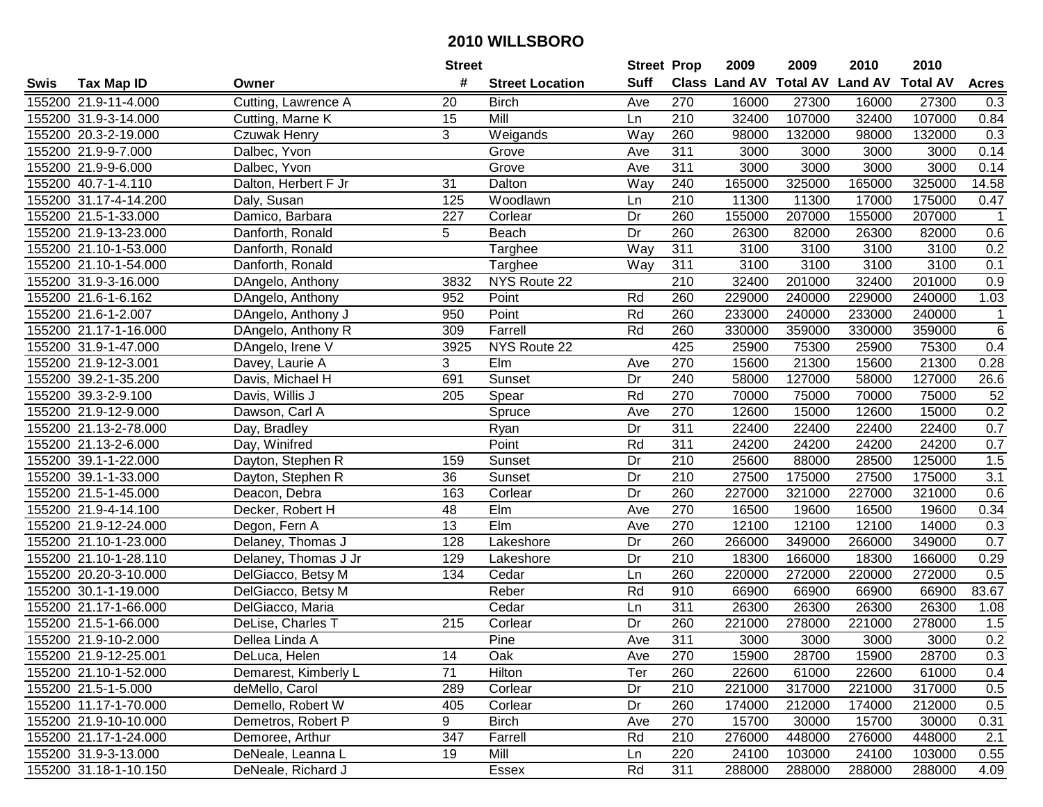|      |                       |                      | <b>Street</b>   |                        | <b>Street Prop</b> |                  | 2009                          | 2009   | 2010           | 2010            |              |
|------|-----------------------|----------------------|-----------------|------------------------|--------------------|------------------|-------------------------------|--------|----------------|-----------------|--------------|
| Swis | <b>Tax Map ID</b>     | Owner                | #               | <b>Street Location</b> | <b>Suff</b>        |                  | <b>Class Land AV Total AV</b> |        | <b>Land AV</b> | <b>Total AV</b> | <b>Acres</b> |
|      | 155200 21.9-11-4.000  | Cutting, Lawrence A  | 20              | <b>Birch</b>           | Ave                | 270              | 16000                         | 27300  | 16000          | 27300           | 0.3          |
|      | 155200 31.9-3-14.000  | Cutting, Marne K     | 15              | Mill                   | Ln                 | 210              | 32400                         | 107000 | 32400          | 107000          | 0.84         |
|      | 155200 20.3-2-19.000  | Czuwak Henry         | 3               | Weigands               | Way                | 260              | 98000                         | 132000 | 98000          | 132000          | 0.3          |
|      | 155200 21.9-9-7.000   | Dalbec, Yvon         |                 | Grove                  | Ave                | 311              | 3000                          | 3000   | 3000           | 3000            | 0.14         |
|      | 155200 21.9-9-6.000   | Dalbec, Yvon         |                 | Grove                  | Ave                | $\overline{311}$ | 3000                          | 3000   | 3000           | 3000            | 0.14         |
|      | 155200 40.7-1-4.110   | Dalton, Herbert F Jr | 31              | Dalton                 | Way                | 240              | 165000                        | 325000 | 165000         | 325000          | 14.58        |
|      | 155200 31.17-4-14.200 | Daly, Susan          | 125             | Woodlawn               | Ln                 | 210              | 11300                         | 11300  | 17000          | 175000          | 0.47         |
|      | 155200 21.5-1-33.000  | Damico, Barbara      | 227             | Corlear                | Dr                 | 260              | 155000                        | 207000 | 155000         | 207000          | $\mathbf{1}$ |
|      | 155200 21.9-13-23.000 | Danforth, Ronald     | 5               | Beach                  | Dr                 | 260              | 26300                         | 82000  | 26300          | 82000           | 0.6          |
|      | 155200 21.10-1-53.000 | Danforth, Ronald     |                 | Targhee                | Way                | 311              | 3100                          | 3100   | 3100           | 3100            | 0.2          |
|      | 155200 21.10-1-54.000 | Danforth, Ronald     |                 | Targhee                | Way                | 311              | 3100                          | 3100   | 3100           | 3100            | 0.1          |
|      | 155200 31.9-3-16.000  | DAngelo, Anthony     | 3832            | NYS Route 22           |                    | 210              | 32400                         | 201000 | 32400          | 201000          | 0.9          |
|      | 155200 21.6-1-6.162   | DAngelo, Anthony     | 952             | Point                  | Rd                 | 260              | 229000                        | 240000 | 229000         | 240000          | 1.03         |
|      | 155200 21.6-1-2.007   | DAngelo, Anthony J   | 950             | Point                  | Rd                 | 260              | 233000                        | 240000 | 233000         | 240000          | $\mathbf{1}$ |
|      | 155200 21.17-1-16.000 | DAngelo, Anthony R   | 309             | Farrell                | Rd                 | 260              | 330000                        | 359000 | 330000         | 359000          | $\,6$        |
|      | 155200 31.9-1-47.000  | DAngelo, Irene V     | 3925            | NYS Route 22           |                    | 425              | 25900                         | 75300  | 25900          | 75300           | 0.4          |
|      | 155200 21.9-12-3.001  | Davey, Laurie A      | 3               | Elm                    | Ave                | 270              | 15600                         | 21300  | 15600          | 21300           | 0.28         |
|      | 155200 39.2-1-35.200  | Davis, Michael H     | 691             | Sunset                 | Dr                 | 240              | 58000                         | 127000 | 58000          | 127000          | 26.6         |
|      | 155200 39.3-2-9.100   | Davis, Willis J      | 205             | Spear                  | Rd                 | 270              | 70000                         | 75000  | 70000          | 75000           | 52           |
|      | 155200 21.9-12-9.000  | Dawson, Carl A       |                 | Spruce                 | Ave                | 270              | 12600                         | 15000  | 12600          | 15000           | 0.2          |
|      | 155200 21.13-2-78.000 | Day, Bradley         |                 | Ryan                   | Dr                 | $\overline{311}$ | 22400                         | 22400  | 22400          | 22400           | 0.7          |
|      | 155200 21.13-2-6.000  | Day, Winifred        |                 | Point                  | Rd                 | 311              | 24200                         | 24200  | 24200          | 24200           | 0.7          |
|      | 155200 39.1-1-22.000  | Dayton, Stephen R    | 159             | Sunset                 | Dr                 | 210              | 25600                         | 88000  | 28500          | 125000          | 1.5          |
|      | 155200 39.1-1-33.000  | Dayton, Stephen R    | 36              | Sunset                 | Dr                 | 210              | 27500                         | 175000 | 27500          | 175000          | 3.1          |
|      | 155200 21.5-1-45.000  | Deacon, Debra        | 163             | Corlear                | Dr                 | 260              | 227000                        | 321000 | 227000         | 321000          | 0.6          |
|      | 155200 21.9-4-14.100  | Decker, Robert H     | 48              | Elm                    | Ave                | 270              | 16500                         | 19600  | 16500          | 19600           | 0.34         |
|      | 155200 21.9-12-24.000 | Degon, Fern A        | $\overline{13}$ | Elm                    | Ave                | 270              | 12100                         | 12100  | 12100          | 14000           | 0.3          |
|      | 155200 21.10-1-23.000 | Delaney, Thomas J    | 128             | Lakeshore              | Dr                 | 260              | 266000                        | 349000 | 266000         | 349000          | 0.7          |
|      | 155200 21.10-1-28.110 | Delaney, Thomas J Jr | 129             | Lakeshore              | Dr                 | $\overline{210}$ | 18300                         | 166000 | 18300          | 166000          | 0.29         |
|      | 155200 20.20-3-10.000 | DelGiacco, Betsy M   | 134             | Cedar                  | Ln                 | 260              | 220000                        | 272000 | 220000         | 272000          | 0.5          |
|      | 155200 30.1-1-19.000  | DelGiacco, Betsy M   |                 | Reber                  | Rd                 | 910              | 66900                         | 66900  | 66900          | 66900           | 83.67        |
|      | 155200 21.17-1-66.000 | DelGiacco, Maria     |                 | Cedar                  | Ln                 | 311              | 26300                         | 26300  | 26300          | 26300           | 1.08         |
|      | 155200 21.5-1-66.000  | DeLise, Charles T    | 215             | Corlear                | $\overline{Dr}$    | 260              | 221000                        | 278000 | 221000         | 278000          | 1.5          |
|      | 155200 21.9-10-2.000  | Dellea Linda A       |                 | Pine                   | Ave                | 311              | 3000                          | 3000   | 3000           | 3000            | 0.2          |
|      | 155200 21.9-12-25.001 | DeLuca, Helen        | 14              | Oak                    | Ave                | 270              | 15900                         | 28700  | 15900          | 28700           | 0.3          |
|      | 155200 21.10-1-52.000 | Demarest, Kimberly L | 71              | Hilton                 | Ter                | 260              | 22600                         | 61000  | 22600          | 61000           | 0.4          |
|      | 155200 21.5-1-5.000   | deMello, Carol       | 289             | Corlear                | Dr                 | 210              | 221000                        | 317000 | 221000         | 317000          | 0.5          |
|      | 155200 11.17-1-70.000 | Demello, Robert W    | 405             | Corlear                | Dr                 | 260              | 174000                        | 212000 | 174000         | 212000          | 0.5          |
|      | 155200 21.9-10-10.000 | Demetros, Robert P   | 9               | <b>Birch</b>           | Ave                | 270              | 15700                         | 30000  | 15700          | 30000           | 0.31         |
|      | 155200 21.17-1-24.000 | Demoree, Arthur      | 347             | Farrell                | Rd                 | 210              | 276000                        | 448000 | 276000         | 448000          | 2.1          |
|      | 155200 31.9-3-13.000  | DeNeale, Leanna L    | 19              | Mill                   | Ln                 | 220              | 24100                         | 103000 | 24100          | 103000          | 0.55         |
|      | 155200 31.18-1-10.150 | DeNeale, Richard J   |                 | Essex                  | Rd                 | 311              | 288000                        | 288000 | 288000         | 288000          | 4.09         |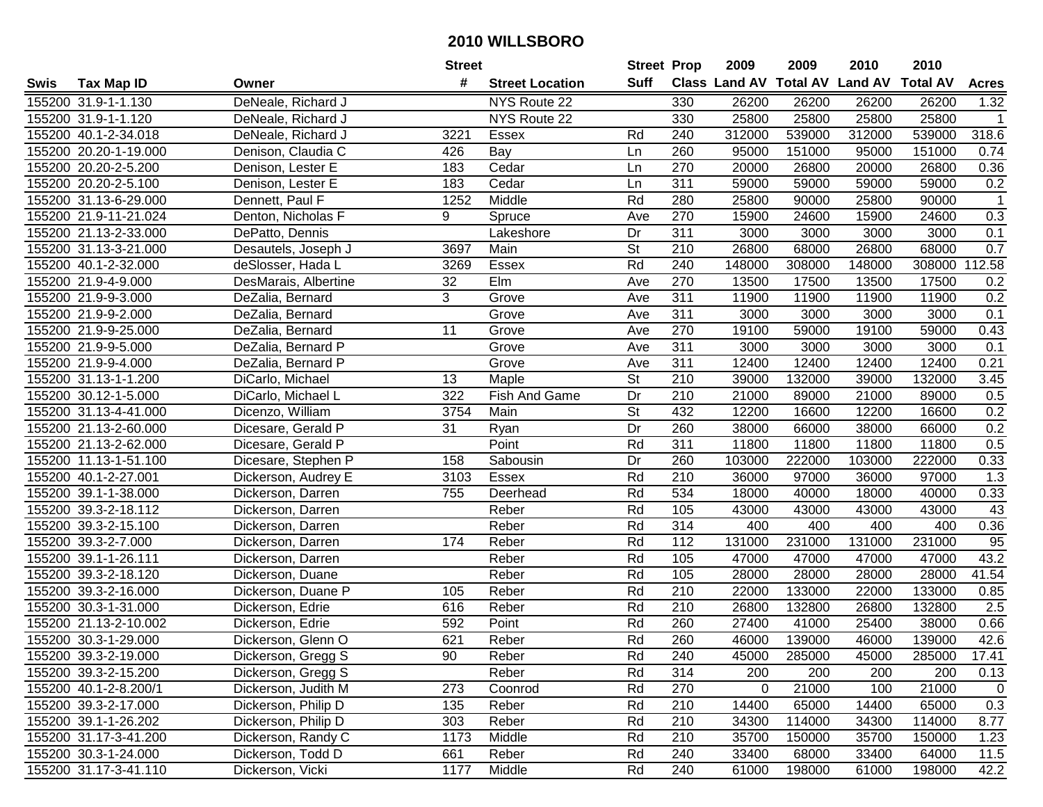|      |                       |                      | <b>Street</b> |                        | <b>Street Prop</b>       |                  | 2009                          | 2009   | 2010           | 2010            |              |
|------|-----------------------|----------------------|---------------|------------------------|--------------------------|------------------|-------------------------------|--------|----------------|-----------------|--------------|
| Swis | <b>Tax Map ID</b>     | Owner                | #             | <b>Street Location</b> | Suff                     |                  | <b>Class Land AV Total AV</b> |        | <b>Land AV</b> | <b>Total AV</b> | <b>Acres</b> |
|      | 155200 31.9-1-1.130   | DeNeale, Richard J   |               | NYS Route 22           |                          | 330              | 26200                         | 26200  | 26200          | 26200           | 1.32         |
|      | 155200 31.9-1-1.120   | DeNeale, Richard J   |               | NYS Route 22           |                          | 330              | 25800                         | 25800  | 25800          | 25800           | $\mathbf 1$  |
|      | 155200 40.1-2-34.018  | DeNeale, Richard J   | 3221          | <b>Essex</b>           | Rd                       | 240              | 312000                        | 539000 | 312000         | 539000          | 318.6        |
|      | 155200 20.20-1-19.000 | Denison, Claudia C   | 426           | Bay                    | Ln                       | 260              | 95000                         | 151000 | 95000          | 151000          | 0.74         |
|      | 155200 20.20-2-5.200  | Denison, Lester E    | 183           | Cedar                  | Ln                       | 270              | 20000                         | 26800  | 20000          | 26800           | 0.36         |
|      | 155200 20.20-2-5.100  | Denison, Lester E    | 183           | Cedar                  | Ln                       | 311              | 59000                         | 59000  | 59000          | 59000           | 0.2          |
|      | 155200 31.13-6-29.000 | Dennett, Paul F      | 1252          | Middle                 | Rd                       | 280              | 25800                         | 90000  | 25800          | 90000           | $\mathbf{1}$ |
|      | 155200 21.9-11-21.024 | Denton, Nicholas F   | 9             | Spruce                 | Ave                      | 270              | 15900                         | 24600  | 15900          | 24600           | 0.3          |
|      | 155200 21.13-2-33.000 | DePatto, Dennis      |               | Lakeshore              | Dr                       | 311              | 3000                          | 3000   | 3000           | 3000            | 0.1          |
|      | 155200 31.13-3-21.000 | Desautels, Joseph J  | 3697          | Main                   | <b>St</b>                | 210              | 26800                         | 68000  | 26800          | 68000           | 0.7          |
|      | 155200 40.1-2-32.000  | deSlosser, Hada L    | 3269          | Essex                  | Rd                       | 240              | 148000                        | 308000 | 148000         | 308000          | 112.58       |
|      | 155200 21.9-4-9.000   | DesMarais, Albertine | 32            | Elm                    | Ave                      | 270              | 13500                         | 17500  | 13500          | 17500           | 0.2          |
|      | 155200 21.9-9-3.000   | DeZalia, Bernard     | 3             | Grove                  | Ave                      | 311              | 11900                         | 11900  | 11900          | 11900           | 0.2          |
|      | 155200 21.9-9-2.000   | DeZalia, Bernard     |               | Grove                  | Ave                      | 311              | 3000                          | 3000   | 3000           | 3000            | 0.1          |
|      | 155200 21.9-9-25.000  | DeZalia, Bernard     | 11            | Grove                  | Ave                      | 270              | 19100                         | 59000  | 19100          | 59000           | 0.43         |
|      | 155200 21.9-9-5.000   | DeZalia, Bernard P   |               | Grove                  | Ave                      | 311              | 3000                          | 3000   | 3000           | 3000            | 0.1          |
|      | 155200 21.9-9-4.000   | DeZalia, Bernard P   |               | Grove                  | Ave                      | 311              | 12400                         | 12400  | 12400          | 12400           | 0.21         |
|      | 155200 31.13-1-1.200  | DiCarlo, Michael     | 13            | Maple                  | $\overline{\mathsf{St}}$ | 210              | 39000                         | 132000 | 39000          | 132000          | 3.45         |
|      | 155200 30.12-1-5.000  | DiCarlo, Michael L   | 322           | Fish And Game          | Dr                       | 210              | 21000                         | 89000  | 21000          | 89000           | 0.5          |
|      | 155200 31.13-4-41.000 | Dicenzo, William     | 3754          | Main                   | St                       | 432              | 12200                         | 16600  | 12200          | 16600           | 0.2          |
|      | 155200 21.13-2-60.000 | Dicesare, Gerald P   | 31            | Ryan                   | Dr                       | 260              | 38000                         | 66000  | 38000          | 66000           | 0.2          |
|      | 155200 21.13-2-62.000 | Dicesare, Gerald P   |               | Point                  | Rd                       | 311              | 11800                         | 11800  | 11800          | 11800           | 0.5          |
|      | 155200 11.13-1-51.100 | Dicesare, Stephen P  | 158           | Sabousin               | Dr                       | 260              | 103000                        | 222000 | 103000         | 222000          | 0.33         |
|      | 155200 40.1-2-27.001  | Dickerson, Audrey E  | 3103          | Essex                  | Rd                       | 210              | 36000                         | 97000  | 36000          | 97000           | 1.3          |
|      | 155200 39.1-1-38.000  | Dickerson, Darren    | 755           | Deerhead               | Rd                       | 534              | 18000                         | 40000  | 18000          | 40000           | 0.33         |
|      | 155200 39.3-2-18.112  | Dickerson, Darren    |               | Reber                  | Rd                       | 105              | 43000                         | 43000  | 43000          | 43000           | 43           |
|      | 155200 39.3-2-15.100  | Dickerson, Darren    |               | Reber                  | Rd                       | 314              | 400                           | 400    | 400            | 400             | 0.36         |
|      | 155200 39.3-2-7.000   | Dickerson, Darren    | 174           | Reber                  | Rd                       | 112              | 131000                        | 231000 | 131000         | 231000          | 95           |
|      | 155200 39.1-1-26.111  | Dickerson, Darren    |               | Reber                  | Rd                       | 105              | 47000                         | 47000  | 47000          | 47000           | 43.2         |
|      | 155200 39.3-2-18.120  | Dickerson, Duane     |               | Reber                  | Rd                       | 105              | 28000                         | 28000  | 28000          | 28000           | 41.54        |
|      | 155200 39.3-2-16.000  | Dickerson, Duane P   | 105           | Reber                  | Rd                       | $\overline{210}$ | 22000                         | 133000 | 22000          | 133000          | 0.85         |
|      | 155200 30.3-1-31.000  | Dickerson, Edrie     | 616           | Reber                  | Rd                       | 210              | 26800                         | 132800 | 26800          | 132800          | 2.5          |
|      | 155200 21.13-2-10.002 | Dickerson, Edrie     | 592           | Point                  | Rd                       | 260              | 27400                         | 41000  | 25400          | 38000           | 0.66         |
|      | 155200 30.3-1-29.000  | Dickerson, Glenn O   | 621           | Reber                  | Rd                       | 260              | 46000                         | 139000 | 46000          | 139000          | 42.6         |
|      | 155200 39.3-2-19.000  | Dickerson, Gregg S   | 90            | Reber                  | Rd                       | 240              | 45000                         | 285000 | 45000          | 285000          | 17.41        |
|      | 155200 39.3-2-15.200  | Dickerson, Gregg S   |               | Reber                  | Rd                       | 314              | 200                           | 200    | 200            | 200             | 0.13         |
|      | 155200 40.1-2-8.200/1 | Dickerson, Judith M  | 273           | Coonrod                | Rd                       | 270              | 0                             | 21000  | 100            | 21000           | $\mathbf 0$  |
|      | 155200 39.3-2-17.000  | Dickerson, Philip D  | 135           | Reber                  | Rd                       | 210              | 14400                         | 65000  | 14400          | 65000           | 0.3          |
|      | 155200 39.1-1-26.202  | Dickerson, Philip D  | 303           | Reber                  | Rd                       | 210              | 34300                         | 114000 | 34300          | 114000          | 8.77         |
|      | 155200 31.17-3-41.200 | Dickerson, Randy C   | 1173          | Middle                 | Rd                       | 210              | 35700                         | 150000 | 35700          | 150000          | 1.23         |
|      | 155200 30.3-1-24.000  | Dickerson, Todd D    | 661           | Reber                  | Rd                       | 240              | 33400                         | 68000  | 33400          | 64000           | 11.5         |
|      | 155200 31.17-3-41.110 | Dickerson, Vicki     | 1177          | Middle                 | Rd                       | 240              | 61000                         | 198000 | 61000          | 198000          | 42.2         |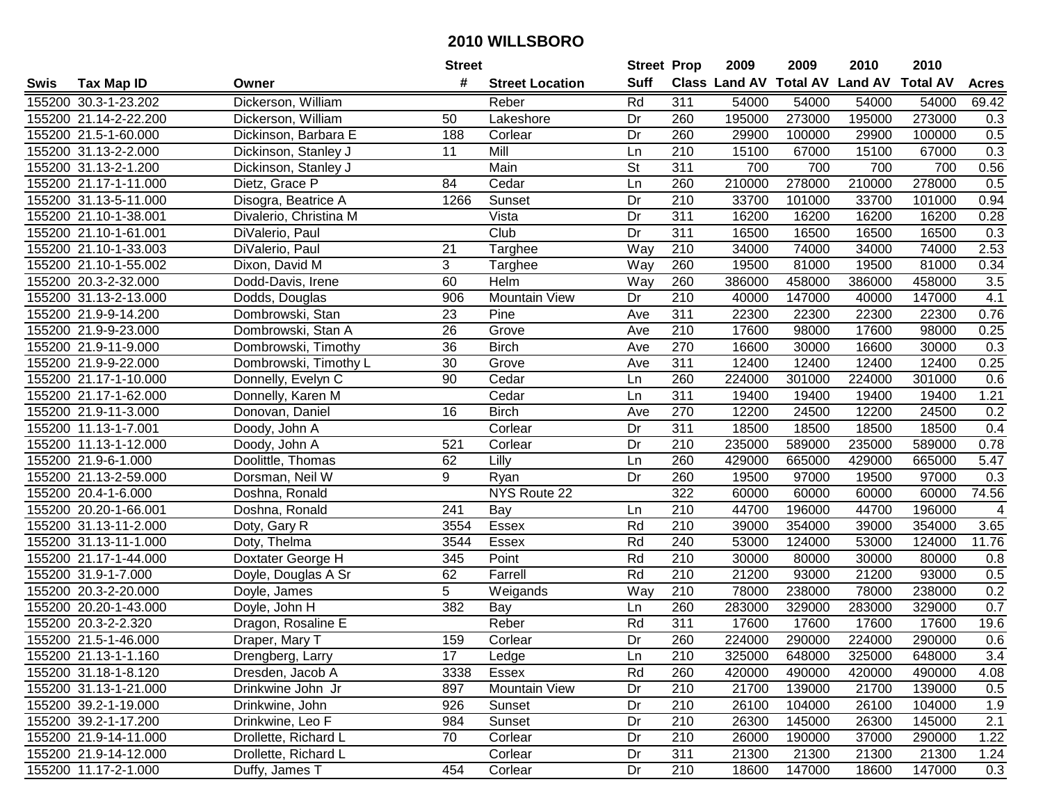|      |                       |                        | <b>Street</b> |                        | <b>Street Prop</b> |                  | 2009   | 2009   | 2010                           | 2010            |                |
|------|-----------------------|------------------------|---------------|------------------------|--------------------|------------------|--------|--------|--------------------------------|-----------------|----------------|
| Swis | <b>Tax Map ID</b>     | Owner                  | #             | <b>Street Location</b> | <b>Suff</b>        |                  |        |        | Class Land AV Total AV Land AV | <b>Total AV</b> | <b>Acres</b>   |
|      | 155200 30.3-1-23.202  | Dickerson, William     |               | Reber                  | Rd                 | 311              | 54000  | 54000  | 54000                          | 54000           | 69.42          |
|      | 155200 21.14-2-22.200 | Dickerson, William     | 50            | Lakeshore              | Dr                 | 260              | 195000 | 273000 | 195000                         | 273000          | 0.3            |
|      | 155200 21.5-1-60.000  | Dickinson, Barbara E   | 188           | Corlear                | Dr                 | 260              | 29900  | 100000 | 29900                          | 100000          | 0.5            |
|      | 155200 31.13-2-2.000  | Dickinson, Stanley J   | 11            | Mill                   | Ln                 | 210              | 15100  | 67000  | 15100                          | 67000           | 0.3            |
|      | 155200 31.13-2-1.200  | Dickinson, Stanley J   |               | Main                   | <b>St</b>          | 311              | 700    | 700    | 700                            | 700             | 0.56           |
|      | 155200 21.17-1-11.000 | Dietz, Grace P         | 84            | Cedar                  | Ln                 | 260              | 210000 | 278000 | 210000                         | 278000          | 0.5            |
|      | 155200 31.13-5-11.000 | Disogra, Beatrice A    | 1266          | Sunset                 | Dr                 | 210              | 33700  | 101000 | 33700                          | 101000          | 0.94           |
|      | 155200 21.10-1-38.001 | Divalerio, Christina M |               | Vista                  | Dr                 | 311              | 16200  | 16200  | 16200                          | 16200           | 0.28           |
|      | 155200 21.10-1-61.001 | DiValerio, Paul        |               | Club                   | Dr                 | 311              | 16500  | 16500  | 16500                          | 16500           | 0.3            |
|      | 155200 21.10-1-33.003 | DiValerio, Paul        | 21            | Targhee                | Way                | 210              | 34000  | 74000  | 34000                          | 74000           | 2.53           |
|      | 155200 21.10-1-55.002 | Dixon, David M         | 3             | Targhee                | Way                | 260              | 19500  | 81000  | 19500                          | 81000           | 0.34           |
|      | 155200 20.3-2-32.000  | Dodd-Davis, Irene      | 60            | Helm                   | Way                | 260              | 386000 | 458000 | 386000                         | 458000          | 3.5            |
|      | 155200 31.13-2-13.000 | Dodds, Douglas         | 906           | <b>Mountain View</b>   | Dr                 | $\overline{210}$ | 40000  | 147000 | 40000                          | 147000          | 4.1            |
|      | 155200 21.9-9-14.200  | Dombrowski, Stan       | 23            | Pine                   | Ave                | 311              | 22300  | 22300  | 22300                          | 22300           | 0.76           |
|      | 155200 21.9-9-23.000  | Dombrowski, Stan A     | 26            | Grove                  | Ave                | 210              | 17600  | 98000  | 17600                          | 98000           | 0.25           |
|      | 155200 21.9-11-9.000  | Dombrowski, Timothy    | 36            | <b>Birch</b>           | Ave                | 270              | 16600  | 30000  | 16600                          | 30000           | 0.3            |
|      | 155200 21.9-9-22.000  | Dombrowski, Timothy L  | 30            | Grove                  | Ave                | $\overline{311}$ | 12400  | 12400  | 12400                          | 12400           | 0.25           |
|      | 155200 21.17-1-10.000 | Donnelly, Evelyn C     | 90            | Cedar                  | Ln                 | 260              | 224000 | 301000 | 224000                         | 301000          | 0.6            |
|      | 155200 21.17-1-62.000 | Donnelly, Karen M      |               | Cedar                  | Ln                 | 311              | 19400  | 19400  | 19400                          | 19400           | 1.21           |
|      | 155200 21.9-11-3.000  | Donovan, Daniel        | 16            | <b>Birch</b>           | Ave                | 270              | 12200  | 24500  | 12200                          | 24500           | 0.2            |
|      | 155200 11.13-1-7.001  | Doody, John A          |               | Corlear                | Dr                 | 311              | 18500  | 18500  | 18500                          | 18500           | 0.4            |
|      | 155200 11.13-1-12.000 | Doody, John A          | 521           | Corlear                | Dr                 | 210              | 235000 | 589000 | 235000                         | 589000          | 0.78           |
|      | 155200 21.9-6-1.000   | Doolittle, Thomas      | 62            | Lilly                  | Ln                 | 260              | 429000 | 665000 | 429000                         | 665000          | 5.47           |
|      | 155200 21.13-2-59.000 | Dorsman, Neil W        | 9             | Ryan                   | Dr                 | 260              | 19500  | 97000  | 19500                          | 97000           | 0.3            |
|      | 155200 20.4-1-6.000   | Doshna, Ronald         |               | NYS Route 22           |                    | 322              | 60000  | 60000  | 60000                          | 60000           | 74.56          |
|      | 155200 20.20-1-66.001 | Doshna, Ronald         | 241           | Bay                    | Ln                 | 210              | 44700  | 196000 | 44700                          | 196000          | $\overline{4}$ |
|      | 155200 31.13-11-2.000 | Doty, Gary R           | 3554          | Essex                  | Rd                 | 210              | 39000  | 354000 | 39000                          | 354000          | 3.65           |
|      | 155200 31.13-11-1.000 | Doty, Thelma           | 3544          | Essex                  | Rd                 | 240              | 53000  | 124000 | 53000                          | 124000          | 11.76          |
|      | 155200 21.17-1-44.000 | Doxtater George H      | 345           | Point                  | Rd                 | $\overline{210}$ | 30000  | 80000  | 30000                          | 80000           | 0.8            |
|      | 155200 31.9-1-7.000   | Doyle, Douglas A Sr    | 62            | Farrell                | Rd                 | $\overline{210}$ | 21200  | 93000  | 21200                          | 93000           | 0.5            |
|      | 155200 20.3-2-20.000  | Doyle, James           | 5             | Weigands               | Way                | $\overline{210}$ | 78000  | 238000 | 78000                          | 238000          | 0.2            |
|      | 155200 20.20-1-43.000 | Doyle, John H          | 382           | Bay                    | Ln                 | 260              | 283000 | 329000 | 283000                         | 329000          | 0.7            |
|      | 155200 20.3-2-2.320   | Dragon, Rosaline E     |               | Reber                  | Rd                 | 311              | 17600  | 17600  | 17600                          | 17600           | 19.6           |
|      | 155200 21.5-1-46.000  | Draper, Mary T         | 159           | Corlear                | Dr                 | 260              | 224000 | 290000 | 224000                         | 290000          | 0.6            |
|      | 155200 21.13-1-1.160  | Drengberg, Larry       | 17            | Ledge                  | Ln                 | 210              | 325000 | 648000 | 325000                         | 648000          | 3.4            |
|      | 155200 31.18-1-8.120  | Dresden, Jacob A       | 3338          | Essex                  | Rd                 | 260              | 420000 | 490000 | 420000                         | 490000          | 4.08           |
|      | 155200 31.13-1-21.000 | Drinkwine John Jr      | 897           | <b>Mountain View</b>   | Dr                 | 210              | 21700  | 139000 | 21700                          | 139000          | 0.5            |
|      | 155200 39.2-1-19.000  | Drinkwine, John        | 926           | Sunset                 | Dr                 | 210              | 26100  | 104000 | 26100                          | 104000          | 1.9            |
|      | 155200 39.2-1-17.200  | Drinkwine, Leo F       | 984           | Sunset                 | Dr                 | 210              | 26300  | 145000 | 26300                          | 145000          | 2.1            |
|      | 155200 21.9-14-11.000 | Drollette, Richard L   | 70            | Corlear                | Dr                 | 210              | 26000  | 190000 | 37000                          | 290000          | 1.22           |
|      | 155200 21.9-14-12.000 | Drollette, Richard L   |               | Corlear                | Dr                 | 311              | 21300  | 21300  | 21300                          | 21300           | 1.24           |
|      | 155200 11.17-2-1.000  | Duffy, James T         | 454           | Corlear                | Dr                 | 210              | 18600  | 147000 | 18600                          | 147000          | 0.3            |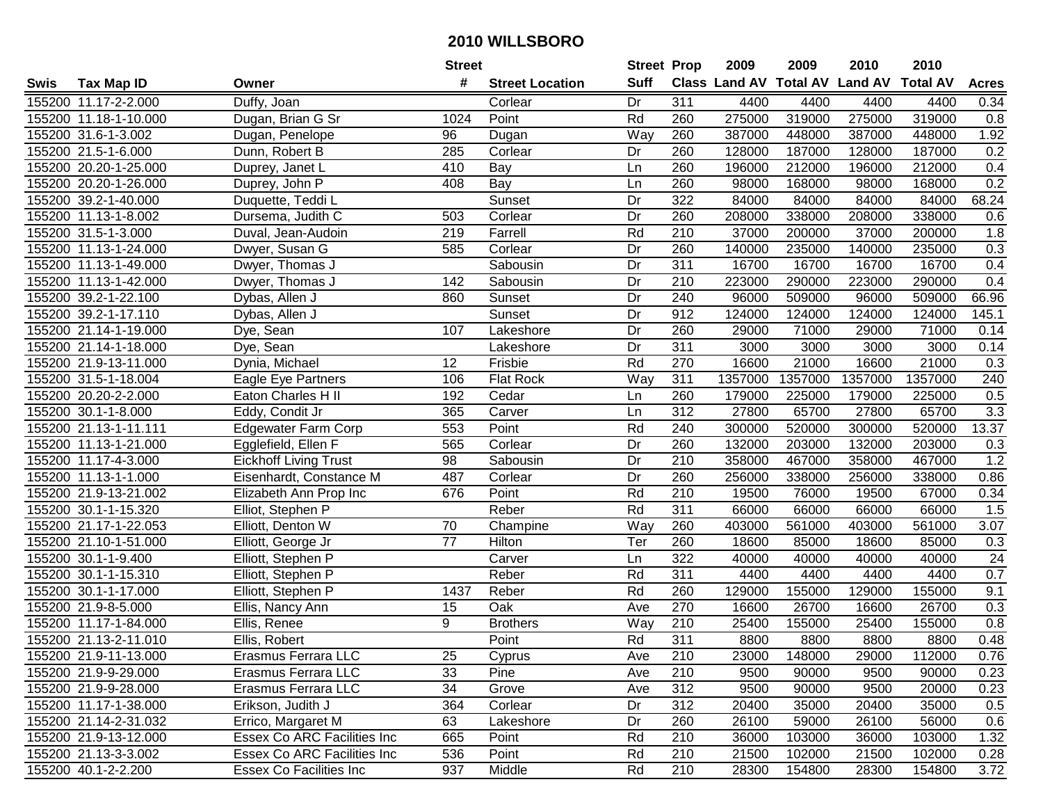|      |                       |                              | <b>Street</b> |                        | <b>Street Prop</b> |                  | 2009                          | 2009    | 2010           | 2010            |              |
|------|-----------------------|------------------------------|---------------|------------------------|--------------------|------------------|-------------------------------|---------|----------------|-----------------|--------------|
| Swis | <b>Tax Map ID</b>     | Owner                        | #             | <b>Street Location</b> | <b>Suff</b>        |                  | <b>Class Land AV Total AV</b> |         | <b>Land AV</b> | <b>Total AV</b> | <b>Acres</b> |
|      | 155200 11.17-2-2.000  | Duffy, Joan                  |               | Corlear                | Dr                 | 311              | 4400                          | 4400    | 4400           | 4400            | 0.34         |
|      | 155200 11.18-1-10.000 | Dugan, Brian G Sr            | 1024          | Point                  | Rd                 | 260              | 275000                        | 319000  | 275000         | 319000          | 0.8          |
|      | 155200 31.6-1-3.002   | Dugan, Penelope              | 96            | Dugan                  | Way                | 260              | 387000                        | 448000  | 387000         | 448000          | 1.92         |
|      | 155200 21.5-1-6.000   | Dunn, Robert B               | 285           | Corlear                | Dr                 | 260              | 128000                        | 187000  | 128000         | 187000          | 0.2          |
|      | 155200 20.20-1-25.000 | Duprey, Janet L              | 410           | <b>Bay</b>             | Ln                 | 260              | 196000                        | 212000  | 196000         | 212000          | 0.4          |
|      | 155200 20.20-1-26.000 | Duprey, John P               | 408           | Bay                    | Ln                 | 260              | 98000                         | 168000  | 98000          | 168000          | 0.2          |
|      | 155200 39.2-1-40.000  | Duquette, Teddi L            |               | Sunset                 | Dr                 | 322              | 84000                         | 84000   | 84000          | 84000           | 68.24        |
|      | 155200 11.13-1-8.002  | Dursema, Judith C            | 503           | Corlear                | $\overline{Dr}$    | 260              | 208000                        | 338000  | 208000         | 338000          | 0.6          |
|      | 155200 31.5-1-3.000   | Duval, Jean-Audoin           | 219           | Farrell                | Rd                 | $\overline{210}$ | 37000                         | 200000  | 37000          | 200000          | 1.8          |
|      | 155200 11.13-1-24.000 | Dwyer, Susan G               | 585           | Corlear                | Dr                 | 260              | 140000                        | 235000  | 140000         | 235000          | 0.3          |
|      | 155200 11.13-1-49.000 | Dwyer, Thomas J              |               | Sabousin               | Dr                 | 311              | 16700                         | 16700   | 16700          | 16700           | 0.4          |
|      | 155200 11.13-1-42.000 | Dwyer, Thomas J              | 142           | Sabousin               | Dr                 | 210              | 223000                        | 290000  | 223000         | 290000          | 0.4          |
|      | 155200 39.2-1-22.100  | Dybas, Allen J               | 860           | Sunset                 | Dr                 | 240              | 96000                         | 509000  | 96000          | 509000          | 66.96        |
|      | 155200 39.2-1-17.110  | Dybas, Allen J               |               | Sunset                 | Dr                 | 912              | 124000                        | 124000  | 124000         | 124000          | 145.1        |
|      | 155200 21.14-1-19.000 | Dye, Sean                    | 107           | Lakeshore              | Dr                 | 260              | 29000                         | 71000   | 29000          | 71000           | 0.14         |
|      | 155200 21.14-1-18.000 | Dye, Sean                    |               | Lakeshore              | Dr                 | 311              | 3000                          | 3000    | 3000           | 3000            | 0.14         |
|      | 155200 21.9-13-11.000 | Dynia, Michael               | 12            | Frisbie                | Rd                 | 270              | 16600                         | 21000   | 16600          | 21000           | 0.3          |
|      | 155200 31.5-1-18.004  | Eagle Eye Partners           | 106           | Flat Rock              | Way                | 311              | 1357000                       | 1357000 | 1357000        | 1357000         | 240          |
|      | 155200 20.20-2-2.000  | Eaton Charles H II           | 192           | Cedar                  | Ln                 | 260              | 179000                        | 225000  | 179000         | 225000          | 0.5          |
|      | 155200 30.1-1-8.000   | Eddy, Condit Jr              | 365           | Carver                 | Ln                 | 312              | 27800                         | 65700   | 27800          | 65700           | 3.3          |
|      | 155200 21.13-1-11.111 | <b>Edgewater Farm Corp</b>   | 553           | Point                  | Rd                 | 240              | 300000                        | 520000  | 300000         | 520000          | 13.37        |
|      | 155200 11.13-1-21.000 | Egglefield, Ellen F          | 565           | Corlear                | Dr                 | 260              | 132000                        | 203000  | 132000         | 203000          | 0.3          |
|      | 155200 11.17-4-3.000  | <b>Eickhoff Living Trust</b> | 98            | Sabousin               | Dr                 | 210              | 358000                        | 467000  | 358000         | 467000          | 1.2          |
|      | 155200 11.13-1-1.000  | Eisenhardt, Constance M      | 487           | Corlear                | Dr                 | 260              | 256000                        | 338000  | 256000         | 338000          | 0.86         |
|      | 155200 21.9-13-21.002 | Elizabeth Ann Prop Inc       | 676           | Point                  | Rd                 | 210              | 19500                         | 76000   | 19500          | 67000           | 0.34         |
|      | 155200 30.1-1-15.320  | Elliot, Stephen P            |               | Reber                  | Rd                 | 311              | 66000                         | 66000   | 66000          | 66000           | 1.5          |
|      | 155200 21.17-1-22.053 | Elliott, Denton W            | 70            | Champine               | Way                | 260              | 403000                        | 561000  | 403000         | 561000          | 3.07         |
|      | 155200 21.10-1-51.000 | Elliott, George Jr           | 77            | <b>Hilton</b>          | Ter                | 260              | 18600                         | 85000   | 18600          | 85000           | 0.3          |
|      | 155200 30.1-1-9.400   | Elliott, Stephen P           |               | Carver                 | Ln                 | $\overline{322}$ | 40000                         | 40000   | 40000          | 40000           | 24           |
|      | 155200 30.1-1-15.310  | Elliott, Stephen P           |               | Reber                  | Rd                 | $\overline{311}$ | 4400                          | 4400    | 4400           | 4400            | 0.7          |
|      | 155200 30.1-1-17.000  | Elliott, Stephen P           | 1437          | Reber                  | Rd                 | 260              | 129000                        | 155000  | 129000         | 155000          | 9.1          |
|      | 155200 21.9-8-5.000   | Ellis, Nancy Ann             | 15            | Oak                    | Ave                | 270              | 16600                         | 26700   | 16600          | 26700           | 0.3          |
|      | 155200 11.17-1-84.000 | Ellis, Renee                 | 9             | <b>Brothers</b>        | Way                | $\overline{210}$ | 25400                         | 155000  | 25400          | 155000          | 0.8          |
|      | 155200 21.13-2-11.010 | Ellis, Robert                |               | Point                  | Rd                 | 311              | 8800                          | 8800    | 8800           | 8800            | 0.48         |
|      | 155200 21.9-11-13.000 | Erasmus Ferrara LLC          | 25            | Cyprus                 | Ave                | 210              | 23000                         | 148000  | 29000          | 112000          | 0.76         |
|      | 155200 21.9-9-29.000  | Erasmus Ferrara LLC          | 33            | Pine                   | Ave                | 210              | 9500                          | 90000   | 9500           | 90000           | 0.23         |
|      | 155200 21.9-9-28.000  | Erasmus Ferrara LLC          | 34            | Grove                  | Ave                | 312              | 9500                          | 90000   | 9500           | 20000           | 0.23         |
|      | 155200 11.17-1-38.000 | Erikson, Judith J            | 364           | Corlear                | Dr                 | 312              | 20400                         | 35000   | 20400          | 35000           | 0.5          |
|      | 155200 21.14-2-31.032 | Errico, Margaret M           | 63            | Lakeshore              | Dr                 | 260              | 26100                         | 59000   | 26100          | 56000           | 0.6          |
|      | 155200 21.9-13-12.000 | Essex Co ARC Facilities Inc  | 665           | Point                  | Rd                 | 210              | 36000                         | 103000  | 36000          | 103000          | 1.32         |
|      | 155200 21.13-3-3.002  | Essex Co ARC Facilities Inc  | 536           | Point                  | Rd                 | 210              | 21500                         | 102000  | 21500          | 102000          | 0.28         |
|      | 155200 40.1-2-2.200   | Essex Co Facilities Inc      | 937           | Middle                 | Rd                 | 210              | 28300                         | 154800  | 28300          | 154800          | 3.72         |
|      |                       |                              |               |                        |                    |                  |                               |         |                |                 |              |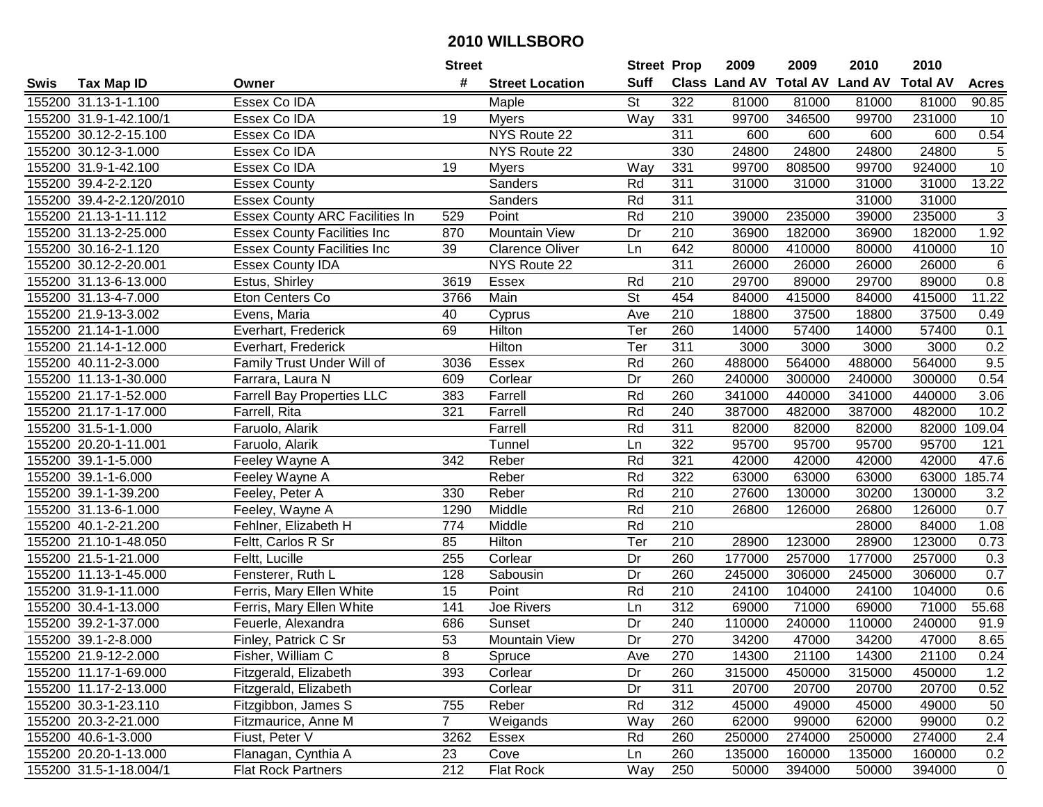| #<br><b>Suff</b><br>Class Land AV Total AV Land AV<br><b>Total AV</b><br><b>Tax Map ID</b><br><b>Street Location</b><br><b>Acres</b><br>Swis<br>Owner<br>Essex Co IDA<br><b>St</b><br>155200 31.13-1-1.100<br>322<br>81000<br>81000<br>81000<br>81000<br>90.85<br>Maple<br>Way<br>155200 31.9-1-42.100/1<br>Essex Co IDA<br>19<br><b>Myers</b><br>331<br>99700<br>346500<br>99700<br>231000<br>10<br>NYS Route 22<br>0.54<br>155200 30.12-2-15.100<br>Essex Co IDA<br>311<br>600<br>600<br>600<br>600<br>24800<br>24800<br>$\sqrt{5}$<br>330<br>24800<br>24800<br>155200 30.12-3-1.000<br>Essex Co IDA<br>NYS Route 22<br>$\overline{10}$<br>155200 31.9-1-42.100<br>Essex Co IDA<br>19<br>331<br>99700<br>808500<br>99700<br>924000<br>Way<br><b>Myers</b><br>311<br>13.22<br>155200 39.4-2-2.120<br><b>Essex County</b><br>Sanders<br>Rd<br>31000<br>31000<br>31000<br>31000<br>155200 39.4-2-2.120/2010<br>311<br>31000<br>31000<br><b>Essex County</b><br>Sanders<br>Rd<br>$\overline{3}$<br><b>Essex County ARC Facilities In</b><br>Rd<br>$\overline{210}$<br>235000<br>235000<br>155200 21.13-1-11.112<br>529<br>Point<br>39000<br>39000<br><b>Mountain View</b><br>$\overline{210}$<br>36900<br>182000<br>1.92<br>155200 31.13-2-25.000<br>870<br>Dr<br>36900<br>182000<br><b>Essex County Facilities Inc</b><br>642<br>80000<br>155200 30.16-2-1.120<br>39<br><b>Clarence Oliver</b><br>410000<br>80000<br>410000<br><b>Essex County Facilities Inc</b><br>Ln<br>10<br>311<br>$\,6\,$<br>155200 30.12-2-20.001<br>NYS Route 22<br>26000<br>26000<br>26000<br>26000<br><b>Essex County IDA</b><br>155200 31.13-6-13.000<br>Essex<br>Rd<br>210<br>29700<br>89000<br>29700<br>89000<br>0.8<br>Estus, Shirley<br>3619<br>$\overline{\mathsf{St}}$<br>155200 31.13-4-7.000<br>Main<br>454<br>84000<br>415000<br>415000<br>11.22<br>Eton Centers Co<br>3766<br>84000<br>210<br>155200 21.9-13-3.002<br>Evens, Maria<br>40<br>Ave<br>18800<br>37500<br>18800<br>37500<br>Cyprus<br>0.49<br>Hilton<br>Ter<br>57400<br>155200 21.14-1-1.000<br>69<br>260<br>14000<br>57400<br>14000<br>0.1<br>Everhart, Frederick<br>Hilton<br>Ter<br>311<br>3000<br>3000<br>3000<br>3000<br>0.2<br>155200 21.14-1-12.000<br>Everhart, Frederick<br>9.5<br>Rd<br>260<br>Essex<br>488000<br>564000<br>488000<br>564000<br>155200 40.11-2-3.000<br>Family Trust Under Will of<br>3036<br>Dr<br>260<br>0.54<br>Farrara, Laura N<br>Corlear<br>240000<br>300000<br>240000<br>155200 11.13-1-30.000<br>609<br>300000<br>Rd<br>260<br>155200 21.17-1-52.000<br><b>Farrell Bay Properties LLC</b><br>383<br>Farrell<br>341000<br>440000<br>341000<br>440000<br>3.06<br>Rd<br>155200 21.17-1-17.000<br>321<br>Farrell<br>240<br>387000<br>482000<br>387000<br>482000<br>10.2<br>Farrell, Rita<br>155200 31.5-1-1.000<br>Farrell<br>Rd<br>311<br>82000<br>82000<br>109.04<br>Faruolo, Alarik<br>82000<br>82000<br>95700<br>155200 20.20-1-11.001<br>Tunnel<br>322<br>95700<br>95700<br>95700<br>121<br>Faruolo, Alarik<br>Ln<br>Reber<br>321<br>47.6<br>155200 39.1-1-5.000<br>342<br>Rd<br>42000<br>42000<br>42000<br>Feeley Wayne A<br>42000<br>185.74<br>155200 39.1-1-6.000<br>Reber<br>Rd<br>322<br>63000<br>63000<br>63000<br>63000<br>Feeley Wayne A<br>$\overline{210}$<br>Rd<br>27600<br>130000<br>30200<br>3.2<br>155200 39.1-1-39.200<br>Feeley, Peter A<br>330<br>Reber<br>130000<br>Middle<br>Rd<br>210<br>0.7<br>155200 31.13-6-1.000<br>1290<br>26800<br>126000<br>26800<br>126000<br>Feeley, Wayne A<br>Rd<br>210<br>155200 40.1-2-21.200<br>Fehlner, Elizabeth H<br>774<br>Middle<br>28000<br>84000<br>1.08<br>85<br>Ter<br>210<br>123000<br>28900<br>155200 21.10-1-48.050<br>Feltt, Carlos R Sr<br>Hilton<br>28900<br>123000<br>0.73<br>155200 21.5-1-21.000<br>255<br>Dr<br>260<br>177000<br>257000<br>177000<br>257000<br>0.3<br>Feltt, Lucille<br>Corlear<br>260<br>245000<br>155200 11.13-1-45.000<br>Fensterer, Ruth L<br>128<br>Sabousin<br>Dr<br>306000<br>245000<br>306000<br>0.7<br>Ferris, Mary Ellen White<br>$\overline{15}$<br>Rd<br>$\overline{210}$<br>104000<br>0.6<br>155200 31.9-1-11.000<br>Point<br>24100<br>24100<br>104000<br>155200 30.4-1-13.000<br>Ferris, Mary Ellen White<br>Joe Rivers<br>312<br>69000<br>71000<br>69000<br>71000<br>55.68<br>141<br>Ln<br>155200 39.2-1-37.000<br>240<br>240000<br>91.9<br>Feuerle, Alexandra<br>686<br>Sunset<br>Dr<br>110000<br>240000<br>110000<br>$\overline{53}$<br>270<br>8.65<br>155200 39.1-2-8.000<br>Mountain View<br>Dr<br>34200<br>47000<br>34200<br>47000<br>Finley, Patrick C Sr<br>155200 21.9-12-2.000<br>Fisher, William C<br>8<br>Spruce<br>Ave<br>270<br>14300<br>21100<br>14300<br>21100<br>0.24<br>315000<br>155200 11.17-1-69.000<br>Fitzgerald, Elizabeth<br>393<br>Corlear<br>Dr<br>260<br>315000<br>450000<br>450000<br>1.2<br>155200 11.17-2-13.000<br>311<br>20700<br>0.52<br>Fitzgerald, Elizabeth<br>Corlear<br>Dr<br>20700<br>20700<br>20700<br>Rd<br>312<br>155200 30.3-1-23.110<br>Reber<br>45000<br>45000<br>49000<br>50<br>Fitzgibbon, James S<br>755<br>49000<br>$\overline{7}$<br>0.2<br>155200 20.3-2-21.000<br>Fitzmaurice, Anne M<br>Weigands<br>Way<br>260<br>62000<br>99000<br>62000<br>99000<br>Fiust, Peter V<br>260<br>274000<br>2.4<br>155200 40.6-1-3.000<br>3262<br>Essex<br>Rd<br>250000<br>250000<br>274000<br>155200 20.20-1-13.000<br>260<br>Flanagan, Cynthia A<br>23<br>Cove<br>135000<br>160000<br>135000<br>160000<br>0.2<br>Ln<br>155200 31.5-1-18.004/1<br><b>Flat Rock Partners</b><br>212<br>Flat Rock<br>250<br>50000<br>394000<br>394000<br>$\mathbf 0$<br>Way<br>50000 |  | <b>Street</b> | <b>Street Prop</b> | 2009 | 2009 | 2010 | 2010 |  |
|---------------------------------------------------------------------------------------------------------------------------------------------------------------------------------------------------------------------------------------------------------------------------------------------------------------------------------------------------------------------------------------------------------------------------------------------------------------------------------------------------------------------------------------------------------------------------------------------------------------------------------------------------------------------------------------------------------------------------------------------------------------------------------------------------------------------------------------------------------------------------------------------------------------------------------------------------------------------------------------------------------------------------------------------------------------------------------------------------------------------------------------------------------------------------------------------------------------------------------------------------------------------------------------------------------------------------------------------------------------------------------------------------------------------------------------------------------------------------------------------------------------------------------------------------------------------------------------------------------------------------------------------------------------------------------------------------------------------------------------------------------------------------------------------------------------------------------------------------------------------------------------------------------------------------------------------------------------------------------------------------------------------------------------------------------------------------------------------------------------------------------------------------------------------------------------------------------------------------------------------------------------------------------------------------------------------------------------------------------------------------------------------------------------------------------------------------------------------------------------------------------------------------------------------------------------------------------------------------------------------------------------------------------------------------------------------------------------------------------------------------------------------------------------------------------------------------------------------------------------------------------------------------------------------------------------------------------------------------------------------------------------------------------------------------------------------------------------------------------------------------------------------------------------------------------------------------------------------------------------------------------------------------------------------------------------------------------------------------------------------------------------------------------------------------------------------------------------------------------------------------------------------------------------------------------------------------------------------------------------------------------------------------------------------------------------------------------------------------------------------------------------------------------------------------------------------------------------------------------------------------------------------------------------------------------------------------------------------------------------------------------------------------------------------------------------------------------------------------------------------------------------------------------------------------------------------------------------------------------------------------------------------------------------------------------------------------------------------------------------------------------------------------------------------------------------------------------------------------------------------------------------------------------------------------------------------------------------------------------------------------------------------------------------------------------------------------------------------------------------------------------------------------------------------------------------------------------------------------------------------------------------------------------------------------------------------------------------------------------------------------------------------------------------------------------------------------------------------------------------------------------------------------------------------------------------------------------------------------------------------------------------------------------------------------------------------------------------------------------------------------------------------------------------------------------------------------------------------------------------------------------------------------------------------------------------------------------------------|--|---------------|--------------------|------|------|------|------|--|
|                                                                                                                                                                                                                                                                                                                                                                                                                                                                                                                                                                                                                                                                                                                                                                                                                                                                                                                                                                                                                                                                                                                                                                                                                                                                                                                                                                                                                                                                                                                                                                                                                                                                                                                                                                                                                                                                                                                                                                                                                                                                                                                                                                                                                                                                                                                                                                                                                                                                                                                                                                                                                                                                                                                                                                                                                                                                                                                                                                                                                                                                                                                                                                                                                                                                                                                                                                                                                                                                                                                                                                                                                                                                                                                                                                                                                                                                                                                                                                                                                                                                                                                                                                                                                                                                                                                                                                                                                                                                                                                                                                                                                                                                                                                                                                                                                                                                                                                                                                                                                                                                                                                                                                                                                                                                                                                                                                                                                                                                                                                                                                                             |  |               |                    |      |      |      |      |  |
|                                                                                                                                                                                                                                                                                                                                                                                                                                                                                                                                                                                                                                                                                                                                                                                                                                                                                                                                                                                                                                                                                                                                                                                                                                                                                                                                                                                                                                                                                                                                                                                                                                                                                                                                                                                                                                                                                                                                                                                                                                                                                                                                                                                                                                                                                                                                                                                                                                                                                                                                                                                                                                                                                                                                                                                                                                                                                                                                                                                                                                                                                                                                                                                                                                                                                                                                                                                                                                                                                                                                                                                                                                                                                                                                                                                                                                                                                                                                                                                                                                                                                                                                                                                                                                                                                                                                                                                                                                                                                                                                                                                                                                                                                                                                                                                                                                                                                                                                                                                                                                                                                                                                                                                                                                                                                                                                                                                                                                                                                                                                                                                             |  |               |                    |      |      |      |      |  |
|                                                                                                                                                                                                                                                                                                                                                                                                                                                                                                                                                                                                                                                                                                                                                                                                                                                                                                                                                                                                                                                                                                                                                                                                                                                                                                                                                                                                                                                                                                                                                                                                                                                                                                                                                                                                                                                                                                                                                                                                                                                                                                                                                                                                                                                                                                                                                                                                                                                                                                                                                                                                                                                                                                                                                                                                                                                                                                                                                                                                                                                                                                                                                                                                                                                                                                                                                                                                                                                                                                                                                                                                                                                                                                                                                                                                                                                                                                                                                                                                                                                                                                                                                                                                                                                                                                                                                                                                                                                                                                                                                                                                                                                                                                                                                                                                                                                                                                                                                                                                                                                                                                                                                                                                                                                                                                                                                                                                                                                                                                                                                                                             |  |               |                    |      |      |      |      |  |
|                                                                                                                                                                                                                                                                                                                                                                                                                                                                                                                                                                                                                                                                                                                                                                                                                                                                                                                                                                                                                                                                                                                                                                                                                                                                                                                                                                                                                                                                                                                                                                                                                                                                                                                                                                                                                                                                                                                                                                                                                                                                                                                                                                                                                                                                                                                                                                                                                                                                                                                                                                                                                                                                                                                                                                                                                                                                                                                                                                                                                                                                                                                                                                                                                                                                                                                                                                                                                                                                                                                                                                                                                                                                                                                                                                                                                                                                                                                                                                                                                                                                                                                                                                                                                                                                                                                                                                                                                                                                                                                                                                                                                                                                                                                                                                                                                                                                                                                                                                                                                                                                                                                                                                                                                                                                                                                                                                                                                                                                                                                                                                                             |  |               |                    |      |      |      |      |  |
|                                                                                                                                                                                                                                                                                                                                                                                                                                                                                                                                                                                                                                                                                                                                                                                                                                                                                                                                                                                                                                                                                                                                                                                                                                                                                                                                                                                                                                                                                                                                                                                                                                                                                                                                                                                                                                                                                                                                                                                                                                                                                                                                                                                                                                                                                                                                                                                                                                                                                                                                                                                                                                                                                                                                                                                                                                                                                                                                                                                                                                                                                                                                                                                                                                                                                                                                                                                                                                                                                                                                                                                                                                                                                                                                                                                                                                                                                                                                                                                                                                                                                                                                                                                                                                                                                                                                                                                                                                                                                                                                                                                                                                                                                                                                                                                                                                                                                                                                                                                                                                                                                                                                                                                                                                                                                                                                                                                                                                                                                                                                                                                             |  |               |                    |      |      |      |      |  |
|                                                                                                                                                                                                                                                                                                                                                                                                                                                                                                                                                                                                                                                                                                                                                                                                                                                                                                                                                                                                                                                                                                                                                                                                                                                                                                                                                                                                                                                                                                                                                                                                                                                                                                                                                                                                                                                                                                                                                                                                                                                                                                                                                                                                                                                                                                                                                                                                                                                                                                                                                                                                                                                                                                                                                                                                                                                                                                                                                                                                                                                                                                                                                                                                                                                                                                                                                                                                                                                                                                                                                                                                                                                                                                                                                                                                                                                                                                                                                                                                                                                                                                                                                                                                                                                                                                                                                                                                                                                                                                                                                                                                                                                                                                                                                                                                                                                                                                                                                                                                                                                                                                                                                                                                                                                                                                                                                                                                                                                                                                                                                                                             |  |               |                    |      |      |      |      |  |
|                                                                                                                                                                                                                                                                                                                                                                                                                                                                                                                                                                                                                                                                                                                                                                                                                                                                                                                                                                                                                                                                                                                                                                                                                                                                                                                                                                                                                                                                                                                                                                                                                                                                                                                                                                                                                                                                                                                                                                                                                                                                                                                                                                                                                                                                                                                                                                                                                                                                                                                                                                                                                                                                                                                                                                                                                                                                                                                                                                                                                                                                                                                                                                                                                                                                                                                                                                                                                                                                                                                                                                                                                                                                                                                                                                                                                                                                                                                                                                                                                                                                                                                                                                                                                                                                                                                                                                                                                                                                                                                                                                                                                                                                                                                                                                                                                                                                                                                                                                                                                                                                                                                                                                                                                                                                                                                                                                                                                                                                                                                                                                                             |  |               |                    |      |      |      |      |  |
|                                                                                                                                                                                                                                                                                                                                                                                                                                                                                                                                                                                                                                                                                                                                                                                                                                                                                                                                                                                                                                                                                                                                                                                                                                                                                                                                                                                                                                                                                                                                                                                                                                                                                                                                                                                                                                                                                                                                                                                                                                                                                                                                                                                                                                                                                                                                                                                                                                                                                                                                                                                                                                                                                                                                                                                                                                                                                                                                                                                                                                                                                                                                                                                                                                                                                                                                                                                                                                                                                                                                                                                                                                                                                                                                                                                                                                                                                                                                                                                                                                                                                                                                                                                                                                                                                                                                                                                                                                                                                                                                                                                                                                                                                                                                                                                                                                                                                                                                                                                                                                                                                                                                                                                                                                                                                                                                                                                                                                                                                                                                                                                             |  |               |                    |      |      |      |      |  |
|                                                                                                                                                                                                                                                                                                                                                                                                                                                                                                                                                                                                                                                                                                                                                                                                                                                                                                                                                                                                                                                                                                                                                                                                                                                                                                                                                                                                                                                                                                                                                                                                                                                                                                                                                                                                                                                                                                                                                                                                                                                                                                                                                                                                                                                                                                                                                                                                                                                                                                                                                                                                                                                                                                                                                                                                                                                                                                                                                                                                                                                                                                                                                                                                                                                                                                                                                                                                                                                                                                                                                                                                                                                                                                                                                                                                                                                                                                                                                                                                                                                                                                                                                                                                                                                                                                                                                                                                                                                                                                                                                                                                                                                                                                                                                                                                                                                                                                                                                                                                                                                                                                                                                                                                                                                                                                                                                                                                                                                                                                                                                                                             |  |               |                    |      |      |      |      |  |
|                                                                                                                                                                                                                                                                                                                                                                                                                                                                                                                                                                                                                                                                                                                                                                                                                                                                                                                                                                                                                                                                                                                                                                                                                                                                                                                                                                                                                                                                                                                                                                                                                                                                                                                                                                                                                                                                                                                                                                                                                                                                                                                                                                                                                                                                                                                                                                                                                                                                                                                                                                                                                                                                                                                                                                                                                                                                                                                                                                                                                                                                                                                                                                                                                                                                                                                                                                                                                                                                                                                                                                                                                                                                                                                                                                                                                                                                                                                                                                                                                                                                                                                                                                                                                                                                                                                                                                                                                                                                                                                                                                                                                                                                                                                                                                                                                                                                                                                                                                                                                                                                                                                                                                                                                                                                                                                                                                                                                                                                                                                                                                                             |  |               |                    |      |      |      |      |  |
|                                                                                                                                                                                                                                                                                                                                                                                                                                                                                                                                                                                                                                                                                                                                                                                                                                                                                                                                                                                                                                                                                                                                                                                                                                                                                                                                                                                                                                                                                                                                                                                                                                                                                                                                                                                                                                                                                                                                                                                                                                                                                                                                                                                                                                                                                                                                                                                                                                                                                                                                                                                                                                                                                                                                                                                                                                                                                                                                                                                                                                                                                                                                                                                                                                                                                                                                                                                                                                                                                                                                                                                                                                                                                                                                                                                                                                                                                                                                                                                                                                                                                                                                                                                                                                                                                                                                                                                                                                                                                                                                                                                                                                                                                                                                                                                                                                                                                                                                                                                                                                                                                                                                                                                                                                                                                                                                                                                                                                                                                                                                                                                             |  |               |                    |      |      |      |      |  |
|                                                                                                                                                                                                                                                                                                                                                                                                                                                                                                                                                                                                                                                                                                                                                                                                                                                                                                                                                                                                                                                                                                                                                                                                                                                                                                                                                                                                                                                                                                                                                                                                                                                                                                                                                                                                                                                                                                                                                                                                                                                                                                                                                                                                                                                                                                                                                                                                                                                                                                                                                                                                                                                                                                                                                                                                                                                                                                                                                                                                                                                                                                                                                                                                                                                                                                                                                                                                                                                                                                                                                                                                                                                                                                                                                                                                                                                                                                                                                                                                                                                                                                                                                                                                                                                                                                                                                                                                                                                                                                                                                                                                                                                                                                                                                                                                                                                                                                                                                                                                                                                                                                                                                                                                                                                                                                                                                                                                                                                                                                                                                                                             |  |               |                    |      |      |      |      |  |
|                                                                                                                                                                                                                                                                                                                                                                                                                                                                                                                                                                                                                                                                                                                                                                                                                                                                                                                                                                                                                                                                                                                                                                                                                                                                                                                                                                                                                                                                                                                                                                                                                                                                                                                                                                                                                                                                                                                                                                                                                                                                                                                                                                                                                                                                                                                                                                                                                                                                                                                                                                                                                                                                                                                                                                                                                                                                                                                                                                                                                                                                                                                                                                                                                                                                                                                                                                                                                                                                                                                                                                                                                                                                                                                                                                                                                                                                                                                                                                                                                                                                                                                                                                                                                                                                                                                                                                                                                                                                                                                                                                                                                                                                                                                                                                                                                                                                                                                                                                                                                                                                                                                                                                                                                                                                                                                                                                                                                                                                                                                                                                                             |  |               |                    |      |      |      |      |  |
|                                                                                                                                                                                                                                                                                                                                                                                                                                                                                                                                                                                                                                                                                                                                                                                                                                                                                                                                                                                                                                                                                                                                                                                                                                                                                                                                                                                                                                                                                                                                                                                                                                                                                                                                                                                                                                                                                                                                                                                                                                                                                                                                                                                                                                                                                                                                                                                                                                                                                                                                                                                                                                                                                                                                                                                                                                                                                                                                                                                                                                                                                                                                                                                                                                                                                                                                                                                                                                                                                                                                                                                                                                                                                                                                                                                                                                                                                                                                                                                                                                                                                                                                                                                                                                                                                                                                                                                                                                                                                                                                                                                                                                                                                                                                                                                                                                                                                                                                                                                                                                                                                                                                                                                                                                                                                                                                                                                                                                                                                                                                                                                             |  |               |                    |      |      |      |      |  |
|                                                                                                                                                                                                                                                                                                                                                                                                                                                                                                                                                                                                                                                                                                                                                                                                                                                                                                                                                                                                                                                                                                                                                                                                                                                                                                                                                                                                                                                                                                                                                                                                                                                                                                                                                                                                                                                                                                                                                                                                                                                                                                                                                                                                                                                                                                                                                                                                                                                                                                                                                                                                                                                                                                                                                                                                                                                                                                                                                                                                                                                                                                                                                                                                                                                                                                                                                                                                                                                                                                                                                                                                                                                                                                                                                                                                                                                                                                                                                                                                                                                                                                                                                                                                                                                                                                                                                                                                                                                                                                                                                                                                                                                                                                                                                                                                                                                                                                                                                                                                                                                                                                                                                                                                                                                                                                                                                                                                                                                                                                                                                                                             |  |               |                    |      |      |      |      |  |
|                                                                                                                                                                                                                                                                                                                                                                                                                                                                                                                                                                                                                                                                                                                                                                                                                                                                                                                                                                                                                                                                                                                                                                                                                                                                                                                                                                                                                                                                                                                                                                                                                                                                                                                                                                                                                                                                                                                                                                                                                                                                                                                                                                                                                                                                                                                                                                                                                                                                                                                                                                                                                                                                                                                                                                                                                                                                                                                                                                                                                                                                                                                                                                                                                                                                                                                                                                                                                                                                                                                                                                                                                                                                                                                                                                                                                                                                                                                                                                                                                                                                                                                                                                                                                                                                                                                                                                                                                                                                                                                                                                                                                                                                                                                                                                                                                                                                                                                                                                                                                                                                                                                                                                                                                                                                                                                                                                                                                                                                                                                                                                                             |  |               |                    |      |      |      |      |  |
|                                                                                                                                                                                                                                                                                                                                                                                                                                                                                                                                                                                                                                                                                                                                                                                                                                                                                                                                                                                                                                                                                                                                                                                                                                                                                                                                                                                                                                                                                                                                                                                                                                                                                                                                                                                                                                                                                                                                                                                                                                                                                                                                                                                                                                                                                                                                                                                                                                                                                                                                                                                                                                                                                                                                                                                                                                                                                                                                                                                                                                                                                                                                                                                                                                                                                                                                                                                                                                                                                                                                                                                                                                                                                                                                                                                                                                                                                                                                                                                                                                                                                                                                                                                                                                                                                                                                                                                                                                                                                                                                                                                                                                                                                                                                                                                                                                                                                                                                                                                                                                                                                                                                                                                                                                                                                                                                                                                                                                                                                                                                                                                             |  |               |                    |      |      |      |      |  |
|                                                                                                                                                                                                                                                                                                                                                                                                                                                                                                                                                                                                                                                                                                                                                                                                                                                                                                                                                                                                                                                                                                                                                                                                                                                                                                                                                                                                                                                                                                                                                                                                                                                                                                                                                                                                                                                                                                                                                                                                                                                                                                                                                                                                                                                                                                                                                                                                                                                                                                                                                                                                                                                                                                                                                                                                                                                                                                                                                                                                                                                                                                                                                                                                                                                                                                                                                                                                                                                                                                                                                                                                                                                                                                                                                                                                                                                                                                                                                                                                                                                                                                                                                                                                                                                                                                                                                                                                                                                                                                                                                                                                                                                                                                                                                                                                                                                                                                                                                                                                                                                                                                                                                                                                                                                                                                                                                                                                                                                                                                                                                                                             |  |               |                    |      |      |      |      |  |
|                                                                                                                                                                                                                                                                                                                                                                                                                                                                                                                                                                                                                                                                                                                                                                                                                                                                                                                                                                                                                                                                                                                                                                                                                                                                                                                                                                                                                                                                                                                                                                                                                                                                                                                                                                                                                                                                                                                                                                                                                                                                                                                                                                                                                                                                                                                                                                                                                                                                                                                                                                                                                                                                                                                                                                                                                                                                                                                                                                                                                                                                                                                                                                                                                                                                                                                                                                                                                                                                                                                                                                                                                                                                                                                                                                                                                                                                                                                                                                                                                                                                                                                                                                                                                                                                                                                                                                                                                                                                                                                                                                                                                                                                                                                                                                                                                                                                                                                                                                                                                                                                                                                                                                                                                                                                                                                                                                                                                                                                                                                                                                                             |  |               |                    |      |      |      |      |  |
|                                                                                                                                                                                                                                                                                                                                                                                                                                                                                                                                                                                                                                                                                                                                                                                                                                                                                                                                                                                                                                                                                                                                                                                                                                                                                                                                                                                                                                                                                                                                                                                                                                                                                                                                                                                                                                                                                                                                                                                                                                                                                                                                                                                                                                                                                                                                                                                                                                                                                                                                                                                                                                                                                                                                                                                                                                                                                                                                                                                                                                                                                                                                                                                                                                                                                                                                                                                                                                                                                                                                                                                                                                                                                                                                                                                                                                                                                                                                                                                                                                                                                                                                                                                                                                                                                                                                                                                                                                                                                                                                                                                                                                                                                                                                                                                                                                                                                                                                                                                                                                                                                                                                                                                                                                                                                                                                                                                                                                                                                                                                                                                             |  |               |                    |      |      |      |      |  |
|                                                                                                                                                                                                                                                                                                                                                                                                                                                                                                                                                                                                                                                                                                                                                                                                                                                                                                                                                                                                                                                                                                                                                                                                                                                                                                                                                                                                                                                                                                                                                                                                                                                                                                                                                                                                                                                                                                                                                                                                                                                                                                                                                                                                                                                                                                                                                                                                                                                                                                                                                                                                                                                                                                                                                                                                                                                                                                                                                                                                                                                                                                                                                                                                                                                                                                                                                                                                                                                                                                                                                                                                                                                                                                                                                                                                                                                                                                                                                                                                                                                                                                                                                                                                                                                                                                                                                                                                                                                                                                                                                                                                                                                                                                                                                                                                                                                                                                                                                                                                                                                                                                                                                                                                                                                                                                                                                                                                                                                                                                                                                                                             |  |               |                    |      |      |      |      |  |
|                                                                                                                                                                                                                                                                                                                                                                                                                                                                                                                                                                                                                                                                                                                                                                                                                                                                                                                                                                                                                                                                                                                                                                                                                                                                                                                                                                                                                                                                                                                                                                                                                                                                                                                                                                                                                                                                                                                                                                                                                                                                                                                                                                                                                                                                                                                                                                                                                                                                                                                                                                                                                                                                                                                                                                                                                                                                                                                                                                                                                                                                                                                                                                                                                                                                                                                                                                                                                                                                                                                                                                                                                                                                                                                                                                                                                                                                                                                                                                                                                                                                                                                                                                                                                                                                                                                                                                                                                                                                                                                                                                                                                                                                                                                                                                                                                                                                                                                                                                                                                                                                                                                                                                                                                                                                                                                                                                                                                                                                                                                                                                                             |  |               |                    |      |      |      |      |  |
|                                                                                                                                                                                                                                                                                                                                                                                                                                                                                                                                                                                                                                                                                                                                                                                                                                                                                                                                                                                                                                                                                                                                                                                                                                                                                                                                                                                                                                                                                                                                                                                                                                                                                                                                                                                                                                                                                                                                                                                                                                                                                                                                                                                                                                                                                                                                                                                                                                                                                                                                                                                                                                                                                                                                                                                                                                                                                                                                                                                                                                                                                                                                                                                                                                                                                                                                                                                                                                                                                                                                                                                                                                                                                                                                                                                                                                                                                                                                                                                                                                                                                                                                                                                                                                                                                                                                                                                                                                                                                                                                                                                                                                                                                                                                                                                                                                                                                                                                                                                                                                                                                                                                                                                                                                                                                                                                                                                                                                                                                                                                                                                             |  |               |                    |      |      |      |      |  |
|                                                                                                                                                                                                                                                                                                                                                                                                                                                                                                                                                                                                                                                                                                                                                                                                                                                                                                                                                                                                                                                                                                                                                                                                                                                                                                                                                                                                                                                                                                                                                                                                                                                                                                                                                                                                                                                                                                                                                                                                                                                                                                                                                                                                                                                                                                                                                                                                                                                                                                                                                                                                                                                                                                                                                                                                                                                                                                                                                                                                                                                                                                                                                                                                                                                                                                                                                                                                                                                                                                                                                                                                                                                                                                                                                                                                                                                                                                                                                                                                                                                                                                                                                                                                                                                                                                                                                                                                                                                                                                                                                                                                                                                                                                                                                                                                                                                                                                                                                                                                                                                                                                                                                                                                                                                                                                                                                                                                                                                                                                                                                                                             |  |               |                    |      |      |      |      |  |
|                                                                                                                                                                                                                                                                                                                                                                                                                                                                                                                                                                                                                                                                                                                                                                                                                                                                                                                                                                                                                                                                                                                                                                                                                                                                                                                                                                                                                                                                                                                                                                                                                                                                                                                                                                                                                                                                                                                                                                                                                                                                                                                                                                                                                                                                                                                                                                                                                                                                                                                                                                                                                                                                                                                                                                                                                                                                                                                                                                                                                                                                                                                                                                                                                                                                                                                                                                                                                                                                                                                                                                                                                                                                                                                                                                                                                                                                                                                                                                                                                                                                                                                                                                                                                                                                                                                                                                                                                                                                                                                                                                                                                                                                                                                                                                                                                                                                                                                                                                                                                                                                                                                                                                                                                                                                                                                                                                                                                                                                                                                                                                                             |  |               |                    |      |      |      |      |  |
|                                                                                                                                                                                                                                                                                                                                                                                                                                                                                                                                                                                                                                                                                                                                                                                                                                                                                                                                                                                                                                                                                                                                                                                                                                                                                                                                                                                                                                                                                                                                                                                                                                                                                                                                                                                                                                                                                                                                                                                                                                                                                                                                                                                                                                                                                                                                                                                                                                                                                                                                                                                                                                                                                                                                                                                                                                                                                                                                                                                                                                                                                                                                                                                                                                                                                                                                                                                                                                                                                                                                                                                                                                                                                                                                                                                                                                                                                                                                                                                                                                                                                                                                                                                                                                                                                                                                                                                                                                                                                                                                                                                                                                                                                                                                                                                                                                                                                                                                                                                                                                                                                                                                                                                                                                                                                                                                                                                                                                                                                                                                                                                             |  |               |                    |      |      |      |      |  |
|                                                                                                                                                                                                                                                                                                                                                                                                                                                                                                                                                                                                                                                                                                                                                                                                                                                                                                                                                                                                                                                                                                                                                                                                                                                                                                                                                                                                                                                                                                                                                                                                                                                                                                                                                                                                                                                                                                                                                                                                                                                                                                                                                                                                                                                                                                                                                                                                                                                                                                                                                                                                                                                                                                                                                                                                                                                                                                                                                                                                                                                                                                                                                                                                                                                                                                                                                                                                                                                                                                                                                                                                                                                                                                                                                                                                                                                                                                                                                                                                                                                                                                                                                                                                                                                                                                                                                                                                                                                                                                                                                                                                                                                                                                                                                                                                                                                                                                                                                                                                                                                                                                                                                                                                                                                                                                                                                                                                                                                                                                                                                                                             |  |               |                    |      |      |      |      |  |
|                                                                                                                                                                                                                                                                                                                                                                                                                                                                                                                                                                                                                                                                                                                                                                                                                                                                                                                                                                                                                                                                                                                                                                                                                                                                                                                                                                                                                                                                                                                                                                                                                                                                                                                                                                                                                                                                                                                                                                                                                                                                                                                                                                                                                                                                                                                                                                                                                                                                                                                                                                                                                                                                                                                                                                                                                                                                                                                                                                                                                                                                                                                                                                                                                                                                                                                                                                                                                                                                                                                                                                                                                                                                                                                                                                                                                                                                                                                                                                                                                                                                                                                                                                                                                                                                                                                                                                                                                                                                                                                                                                                                                                                                                                                                                                                                                                                                                                                                                                                                                                                                                                                                                                                                                                                                                                                                                                                                                                                                                                                                                                                             |  |               |                    |      |      |      |      |  |
|                                                                                                                                                                                                                                                                                                                                                                                                                                                                                                                                                                                                                                                                                                                                                                                                                                                                                                                                                                                                                                                                                                                                                                                                                                                                                                                                                                                                                                                                                                                                                                                                                                                                                                                                                                                                                                                                                                                                                                                                                                                                                                                                                                                                                                                                                                                                                                                                                                                                                                                                                                                                                                                                                                                                                                                                                                                                                                                                                                                                                                                                                                                                                                                                                                                                                                                                                                                                                                                                                                                                                                                                                                                                                                                                                                                                                                                                                                                                                                                                                                                                                                                                                                                                                                                                                                                                                                                                                                                                                                                                                                                                                                                                                                                                                                                                                                                                                                                                                                                                                                                                                                                                                                                                                                                                                                                                                                                                                                                                                                                                                                                             |  |               |                    |      |      |      |      |  |
|                                                                                                                                                                                                                                                                                                                                                                                                                                                                                                                                                                                                                                                                                                                                                                                                                                                                                                                                                                                                                                                                                                                                                                                                                                                                                                                                                                                                                                                                                                                                                                                                                                                                                                                                                                                                                                                                                                                                                                                                                                                                                                                                                                                                                                                                                                                                                                                                                                                                                                                                                                                                                                                                                                                                                                                                                                                                                                                                                                                                                                                                                                                                                                                                                                                                                                                                                                                                                                                                                                                                                                                                                                                                                                                                                                                                                                                                                                                                                                                                                                                                                                                                                                                                                                                                                                                                                                                                                                                                                                                                                                                                                                                                                                                                                                                                                                                                                                                                                                                                                                                                                                                                                                                                                                                                                                                                                                                                                                                                                                                                                                                             |  |               |                    |      |      |      |      |  |
|                                                                                                                                                                                                                                                                                                                                                                                                                                                                                                                                                                                                                                                                                                                                                                                                                                                                                                                                                                                                                                                                                                                                                                                                                                                                                                                                                                                                                                                                                                                                                                                                                                                                                                                                                                                                                                                                                                                                                                                                                                                                                                                                                                                                                                                                                                                                                                                                                                                                                                                                                                                                                                                                                                                                                                                                                                                                                                                                                                                                                                                                                                                                                                                                                                                                                                                                                                                                                                                                                                                                                                                                                                                                                                                                                                                                                                                                                                                                                                                                                                                                                                                                                                                                                                                                                                                                                                                                                                                                                                                                                                                                                                                                                                                                                                                                                                                                                                                                                                                                                                                                                                                                                                                                                                                                                                                                                                                                                                                                                                                                                                                             |  |               |                    |      |      |      |      |  |
|                                                                                                                                                                                                                                                                                                                                                                                                                                                                                                                                                                                                                                                                                                                                                                                                                                                                                                                                                                                                                                                                                                                                                                                                                                                                                                                                                                                                                                                                                                                                                                                                                                                                                                                                                                                                                                                                                                                                                                                                                                                                                                                                                                                                                                                                                                                                                                                                                                                                                                                                                                                                                                                                                                                                                                                                                                                                                                                                                                                                                                                                                                                                                                                                                                                                                                                                                                                                                                                                                                                                                                                                                                                                                                                                                                                                                                                                                                                                                                                                                                                                                                                                                                                                                                                                                                                                                                                                                                                                                                                                                                                                                                                                                                                                                                                                                                                                                                                                                                                                                                                                                                                                                                                                                                                                                                                                                                                                                                                                                                                                                                                             |  |               |                    |      |      |      |      |  |
|                                                                                                                                                                                                                                                                                                                                                                                                                                                                                                                                                                                                                                                                                                                                                                                                                                                                                                                                                                                                                                                                                                                                                                                                                                                                                                                                                                                                                                                                                                                                                                                                                                                                                                                                                                                                                                                                                                                                                                                                                                                                                                                                                                                                                                                                                                                                                                                                                                                                                                                                                                                                                                                                                                                                                                                                                                                                                                                                                                                                                                                                                                                                                                                                                                                                                                                                                                                                                                                                                                                                                                                                                                                                                                                                                                                                                                                                                                                                                                                                                                                                                                                                                                                                                                                                                                                                                                                                                                                                                                                                                                                                                                                                                                                                                                                                                                                                                                                                                                                                                                                                                                                                                                                                                                                                                                                                                                                                                                                                                                                                                                                             |  |               |                    |      |      |      |      |  |
|                                                                                                                                                                                                                                                                                                                                                                                                                                                                                                                                                                                                                                                                                                                                                                                                                                                                                                                                                                                                                                                                                                                                                                                                                                                                                                                                                                                                                                                                                                                                                                                                                                                                                                                                                                                                                                                                                                                                                                                                                                                                                                                                                                                                                                                                                                                                                                                                                                                                                                                                                                                                                                                                                                                                                                                                                                                                                                                                                                                                                                                                                                                                                                                                                                                                                                                                                                                                                                                                                                                                                                                                                                                                                                                                                                                                                                                                                                                                                                                                                                                                                                                                                                                                                                                                                                                                                                                                                                                                                                                                                                                                                                                                                                                                                                                                                                                                                                                                                                                                                                                                                                                                                                                                                                                                                                                                                                                                                                                                                                                                                                                             |  |               |                    |      |      |      |      |  |
|                                                                                                                                                                                                                                                                                                                                                                                                                                                                                                                                                                                                                                                                                                                                                                                                                                                                                                                                                                                                                                                                                                                                                                                                                                                                                                                                                                                                                                                                                                                                                                                                                                                                                                                                                                                                                                                                                                                                                                                                                                                                                                                                                                                                                                                                                                                                                                                                                                                                                                                                                                                                                                                                                                                                                                                                                                                                                                                                                                                                                                                                                                                                                                                                                                                                                                                                                                                                                                                                                                                                                                                                                                                                                                                                                                                                                                                                                                                                                                                                                                                                                                                                                                                                                                                                                                                                                                                                                                                                                                                                                                                                                                                                                                                                                                                                                                                                                                                                                                                                                                                                                                                                                                                                                                                                                                                                                                                                                                                                                                                                                                                             |  |               |                    |      |      |      |      |  |
|                                                                                                                                                                                                                                                                                                                                                                                                                                                                                                                                                                                                                                                                                                                                                                                                                                                                                                                                                                                                                                                                                                                                                                                                                                                                                                                                                                                                                                                                                                                                                                                                                                                                                                                                                                                                                                                                                                                                                                                                                                                                                                                                                                                                                                                                                                                                                                                                                                                                                                                                                                                                                                                                                                                                                                                                                                                                                                                                                                                                                                                                                                                                                                                                                                                                                                                                                                                                                                                                                                                                                                                                                                                                                                                                                                                                                                                                                                                                                                                                                                                                                                                                                                                                                                                                                                                                                                                                                                                                                                                                                                                                                                                                                                                                                                                                                                                                                                                                                                                                                                                                                                                                                                                                                                                                                                                                                                                                                                                                                                                                                                                             |  |               |                    |      |      |      |      |  |
|                                                                                                                                                                                                                                                                                                                                                                                                                                                                                                                                                                                                                                                                                                                                                                                                                                                                                                                                                                                                                                                                                                                                                                                                                                                                                                                                                                                                                                                                                                                                                                                                                                                                                                                                                                                                                                                                                                                                                                                                                                                                                                                                                                                                                                                                                                                                                                                                                                                                                                                                                                                                                                                                                                                                                                                                                                                                                                                                                                                                                                                                                                                                                                                                                                                                                                                                                                                                                                                                                                                                                                                                                                                                                                                                                                                                                                                                                                                                                                                                                                                                                                                                                                                                                                                                                                                                                                                                                                                                                                                                                                                                                                                                                                                                                                                                                                                                                                                                                                                                                                                                                                                                                                                                                                                                                                                                                                                                                                                                                                                                                                                             |  |               |                    |      |      |      |      |  |
|                                                                                                                                                                                                                                                                                                                                                                                                                                                                                                                                                                                                                                                                                                                                                                                                                                                                                                                                                                                                                                                                                                                                                                                                                                                                                                                                                                                                                                                                                                                                                                                                                                                                                                                                                                                                                                                                                                                                                                                                                                                                                                                                                                                                                                                                                                                                                                                                                                                                                                                                                                                                                                                                                                                                                                                                                                                                                                                                                                                                                                                                                                                                                                                                                                                                                                                                                                                                                                                                                                                                                                                                                                                                                                                                                                                                                                                                                                                                                                                                                                                                                                                                                                                                                                                                                                                                                                                                                                                                                                                                                                                                                                                                                                                                                                                                                                                                                                                                                                                                                                                                                                                                                                                                                                                                                                                                                                                                                                                                                                                                                                                             |  |               |                    |      |      |      |      |  |
|                                                                                                                                                                                                                                                                                                                                                                                                                                                                                                                                                                                                                                                                                                                                                                                                                                                                                                                                                                                                                                                                                                                                                                                                                                                                                                                                                                                                                                                                                                                                                                                                                                                                                                                                                                                                                                                                                                                                                                                                                                                                                                                                                                                                                                                                                                                                                                                                                                                                                                                                                                                                                                                                                                                                                                                                                                                                                                                                                                                                                                                                                                                                                                                                                                                                                                                                                                                                                                                                                                                                                                                                                                                                                                                                                                                                                                                                                                                                                                                                                                                                                                                                                                                                                                                                                                                                                                                                                                                                                                                                                                                                                                                                                                                                                                                                                                                                                                                                                                                                                                                                                                                                                                                                                                                                                                                                                                                                                                                                                                                                                                                             |  |               |                    |      |      |      |      |  |
|                                                                                                                                                                                                                                                                                                                                                                                                                                                                                                                                                                                                                                                                                                                                                                                                                                                                                                                                                                                                                                                                                                                                                                                                                                                                                                                                                                                                                                                                                                                                                                                                                                                                                                                                                                                                                                                                                                                                                                                                                                                                                                                                                                                                                                                                                                                                                                                                                                                                                                                                                                                                                                                                                                                                                                                                                                                                                                                                                                                                                                                                                                                                                                                                                                                                                                                                                                                                                                                                                                                                                                                                                                                                                                                                                                                                                                                                                                                                                                                                                                                                                                                                                                                                                                                                                                                                                                                                                                                                                                                                                                                                                                                                                                                                                                                                                                                                                                                                                                                                                                                                                                                                                                                                                                                                                                                                                                                                                                                                                                                                                                                             |  |               |                    |      |      |      |      |  |
|                                                                                                                                                                                                                                                                                                                                                                                                                                                                                                                                                                                                                                                                                                                                                                                                                                                                                                                                                                                                                                                                                                                                                                                                                                                                                                                                                                                                                                                                                                                                                                                                                                                                                                                                                                                                                                                                                                                                                                                                                                                                                                                                                                                                                                                                                                                                                                                                                                                                                                                                                                                                                                                                                                                                                                                                                                                                                                                                                                                                                                                                                                                                                                                                                                                                                                                                                                                                                                                                                                                                                                                                                                                                                                                                                                                                                                                                                                                                                                                                                                                                                                                                                                                                                                                                                                                                                                                                                                                                                                                                                                                                                                                                                                                                                                                                                                                                                                                                                                                                                                                                                                                                                                                                                                                                                                                                                                                                                                                                                                                                                                                             |  |               |                    |      |      |      |      |  |
|                                                                                                                                                                                                                                                                                                                                                                                                                                                                                                                                                                                                                                                                                                                                                                                                                                                                                                                                                                                                                                                                                                                                                                                                                                                                                                                                                                                                                                                                                                                                                                                                                                                                                                                                                                                                                                                                                                                                                                                                                                                                                                                                                                                                                                                                                                                                                                                                                                                                                                                                                                                                                                                                                                                                                                                                                                                                                                                                                                                                                                                                                                                                                                                                                                                                                                                                                                                                                                                                                                                                                                                                                                                                                                                                                                                                                                                                                                                                                                                                                                                                                                                                                                                                                                                                                                                                                                                                                                                                                                                                                                                                                                                                                                                                                                                                                                                                                                                                                                                                                                                                                                                                                                                                                                                                                                                                                                                                                                                                                                                                                                                             |  |               |                    |      |      |      |      |  |
|                                                                                                                                                                                                                                                                                                                                                                                                                                                                                                                                                                                                                                                                                                                                                                                                                                                                                                                                                                                                                                                                                                                                                                                                                                                                                                                                                                                                                                                                                                                                                                                                                                                                                                                                                                                                                                                                                                                                                                                                                                                                                                                                                                                                                                                                                                                                                                                                                                                                                                                                                                                                                                                                                                                                                                                                                                                                                                                                                                                                                                                                                                                                                                                                                                                                                                                                                                                                                                                                                                                                                                                                                                                                                                                                                                                                                                                                                                                                                                                                                                                                                                                                                                                                                                                                                                                                                                                                                                                                                                                                                                                                                                                                                                                                                                                                                                                                                                                                                                                                                                                                                                                                                                                                                                                                                                                                                                                                                                                                                                                                                                                             |  |               |                    |      |      |      |      |  |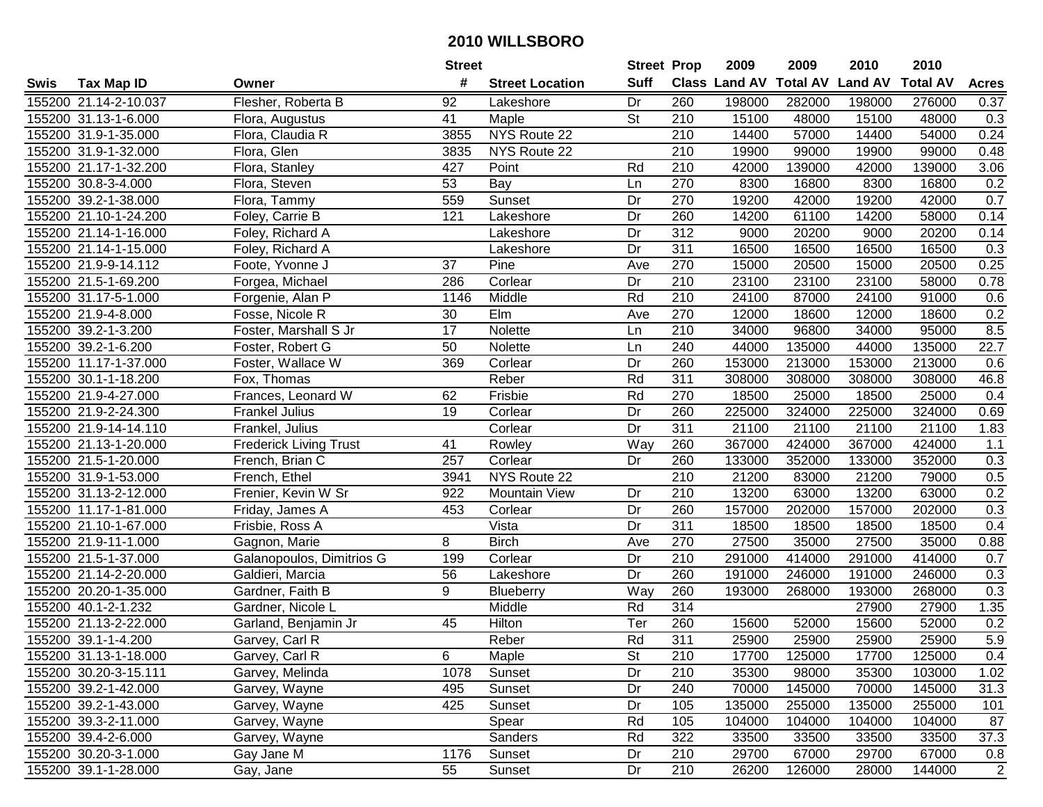|      |                       |                               | <b>Street</b> |                        | <b>Street Prop</b> |                  | 2009          | 2009            | 2010           | 2010            |                  |
|------|-----------------------|-------------------------------|---------------|------------------------|--------------------|------------------|---------------|-----------------|----------------|-----------------|------------------|
| Swis | <b>Tax Map ID</b>     | Owner                         | #             | <b>Street Location</b> | <b>Suff</b>        |                  | Class Land AV | <b>Total AV</b> | <b>Land AV</b> | <b>Total AV</b> | <b>Acres</b>     |
|      | 155200 21.14-2-10.037 | Flesher, Roberta B            | 92            | Lakeshore              | Dr                 | 260              | 198000        | 282000          | 198000         | 276000          | 0.37             |
|      | 155200 31.13-1-6.000  | Flora, Augustus               | 41            | Maple                  | <b>St</b>          | 210              | 15100         | 48000           | 15100          | 48000           | 0.3              |
|      | 155200 31.9-1-35.000  | Flora, Claudia R              | 3855          | NYS Route 22           |                    | 210              | 14400         | 57000           | 14400          | 54000           | 0.24             |
|      | 155200 31.9-1-32.000  | Flora, Glen                   | 3835          | NYS Route 22           |                    | 210              | 19900         | 99000           | 19900          | 99000           | 0.48             |
|      | 155200 21.17-1-32.200 | Flora, Stanley                | 427           | Point                  | Rd                 | 210              | 42000         | 139000          | 42000          | 139000          | 3.06             |
|      | 155200 30.8-3-4.000   | Flora, Steven                 | 53            | Bay                    | Ln                 | 270              | 8300          | 16800           | 8300           | 16800           | 0.2              |
|      | 155200 39.2-1-38.000  | Flora, Tammy                  | 559           | Sunset                 | Dr                 | 270              | 19200         | 42000           | 19200          | 42000           | 0.7              |
|      | 155200 21.10-1-24.200 | Foley, Carrie B               | 121           | Lakeshore              | Dr                 | 260              | 14200         | 61100           | 14200          | 58000           | 0.14             |
|      | 155200 21.14-1-16.000 | Foley, Richard A              |               | Lakeshore              | Dr                 | $\overline{312}$ | 9000          | 20200           | 9000           | 20200           | 0.14             |
|      | 155200 21.14-1-15.000 | Foley, Richard A              |               | Lakeshore              | Dr                 | 311              | 16500         | 16500           | 16500          | 16500           | 0.3              |
|      | 155200 21.9-9-14.112  | Foote, Yvonne J               | 37            | Pine                   | Ave                | 270              | 15000         | 20500           | 15000          | 20500           | 0.25             |
|      | 155200 21.5-1-69.200  | Forgea, Michael               | 286           | Corlear                | Dr                 | 210              | 23100         | 23100           | 23100          | 58000           | 0.78             |
|      | 155200 31.17-5-1.000  | Forgenie, Alan P              | 1146          | Middle                 | Rd                 | 210              | 24100         | 87000           | 24100          | 91000           | 0.6              |
|      | 155200 21.9-4-8.000   | Fosse, Nicole R               | 30            | Elm                    | Ave                | 270              | 12000         | 18600           | 12000          | 18600           | 0.2              |
|      | 155200 39.2-1-3.200   | Foster, Marshall S Jr         | 17            | Nolette                | Ln                 | 210              | 34000         | 96800           | 34000          | 95000           | 8.5              |
|      | 155200 39.2-1-6.200   | Foster, Robert G              | 50            | Nolette                | Ln                 | 240              | 44000         | 135000          | 44000          | 135000          | 22.7             |
|      | 155200 11.17-1-37.000 | Foster, Wallace W             | 369           | Corlear                | Dr                 | 260              | 153000        | 213000          | 153000         | 213000          | 0.6              |
|      | 155200 30.1-1-18.200  | Fox, Thomas                   |               | Reber                  | Rd                 | 311              | 308000        | 308000          | 308000         | 308000          | 46.8             |
|      | 155200 21.9-4-27.000  | Frances, Leonard W            | 62            | Frisbie                | Rd                 | 270              | 18500         | 25000           | 18500          | 25000           | 0.4              |
|      | 155200 21.9-2-24.300  | <b>Frankel Julius</b>         | 19            | Corlear                | Dr                 | 260              | 225000        | 324000          | 225000         | 324000          | 0.69             |
|      | 155200 21.9-14-14.110 | Frankel, Julius               |               | Corlear                | Dr                 | 311              | 21100         | 21100           | 21100          | 21100           | 1.83             |
|      | 155200 21.13-1-20.000 | <b>Frederick Living Trust</b> | 41            | Rowley                 | Way                | 260              | 367000        | 424000          | 367000         | 424000          | $1.1$            |
|      | 155200 21.5-1-20.000  | French, Brian C               | 257           | Corlear                | Dr                 | 260              | 133000        | 352000          | 133000         | 352000          | 0.3              |
|      | 155200 31.9-1-53.000  | French, Ethel                 | 3941          | NYS Route 22           |                    | 210              | 21200         | 83000           | 21200          | 79000           | 0.5              |
|      | 155200 31.13-2-12.000 | Frenier, Kevin W Sr           | 922           | <b>Mountain View</b>   | Dr                 | 210              | 13200         | 63000           | 13200          | 63000           | 0.2              |
|      | 155200 11.17-1-81.000 | Friday, James A               | 453           | Corlear                | Dr                 | 260              | 157000        | 202000          | 157000         | 202000          | 0.3              |
|      | 155200 21.10-1-67.000 | Frisbie, Ross A               |               | Vista                  | Dr                 | 311              | 18500         | 18500           | 18500          | 18500           | 0.4              |
|      | 155200 21.9-11-1.000  | Gagnon, Marie                 | 8             | <b>Birch</b>           | Ave                | 270              | 27500         | 35000           | 27500          | 35000           | 0.88             |
|      | 155200 21.5-1-37.000  | Galanopoulos, Dimitrios G     | 199           | Corlear                | Dr                 | $\overline{210}$ | 291000        | 414000          | 291000         | 414000          | 0.7              |
|      | 155200 21.14-2-20.000 | Galdieri, Marcia              | 56            | Lakeshore              | Dr                 | 260              | 191000        | 246000          | 191000         | 246000          | 0.3              |
|      | 155200 20.20-1-35.000 | Gardner, Faith B              | 9             | Blueberry              | Way                | 260              | 193000        | 268000          | 193000         | 268000          | $\overline{0.3}$ |
|      | 155200 40.1-2-1.232   | Gardner, Nicole L             |               | Middle                 | Rd                 | 314              |               |                 | 27900          | 27900           | 1.35             |
|      | 155200 21.13-2-22.000 | Garland, Benjamin Jr          | 45            | <b>Hilton</b>          | Ter                | 260              | 15600         | 52000           | 15600          | 52000           | 0.2              |
|      | 155200 39.1-1-4.200   | Garvey, Carl R                |               | Reber                  | Rd                 | 311              | 25900         | 25900           | 25900          | 25900           | 5.9              |
|      | 155200 31.13-1-18.000 | Garvey, Carl R                | 6             | Maple                  | <b>St</b>          | 210              | 17700         | 125000          | 17700          | 125000          | 0.4              |
|      | 155200 30.20-3-15.111 | Garvey, Melinda               | 1078          | Sunset                 | Dr                 | 210              | 35300         | 98000           | 35300          | 103000          | 1.02             |
|      | 155200 39.2-1-42.000  | Garvey, Wayne                 | 495           | Sunset                 | Dr                 | 240              | 70000         | 145000          | 70000          | 145000          | 31.3             |
|      | 155200 39.2-1-43.000  | Garvey, Wayne                 | 425           | Sunset                 | Dr                 | 105              | 135000        | 255000          | 135000         | 255000          | 101              |
|      | 155200 39.3-2-11.000  | Garvey, Wayne                 |               | Spear                  | Rd                 | 105              | 104000        | 104000          | 104000         | 104000          | 87               |
|      | 155200 39.4-2-6.000   | Garvey, Wayne                 |               | Sanders                | Rd                 | 322              | 33500         | 33500           | 33500          | 33500           | 37.3             |
|      | 155200 30.20-3-1.000  | Gay Jane M                    | 1176          | Sunset                 | Dr                 | 210              | 29700         | 67000           | 29700          | 67000           | 0.8              |
|      | 155200 39.1-1-28.000  | Gay, Jane                     | 55            | Sunset                 | Dr                 | 210              | 26200         | 126000          | 28000          | 144000          | $\overline{2}$   |
|      |                       |                               |               |                        |                    |                  |               |                 |                |                 |                  |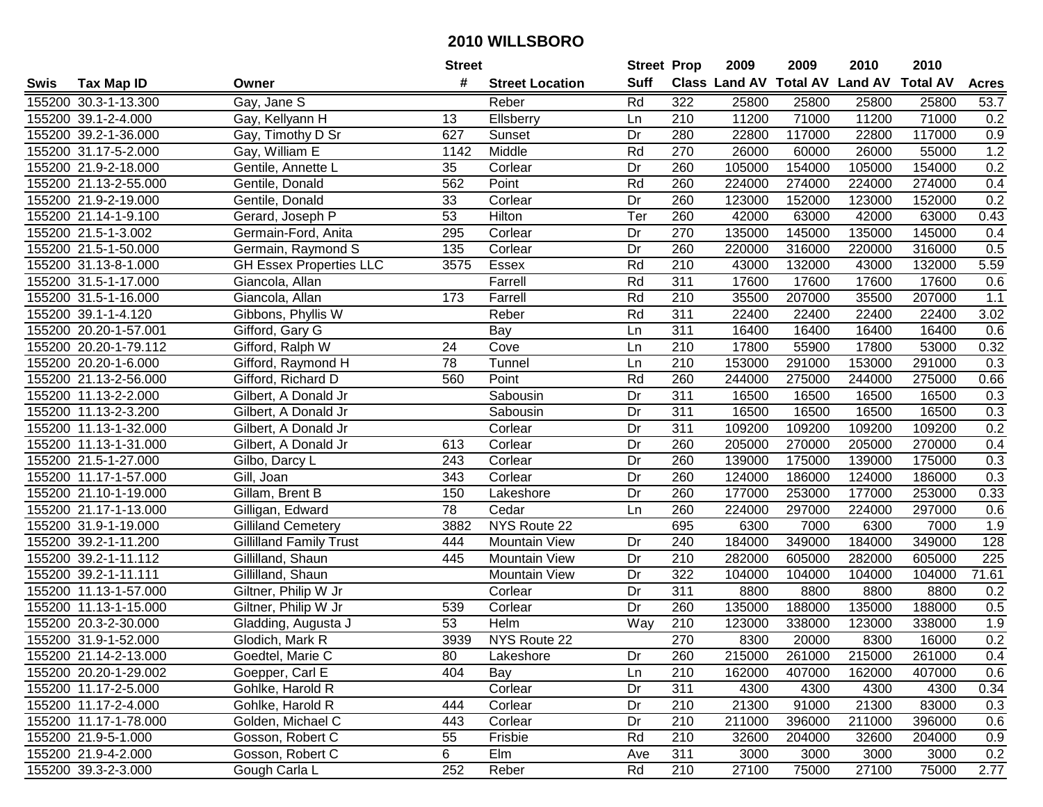| #<br><b>Suff</b><br><b>Class Land AV Total AV</b><br><b>Land AV</b><br><b>Total AV</b><br><b>Acres</b><br><b>Tax Map ID</b><br><b>Street Location</b><br>Swis<br>Owner<br>Rd<br>322<br>155200 30.3-1-13.300<br>Gay, Jane S<br>25800<br>25800<br>25800<br>25800<br>53.7<br>Reber<br>71000<br>155200 39.1-2-4.000<br>Ellsberry<br>210<br>11200<br>11200<br>71000<br>0.2<br>Gay, Kellyann H<br>13<br>Ln<br>155200 39.2-1-36.000<br>Gay, Timothy D Sr<br>627<br>Sunset<br>Dr<br>280<br>22800<br>117000<br>22800<br>117000<br>0.9<br>1.2<br>Middle<br>Rd<br>270<br>26000<br>26000<br>55000<br>155200 31.17-5-2.000<br>Gay, William E<br>1142<br>60000<br>0.2<br>155200 21.9-2-18.000<br>Gentile, Annette L<br>35<br>260<br>105000<br>154000<br>105000<br>154000<br>Corlear<br>Dr<br>562<br>Point<br>Rd<br>0.4<br>155200 21.13-2-55.000<br>260<br>224000<br>274000<br>224000<br>274000<br>Gentile, Donald<br>0.2<br>155200 21.9-2-19.000<br>Corlear<br>260<br>123000<br>152000<br>Gentile, Donald<br>33<br>Dr<br>123000<br>152000<br>155200 21.14-1-9.100<br>53<br><b>Hilton</b><br>Ter<br>260<br>42000<br>63000<br>0.43<br>Gerard, Joseph P<br>63000<br>42000<br>155200 21.5-1-3.002<br>270<br>135000<br>145000<br>Germain-Ford, Anita<br>295<br>Corlear<br>Dr<br>135000<br>145000<br>0.4<br>155200 21.5-1-50.000<br>Corlear<br>260<br>220000<br>316000<br>Germain, Raymond S<br>135<br>Dr<br>220000<br>316000<br>0.5<br>210<br>155200 31.13-8-1.000<br><b>GH Essex Properties LLC</b><br>3575<br>Essex<br>Rd<br>43000<br>132000<br>43000<br>132000<br>5.59<br>155200 31.5-1-17.000<br>Giancola, Allan<br>Farrell<br>Rd<br>311<br>17600<br>17600<br>17600<br>17600<br>0.6<br>1.1<br>155200 31.5-1-16.000<br>Farrell<br>Rd<br>210<br>35500<br>207000<br>35500<br>207000<br>Giancola, Allan<br>173<br>Reber<br>Rd<br>311<br>155200 39.1-1-4.120<br>Gibbons, Phyllis W<br>22400<br>22400<br>22400<br>22400<br>3.02<br>311<br>16400<br>155200 20.20-1-57.001<br>Gifford, Gary G<br>Bay<br>16400<br>16400<br>16400<br>0.6<br>Ln<br>210<br>155200 20.20-1-79.112<br>Gifford, Ralph W<br>24<br>Cove<br>17800<br>55900<br>17800<br>53000<br>0.32<br>Ln<br>$\overline{78}$<br>$\overline{210}$<br>155200 20.20-1-6.000<br>Gifford, Raymond H<br>Tunnel<br>153000<br>291000<br>153000<br>291000<br>0.3<br>Ln<br>Rd<br>260<br>155200 21.13-2-56.000<br>560<br>Point<br>244000<br>275000<br>244000<br>275000<br>0.66<br>Gifford, Richard D<br>Dr<br>311<br>0.3<br>155200 11.13-2-2.000<br>Sabousin<br>16500<br>16500<br>16500<br>16500<br>Gilbert, A Donald Jr<br>155200 11.13-2-3.200<br>Gilbert, A Donald Jr<br>Dr<br>311<br>16500<br>16500<br>16500<br>16500<br>0.3<br>Sabousin<br>0.2<br>155200 11.13-1-32.000<br>Dr<br>311<br>109200<br>109200<br>109200<br>109200<br>Gilbert, A Donald Jr<br>Corlear<br>155200 11.13-1-31.000<br>613<br>Corlear<br>Dr<br>260<br>205000<br>270000<br>205000<br>270000<br>0.4<br>Gilbert, A Donald Jr<br>260<br>0.3<br>155200 21.5-1-27.000<br>243<br>Corlear<br>Dr<br>139000<br>175000<br>139000<br>175000<br>Gilbo, Darcy L<br>155200 11.17-1-57.000<br>Gill, Joan<br>343<br>Corlear<br>Dr<br>260<br>124000<br>186000<br>124000<br>186000<br>0.3<br>155200 21.10-1-19.000<br>Gillam, Brent B<br>Dr<br>260<br>177000<br>253000<br>177000<br>253000<br>0.33<br>150<br>Lakeshore<br>78<br>260<br>224000<br>297000<br>155200 21.17-1-13.000<br>Gilligan, Edward<br>Cedar<br>Ln<br>224000<br>297000<br>0.6<br>NYS Route 22<br>695<br>1.9<br>155200 31.9-1-19.000<br><b>Gilliland Cemetery</b><br>3882<br>6300<br>7000<br>6300<br>7000<br>184000<br>349000<br>184000<br>349000<br>155200 39.2-1-11.200<br>444<br><b>Mountain View</b><br>240<br>128<br><b>Gillilland Family Trust</b><br>Dr<br>$\overline{210}$<br>155200 39.2-1-11.112<br>Gillilland, Shaun<br>Dr<br>282000<br>605000<br>282000<br>605000<br>225<br>445<br><b>Mountain View</b><br>Gillilland, Shaun<br>322<br>155200 39.2-1-11.111<br><b>Mountain View</b><br>Dr<br>104000<br>104000<br>104000<br>104000<br>71.61<br>311<br>155200 11.13-1-57.000<br>$\overline{Dr}$<br>8800<br>8800<br>8800<br>0.2<br>Giltner, Philip W Jr<br>Corlear<br>8800<br>155200 11.13-1-15.000<br>Dr<br>260<br>135000<br>188000<br>135000<br>188000<br>0.5<br>Giltner, Philip W Jr<br>539<br>Corlear<br>155200 20.3-2-30.000<br>53<br><b>Helm</b><br>$\overline{210}$<br>123000<br>1.9<br>Way<br>338000<br>123000<br>338000<br>Gladding, Augusta J<br>270<br>0.2<br>155200 31.9-1-52.000<br>Glodich, Mark R<br>3939<br>NYS Route 22<br>8300<br>20000<br>8300<br>16000<br>155200 21.14-2-13.000<br>Goedtel, Marie C<br>80<br>Lakeshore<br>Dr<br>260<br>215000<br>261000<br>215000<br>261000<br>0.4<br>0.6<br>155200 20.20-1-29.002<br>Goepper, Carl E<br>404<br>Bay<br>210<br>162000<br>407000<br>162000<br>407000<br>Ln<br>155200 11.17-2-5.000<br>311<br>0.34<br>Gohlke, Harold R<br>Corlear<br>Dr<br>4300<br>4300<br>4300<br>4300<br>155200 11.17-2-4.000<br>444<br>210<br>21300<br>91000<br>21300<br>83000<br>0.3<br>Gohlke, Harold R<br>Corlear<br>Dr<br>155200 11.17-1-78.000<br>Golden, Michael C<br>210<br>443<br>Corlear<br>Dr<br>211000<br>396000<br>211000<br>396000<br>0.6<br>210<br>32600<br>204000<br>0.9<br>155200 21.9-5-1.000<br>Gosson, Robert C<br>55<br>Frisbie<br>Rd<br>32600<br>204000<br>6<br>Elm<br>155200 21.9-4-2.000<br>Gosson, Robert C<br>311<br>3000<br>3000<br>3000<br>0.2<br>3000<br>Ave<br>252<br>2.77<br>155200 39.3-2-3.000<br>Gough Carla L<br>Rd<br>210<br>27100<br>27100<br>75000<br>Reber<br>75000 |  | <b>Street</b> | <b>Street Prop</b> | 2009 | 2009 | 2010 | 2010 |  |
|----------------------------------------------------------------------------------------------------------------------------------------------------------------------------------------------------------------------------------------------------------------------------------------------------------------------------------------------------------------------------------------------------------------------------------------------------------------------------------------------------------------------------------------------------------------------------------------------------------------------------------------------------------------------------------------------------------------------------------------------------------------------------------------------------------------------------------------------------------------------------------------------------------------------------------------------------------------------------------------------------------------------------------------------------------------------------------------------------------------------------------------------------------------------------------------------------------------------------------------------------------------------------------------------------------------------------------------------------------------------------------------------------------------------------------------------------------------------------------------------------------------------------------------------------------------------------------------------------------------------------------------------------------------------------------------------------------------------------------------------------------------------------------------------------------------------------------------------------------------------------------------------------------------------------------------------------------------------------------------------------------------------------------------------------------------------------------------------------------------------------------------------------------------------------------------------------------------------------------------------------------------------------------------------------------------------------------------------------------------------------------------------------------------------------------------------------------------------------------------------------------------------------------------------------------------------------------------------------------------------------------------------------------------------------------------------------------------------------------------------------------------------------------------------------------------------------------------------------------------------------------------------------------------------------------------------------------------------------------------------------------------------------------------------------------------------------------------------------------------------------------------------------------------------------------------------------------------------------------------------------------------------------------------------------------------------------------------------------------------------------------------------------------------------------------------------------------------------------------------------------------------------------------------------------------------------------------------------------------------------------------------------------------------------------------------------------------------------------------------------------------------------------------------------------------------------------------------------------------------------------------------------------------------------------------------------------------------------------------------------------------------------------------------------------------------------------------------------------------------------------------------------------------------------------------------------------------------------------------------------------------------------------------------------------------------------------------------------------------------------------------------------------------------------------------------------------------------------------------------------------------------------------------------------------------------------------------------------------------------------------------------------------------------------------------------------------------------------------------------------------------------------------------------------------------------------------------------------------------------------------------------------------------------------------------------------------------------------------------------------------------------------------------------------------------------------------------------------------------------------------------------------------------------------------------------------------------------------------------------------------------------------------------------------------------------------------------------------------------------------------------------------------------------------------------------------------------------------------------------------------|--|---------------|--------------------|------|------|------|------|--|
|                                                                                                                                                                                                                                                                                                                                                                                                                                                                                                                                                                                                                                                                                                                                                                                                                                                                                                                                                                                                                                                                                                                                                                                                                                                                                                                                                                                                                                                                                                                                                                                                                                                                                                                                                                                                                                                                                                                                                                                                                                                                                                                                                                                                                                                                                                                                                                                                                                                                                                                                                                                                                                                                                                                                                                                                                                                                                                                                                                                                                                                                                                                                                                                                                                                                                                                                                                                                                                                                                                                                                                                                                                                                                                                                                                                                                                                                                                                                                                                                                                                                                                                                                                                                                                                                                                                                                                                                                                                                                                                                                                                                                                                                                                                                                                                                                                                                                                                                                                                                                                                                                                                                                                                                                                                                                                                                                                                                                                                                                                    |  |               |                    |      |      |      |      |  |
|                                                                                                                                                                                                                                                                                                                                                                                                                                                                                                                                                                                                                                                                                                                                                                                                                                                                                                                                                                                                                                                                                                                                                                                                                                                                                                                                                                                                                                                                                                                                                                                                                                                                                                                                                                                                                                                                                                                                                                                                                                                                                                                                                                                                                                                                                                                                                                                                                                                                                                                                                                                                                                                                                                                                                                                                                                                                                                                                                                                                                                                                                                                                                                                                                                                                                                                                                                                                                                                                                                                                                                                                                                                                                                                                                                                                                                                                                                                                                                                                                                                                                                                                                                                                                                                                                                                                                                                                                                                                                                                                                                                                                                                                                                                                                                                                                                                                                                                                                                                                                                                                                                                                                                                                                                                                                                                                                                                                                                                                                                    |  |               |                    |      |      |      |      |  |
|                                                                                                                                                                                                                                                                                                                                                                                                                                                                                                                                                                                                                                                                                                                                                                                                                                                                                                                                                                                                                                                                                                                                                                                                                                                                                                                                                                                                                                                                                                                                                                                                                                                                                                                                                                                                                                                                                                                                                                                                                                                                                                                                                                                                                                                                                                                                                                                                                                                                                                                                                                                                                                                                                                                                                                                                                                                                                                                                                                                                                                                                                                                                                                                                                                                                                                                                                                                                                                                                                                                                                                                                                                                                                                                                                                                                                                                                                                                                                                                                                                                                                                                                                                                                                                                                                                                                                                                                                                                                                                                                                                                                                                                                                                                                                                                                                                                                                                                                                                                                                                                                                                                                                                                                                                                                                                                                                                                                                                                                                                    |  |               |                    |      |      |      |      |  |
|                                                                                                                                                                                                                                                                                                                                                                                                                                                                                                                                                                                                                                                                                                                                                                                                                                                                                                                                                                                                                                                                                                                                                                                                                                                                                                                                                                                                                                                                                                                                                                                                                                                                                                                                                                                                                                                                                                                                                                                                                                                                                                                                                                                                                                                                                                                                                                                                                                                                                                                                                                                                                                                                                                                                                                                                                                                                                                                                                                                                                                                                                                                                                                                                                                                                                                                                                                                                                                                                                                                                                                                                                                                                                                                                                                                                                                                                                                                                                                                                                                                                                                                                                                                                                                                                                                                                                                                                                                                                                                                                                                                                                                                                                                                                                                                                                                                                                                                                                                                                                                                                                                                                                                                                                                                                                                                                                                                                                                                                                                    |  |               |                    |      |      |      |      |  |
|                                                                                                                                                                                                                                                                                                                                                                                                                                                                                                                                                                                                                                                                                                                                                                                                                                                                                                                                                                                                                                                                                                                                                                                                                                                                                                                                                                                                                                                                                                                                                                                                                                                                                                                                                                                                                                                                                                                                                                                                                                                                                                                                                                                                                                                                                                                                                                                                                                                                                                                                                                                                                                                                                                                                                                                                                                                                                                                                                                                                                                                                                                                                                                                                                                                                                                                                                                                                                                                                                                                                                                                                                                                                                                                                                                                                                                                                                                                                                                                                                                                                                                                                                                                                                                                                                                                                                                                                                                                                                                                                                                                                                                                                                                                                                                                                                                                                                                                                                                                                                                                                                                                                                                                                                                                                                                                                                                                                                                                                                                    |  |               |                    |      |      |      |      |  |
|                                                                                                                                                                                                                                                                                                                                                                                                                                                                                                                                                                                                                                                                                                                                                                                                                                                                                                                                                                                                                                                                                                                                                                                                                                                                                                                                                                                                                                                                                                                                                                                                                                                                                                                                                                                                                                                                                                                                                                                                                                                                                                                                                                                                                                                                                                                                                                                                                                                                                                                                                                                                                                                                                                                                                                                                                                                                                                                                                                                                                                                                                                                                                                                                                                                                                                                                                                                                                                                                                                                                                                                                                                                                                                                                                                                                                                                                                                                                                                                                                                                                                                                                                                                                                                                                                                                                                                                                                                                                                                                                                                                                                                                                                                                                                                                                                                                                                                                                                                                                                                                                                                                                                                                                                                                                                                                                                                                                                                                                                                    |  |               |                    |      |      |      |      |  |
|                                                                                                                                                                                                                                                                                                                                                                                                                                                                                                                                                                                                                                                                                                                                                                                                                                                                                                                                                                                                                                                                                                                                                                                                                                                                                                                                                                                                                                                                                                                                                                                                                                                                                                                                                                                                                                                                                                                                                                                                                                                                                                                                                                                                                                                                                                                                                                                                                                                                                                                                                                                                                                                                                                                                                                                                                                                                                                                                                                                                                                                                                                                                                                                                                                                                                                                                                                                                                                                                                                                                                                                                                                                                                                                                                                                                                                                                                                                                                                                                                                                                                                                                                                                                                                                                                                                                                                                                                                                                                                                                                                                                                                                                                                                                                                                                                                                                                                                                                                                                                                                                                                                                                                                                                                                                                                                                                                                                                                                                                                    |  |               |                    |      |      |      |      |  |
|                                                                                                                                                                                                                                                                                                                                                                                                                                                                                                                                                                                                                                                                                                                                                                                                                                                                                                                                                                                                                                                                                                                                                                                                                                                                                                                                                                                                                                                                                                                                                                                                                                                                                                                                                                                                                                                                                                                                                                                                                                                                                                                                                                                                                                                                                                                                                                                                                                                                                                                                                                                                                                                                                                                                                                                                                                                                                                                                                                                                                                                                                                                                                                                                                                                                                                                                                                                                                                                                                                                                                                                                                                                                                                                                                                                                                                                                                                                                                                                                                                                                                                                                                                                                                                                                                                                                                                                                                                                                                                                                                                                                                                                                                                                                                                                                                                                                                                                                                                                                                                                                                                                                                                                                                                                                                                                                                                                                                                                                                                    |  |               |                    |      |      |      |      |  |
|                                                                                                                                                                                                                                                                                                                                                                                                                                                                                                                                                                                                                                                                                                                                                                                                                                                                                                                                                                                                                                                                                                                                                                                                                                                                                                                                                                                                                                                                                                                                                                                                                                                                                                                                                                                                                                                                                                                                                                                                                                                                                                                                                                                                                                                                                                                                                                                                                                                                                                                                                                                                                                                                                                                                                                                                                                                                                                                                                                                                                                                                                                                                                                                                                                                                                                                                                                                                                                                                                                                                                                                                                                                                                                                                                                                                                                                                                                                                                                                                                                                                                                                                                                                                                                                                                                                                                                                                                                                                                                                                                                                                                                                                                                                                                                                                                                                                                                                                                                                                                                                                                                                                                                                                                                                                                                                                                                                                                                                                                                    |  |               |                    |      |      |      |      |  |
|                                                                                                                                                                                                                                                                                                                                                                                                                                                                                                                                                                                                                                                                                                                                                                                                                                                                                                                                                                                                                                                                                                                                                                                                                                                                                                                                                                                                                                                                                                                                                                                                                                                                                                                                                                                                                                                                                                                                                                                                                                                                                                                                                                                                                                                                                                                                                                                                                                                                                                                                                                                                                                                                                                                                                                                                                                                                                                                                                                                                                                                                                                                                                                                                                                                                                                                                                                                                                                                                                                                                                                                                                                                                                                                                                                                                                                                                                                                                                                                                                                                                                                                                                                                                                                                                                                                                                                                                                                                                                                                                                                                                                                                                                                                                                                                                                                                                                                                                                                                                                                                                                                                                                                                                                                                                                                                                                                                                                                                                                                    |  |               |                    |      |      |      |      |  |
|                                                                                                                                                                                                                                                                                                                                                                                                                                                                                                                                                                                                                                                                                                                                                                                                                                                                                                                                                                                                                                                                                                                                                                                                                                                                                                                                                                                                                                                                                                                                                                                                                                                                                                                                                                                                                                                                                                                                                                                                                                                                                                                                                                                                                                                                                                                                                                                                                                                                                                                                                                                                                                                                                                                                                                                                                                                                                                                                                                                                                                                                                                                                                                                                                                                                                                                                                                                                                                                                                                                                                                                                                                                                                                                                                                                                                                                                                                                                                                                                                                                                                                                                                                                                                                                                                                                                                                                                                                                                                                                                                                                                                                                                                                                                                                                                                                                                                                                                                                                                                                                                                                                                                                                                                                                                                                                                                                                                                                                                                                    |  |               |                    |      |      |      |      |  |
|                                                                                                                                                                                                                                                                                                                                                                                                                                                                                                                                                                                                                                                                                                                                                                                                                                                                                                                                                                                                                                                                                                                                                                                                                                                                                                                                                                                                                                                                                                                                                                                                                                                                                                                                                                                                                                                                                                                                                                                                                                                                                                                                                                                                                                                                                                                                                                                                                                                                                                                                                                                                                                                                                                                                                                                                                                                                                                                                                                                                                                                                                                                                                                                                                                                                                                                                                                                                                                                                                                                                                                                                                                                                                                                                                                                                                                                                                                                                                                                                                                                                                                                                                                                                                                                                                                                                                                                                                                                                                                                                                                                                                                                                                                                                                                                                                                                                                                                                                                                                                                                                                                                                                                                                                                                                                                                                                                                                                                                                                                    |  |               |                    |      |      |      |      |  |
|                                                                                                                                                                                                                                                                                                                                                                                                                                                                                                                                                                                                                                                                                                                                                                                                                                                                                                                                                                                                                                                                                                                                                                                                                                                                                                                                                                                                                                                                                                                                                                                                                                                                                                                                                                                                                                                                                                                                                                                                                                                                                                                                                                                                                                                                                                                                                                                                                                                                                                                                                                                                                                                                                                                                                                                                                                                                                                                                                                                                                                                                                                                                                                                                                                                                                                                                                                                                                                                                                                                                                                                                                                                                                                                                                                                                                                                                                                                                                                                                                                                                                                                                                                                                                                                                                                                                                                                                                                                                                                                                                                                                                                                                                                                                                                                                                                                                                                                                                                                                                                                                                                                                                                                                                                                                                                                                                                                                                                                                                                    |  |               |                    |      |      |      |      |  |
|                                                                                                                                                                                                                                                                                                                                                                                                                                                                                                                                                                                                                                                                                                                                                                                                                                                                                                                                                                                                                                                                                                                                                                                                                                                                                                                                                                                                                                                                                                                                                                                                                                                                                                                                                                                                                                                                                                                                                                                                                                                                                                                                                                                                                                                                                                                                                                                                                                                                                                                                                                                                                                                                                                                                                                                                                                                                                                                                                                                                                                                                                                                                                                                                                                                                                                                                                                                                                                                                                                                                                                                                                                                                                                                                                                                                                                                                                                                                                                                                                                                                                                                                                                                                                                                                                                                                                                                                                                                                                                                                                                                                                                                                                                                                                                                                                                                                                                                                                                                                                                                                                                                                                                                                                                                                                                                                                                                                                                                                                                    |  |               |                    |      |      |      |      |  |
|                                                                                                                                                                                                                                                                                                                                                                                                                                                                                                                                                                                                                                                                                                                                                                                                                                                                                                                                                                                                                                                                                                                                                                                                                                                                                                                                                                                                                                                                                                                                                                                                                                                                                                                                                                                                                                                                                                                                                                                                                                                                                                                                                                                                                                                                                                                                                                                                                                                                                                                                                                                                                                                                                                                                                                                                                                                                                                                                                                                                                                                                                                                                                                                                                                                                                                                                                                                                                                                                                                                                                                                                                                                                                                                                                                                                                                                                                                                                                                                                                                                                                                                                                                                                                                                                                                                                                                                                                                                                                                                                                                                                                                                                                                                                                                                                                                                                                                                                                                                                                                                                                                                                                                                                                                                                                                                                                                                                                                                                                                    |  |               |                    |      |      |      |      |  |
|                                                                                                                                                                                                                                                                                                                                                                                                                                                                                                                                                                                                                                                                                                                                                                                                                                                                                                                                                                                                                                                                                                                                                                                                                                                                                                                                                                                                                                                                                                                                                                                                                                                                                                                                                                                                                                                                                                                                                                                                                                                                                                                                                                                                                                                                                                                                                                                                                                                                                                                                                                                                                                                                                                                                                                                                                                                                                                                                                                                                                                                                                                                                                                                                                                                                                                                                                                                                                                                                                                                                                                                                                                                                                                                                                                                                                                                                                                                                                                                                                                                                                                                                                                                                                                                                                                                                                                                                                                                                                                                                                                                                                                                                                                                                                                                                                                                                                                                                                                                                                                                                                                                                                                                                                                                                                                                                                                                                                                                                                                    |  |               |                    |      |      |      |      |  |
|                                                                                                                                                                                                                                                                                                                                                                                                                                                                                                                                                                                                                                                                                                                                                                                                                                                                                                                                                                                                                                                                                                                                                                                                                                                                                                                                                                                                                                                                                                                                                                                                                                                                                                                                                                                                                                                                                                                                                                                                                                                                                                                                                                                                                                                                                                                                                                                                                                                                                                                                                                                                                                                                                                                                                                                                                                                                                                                                                                                                                                                                                                                                                                                                                                                                                                                                                                                                                                                                                                                                                                                                                                                                                                                                                                                                                                                                                                                                                                                                                                                                                                                                                                                                                                                                                                                                                                                                                                                                                                                                                                                                                                                                                                                                                                                                                                                                                                                                                                                                                                                                                                                                                                                                                                                                                                                                                                                                                                                                                                    |  |               |                    |      |      |      |      |  |
|                                                                                                                                                                                                                                                                                                                                                                                                                                                                                                                                                                                                                                                                                                                                                                                                                                                                                                                                                                                                                                                                                                                                                                                                                                                                                                                                                                                                                                                                                                                                                                                                                                                                                                                                                                                                                                                                                                                                                                                                                                                                                                                                                                                                                                                                                                                                                                                                                                                                                                                                                                                                                                                                                                                                                                                                                                                                                                                                                                                                                                                                                                                                                                                                                                                                                                                                                                                                                                                                                                                                                                                                                                                                                                                                                                                                                                                                                                                                                                                                                                                                                                                                                                                                                                                                                                                                                                                                                                                                                                                                                                                                                                                                                                                                                                                                                                                                                                                                                                                                                                                                                                                                                                                                                                                                                                                                                                                                                                                                                                    |  |               |                    |      |      |      |      |  |
|                                                                                                                                                                                                                                                                                                                                                                                                                                                                                                                                                                                                                                                                                                                                                                                                                                                                                                                                                                                                                                                                                                                                                                                                                                                                                                                                                                                                                                                                                                                                                                                                                                                                                                                                                                                                                                                                                                                                                                                                                                                                                                                                                                                                                                                                                                                                                                                                                                                                                                                                                                                                                                                                                                                                                                                                                                                                                                                                                                                                                                                                                                                                                                                                                                                                                                                                                                                                                                                                                                                                                                                                                                                                                                                                                                                                                                                                                                                                                                                                                                                                                                                                                                                                                                                                                                                                                                                                                                                                                                                                                                                                                                                                                                                                                                                                                                                                                                                                                                                                                                                                                                                                                                                                                                                                                                                                                                                                                                                                                                    |  |               |                    |      |      |      |      |  |
|                                                                                                                                                                                                                                                                                                                                                                                                                                                                                                                                                                                                                                                                                                                                                                                                                                                                                                                                                                                                                                                                                                                                                                                                                                                                                                                                                                                                                                                                                                                                                                                                                                                                                                                                                                                                                                                                                                                                                                                                                                                                                                                                                                                                                                                                                                                                                                                                                                                                                                                                                                                                                                                                                                                                                                                                                                                                                                                                                                                                                                                                                                                                                                                                                                                                                                                                                                                                                                                                                                                                                                                                                                                                                                                                                                                                                                                                                                                                                                                                                                                                                                                                                                                                                                                                                                                                                                                                                                                                                                                                                                                                                                                                                                                                                                                                                                                                                                                                                                                                                                                                                                                                                                                                                                                                                                                                                                                                                                                                                                    |  |               |                    |      |      |      |      |  |
|                                                                                                                                                                                                                                                                                                                                                                                                                                                                                                                                                                                                                                                                                                                                                                                                                                                                                                                                                                                                                                                                                                                                                                                                                                                                                                                                                                                                                                                                                                                                                                                                                                                                                                                                                                                                                                                                                                                                                                                                                                                                                                                                                                                                                                                                                                                                                                                                                                                                                                                                                                                                                                                                                                                                                                                                                                                                                                                                                                                                                                                                                                                                                                                                                                                                                                                                                                                                                                                                                                                                                                                                                                                                                                                                                                                                                                                                                                                                                                                                                                                                                                                                                                                                                                                                                                                                                                                                                                                                                                                                                                                                                                                                                                                                                                                                                                                                                                                                                                                                                                                                                                                                                                                                                                                                                                                                                                                                                                                                                                    |  |               |                    |      |      |      |      |  |
|                                                                                                                                                                                                                                                                                                                                                                                                                                                                                                                                                                                                                                                                                                                                                                                                                                                                                                                                                                                                                                                                                                                                                                                                                                                                                                                                                                                                                                                                                                                                                                                                                                                                                                                                                                                                                                                                                                                                                                                                                                                                                                                                                                                                                                                                                                                                                                                                                                                                                                                                                                                                                                                                                                                                                                                                                                                                                                                                                                                                                                                                                                                                                                                                                                                                                                                                                                                                                                                                                                                                                                                                                                                                                                                                                                                                                                                                                                                                                                                                                                                                                                                                                                                                                                                                                                                                                                                                                                                                                                                                                                                                                                                                                                                                                                                                                                                                                                                                                                                                                                                                                                                                                                                                                                                                                                                                                                                                                                                                                                    |  |               |                    |      |      |      |      |  |
|                                                                                                                                                                                                                                                                                                                                                                                                                                                                                                                                                                                                                                                                                                                                                                                                                                                                                                                                                                                                                                                                                                                                                                                                                                                                                                                                                                                                                                                                                                                                                                                                                                                                                                                                                                                                                                                                                                                                                                                                                                                                                                                                                                                                                                                                                                                                                                                                                                                                                                                                                                                                                                                                                                                                                                                                                                                                                                                                                                                                                                                                                                                                                                                                                                                                                                                                                                                                                                                                                                                                                                                                                                                                                                                                                                                                                                                                                                                                                                                                                                                                                                                                                                                                                                                                                                                                                                                                                                                                                                                                                                                                                                                                                                                                                                                                                                                                                                                                                                                                                                                                                                                                                                                                                                                                                                                                                                                                                                                                                                    |  |               |                    |      |      |      |      |  |
|                                                                                                                                                                                                                                                                                                                                                                                                                                                                                                                                                                                                                                                                                                                                                                                                                                                                                                                                                                                                                                                                                                                                                                                                                                                                                                                                                                                                                                                                                                                                                                                                                                                                                                                                                                                                                                                                                                                                                                                                                                                                                                                                                                                                                                                                                                                                                                                                                                                                                                                                                                                                                                                                                                                                                                                                                                                                                                                                                                                                                                                                                                                                                                                                                                                                                                                                                                                                                                                                                                                                                                                                                                                                                                                                                                                                                                                                                                                                                                                                                                                                                                                                                                                                                                                                                                                                                                                                                                                                                                                                                                                                                                                                                                                                                                                                                                                                                                                                                                                                                                                                                                                                                                                                                                                                                                                                                                                                                                                                                                    |  |               |                    |      |      |      |      |  |
|                                                                                                                                                                                                                                                                                                                                                                                                                                                                                                                                                                                                                                                                                                                                                                                                                                                                                                                                                                                                                                                                                                                                                                                                                                                                                                                                                                                                                                                                                                                                                                                                                                                                                                                                                                                                                                                                                                                                                                                                                                                                                                                                                                                                                                                                                                                                                                                                                                                                                                                                                                                                                                                                                                                                                                                                                                                                                                                                                                                                                                                                                                                                                                                                                                                                                                                                                                                                                                                                                                                                                                                                                                                                                                                                                                                                                                                                                                                                                                                                                                                                                                                                                                                                                                                                                                                                                                                                                                                                                                                                                                                                                                                                                                                                                                                                                                                                                                                                                                                                                                                                                                                                                                                                                                                                                                                                                                                                                                                                                                    |  |               |                    |      |      |      |      |  |
|                                                                                                                                                                                                                                                                                                                                                                                                                                                                                                                                                                                                                                                                                                                                                                                                                                                                                                                                                                                                                                                                                                                                                                                                                                                                                                                                                                                                                                                                                                                                                                                                                                                                                                                                                                                                                                                                                                                                                                                                                                                                                                                                                                                                                                                                                                                                                                                                                                                                                                                                                                                                                                                                                                                                                                                                                                                                                                                                                                                                                                                                                                                                                                                                                                                                                                                                                                                                                                                                                                                                                                                                                                                                                                                                                                                                                                                                                                                                                                                                                                                                                                                                                                                                                                                                                                                                                                                                                                                                                                                                                                                                                                                                                                                                                                                                                                                                                                                                                                                                                                                                                                                                                                                                                                                                                                                                                                                                                                                                                                    |  |               |                    |      |      |      |      |  |
|                                                                                                                                                                                                                                                                                                                                                                                                                                                                                                                                                                                                                                                                                                                                                                                                                                                                                                                                                                                                                                                                                                                                                                                                                                                                                                                                                                                                                                                                                                                                                                                                                                                                                                                                                                                                                                                                                                                                                                                                                                                                                                                                                                                                                                                                                                                                                                                                                                                                                                                                                                                                                                                                                                                                                                                                                                                                                                                                                                                                                                                                                                                                                                                                                                                                                                                                                                                                                                                                                                                                                                                                                                                                                                                                                                                                                                                                                                                                                                                                                                                                                                                                                                                                                                                                                                                                                                                                                                                                                                                                                                                                                                                                                                                                                                                                                                                                                                                                                                                                                                                                                                                                                                                                                                                                                                                                                                                                                                                                                                    |  |               |                    |      |      |      |      |  |
|                                                                                                                                                                                                                                                                                                                                                                                                                                                                                                                                                                                                                                                                                                                                                                                                                                                                                                                                                                                                                                                                                                                                                                                                                                                                                                                                                                                                                                                                                                                                                                                                                                                                                                                                                                                                                                                                                                                                                                                                                                                                                                                                                                                                                                                                                                                                                                                                                                                                                                                                                                                                                                                                                                                                                                                                                                                                                                                                                                                                                                                                                                                                                                                                                                                                                                                                                                                                                                                                                                                                                                                                                                                                                                                                                                                                                                                                                                                                                                                                                                                                                                                                                                                                                                                                                                                                                                                                                                                                                                                                                                                                                                                                                                                                                                                                                                                                                                                                                                                                                                                                                                                                                                                                                                                                                                                                                                                                                                                                                                    |  |               |                    |      |      |      |      |  |
|                                                                                                                                                                                                                                                                                                                                                                                                                                                                                                                                                                                                                                                                                                                                                                                                                                                                                                                                                                                                                                                                                                                                                                                                                                                                                                                                                                                                                                                                                                                                                                                                                                                                                                                                                                                                                                                                                                                                                                                                                                                                                                                                                                                                                                                                                                                                                                                                                                                                                                                                                                                                                                                                                                                                                                                                                                                                                                                                                                                                                                                                                                                                                                                                                                                                                                                                                                                                                                                                                                                                                                                                                                                                                                                                                                                                                                                                                                                                                                                                                                                                                                                                                                                                                                                                                                                                                                                                                                                                                                                                                                                                                                                                                                                                                                                                                                                                                                                                                                                                                                                                                                                                                                                                                                                                                                                                                                                                                                                                                                    |  |               |                    |      |      |      |      |  |
|                                                                                                                                                                                                                                                                                                                                                                                                                                                                                                                                                                                                                                                                                                                                                                                                                                                                                                                                                                                                                                                                                                                                                                                                                                                                                                                                                                                                                                                                                                                                                                                                                                                                                                                                                                                                                                                                                                                                                                                                                                                                                                                                                                                                                                                                                                                                                                                                                                                                                                                                                                                                                                                                                                                                                                                                                                                                                                                                                                                                                                                                                                                                                                                                                                                                                                                                                                                                                                                                                                                                                                                                                                                                                                                                                                                                                                                                                                                                                                                                                                                                                                                                                                                                                                                                                                                                                                                                                                                                                                                                                                                                                                                                                                                                                                                                                                                                                                                                                                                                                                                                                                                                                                                                                                                                                                                                                                                                                                                                                                    |  |               |                    |      |      |      |      |  |
|                                                                                                                                                                                                                                                                                                                                                                                                                                                                                                                                                                                                                                                                                                                                                                                                                                                                                                                                                                                                                                                                                                                                                                                                                                                                                                                                                                                                                                                                                                                                                                                                                                                                                                                                                                                                                                                                                                                                                                                                                                                                                                                                                                                                                                                                                                                                                                                                                                                                                                                                                                                                                                                                                                                                                                                                                                                                                                                                                                                                                                                                                                                                                                                                                                                                                                                                                                                                                                                                                                                                                                                                                                                                                                                                                                                                                                                                                                                                                                                                                                                                                                                                                                                                                                                                                                                                                                                                                                                                                                                                                                                                                                                                                                                                                                                                                                                                                                                                                                                                                                                                                                                                                                                                                                                                                                                                                                                                                                                                                                    |  |               |                    |      |      |      |      |  |
|                                                                                                                                                                                                                                                                                                                                                                                                                                                                                                                                                                                                                                                                                                                                                                                                                                                                                                                                                                                                                                                                                                                                                                                                                                                                                                                                                                                                                                                                                                                                                                                                                                                                                                                                                                                                                                                                                                                                                                                                                                                                                                                                                                                                                                                                                                                                                                                                                                                                                                                                                                                                                                                                                                                                                                                                                                                                                                                                                                                                                                                                                                                                                                                                                                                                                                                                                                                                                                                                                                                                                                                                                                                                                                                                                                                                                                                                                                                                                                                                                                                                                                                                                                                                                                                                                                                                                                                                                                                                                                                                                                                                                                                                                                                                                                                                                                                                                                                                                                                                                                                                                                                                                                                                                                                                                                                                                                                                                                                                                                    |  |               |                    |      |      |      |      |  |
|                                                                                                                                                                                                                                                                                                                                                                                                                                                                                                                                                                                                                                                                                                                                                                                                                                                                                                                                                                                                                                                                                                                                                                                                                                                                                                                                                                                                                                                                                                                                                                                                                                                                                                                                                                                                                                                                                                                                                                                                                                                                                                                                                                                                                                                                                                                                                                                                                                                                                                                                                                                                                                                                                                                                                                                                                                                                                                                                                                                                                                                                                                                                                                                                                                                                                                                                                                                                                                                                                                                                                                                                                                                                                                                                                                                                                                                                                                                                                                                                                                                                                                                                                                                                                                                                                                                                                                                                                                                                                                                                                                                                                                                                                                                                                                                                                                                                                                                                                                                                                                                                                                                                                                                                                                                                                                                                                                                                                                                                                                    |  |               |                    |      |      |      |      |  |
|                                                                                                                                                                                                                                                                                                                                                                                                                                                                                                                                                                                                                                                                                                                                                                                                                                                                                                                                                                                                                                                                                                                                                                                                                                                                                                                                                                                                                                                                                                                                                                                                                                                                                                                                                                                                                                                                                                                                                                                                                                                                                                                                                                                                                                                                                                                                                                                                                                                                                                                                                                                                                                                                                                                                                                                                                                                                                                                                                                                                                                                                                                                                                                                                                                                                                                                                                                                                                                                                                                                                                                                                                                                                                                                                                                                                                                                                                                                                                                                                                                                                                                                                                                                                                                                                                                                                                                                                                                                                                                                                                                                                                                                                                                                                                                                                                                                                                                                                                                                                                                                                                                                                                                                                                                                                                                                                                                                                                                                                                                    |  |               |                    |      |      |      |      |  |
|                                                                                                                                                                                                                                                                                                                                                                                                                                                                                                                                                                                                                                                                                                                                                                                                                                                                                                                                                                                                                                                                                                                                                                                                                                                                                                                                                                                                                                                                                                                                                                                                                                                                                                                                                                                                                                                                                                                                                                                                                                                                                                                                                                                                                                                                                                                                                                                                                                                                                                                                                                                                                                                                                                                                                                                                                                                                                                                                                                                                                                                                                                                                                                                                                                                                                                                                                                                                                                                                                                                                                                                                                                                                                                                                                                                                                                                                                                                                                                                                                                                                                                                                                                                                                                                                                                                                                                                                                                                                                                                                                                                                                                                                                                                                                                                                                                                                                                                                                                                                                                                                                                                                                                                                                                                                                                                                                                                                                                                                                                    |  |               |                    |      |      |      |      |  |
|                                                                                                                                                                                                                                                                                                                                                                                                                                                                                                                                                                                                                                                                                                                                                                                                                                                                                                                                                                                                                                                                                                                                                                                                                                                                                                                                                                                                                                                                                                                                                                                                                                                                                                                                                                                                                                                                                                                                                                                                                                                                                                                                                                                                                                                                                                                                                                                                                                                                                                                                                                                                                                                                                                                                                                                                                                                                                                                                                                                                                                                                                                                                                                                                                                                                                                                                                                                                                                                                                                                                                                                                                                                                                                                                                                                                                                                                                                                                                                                                                                                                                                                                                                                                                                                                                                                                                                                                                                                                                                                                                                                                                                                                                                                                                                                                                                                                                                                                                                                                                                                                                                                                                                                                                                                                                                                                                                                                                                                                                                    |  |               |                    |      |      |      |      |  |
|                                                                                                                                                                                                                                                                                                                                                                                                                                                                                                                                                                                                                                                                                                                                                                                                                                                                                                                                                                                                                                                                                                                                                                                                                                                                                                                                                                                                                                                                                                                                                                                                                                                                                                                                                                                                                                                                                                                                                                                                                                                                                                                                                                                                                                                                                                                                                                                                                                                                                                                                                                                                                                                                                                                                                                                                                                                                                                                                                                                                                                                                                                                                                                                                                                                                                                                                                                                                                                                                                                                                                                                                                                                                                                                                                                                                                                                                                                                                                                                                                                                                                                                                                                                                                                                                                                                                                                                                                                                                                                                                                                                                                                                                                                                                                                                                                                                                                                                                                                                                                                                                                                                                                                                                                                                                                                                                                                                                                                                                                                    |  |               |                    |      |      |      |      |  |
|                                                                                                                                                                                                                                                                                                                                                                                                                                                                                                                                                                                                                                                                                                                                                                                                                                                                                                                                                                                                                                                                                                                                                                                                                                                                                                                                                                                                                                                                                                                                                                                                                                                                                                                                                                                                                                                                                                                                                                                                                                                                                                                                                                                                                                                                                                                                                                                                                                                                                                                                                                                                                                                                                                                                                                                                                                                                                                                                                                                                                                                                                                                                                                                                                                                                                                                                                                                                                                                                                                                                                                                                                                                                                                                                                                                                                                                                                                                                                                                                                                                                                                                                                                                                                                                                                                                                                                                                                                                                                                                                                                                                                                                                                                                                                                                                                                                                                                                                                                                                                                                                                                                                                                                                                                                                                                                                                                                                                                                                                                    |  |               |                    |      |      |      |      |  |
|                                                                                                                                                                                                                                                                                                                                                                                                                                                                                                                                                                                                                                                                                                                                                                                                                                                                                                                                                                                                                                                                                                                                                                                                                                                                                                                                                                                                                                                                                                                                                                                                                                                                                                                                                                                                                                                                                                                                                                                                                                                                                                                                                                                                                                                                                                                                                                                                                                                                                                                                                                                                                                                                                                                                                                                                                                                                                                                                                                                                                                                                                                                                                                                                                                                                                                                                                                                                                                                                                                                                                                                                                                                                                                                                                                                                                                                                                                                                                                                                                                                                                                                                                                                                                                                                                                                                                                                                                                                                                                                                                                                                                                                                                                                                                                                                                                                                                                                                                                                                                                                                                                                                                                                                                                                                                                                                                                                                                                                                                                    |  |               |                    |      |      |      |      |  |
|                                                                                                                                                                                                                                                                                                                                                                                                                                                                                                                                                                                                                                                                                                                                                                                                                                                                                                                                                                                                                                                                                                                                                                                                                                                                                                                                                                                                                                                                                                                                                                                                                                                                                                                                                                                                                                                                                                                                                                                                                                                                                                                                                                                                                                                                                                                                                                                                                                                                                                                                                                                                                                                                                                                                                                                                                                                                                                                                                                                                                                                                                                                                                                                                                                                                                                                                                                                                                                                                                                                                                                                                                                                                                                                                                                                                                                                                                                                                                                                                                                                                                                                                                                                                                                                                                                                                                                                                                                                                                                                                                                                                                                                                                                                                                                                                                                                                                                                                                                                                                                                                                                                                                                                                                                                                                                                                                                                                                                                                                                    |  |               |                    |      |      |      |      |  |
|                                                                                                                                                                                                                                                                                                                                                                                                                                                                                                                                                                                                                                                                                                                                                                                                                                                                                                                                                                                                                                                                                                                                                                                                                                                                                                                                                                                                                                                                                                                                                                                                                                                                                                                                                                                                                                                                                                                                                                                                                                                                                                                                                                                                                                                                                                                                                                                                                                                                                                                                                                                                                                                                                                                                                                                                                                                                                                                                                                                                                                                                                                                                                                                                                                                                                                                                                                                                                                                                                                                                                                                                                                                                                                                                                                                                                                                                                                                                                                                                                                                                                                                                                                                                                                                                                                                                                                                                                                                                                                                                                                                                                                                                                                                                                                                                                                                                                                                                                                                                                                                                                                                                                                                                                                                                                                                                                                                                                                                                                                    |  |               |                    |      |      |      |      |  |
|                                                                                                                                                                                                                                                                                                                                                                                                                                                                                                                                                                                                                                                                                                                                                                                                                                                                                                                                                                                                                                                                                                                                                                                                                                                                                                                                                                                                                                                                                                                                                                                                                                                                                                                                                                                                                                                                                                                                                                                                                                                                                                                                                                                                                                                                                                                                                                                                                                                                                                                                                                                                                                                                                                                                                                                                                                                                                                                                                                                                                                                                                                                                                                                                                                                                                                                                                                                                                                                                                                                                                                                                                                                                                                                                                                                                                                                                                                                                                                                                                                                                                                                                                                                                                                                                                                                                                                                                                                                                                                                                                                                                                                                                                                                                                                                                                                                                                                                                                                                                                                                                                                                                                                                                                                                                                                                                                                                                                                                                                                    |  |               |                    |      |      |      |      |  |
|                                                                                                                                                                                                                                                                                                                                                                                                                                                                                                                                                                                                                                                                                                                                                                                                                                                                                                                                                                                                                                                                                                                                                                                                                                                                                                                                                                                                                                                                                                                                                                                                                                                                                                                                                                                                                                                                                                                                                                                                                                                                                                                                                                                                                                                                                                                                                                                                                                                                                                                                                                                                                                                                                                                                                                                                                                                                                                                                                                                                                                                                                                                                                                                                                                                                                                                                                                                                                                                                                                                                                                                                                                                                                                                                                                                                                                                                                                                                                                                                                                                                                                                                                                                                                                                                                                                                                                                                                                                                                                                                                                                                                                                                                                                                                                                                                                                                                                                                                                                                                                                                                                                                                                                                                                                                                                                                                                                                                                                                                                    |  |               |                    |      |      |      |      |  |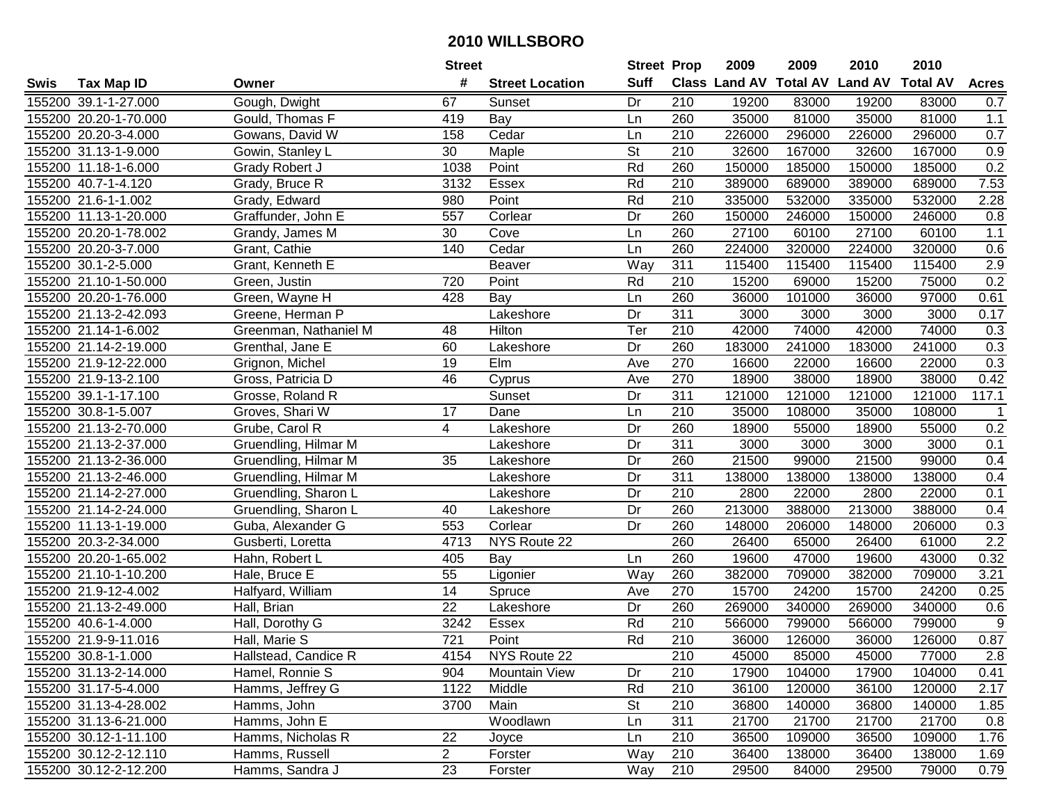|      |                       |                       | <b>Street</b>    |                        | <b>Street Prop</b> |                  | 2009   | 2009   | 2010                           | 2010            |                |
|------|-----------------------|-----------------------|------------------|------------------------|--------------------|------------------|--------|--------|--------------------------------|-----------------|----------------|
| Swis | <b>Tax Map ID</b>     | Owner                 | #                | <b>Street Location</b> | <b>Suff</b>        |                  |        |        | Class Land AV Total AV Land AV | <b>Total AV</b> | <b>Acres</b>   |
|      | 155200 39.1-1-27.000  | Gough, Dwight         | 67               | Sunset                 | Dr                 | 210              | 19200  | 83000  | 19200                          | 83000           | 0.7            |
|      | 155200 20.20-1-70.000 | Gould, Thomas F       | 419              | Bay                    | Ln                 | 260              | 35000  | 81000  | 35000                          | 81000           | 1.1            |
|      | 155200 20.20-3-4.000  | Gowans, David W       | 158              | Cedar                  | Ln                 | 210              | 226000 | 296000 | 226000                         | 296000          | 0.7            |
|      | 155200 31.13-1-9.000  | Gowin, Stanley L      | 30               | Maple                  | <b>St</b>          | 210              | 32600  | 167000 | 32600                          | 167000          | 0.9            |
|      | 155200 11.18-1-6.000  | Grady Robert J        | 1038             | Point                  | Rd                 | 260              | 150000 | 185000 | 150000                         | 185000          | 0.2            |
|      | 155200 40.7-1-4.120   | Grady, Bruce R        | 3132             | Essex                  | Rd                 | 210              | 389000 | 689000 | 389000                         | 689000          | 7.53           |
|      | 155200 21.6-1-1.002   | Grady, Edward         | 980              | Point                  | Rd                 | 210              | 335000 | 532000 | 335000                         | 532000          | 2.28           |
|      | 155200 11.13-1-20.000 | Graffunder, John E    | 557              | Corlear                | Dr                 | 260              | 150000 | 246000 | 150000                         | 246000          | 0.8            |
|      | 155200 20.20-1-78.002 | Grandy, James M       | 30               | Cove                   | Ln                 | 260              | 27100  | 60100  | 27100                          | 60100           | 1.1            |
|      | 155200 20.20-3-7.000  | Grant, Cathie         | 140              | Cedar                  | Ln                 | 260              | 224000 | 320000 | 224000                         | 320000          | 0.6            |
|      | 155200 30.1-2-5.000   | Grant, Kenneth E      |                  | Beaver                 | Way                | 311              | 115400 | 115400 | 115400                         | 115400          | 2.9            |
|      | 155200 21.10-1-50.000 | Green, Justin         | 720              | Point                  | Rd                 | 210              | 15200  | 69000  | 15200                          | 75000           | 0.2            |
|      | 155200 20.20-1-76.000 | Green, Wayne H        | 428              | Bay                    | Ln                 | 260              | 36000  | 101000 | 36000                          | 97000           | 0.61           |
|      | 155200 21.13-2-42.093 | Greene, Herman P      |                  | Lakeshore              | Dr                 | 311              | 3000   | 3000   | 3000                           | 3000            | 0.17           |
|      | 155200 21.14-1-6.002  | Greenman, Nathaniel M | 48               | Hilton                 | Ter                | 210              | 42000  | 74000  | 42000                          | 74000           | 0.3            |
|      | 155200 21.14-2-19.000 | Grenthal, Jane E      | 60               | Lakeshore              | Dr                 | 260              | 183000 | 241000 | 183000                         | 241000          | 0.3            |
|      | 155200 21.9-12-22.000 | Grignon, Michel       | 19               | Elm                    | Ave                | 270              | 16600  | 22000  | 16600                          | 22000           | 0.3            |
|      | 155200 21.9-13-2.100  | Gross, Patricia D     | 46               | Cyprus                 | Ave                | 270              | 18900  | 38000  | 18900                          | 38000           | 0.42           |
|      | 155200 39.1-1-17.100  | Grosse, Roland R      |                  | Sunset                 | Dr                 | 311              | 121000 | 121000 | 121000                         | 121000          | 117.1          |
|      | 155200 30.8-1-5.007   | Groves, Shari W       | 17               | Dane                   | Ln                 | 210              | 35000  | 108000 | 35000                          | 108000          | $\mathbf{1}$   |
|      | 155200 21.13-2-70.000 | Grube, Carol R        | 4                | Lakeshore              | Dr                 | 260              | 18900  | 55000  | 18900                          | 55000           | 0.2            |
|      | 155200 21.13-2-37.000 | Gruendling, Hilmar M  |                  | Lakeshore              | Dr                 | 311              | 3000   | 3000   | 3000                           | 3000            | 0.1            |
|      | 155200 21.13-2-36.000 | Gruendling, Hilmar M  | 35               | Lakeshore              | Dr                 | 260              | 21500  | 99000  | 21500                          | 99000           | 0.4            |
|      | 155200 21.13-2-46.000 | Gruendling, Hilmar M  |                  | Lakeshore              | Dr                 | 311              | 138000 | 138000 | 138000                         | 138000          | 0.4            |
|      | 155200 21.14-2-27.000 | Gruendling, Sharon L  |                  | Lakeshore              | Dr                 | 210              | 2800   | 22000  | 2800                           | 22000           | 0.1            |
|      | 155200 21.14-2-24.000 | Gruendling, Sharon L  | 40               | Lakeshore              | Dr                 | 260              | 213000 | 388000 | 213000                         | 388000          | 0.4            |
|      | 155200 11.13-1-19.000 | Guba, Alexander G     | 553              | Corlear                | Dr                 | 260              | 148000 | 206000 | 148000                         | 206000          | 0.3            |
|      | 155200 20.3-2-34.000  | Gusberti, Loretta     | 4713             | NYS Route 22           |                    | 260              | 26400  | 65000  | 26400                          | 61000           | 2.2            |
|      | 155200 20.20-1-65.002 | Hahn, Robert L        | 405              | Bay                    | Ln                 | 260              | 19600  | 47000  | 19600                          | 43000           | 0.32           |
|      | 155200 21.10-1-10.200 | Hale, Bruce E         | 55               | Ligonier               | Way                | 260              | 382000 | 709000 | 382000                         | 709000          | 3.21           |
|      | 155200 21.9-12-4.002  | Halfyard, William     | $\overline{14}$  | Spruce                 | Ave                | 270              | 15700  | 24200  | 15700                          | 24200           | 0.25           |
|      | 155200 21.13-2-49.000 | Hall, Brian           | 22               | Lakeshore              | Dr                 | 260              | 269000 | 340000 | 269000                         | 340000          | 0.6            |
|      | 155200 40.6-1-4.000   | Hall, Dorothy G       | 3242             | Essex                  | Rd                 | 210              | 566000 | 799000 | 566000                         | 799000          | $\overline{9}$ |
|      | 155200 21.9-9-11.016  | Hall, Marie S         | $\overline{721}$ | Point                  | Rd                 | $\overline{210}$ | 36000  | 126000 | 36000                          | 126000          | 0.87           |
|      | 155200 30.8-1-1.000   | Hallstead, Candice R  | 4154             | NYS Route 22           |                    | 210              | 45000  | 85000  | 45000                          | 77000           | 2.8            |
|      | 155200 31.13-2-14.000 | Hamel, Ronnie S       | 904              | <b>Mountain View</b>   | Dr                 | 210              | 17900  | 104000 | 17900                          | 104000          | 0.41           |
|      | 155200 31.17-5-4.000  | Hamms, Jeffrey G      | 1122             | Middle                 | Rd                 | 210              | 36100  | 120000 | 36100                          | 120000          | 2.17           |
|      | 155200 31.13-4-28.002 | Hamms, John           | 3700             | Main                   | <b>St</b>          | 210              | 36800  | 140000 | 36800                          | 140000          | 1.85           |
|      | 155200 31.13-6-21.000 | Hamms, John E         |                  | Woodlawn               | Ln                 | 311              | 21700  | 21700  | 21700                          | 21700           | 0.8            |
|      | 155200 30.12-1-11.100 | Hamms, Nicholas R     | 22               | Joyce                  | Ln                 | 210              | 36500  | 109000 | 36500                          | 109000          | 1.76           |
|      | 155200 30.12-2-12.110 | Hamms, Russell        | $\overline{2}$   | Forster                | Way                | 210              | 36400  | 138000 | 36400                          | 138000          | 1.69           |
|      | 155200 30.12-2-12.200 | Hamms, Sandra J       | 23               | Forster                | Way                | 210              | 29500  | 84000  | 29500                          | 79000           | 0.79           |
|      |                       |                       |                  |                        |                    |                  |        |        |                                |                 |                |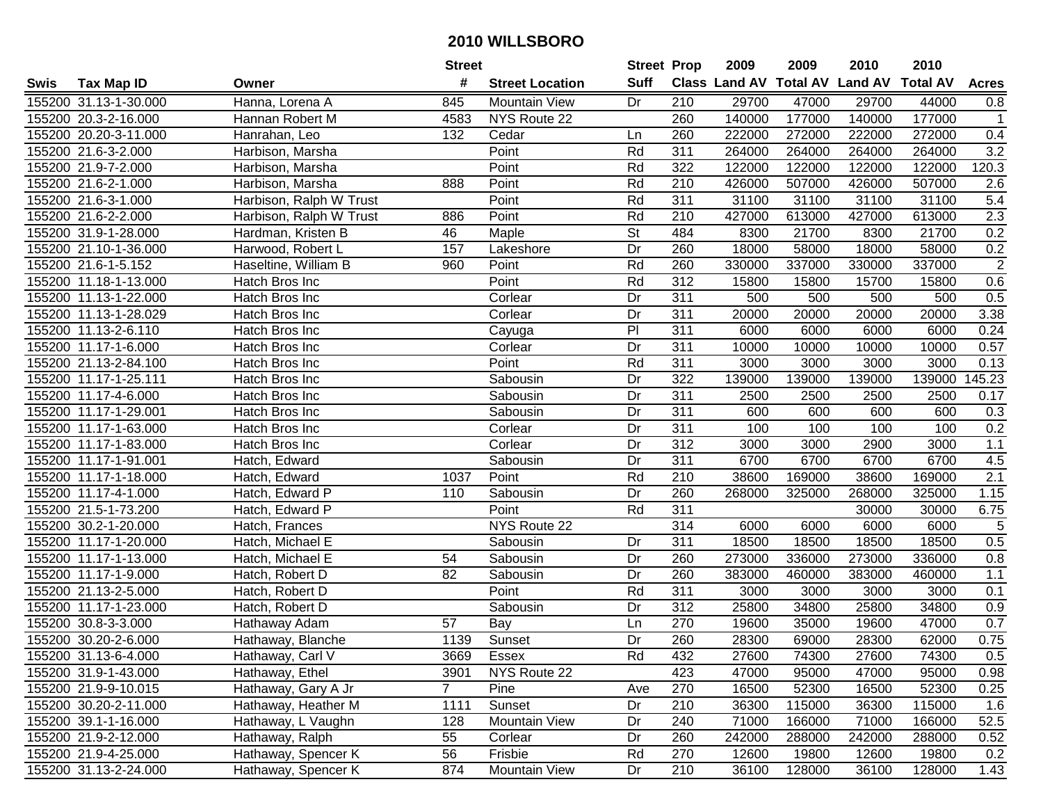|      |                       |                         | <b>Street</b> |                        | <b>Street Prop</b>       |                  | 2009   | 2009   | 2010                           | 2010            |                |
|------|-----------------------|-------------------------|---------------|------------------------|--------------------------|------------------|--------|--------|--------------------------------|-----------------|----------------|
| Swis | <b>Tax Map ID</b>     | Owner                   | #             | <b>Street Location</b> | <b>Suff</b>              |                  |        |        | Class Land AV Total AV Land AV | <b>Total AV</b> | <b>Acres</b>   |
|      | 155200 31.13-1-30.000 | Hanna, Lorena A         | 845           | <b>Mountain View</b>   | Dr                       | 210              | 29700  | 47000  | 29700                          | 44000           | 0.8            |
|      | 155200 20.3-2-16.000  | Hannan Robert M         | 4583          | NYS Route 22           |                          | 260              | 140000 | 177000 | 140000                         | 177000          | $\mathbf{1}$   |
|      | 155200 20.20-3-11.000 | Hanrahan, Leo           | 132           | Cedar                  | Ln                       | 260              | 222000 | 272000 | 222000                         | 272000          | 0.4            |
|      | 155200 21.6-3-2.000   | Harbison, Marsha        |               | Point                  | Rd                       | 311              | 264000 | 264000 | 264000                         | 264000          | 3.2            |
|      | 155200 21.9-7-2.000   | Harbison, Marsha        |               | Point                  | Rd                       | 322              | 122000 | 122000 | 122000                         | 122000          | 120.3          |
|      | 155200 21.6-2-1.000   | Harbison, Marsha        | 888           | Point                  | Rd                       | 210              | 426000 | 507000 | 426000                         | 507000          | 2.6            |
|      | 155200 21.6-3-1.000   | Harbison, Ralph W Trust |               | Point                  | Rd                       | 311              | 31100  | 31100  | 31100                          | 31100           | 5.4            |
|      | 155200 21.6-2-2.000   | Harbison, Ralph W Trust | 886           | Point                  | Rd                       | $\overline{210}$ | 427000 | 613000 | 427000                         | 613000          | 2.3            |
|      | 155200 31.9-1-28.000  | Hardman, Kristen B      | 46            | Maple                  | $\overline{\mathsf{St}}$ | 484              | 8300   | 21700  | 8300                           | 21700           | 0.2            |
|      | 155200 21.10-1-36.000 | Harwood, Robert L       | 157           | Lakeshore              | Dr                       | 260              | 18000  | 58000  | 18000                          | 58000           | 0.2            |
|      | 155200 21.6-1-5.152   | Haseltine, William B    | 960           | Point                  | Rd                       | 260              | 330000 | 337000 | 330000                         | 337000          | $\overline{2}$ |
|      | 155200 11.18-1-13.000 | Hatch Bros Inc          |               | Point                  | Rd                       | 312              | 15800  | 15800  | 15700                          | 15800           | 0.6            |
|      | 155200 11.13-1-22.000 | Hatch Bros Inc          |               | Corlear                | Dr                       | 311              | 500    | 500    | 500                            | 500             | 0.5            |
|      | 155200 11.13-1-28.029 | Hatch Bros Inc          |               | Corlear                | Dr                       | 311              | 20000  | 20000  | 20000                          | 20000           | 3.38           |
|      | 155200 11.13-2-6.110  | Hatch Bros Inc          |               | Cayuga                 | P <sub>1</sub>           | 311              | 6000   | 6000   | 6000                           | 6000            | 0.24           |
|      | 155200 11.17-1-6.000  | Hatch Bros Inc          |               | Corlear                | Dr                       | 311              | 10000  | 10000  | 10000                          | 10000           | 0.57           |
|      | 155200 21.13-2-84.100 | Hatch Bros Inc          |               | Point                  | Rd                       | 311              | 3000   | 3000   | 3000                           | 3000            | 0.13           |
|      | 155200 11.17-1-25.111 | Hatch Bros Inc          |               | Sabousin               | Dr                       | 322              | 139000 | 139000 | 139000                         | 139000          | 45.23          |
|      | 155200 11.17-4-6.000  | Hatch Bros Inc          |               | Sabousin               | Dr                       | 311              | 2500   | 2500   | 2500                           | 2500            | 0.17           |
|      | 155200 11.17-1-29.001 | Hatch Bros Inc          |               | Sabousin               | Dr                       | 311              | 600    | 600    | 600                            | 600             | 0.3            |
|      | 155200 11.17-1-63.000 | Hatch Bros Inc          |               | Corlear                | Dr                       | 311              | 100    | 100    | 100                            | 100             | 0.2            |
|      | 155200 11.17-1-83.000 | Hatch Bros Inc          |               | Corlear                | Dr                       | 312              | 3000   | 3000   | 2900                           | 3000            | $1.1$          |
|      | 155200 11.17-1-91.001 | Hatch, Edward           |               | Sabousin               | Dr                       | 311              | 6700   | 6700   | 6700                           | 6700            | 4.5            |
|      | 155200 11.17-1-18.000 | Hatch, Edward           | 1037          | Point                  | Rd                       | 210              | 38600  | 169000 | 38600                          | 169000          | 2.1            |
|      | 155200 11.17-4-1.000  | Hatch, Edward P         | 110           | Sabousin               | Dr                       | 260              | 268000 | 325000 | 268000                         | 325000          | 1.15           |
|      | 155200 21.5-1-73.200  | Hatch, Edward P         |               | Point                  | Rd                       | 311              |        |        | 30000                          | 30000           | 6.75           |
|      | 155200 30.2-1-20.000  | Hatch, Frances          |               | NYS Route 22           |                          | 314              | 6000   | 6000   | 6000                           | 6000            | 5              |
|      | 155200 11.17-1-20.000 | Hatch, Michael E        |               | Sabousin               | Dr                       | 311              | 18500  | 18500  | 18500                          | 18500           | 0.5            |
|      | 155200 11.17-1-13.000 | Hatch, Michael E        | 54            | Sabousin               | Dr                       | 260              | 273000 | 336000 | 273000                         | 336000          | 0.8            |
|      | 155200 11.17-1-9.000  | Hatch, Robert D         | 82            | Sabousin               | Dr                       | 260              | 383000 | 460000 | 383000                         | 460000          | 1.1            |
|      | 155200 21.13-2-5.000  | Hatch, Robert D         |               | Point                  | Rd                       | $\overline{311}$ | 3000   | 3000   | 3000                           | 3000            | 0.1            |
|      | 155200 11.17-1-23.000 | Hatch, Robert D         |               | Sabousin               | Dr                       | 312              | 25800  | 34800  | 25800                          | 34800           | 0.9            |
|      | 155200 30.8-3-3.000   | Hathaway Adam           | 57            | Bay                    | Ln                       | 270              | 19600  | 35000  | 19600                          | 47000           | 0.7            |
|      | 155200 30.20-2-6.000  | Hathaway, Blanche       | 1139          | Sunset                 | Dr                       | 260              | 28300  | 69000  | 28300                          | 62000           | 0.75           |
|      | 155200 31.13-6-4.000  | Hathaway, Carl V        | 3669          | Essex                  | Rd                       | 432              | 27600  | 74300  | 27600                          | 74300           | 0.5            |
|      | 155200 31.9-1-43.000  | Hathaway, Ethel         | 3901          | NYS Route 22           |                          | 423              | 47000  | 95000  | 47000                          | 95000           | 0.98           |
|      | 155200 21.9-9-10.015  | Hathaway, Gary A Jr     | $\mathbf{7}$  | Pine                   | Ave                      | 270              | 16500  | 52300  | 16500                          | 52300           | 0.25           |
|      | 155200 30.20-2-11.000 | Hathaway, Heather M     | 1111          | Sunset                 | Dr                       | 210              | 36300  | 115000 | 36300                          | 115000          | 1.6            |
|      | 155200 39.1-1-16.000  | Hathaway, L Vaughn      | 128           | <b>Mountain View</b>   | Dr                       | 240              | 71000  | 166000 | 71000                          | 166000          | 52.5           |
|      | 155200 21.9-2-12.000  | Hathaway, Ralph         | 55            | Corlear                | Dr                       | 260              | 242000 | 288000 | 242000                         | 288000          | 0.52           |
|      | 155200 21.9-4-25.000  | Hathaway, Spencer K     | 56            | Frisbie                | Rd                       | 270              | 12600  | 19800  | 12600                          | 19800           | 0.2            |
|      | 155200 31.13-2-24.000 | Hathaway, Spencer K     | 874           | <b>Mountain View</b>   | Dr                       | 210              | 36100  | 128000 | 36100                          | 128000          | 1.43           |
|      |                       |                         |               |                        |                          |                  |        |        |                                |                 |                |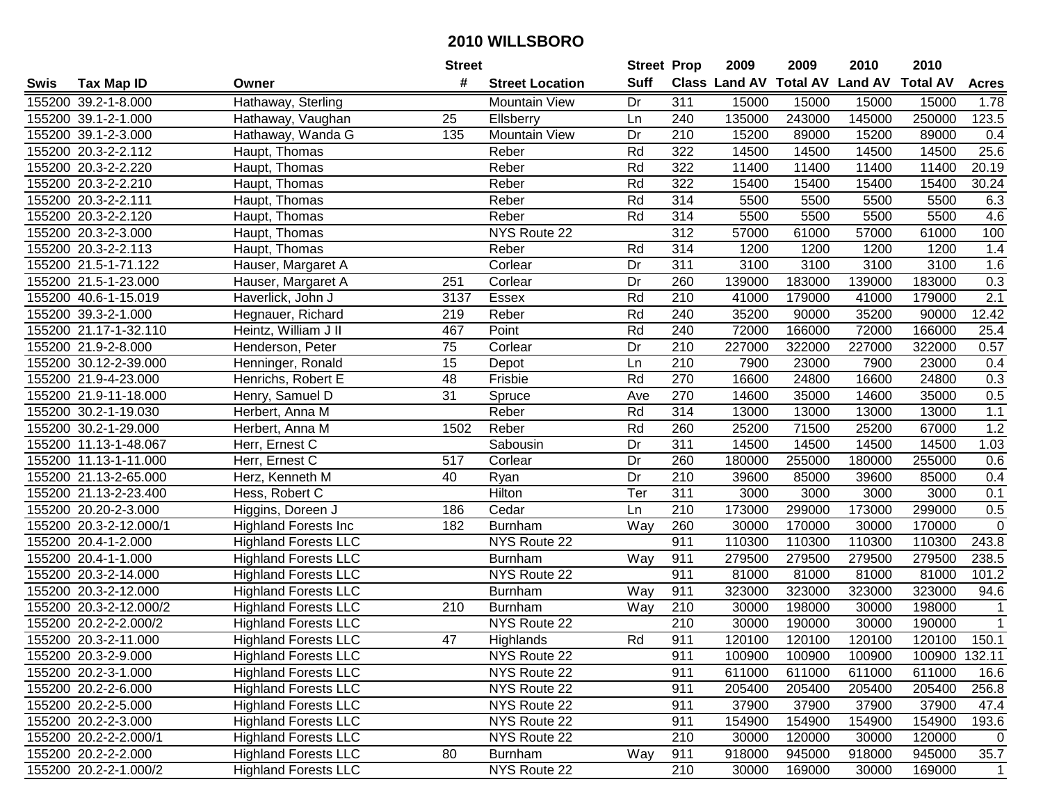| #<br><b>Suff</b><br><b>Class Land AV Total AV</b><br><b>Land AV</b><br><b>Total AV</b><br><b>Tax Map ID</b><br><b>Street Location</b><br><b>Acres</b><br>Swis<br>Owner<br>311<br>155200 39.2-1-8.000<br>Hathaway, Sterling<br><b>Mountain View</b><br>Dr<br>15000<br>15000<br>15000<br>15000<br>1.78<br>135000<br>145000<br>250000<br>155200 39.1-2-1.000<br>25<br>240<br>243000<br>123.5<br>Hathaway, Vaughan<br>Ellsberry<br>Ln<br>155200 39.1-2-3.000<br>Hathaway, Wanda G<br>135<br><b>Mountain View</b><br>210<br>15200<br>89000<br>15200<br>89000<br>0.4<br>Dr<br>25.6<br>Rd<br>322<br>14500<br>14500<br>14500<br>155200 20.3-2-2.112<br>Haupt, Thomas<br>Reber<br>14500<br>322<br>155200 20.3-2-2.220<br>Haupt, Thomas<br>Reber<br>Rd<br>11400<br>11400<br>11400<br>11400<br>20.19<br>322<br>30.24<br>155200 20.3-2-2.210<br>Reber<br>Rd<br>15400<br>15400<br>15400<br>15400<br>Haupt, Thomas<br>155200 20.3-2-2.111<br>Reber<br>Rd<br>314<br>5500<br>5500<br>5500<br>5500<br>6.3<br>Haupt, Thomas<br>314<br>155200 20.3-2-2.120<br>Reber<br>Rd<br>5500<br>5500<br>4.6<br>Haupt, Thomas<br>5500<br>5500<br>312<br>155200 20.3-2-3.000<br>NYS Route 22<br>57000<br>57000<br>Haupt, Thomas<br>61000<br>61000<br>100<br>155200 20.3-2-2.113<br>314<br>1200<br>Reber<br>Rd<br>1200<br>1200<br>1200<br>1.4<br>Haupt, Thomas<br>311<br>3100<br>3100<br>3100<br>1.6<br>155200 21.5-1-71.122<br>Hauser, Margaret A<br>Corlear<br>Dr<br>3100<br>139000<br>0.3<br>155200 21.5-1-23.000<br>Corlear<br>Dr<br>260<br>183000<br>139000<br>183000<br>Hauser, Margaret A<br>251<br>2.1<br>Rd<br>210<br>155200 40.6-1-15.019<br>Haverlick, John J<br>Essex<br>41000<br>41000<br>179000<br>3137<br>179000<br>Rd<br>155200 39.3-2-1.000<br>219<br>Reber<br>240<br>35200<br>90000<br>35200<br>90000<br>12.42<br>Hegnauer, Richard<br>Point<br>Rd<br>240<br>72000<br>155200 21.17-1-32.110<br>Heintz, William J II<br>467<br>72000<br>166000<br>166000<br>25.4<br>75<br>210<br>155200 21.9-2-8.000<br>Corlear<br>Dr<br>227000<br>322000<br>227000<br>322000<br>0.57<br>Henderson, Peter<br>$\overline{210}$<br>15<br>155200 30.12-2-39.000<br>7900<br>23000<br>7900<br>23000<br>0.4<br>Henninger, Ronald<br>Depot<br>Ln<br>48<br>Rd<br>270<br>155200 21.9-4-23.000<br>Frisbie<br>16600<br>16600<br>24800<br>0.3<br>Henrichs, Robert E<br>24800<br>$\overline{31}$<br>270<br>0.5<br>155200 21.9-11-18.000<br>Henry, Samuel D<br>Spruce<br>Ave<br>14600<br>35000<br>14600<br>35000<br>1.1<br>155200 30.2-1-19.030<br>Reber<br>Rd<br>314<br>13000<br>13000<br>13000<br>13000<br>Herbert, Anna M<br>1.2<br>Rd<br>155200 30.2-1-29.000<br>1502<br>Reber<br>260<br>25200<br>71500<br>25200<br>67000<br>Herbert, Anna M<br>311<br>155200 11.13-1-48.067<br>Sabousin<br>Dr<br>14500<br>14500<br>14500<br>14500<br>1.03<br>Herr, Ernest C<br>517<br>260<br>155200 11.13-1-11.000<br>Herr, Ernest C<br>Corlear<br>Dr<br>180000<br>255000<br>180000<br>255000<br>0.6<br>210<br>155200 21.13-2-65.000<br>Dr<br>39600<br>85000<br>39600<br>85000<br>0.4<br>Herz, Kenneth M<br>40<br>Ryan<br>Ter<br>$\overline{311}$<br>155200 21.13-2-23.400<br>Hilton<br>3000<br>3000<br>0.1<br>Hess, Robert C<br>3000<br>3000<br>210<br>173000<br>299000<br>173000<br>299000<br>155200 20.20-2-3.000<br>186<br>Cedar<br>Ln<br>0.5<br>Higgins, Doreen J<br>260<br>30000<br>170000<br>30000<br>$\mathbf 0$<br>155200 20.3-2-12.000/1<br><b>Highland Forests Inc</b><br>182<br>Burnham<br>Way<br>170000<br>911<br>110300<br>110300<br>155200 20.4-1-2.000<br><b>Highland Forests LLC</b><br>NYS Route 22<br>110300<br>110300<br>243.8<br>155200 20.4-1-1.000<br>911<br>279500<br>279500<br>279500<br>279500<br>238.5<br><b>Highland Forests LLC</b><br>Way<br><b>Burnham</b><br>911<br>155200 20.3-2-14.000<br><b>Highland Forests LLC</b><br>NYS Route 22<br>81000<br>81000<br>81000<br>81000<br>101.2<br>155200 20.3-2-12.000<br>Way<br>323000<br>323000<br>323000<br>323000<br><b>Highland Forests LLC</b><br>911<br>94.6<br><b>Burnham</b><br>155200 20.3-2-12.000/2<br><b>Highland Forests LLC</b><br>210<br>30000<br>198000<br>210<br><b>Burnham</b><br>Way<br>30000<br>198000<br>$\mathbf 1$<br>155200 20.2-2-2.000/2<br>$\overline{210}$<br>30000<br><b>Highland Forests LLC</b><br>NYS Route 22<br>190000<br>30000<br>190000<br>$\mathbf{1}$<br>$\overline{47}$<br>Rd<br>155200 20.3-2-11.000<br><b>Highland Forests LLC</b><br>911<br>120100<br>120100<br>120100<br>120100<br>150.1<br>Highlands<br>155200 20.3-2-9.000<br><b>Highland Forests LLC</b><br>NYS Route 22<br>911<br>100900<br>100900<br>100900<br>100900 132.11<br>155200 20.2-3-1.000<br><b>Highland Forests LLC</b><br>NYS Route 22<br>611000<br>611000<br>611000<br>611000<br>911<br>16.6<br>155200 20.2-2-6.000<br><b>Highland Forests LLC</b><br>NYS Route 22<br>911<br>205400<br>205400<br>205400<br>205400<br>256.8<br>155200 20.2-2-5.000<br><b>Highland Forests LLC</b><br>NYS Route 22<br>37900<br>37900<br>37900<br>911<br>37900<br>47.4<br>NYS Route 22<br>155200 20.2-2-3.000<br><b>Highland Forests LLC</b><br>911<br>154900<br>154900<br>154900<br>154900<br>193.6<br>NYS Route 22<br>155200 20.2-2-2.000/1<br><b>Highland Forests LLC</b><br>210<br>30000<br>120000<br>30000<br>120000<br>$\overline{0}$<br>155200 20.2-2-2.000<br><b>Highland Forests LLC</b><br>80<br>Way<br>911<br>918000<br>945000<br>918000<br>945000<br>35.7<br><b>Burnham</b><br>NYS Route 22<br>210<br>155200 20.2-2-1.000/2<br><b>Highland Forests LLC</b><br>30000<br>169000<br>30000<br>169000<br>$\overline{1}$ |  | <b>Street</b> | <b>Street Prop</b> | 2009 | 2009 | 2010 | 2010 |  |
|----------------------------------------------------------------------------------------------------------------------------------------------------------------------------------------------------------------------------------------------------------------------------------------------------------------------------------------------------------------------------------------------------------------------------------------------------------------------------------------------------------------------------------------------------------------------------------------------------------------------------------------------------------------------------------------------------------------------------------------------------------------------------------------------------------------------------------------------------------------------------------------------------------------------------------------------------------------------------------------------------------------------------------------------------------------------------------------------------------------------------------------------------------------------------------------------------------------------------------------------------------------------------------------------------------------------------------------------------------------------------------------------------------------------------------------------------------------------------------------------------------------------------------------------------------------------------------------------------------------------------------------------------------------------------------------------------------------------------------------------------------------------------------------------------------------------------------------------------------------------------------------------------------------------------------------------------------------------------------------------------------------------------------------------------------------------------------------------------------------------------------------------------------------------------------------------------------------------------------------------------------------------------------------------------------------------------------------------------------------------------------------------------------------------------------------------------------------------------------------------------------------------------------------------------------------------------------------------------------------------------------------------------------------------------------------------------------------------------------------------------------------------------------------------------------------------------------------------------------------------------------------------------------------------------------------------------------------------------------------------------------------------------------------------------------------------------------------------------------------------------------------------------------------------------------------------------------------------------------------------------------------------------------------------------------------------------------------------------------------------------------------------------------------------------------------------------------------------------------------------------------------------------------------------------------------------------------------------------------------------------------------------------------------------------------------------------------------------------------------------------------------------------------------------------------------------------------------------------------------------------------------------------------------------------------------------------------------------------------------------------------------------------------------------------------------------------------------------------------------------------------------------------------------------------------------------------------------------------------------------------------------------------------------------------------------------------------------------------------------------------------------------------------------------------------------------------------------------------------------------------------------------------------------------------------------------------------------------------------------------------------------------------------------------------------------------------------------------------------------------------------------------------------------------------------------------------------------------------------------------------------------------------------------------------------------------------------------------------------------------------------------------------------------------------------------------------------------------------------------------------------------------------------------------------------------------------------------------------------------------------------------------------------------------------------------------------------------------------------------------------------------------------------------------------------------------------------------------------------------------------------------------------------------|--|---------------|--------------------|------|------|------|------|--|
|                                                                                                                                                                                                                                                                                                                                                                                                                                                                                                                                                                                                                                                                                                                                                                                                                                                                                                                                                                                                                                                                                                                                                                                                                                                                                                                                                                                                                                                                                                                                                                                                                                                                                                                                                                                                                                                                                                                                                                                                                                                                                                                                                                                                                                                                                                                                                                                                                                                                                                                                                                                                                                                                                                                                                                                                                                                                                                                                                                                                                                                                                                                                                                                                                                                                                                                                                                                                                                                                                                                                                                                                                                                                                                                                                                                                                                                                                                                                                                                                                                                                                                                                                                                                                                                                                                                                                                                                                                                                                                                                                                                                                                                                                                                                                                                                                                                                                                                                                                                                                                                                                                                                                                                                                                                                                                                                                                                                                                                                                                                                        |  |               |                    |      |      |      |      |  |
|                                                                                                                                                                                                                                                                                                                                                                                                                                                                                                                                                                                                                                                                                                                                                                                                                                                                                                                                                                                                                                                                                                                                                                                                                                                                                                                                                                                                                                                                                                                                                                                                                                                                                                                                                                                                                                                                                                                                                                                                                                                                                                                                                                                                                                                                                                                                                                                                                                                                                                                                                                                                                                                                                                                                                                                                                                                                                                                                                                                                                                                                                                                                                                                                                                                                                                                                                                                                                                                                                                                                                                                                                                                                                                                                                                                                                                                                                                                                                                                                                                                                                                                                                                                                                                                                                                                                                                                                                                                                                                                                                                                                                                                                                                                                                                                                                                                                                                                                                                                                                                                                                                                                                                                                                                                                                                                                                                                                                                                                                                                                        |  |               |                    |      |      |      |      |  |
|                                                                                                                                                                                                                                                                                                                                                                                                                                                                                                                                                                                                                                                                                                                                                                                                                                                                                                                                                                                                                                                                                                                                                                                                                                                                                                                                                                                                                                                                                                                                                                                                                                                                                                                                                                                                                                                                                                                                                                                                                                                                                                                                                                                                                                                                                                                                                                                                                                                                                                                                                                                                                                                                                                                                                                                                                                                                                                                                                                                                                                                                                                                                                                                                                                                                                                                                                                                                                                                                                                                                                                                                                                                                                                                                                                                                                                                                                                                                                                                                                                                                                                                                                                                                                                                                                                                                                                                                                                                                                                                                                                                                                                                                                                                                                                                                                                                                                                                                                                                                                                                                                                                                                                                                                                                                                                                                                                                                                                                                                                                                        |  |               |                    |      |      |      |      |  |
|                                                                                                                                                                                                                                                                                                                                                                                                                                                                                                                                                                                                                                                                                                                                                                                                                                                                                                                                                                                                                                                                                                                                                                                                                                                                                                                                                                                                                                                                                                                                                                                                                                                                                                                                                                                                                                                                                                                                                                                                                                                                                                                                                                                                                                                                                                                                                                                                                                                                                                                                                                                                                                                                                                                                                                                                                                                                                                                                                                                                                                                                                                                                                                                                                                                                                                                                                                                                                                                                                                                                                                                                                                                                                                                                                                                                                                                                                                                                                                                                                                                                                                                                                                                                                                                                                                                                                                                                                                                                                                                                                                                                                                                                                                                                                                                                                                                                                                                                                                                                                                                                                                                                                                                                                                                                                                                                                                                                                                                                                                                                        |  |               |                    |      |      |      |      |  |
|                                                                                                                                                                                                                                                                                                                                                                                                                                                                                                                                                                                                                                                                                                                                                                                                                                                                                                                                                                                                                                                                                                                                                                                                                                                                                                                                                                                                                                                                                                                                                                                                                                                                                                                                                                                                                                                                                                                                                                                                                                                                                                                                                                                                                                                                                                                                                                                                                                                                                                                                                                                                                                                                                                                                                                                                                                                                                                                                                                                                                                                                                                                                                                                                                                                                                                                                                                                                                                                                                                                                                                                                                                                                                                                                                                                                                                                                                                                                                                                                                                                                                                                                                                                                                                                                                                                                                                                                                                                                                                                                                                                                                                                                                                                                                                                                                                                                                                                                                                                                                                                                                                                                                                                                                                                                                                                                                                                                                                                                                                                                        |  |               |                    |      |      |      |      |  |
|                                                                                                                                                                                                                                                                                                                                                                                                                                                                                                                                                                                                                                                                                                                                                                                                                                                                                                                                                                                                                                                                                                                                                                                                                                                                                                                                                                                                                                                                                                                                                                                                                                                                                                                                                                                                                                                                                                                                                                                                                                                                                                                                                                                                                                                                                                                                                                                                                                                                                                                                                                                                                                                                                                                                                                                                                                                                                                                                                                                                                                                                                                                                                                                                                                                                                                                                                                                                                                                                                                                                                                                                                                                                                                                                                                                                                                                                                                                                                                                                                                                                                                                                                                                                                                                                                                                                                                                                                                                                                                                                                                                                                                                                                                                                                                                                                                                                                                                                                                                                                                                                                                                                                                                                                                                                                                                                                                                                                                                                                                                                        |  |               |                    |      |      |      |      |  |
|                                                                                                                                                                                                                                                                                                                                                                                                                                                                                                                                                                                                                                                                                                                                                                                                                                                                                                                                                                                                                                                                                                                                                                                                                                                                                                                                                                                                                                                                                                                                                                                                                                                                                                                                                                                                                                                                                                                                                                                                                                                                                                                                                                                                                                                                                                                                                                                                                                                                                                                                                                                                                                                                                                                                                                                                                                                                                                                                                                                                                                                                                                                                                                                                                                                                                                                                                                                                                                                                                                                                                                                                                                                                                                                                                                                                                                                                                                                                                                                                                                                                                                                                                                                                                                                                                                                                                                                                                                                                                                                                                                                                                                                                                                                                                                                                                                                                                                                                                                                                                                                                                                                                                                                                                                                                                                                                                                                                                                                                                                                                        |  |               |                    |      |      |      |      |  |
|                                                                                                                                                                                                                                                                                                                                                                                                                                                                                                                                                                                                                                                                                                                                                                                                                                                                                                                                                                                                                                                                                                                                                                                                                                                                                                                                                                                                                                                                                                                                                                                                                                                                                                                                                                                                                                                                                                                                                                                                                                                                                                                                                                                                                                                                                                                                                                                                                                                                                                                                                                                                                                                                                                                                                                                                                                                                                                                                                                                                                                                                                                                                                                                                                                                                                                                                                                                                                                                                                                                                                                                                                                                                                                                                                                                                                                                                                                                                                                                                                                                                                                                                                                                                                                                                                                                                                                                                                                                                                                                                                                                                                                                                                                                                                                                                                                                                                                                                                                                                                                                                                                                                                                                                                                                                                                                                                                                                                                                                                                                                        |  |               |                    |      |      |      |      |  |
|                                                                                                                                                                                                                                                                                                                                                                                                                                                                                                                                                                                                                                                                                                                                                                                                                                                                                                                                                                                                                                                                                                                                                                                                                                                                                                                                                                                                                                                                                                                                                                                                                                                                                                                                                                                                                                                                                                                                                                                                                                                                                                                                                                                                                                                                                                                                                                                                                                                                                                                                                                                                                                                                                                                                                                                                                                                                                                                                                                                                                                                                                                                                                                                                                                                                                                                                                                                                                                                                                                                                                                                                                                                                                                                                                                                                                                                                                                                                                                                                                                                                                                                                                                                                                                                                                                                                                                                                                                                                                                                                                                                                                                                                                                                                                                                                                                                                                                                                                                                                                                                                                                                                                                                                                                                                                                                                                                                                                                                                                                                                        |  |               |                    |      |      |      |      |  |
|                                                                                                                                                                                                                                                                                                                                                                                                                                                                                                                                                                                                                                                                                                                                                                                                                                                                                                                                                                                                                                                                                                                                                                                                                                                                                                                                                                                                                                                                                                                                                                                                                                                                                                                                                                                                                                                                                                                                                                                                                                                                                                                                                                                                                                                                                                                                                                                                                                                                                                                                                                                                                                                                                                                                                                                                                                                                                                                                                                                                                                                                                                                                                                                                                                                                                                                                                                                                                                                                                                                                                                                                                                                                                                                                                                                                                                                                                                                                                                                                                                                                                                                                                                                                                                                                                                                                                                                                                                                                                                                                                                                                                                                                                                                                                                                                                                                                                                                                                                                                                                                                                                                                                                                                                                                                                                                                                                                                                                                                                                                                        |  |               |                    |      |      |      |      |  |
|                                                                                                                                                                                                                                                                                                                                                                                                                                                                                                                                                                                                                                                                                                                                                                                                                                                                                                                                                                                                                                                                                                                                                                                                                                                                                                                                                                                                                                                                                                                                                                                                                                                                                                                                                                                                                                                                                                                                                                                                                                                                                                                                                                                                                                                                                                                                                                                                                                                                                                                                                                                                                                                                                                                                                                                                                                                                                                                                                                                                                                                                                                                                                                                                                                                                                                                                                                                                                                                                                                                                                                                                                                                                                                                                                                                                                                                                                                                                                                                                                                                                                                                                                                                                                                                                                                                                                                                                                                                                                                                                                                                                                                                                                                                                                                                                                                                                                                                                                                                                                                                                                                                                                                                                                                                                                                                                                                                                                                                                                                                                        |  |               |                    |      |      |      |      |  |
|                                                                                                                                                                                                                                                                                                                                                                                                                                                                                                                                                                                                                                                                                                                                                                                                                                                                                                                                                                                                                                                                                                                                                                                                                                                                                                                                                                                                                                                                                                                                                                                                                                                                                                                                                                                                                                                                                                                                                                                                                                                                                                                                                                                                                                                                                                                                                                                                                                                                                                                                                                                                                                                                                                                                                                                                                                                                                                                                                                                                                                                                                                                                                                                                                                                                                                                                                                                                                                                                                                                                                                                                                                                                                                                                                                                                                                                                                                                                                                                                                                                                                                                                                                                                                                                                                                                                                                                                                                                                                                                                                                                                                                                                                                                                                                                                                                                                                                                                                                                                                                                                                                                                                                                                                                                                                                                                                                                                                                                                                                                                        |  |               |                    |      |      |      |      |  |
|                                                                                                                                                                                                                                                                                                                                                                                                                                                                                                                                                                                                                                                                                                                                                                                                                                                                                                                                                                                                                                                                                                                                                                                                                                                                                                                                                                                                                                                                                                                                                                                                                                                                                                                                                                                                                                                                                                                                                                                                                                                                                                                                                                                                                                                                                                                                                                                                                                                                                                                                                                                                                                                                                                                                                                                                                                                                                                                                                                                                                                                                                                                                                                                                                                                                                                                                                                                                                                                                                                                                                                                                                                                                                                                                                                                                                                                                                                                                                                                                                                                                                                                                                                                                                                                                                                                                                                                                                                                                                                                                                                                                                                                                                                                                                                                                                                                                                                                                                                                                                                                                                                                                                                                                                                                                                                                                                                                                                                                                                                                                        |  |               |                    |      |      |      |      |  |
|                                                                                                                                                                                                                                                                                                                                                                                                                                                                                                                                                                                                                                                                                                                                                                                                                                                                                                                                                                                                                                                                                                                                                                                                                                                                                                                                                                                                                                                                                                                                                                                                                                                                                                                                                                                                                                                                                                                                                                                                                                                                                                                                                                                                                                                                                                                                                                                                                                                                                                                                                                                                                                                                                                                                                                                                                                                                                                                                                                                                                                                                                                                                                                                                                                                                                                                                                                                                                                                                                                                                                                                                                                                                                                                                                                                                                                                                                                                                                                                                                                                                                                                                                                                                                                                                                                                                                                                                                                                                                                                                                                                                                                                                                                                                                                                                                                                                                                                                                                                                                                                                                                                                                                                                                                                                                                                                                                                                                                                                                                                                        |  |               |                    |      |      |      |      |  |
|                                                                                                                                                                                                                                                                                                                                                                                                                                                                                                                                                                                                                                                                                                                                                                                                                                                                                                                                                                                                                                                                                                                                                                                                                                                                                                                                                                                                                                                                                                                                                                                                                                                                                                                                                                                                                                                                                                                                                                                                                                                                                                                                                                                                                                                                                                                                                                                                                                                                                                                                                                                                                                                                                                                                                                                                                                                                                                                                                                                                                                                                                                                                                                                                                                                                                                                                                                                                                                                                                                                                                                                                                                                                                                                                                                                                                                                                                                                                                                                                                                                                                                                                                                                                                                                                                                                                                                                                                                                                                                                                                                                                                                                                                                                                                                                                                                                                                                                                                                                                                                                                                                                                                                                                                                                                                                                                                                                                                                                                                                                                        |  |               |                    |      |      |      |      |  |
|                                                                                                                                                                                                                                                                                                                                                                                                                                                                                                                                                                                                                                                                                                                                                                                                                                                                                                                                                                                                                                                                                                                                                                                                                                                                                                                                                                                                                                                                                                                                                                                                                                                                                                                                                                                                                                                                                                                                                                                                                                                                                                                                                                                                                                                                                                                                                                                                                                                                                                                                                                                                                                                                                                                                                                                                                                                                                                                                                                                                                                                                                                                                                                                                                                                                                                                                                                                                                                                                                                                                                                                                                                                                                                                                                                                                                                                                                                                                                                                                                                                                                                                                                                                                                                                                                                                                                                                                                                                                                                                                                                                                                                                                                                                                                                                                                                                                                                                                                                                                                                                                                                                                                                                                                                                                                                                                                                                                                                                                                                                                        |  |               |                    |      |      |      |      |  |
|                                                                                                                                                                                                                                                                                                                                                                                                                                                                                                                                                                                                                                                                                                                                                                                                                                                                                                                                                                                                                                                                                                                                                                                                                                                                                                                                                                                                                                                                                                                                                                                                                                                                                                                                                                                                                                                                                                                                                                                                                                                                                                                                                                                                                                                                                                                                                                                                                                                                                                                                                                                                                                                                                                                                                                                                                                                                                                                                                                                                                                                                                                                                                                                                                                                                                                                                                                                                                                                                                                                                                                                                                                                                                                                                                                                                                                                                                                                                                                                                                                                                                                                                                                                                                                                                                                                                                                                                                                                                                                                                                                                                                                                                                                                                                                                                                                                                                                                                                                                                                                                                                                                                                                                                                                                                                                                                                                                                                                                                                                                                        |  |               |                    |      |      |      |      |  |
|                                                                                                                                                                                                                                                                                                                                                                                                                                                                                                                                                                                                                                                                                                                                                                                                                                                                                                                                                                                                                                                                                                                                                                                                                                                                                                                                                                                                                                                                                                                                                                                                                                                                                                                                                                                                                                                                                                                                                                                                                                                                                                                                                                                                                                                                                                                                                                                                                                                                                                                                                                                                                                                                                                                                                                                                                                                                                                                                                                                                                                                                                                                                                                                                                                                                                                                                                                                                                                                                                                                                                                                                                                                                                                                                                                                                                                                                                                                                                                                                                                                                                                                                                                                                                                                                                                                                                                                                                                                                                                                                                                                                                                                                                                                                                                                                                                                                                                                                                                                                                                                                                                                                                                                                                                                                                                                                                                                                                                                                                                                                        |  |               |                    |      |      |      |      |  |
|                                                                                                                                                                                                                                                                                                                                                                                                                                                                                                                                                                                                                                                                                                                                                                                                                                                                                                                                                                                                                                                                                                                                                                                                                                                                                                                                                                                                                                                                                                                                                                                                                                                                                                                                                                                                                                                                                                                                                                                                                                                                                                                                                                                                                                                                                                                                                                                                                                                                                                                                                                                                                                                                                                                                                                                                                                                                                                                                                                                                                                                                                                                                                                                                                                                                                                                                                                                                                                                                                                                                                                                                                                                                                                                                                                                                                                                                                                                                                                                                                                                                                                                                                                                                                                                                                                                                                                                                                                                                                                                                                                                                                                                                                                                                                                                                                                                                                                                                                                                                                                                                                                                                                                                                                                                                                                                                                                                                                                                                                                                                        |  |               |                    |      |      |      |      |  |
|                                                                                                                                                                                                                                                                                                                                                                                                                                                                                                                                                                                                                                                                                                                                                                                                                                                                                                                                                                                                                                                                                                                                                                                                                                                                                                                                                                                                                                                                                                                                                                                                                                                                                                                                                                                                                                                                                                                                                                                                                                                                                                                                                                                                                                                                                                                                                                                                                                                                                                                                                                                                                                                                                                                                                                                                                                                                                                                                                                                                                                                                                                                                                                                                                                                                                                                                                                                                                                                                                                                                                                                                                                                                                                                                                                                                                                                                                                                                                                                                                                                                                                                                                                                                                                                                                                                                                                                                                                                                                                                                                                                                                                                                                                                                                                                                                                                                                                                                                                                                                                                                                                                                                                                                                                                                                                                                                                                                                                                                                                                                        |  |               |                    |      |      |      |      |  |
|                                                                                                                                                                                                                                                                                                                                                                                                                                                                                                                                                                                                                                                                                                                                                                                                                                                                                                                                                                                                                                                                                                                                                                                                                                                                                                                                                                                                                                                                                                                                                                                                                                                                                                                                                                                                                                                                                                                                                                                                                                                                                                                                                                                                                                                                                                                                                                                                                                                                                                                                                                                                                                                                                                                                                                                                                                                                                                                                                                                                                                                                                                                                                                                                                                                                                                                                                                                                                                                                                                                                                                                                                                                                                                                                                                                                                                                                                                                                                                                                                                                                                                                                                                                                                                                                                                                                                                                                                                                                                                                                                                                                                                                                                                                                                                                                                                                                                                                                                                                                                                                                                                                                                                                                                                                                                                                                                                                                                                                                                                                                        |  |               |                    |      |      |      |      |  |
|                                                                                                                                                                                                                                                                                                                                                                                                                                                                                                                                                                                                                                                                                                                                                                                                                                                                                                                                                                                                                                                                                                                                                                                                                                                                                                                                                                                                                                                                                                                                                                                                                                                                                                                                                                                                                                                                                                                                                                                                                                                                                                                                                                                                                                                                                                                                                                                                                                                                                                                                                                                                                                                                                                                                                                                                                                                                                                                                                                                                                                                                                                                                                                                                                                                                                                                                                                                                                                                                                                                                                                                                                                                                                                                                                                                                                                                                                                                                                                                                                                                                                                                                                                                                                                                                                                                                                                                                                                                                                                                                                                                                                                                                                                                                                                                                                                                                                                                                                                                                                                                                                                                                                                                                                                                                                                                                                                                                                                                                                                                                        |  |               |                    |      |      |      |      |  |
|                                                                                                                                                                                                                                                                                                                                                                                                                                                                                                                                                                                                                                                                                                                                                                                                                                                                                                                                                                                                                                                                                                                                                                                                                                                                                                                                                                                                                                                                                                                                                                                                                                                                                                                                                                                                                                                                                                                                                                                                                                                                                                                                                                                                                                                                                                                                                                                                                                                                                                                                                                                                                                                                                                                                                                                                                                                                                                                                                                                                                                                                                                                                                                                                                                                                                                                                                                                                                                                                                                                                                                                                                                                                                                                                                                                                                                                                                                                                                                                                                                                                                                                                                                                                                                                                                                                                                                                                                                                                                                                                                                                                                                                                                                                                                                                                                                                                                                                                                                                                                                                                                                                                                                                                                                                                                                                                                                                                                                                                                                                                        |  |               |                    |      |      |      |      |  |
|                                                                                                                                                                                                                                                                                                                                                                                                                                                                                                                                                                                                                                                                                                                                                                                                                                                                                                                                                                                                                                                                                                                                                                                                                                                                                                                                                                                                                                                                                                                                                                                                                                                                                                                                                                                                                                                                                                                                                                                                                                                                                                                                                                                                                                                                                                                                                                                                                                                                                                                                                                                                                                                                                                                                                                                                                                                                                                                                                                                                                                                                                                                                                                                                                                                                                                                                                                                                                                                                                                                                                                                                                                                                                                                                                                                                                                                                                                                                                                                                                                                                                                                                                                                                                                                                                                                                                                                                                                                                                                                                                                                                                                                                                                                                                                                                                                                                                                                                                                                                                                                                                                                                                                                                                                                                                                                                                                                                                                                                                                                                        |  |               |                    |      |      |      |      |  |
|                                                                                                                                                                                                                                                                                                                                                                                                                                                                                                                                                                                                                                                                                                                                                                                                                                                                                                                                                                                                                                                                                                                                                                                                                                                                                                                                                                                                                                                                                                                                                                                                                                                                                                                                                                                                                                                                                                                                                                                                                                                                                                                                                                                                                                                                                                                                                                                                                                                                                                                                                                                                                                                                                                                                                                                                                                                                                                                                                                                                                                                                                                                                                                                                                                                                                                                                                                                                                                                                                                                                                                                                                                                                                                                                                                                                                                                                                                                                                                                                                                                                                                                                                                                                                                                                                                                                                                                                                                                                                                                                                                                                                                                                                                                                                                                                                                                                                                                                                                                                                                                                                                                                                                                                                                                                                                                                                                                                                                                                                                                                        |  |               |                    |      |      |      |      |  |
|                                                                                                                                                                                                                                                                                                                                                                                                                                                                                                                                                                                                                                                                                                                                                                                                                                                                                                                                                                                                                                                                                                                                                                                                                                                                                                                                                                                                                                                                                                                                                                                                                                                                                                                                                                                                                                                                                                                                                                                                                                                                                                                                                                                                                                                                                                                                                                                                                                                                                                                                                                                                                                                                                                                                                                                                                                                                                                                                                                                                                                                                                                                                                                                                                                                                                                                                                                                                                                                                                                                                                                                                                                                                                                                                                                                                                                                                                                                                                                                                                                                                                                                                                                                                                                                                                                                                                                                                                                                                                                                                                                                                                                                                                                                                                                                                                                                                                                                                                                                                                                                                                                                                                                                                                                                                                                                                                                                                                                                                                                                                        |  |               |                    |      |      |      |      |  |
|                                                                                                                                                                                                                                                                                                                                                                                                                                                                                                                                                                                                                                                                                                                                                                                                                                                                                                                                                                                                                                                                                                                                                                                                                                                                                                                                                                                                                                                                                                                                                                                                                                                                                                                                                                                                                                                                                                                                                                                                                                                                                                                                                                                                                                                                                                                                                                                                                                                                                                                                                                                                                                                                                                                                                                                                                                                                                                                                                                                                                                                                                                                                                                                                                                                                                                                                                                                                                                                                                                                                                                                                                                                                                                                                                                                                                                                                                                                                                                                                                                                                                                                                                                                                                                                                                                                                                                                                                                                                                                                                                                                                                                                                                                                                                                                                                                                                                                                                                                                                                                                                                                                                                                                                                                                                                                                                                                                                                                                                                                                                        |  |               |                    |      |      |      |      |  |
|                                                                                                                                                                                                                                                                                                                                                                                                                                                                                                                                                                                                                                                                                                                                                                                                                                                                                                                                                                                                                                                                                                                                                                                                                                                                                                                                                                                                                                                                                                                                                                                                                                                                                                                                                                                                                                                                                                                                                                                                                                                                                                                                                                                                                                                                                                                                                                                                                                                                                                                                                                                                                                                                                                                                                                                                                                                                                                                                                                                                                                                                                                                                                                                                                                                                                                                                                                                                                                                                                                                                                                                                                                                                                                                                                                                                                                                                                                                                                                                                                                                                                                                                                                                                                                                                                                                                                                                                                                                                                                                                                                                                                                                                                                                                                                                                                                                                                                                                                                                                                                                                                                                                                                                                                                                                                                                                                                                                                                                                                                                                        |  |               |                    |      |      |      |      |  |
|                                                                                                                                                                                                                                                                                                                                                                                                                                                                                                                                                                                                                                                                                                                                                                                                                                                                                                                                                                                                                                                                                                                                                                                                                                                                                                                                                                                                                                                                                                                                                                                                                                                                                                                                                                                                                                                                                                                                                                                                                                                                                                                                                                                                                                                                                                                                                                                                                                                                                                                                                                                                                                                                                                                                                                                                                                                                                                                                                                                                                                                                                                                                                                                                                                                                                                                                                                                                                                                                                                                                                                                                                                                                                                                                                                                                                                                                                                                                                                                                                                                                                                                                                                                                                                                                                                                                                                                                                                                                                                                                                                                                                                                                                                                                                                                                                                                                                                                                                                                                                                                                                                                                                                                                                                                                                                                                                                                                                                                                                                                                        |  |               |                    |      |      |      |      |  |
|                                                                                                                                                                                                                                                                                                                                                                                                                                                                                                                                                                                                                                                                                                                                                                                                                                                                                                                                                                                                                                                                                                                                                                                                                                                                                                                                                                                                                                                                                                                                                                                                                                                                                                                                                                                                                                                                                                                                                                                                                                                                                                                                                                                                                                                                                                                                                                                                                                                                                                                                                                                                                                                                                                                                                                                                                                                                                                                                                                                                                                                                                                                                                                                                                                                                                                                                                                                                                                                                                                                                                                                                                                                                                                                                                                                                                                                                                                                                                                                                                                                                                                                                                                                                                                                                                                                                                                                                                                                                                                                                                                                                                                                                                                                                                                                                                                                                                                                                                                                                                                                                                                                                                                                                                                                                                                                                                                                                                                                                                                                                        |  |               |                    |      |      |      |      |  |
|                                                                                                                                                                                                                                                                                                                                                                                                                                                                                                                                                                                                                                                                                                                                                                                                                                                                                                                                                                                                                                                                                                                                                                                                                                                                                                                                                                                                                                                                                                                                                                                                                                                                                                                                                                                                                                                                                                                                                                                                                                                                                                                                                                                                                                                                                                                                                                                                                                                                                                                                                                                                                                                                                                                                                                                                                                                                                                                                                                                                                                                                                                                                                                                                                                                                                                                                                                                                                                                                                                                                                                                                                                                                                                                                                                                                                                                                                                                                                                                                                                                                                                                                                                                                                                                                                                                                                                                                                                                                                                                                                                                                                                                                                                                                                                                                                                                                                                                                                                                                                                                                                                                                                                                                                                                                                                                                                                                                                                                                                                                                        |  |               |                    |      |      |      |      |  |
|                                                                                                                                                                                                                                                                                                                                                                                                                                                                                                                                                                                                                                                                                                                                                                                                                                                                                                                                                                                                                                                                                                                                                                                                                                                                                                                                                                                                                                                                                                                                                                                                                                                                                                                                                                                                                                                                                                                                                                                                                                                                                                                                                                                                                                                                                                                                                                                                                                                                                                                                                                                                                                                                                                                                                                                                                                                                                                                                                                                                                                                                                                                                                                                                                                                                                                                                                                                                                                                                                                                                                                                                                                                                                                                                                                                                                                                                                                                                                                                                                                                                                                                                                                                                                                                                                                                                                                                                                                                                                                                                                                                                                                                                                                                                                                                                                                                                                                                                                                                                                                                                                                                                                                                                                                                                                                                                                                                                                                                                                                                                        |  |               |                    |      |      |      |      |  |
|                                                                                                                                                                                                                                                                                                                                                                                                                                                                                                                                                                                                                                                                                                                                                                                                                                                                                                                                                                                                                                                                                                                                                                                                                                                                                                                                                                                                                                                                                                                                                                                                                                                                                                                                                                                                                                                                                                                                                                                                                                                                                                                                                                                                                                                                                                                                                                                                                                                                                                                                                                                                                                                                                                                                                                                                                                                                                                                                                                                                                                                                                                                                                                                                                                                                                                                                                                                                                                                                                                                                                                                                                                                                                                                                                                                                                                                                                                                                                                                                                                                                                                                                                                                                                                                                                                                                                                                                                                                                                                                                                                                                                                                                                                                                                                                                                                                                                                                                                                                                                                                                                                                                                                                                                                                                                                                                                                                                                                                                                                                                        |  |               |                    |      |      |      |      |  |
|                                                                                                                                                                                                                                                                                                                                                                                                                                                                                                                                                                                                                                                                                                                                                                                                                                                                                                                                                                                                                                                                                                                                                                                                                                                                                                                                                                                                                                                                                                                                                                                                                                                                                                                                                                                                                                                                                                                                                                                                                                                                                                                                                                                                                                                                                                                                                                                                                                                                                                                                                                                                                                                                                                                                                                                                                                                                                                                                                                                                                                                                                                                                                                                                                                                                                                                                                                                                                                                                                                                                                                                                                                                                                                                                                                                                                                                                                                                                                                                                                                                                                                                                                                                                                                                                                                                                                                                                                                                                                                                                                                                                                                                                                                                                                                                                                                                                                                                                                                                                                                                                                                                                                                                                                                                                                                                                                                                                                                                                                                                                        |  |               |                    |      |      |      |      |  |
|                                                                                                                                                                                                                                                                                                                                                                                                                                                                                                                                                                                                                                                                                                                                                                                                                                                                                                                                                                                                                                                                                                                                                                                                                                                                                                                                                                                                                                                                                                                                                                                                                                                                                                                                                                                                                                                                                                                                                                                                                                                                                                                                                                                                                                                                                                                                                                                                                                                                                                                                                                                                                                                                                                                                                                                                                                                                                                                                                                                                                                                                                                                                                                                                                                                                                                                                                                                                                                                                                                                                                                                                                                                                                                                                                                                                                                                                                                                                                                                                                                                                                                                                                                                                                                                                                                                                                                                                                                                                                                                                                                                                                                                                                                                                                                                                                                                                                                                                                                                                                                                                                                                                                                                                                                                                                                                                                                                                                                                                                                                                        |  |               |                    |      |      |      |      |  |
|                                                                                                                                                                                                                                                                                                                                                                                                                                                                                                                                                                                                                                                                                                                                                                                                                                                                                                                                                                                                                                                                                                                                                                                                                                                                                                                                                                                                                                                                                                                                                                                                                                                                                                                                                                                                                                                                                                                                                                                                                                                                                                                                                                                                                                                                                                                                                                                                                                                                                                                                                                                                                                                                                                                                                                                                                                                                                                                                                                                                                                                                                                                                                                                                                                                                                                                                                                                                                                                                                                                                                                                                                                                                                                                                                                                                                                                                                                                                                                                                                                                                                                                                                                                                                                                                                                                                                                                                                                                                                                                                                                                                                                                                                                                                                                                                                                                                                                                                                                                                                                                                                                                                                                                                                                                                                                                                                                                                                                                                                                                                        |  |               |                    |      |      |      |      |  |
|                                                                                                                                                                                                                                                                                                                                                                                                                                                                                                                                                                                                                                                                                                                                                                                                                                                                                                                                                                                                                                                                                                                                                                                                                                                                                                                                                                                                                                                                                                                                                                                                                                                                                                                                                                                                                                                                                                                                                                                                                                                                                                                                                                                                                                                                                                                                                                                                                                                                                                                                                                                                                                                                                                                                                                                                                                                                                                                                                                                                                                                                                                                                                                                                                                                                                                                                                                                                                                                                                                                                                                                                                                                                                                                                                                                                                                                                                                                                                                                                                                                                                                                                                                                                                                                                                                                                                                                                                                                                                                                                                                                                                                                                                                                                                                                                                                                                                                                                                                                                                                                                                                                                                                                                                                                                                                                                                                                                                                                                                                                                        |  |               |                    |      |      |      |      |  |
|                                                                                                                                                                                                                                                                                                                                                                                                                                                                                                                                                                                                                                                                                                                                                                                                                                                                                                                                                                                                                                                                                                                                                                                                                                                                                                                                                                                                                                                                                                                                                                                                                                                                                                                                                                                                                                                                                                                                                                                                                                                                                                                                                                                                                                                                                                                                                                                                                                                                                                                                                                                                                                                                                                                                                                                                                                                                                                                                                                                                                                                                                                                                                                                                                                                                                                                                                                                                                                                                                                                                                                                                                                                                                                                                                                                                                                                                                                                                                                                                                                                                                                                                                                                                                                                                                                                                                                                                                                                                                                                                                                                                                                                                                                                                                                                                                                                                                                                                                                                                                                                                                                                                                                                                                                                                                                                                                                                                                                                                                                                                        |  |               |                    |      |      |      |      |  |
|                                                                                                                                                                                                                                                                                                                                                                                                                                                                                                                                                                                                                                                                                                                                                                                                                                                                                                                                                                                                                                                                                                                                                                                                                                                                                                                                                                                                                                                                                                                                                                                                                                                                                                                                                                                                                                                                                                                                                                                                                                                                                                                                                                                                                                                                                                                                                                                                                                                                                                                                                                                                                                                                                                                                                                                                                                                                                                                                                                                                                                                                                                                                                                                                                                                                                                                                                                                                                                                                                                                                                                                                                                                                                                                                                                                                                                                                                                                                                                                                                                                                                                                                                                                                                                                                                                                                                                                                                                                                                                                                                                                                                                                                                                                                                                                                                                                                                                                                                                                                                                                                                                                                                                                                                                                                                                                                                                                                                                                                                                                                        |  |               |                    |      |      |      |      |  |
|                                                                                                                                                                                                                                                                                                                                                                                                                                                                                                                                                                                                                                                                                                                                                                                                                                                                                                                                                                                                                                                                                                                                                                                                                                                                                                                                                                                                                                                                                                                                                                                                                                                                                                                                                                                                                                                                                                                                                                                                                                                                                                                                                                                                                                                                                                                                                                                                                                                                                                                                                                                                                                                                                                                                                                                                                                                                                                                                                                                                                                                                                                                                                                                                                                                                                                                                                                                                                                                                                                                                                                                                                                                                                                                                                                                                                                                                                                                                                                                                                                                                                                                                                                                                                                                                                                                                                                                                                                                                                                                                                                                                                                                                                                                                                                                                                                                                                                                                                                                                                                                                                                                                                                                                                                                                                                                                                                                                                                                                                                                                        |  |               |                    |      |      |      |      |  |
|                                                                                                                                                                                                                                                                                                                                                                                                                                                                                                                                                                                                                                                                                                                                                                                                                                                                                                                                                                                                                                                                                                                                                                                                                                                                                                                                                                                                                                                                                                                                                                                                                                                                                                                                                                                                                                                                                                                                                                                                                                                                                                                                                                                                                                                                                                                                                                                                                                                                                                                                                                                                                                                                                                                                                                                                                                                                                                                                                                                                                                                                                                                                                                                                                                                                                                                                                                                                                                                                                                                                                                                                                                                                                                                                                                                                                                                                                                                                                                                                                                                                                                                                                                                                                                                                                                                                                                                                                                                                                                                                                                                                                                                                                                                                                                                                                                                                                                                                                                                                                                                                                                                                                                                                                                                                                                                                                                                                                                                                                                                                        |  |               |                    |      |      |      |      |  |
|                                                                                                                                                                                                                                                                                                                                                                                                                                                                                                                                                                                                                                                                                                                                                                                                                                                                                                                                                                                                                                                                                                                                                                                                                                                                                                                                                                                                                                                                                                                                                                                                                                                                                                                                                                                                                                                                                                                                                                                                                                                                                                                                                                                                                                                                                                                                                                                                                                                                                                                                                                                                                                                                                                                                                                                                                                                                                                                                                                                                                                                                                                                                                                                                                                                                                                                                                                                                                                                                                                                                                                                                                                                                                                                                                                                                                                                                                                                                                                                                                                                                                                                                                                                                                                                                                                                                                                                                                                                                                                                                                                                                                                                                                                                                                                                                                                                                                                                                                                                                                                                                                                                                                                                                                                                                                                                                                                                                                                                                                                                                        |  |               |                    |      |      |      |      |  |
|                                                                                                                                                                                                                                                                                                                                                                                                                                                                                                                                                                                                                                                                                                                                                                                                                                                                                                                                                                                                                                                                                                                                                                                                                                                                                                                                                                                                                                                                                                                                                                                                                                                                                                                                                                                                                                                                                                                                                                                                                                                                                                                                                                                                                                                                                                                                                                                                                                                                                                                                                                                                                                                                                                                                                                                                                                                                                                                                                                                                                                                                                                                                                                                                                                                                                                                                                                                                                                                                                                                                                                                                                                                                                                                                                                                                                                                                                                                                                                                                                                                                                                                                                                                                                                                                                                                                                                                                                                                                                                                                                                                                                                                                                                                                                                                                                                                                                                                                                                                                                                                                                                                                                                                                                                                                                                                                                                                                                                                                                                                                        |  |               |                    |      |      |      |      |  |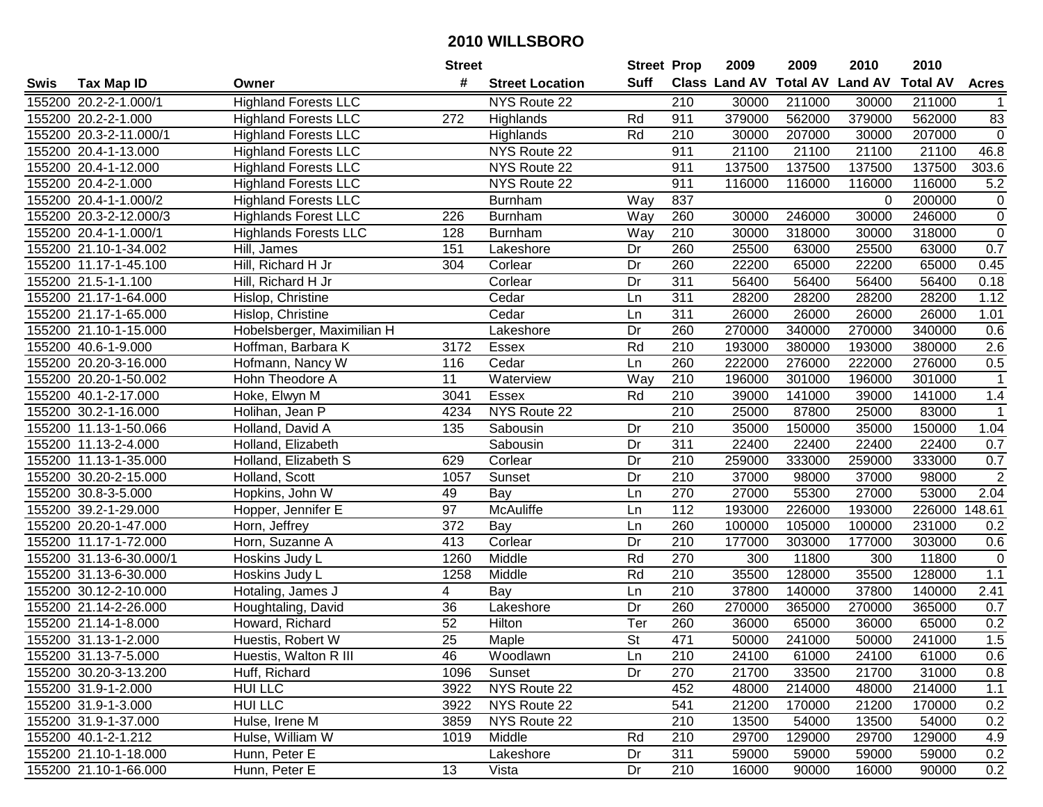|      |                         |                              | <b>Street</b>   |                        | <b>Street Prop</b>       |                  | 2009          | 2009            | 2010           | 2010            |                |
|------|-------------------------|------------------------------|-----------------|------------------------|--------------------------|------------------|---------------|-----------------|----------------|-----------------|----------------|
| Swis | <b>Tax Map ID</b>       | Owner                        | #               | <b>Street Location</b> | <b>Suff</b>              |                  | Class Land AV | <b>Total AV</b> | <b>Land AV</b> | <b>Total AV</b> | <b>Acres</b>   |
|      | 155200 20.2-2-1.000/1   | <b>Highland Forests LLC</b>  |                 | NYS Route 22           |                          | 210              | 30000         | 211000          | 30000          | 211000          |                |
|      | 155200 20.2-2-1.000     | <b>Highland Forests LLC</b>  | 272             | Highlands              | Rd                       | 911              | 379000        | 562000          | 379000         | 562000          | 83             |
|      | 155200 20.3-2-11.000/1  | <b>Highland Forests LLC</b>  |                 | Highlands              | Rd                       | 210              | 30000         | 207000          | 30000          | 207000          | $\mathbf 0$    |
|      | 155200 20.4-1-13.000    | <b>Highland Forests LLC</b>  |                 | NYS Route 22           |                          | 911              | 21100         | 21100           | 21100          | 21100           | 46.8           |
|      | 155200 20.4-1-12.000    | <b>Highland Forests LLC</b>  |                 | NYS Route 22           |                          | 911              | 137500        | 137500          | 137500         | 137500          | 303.6          |
|      | 155200 20.4-2-1.000     | <b>Highland Forests LLC</b>  |                 | NYS Route 22           |                          | 911              | 116000        | 116000          | 116000         | 116000          | 5.2            |
|      | 155200 20.4-1-1.000/2   | <b>Highland Forests LLC</b>  |                 | <b>Burnham</b>         | Way                      | 837              |               |                 | 0              | 200000          | 0              |
|      | 155200 20.3-2-12.000/3  | <b>Highlands Forest LLC</b>  | 226             | <b>Burnham</b>         | Way                      | 260              | 30000         | 246000          | 30000          | 246000          | $\overline{0}$ |
|      | 155200 20.4-1-1.000/1   | <b>Highlands Forests LLC</b> | 128             | <b>Burnham</b>         | Way                      | $\overline{210}$ | 30000         | 318000          | 30000          | 318000          | $\mathsf 0$    |
|      | 155200 21.10-1-34.002   | Hill, James                  | 151             | Lakeshore              | Dr                       | 260              | 25500         | 63000           | 25500          | 63000           | 0.7            |
|      | 155200 11.17-1-45.100   | Hill, Richard H Jr           | 304             | Corlear                | Dr                       | 260              | 22200         | 65000           | 22200          | 65000           | 0.45           |
|      | 155200 21.5-1-1.100     | Hill, Richard H Jr           |                 | Corlear                | Dr                       | 311              | 56400         | 56400           | 56400          | 56400           | 0.18           |
|      | 155200 21.17-1-64.000   | Hislop, Christine            |                 | Cedar                  | Ln                       | $\overline{311}$ | 28200         | 28200           | 28200          | 28200           | 1.12           |
|      | 155200 21.17-1-65.000   | Hislop, Christine            |                 | Cedar                  | Ln                       | 311              | 26000         | 26000           | 26000          | 26000           | 1.01           |
|      | 155200 21.10-1-15.000   | Hobelsberger, Maximilian H   |                 | Lakeshore              | Dr                       | 260              | 270000        | 340000          | 270000         | 340000          | 0.6            |
|      | 155200 40.6-1-9.000     | Hoffman, Barbara K           | 3172            | Essex                  | Rd                       | 210              | 193000        | 380000          | 193000         | 380000          | 2.6            |
|      | 155200 20.20-3-16.000   | Hofmann, Nancy W             | 116             | Cedar                  | Ln                       | 260              | 222000        | 276000          | 222000         | 276000          | 0.5            |
|      | 155200 20.20-1-50.002   | Hohn Theodore A              | 11              | Waterview              | Way                      | 210              | 196000        | 301000          | 196000         | 301000          | $\mathbf 1$    |
|      | 155200 40.1-2-17.000    | Hoke, Elwyn M                | 3041            | Essex                  | Rd                       | 210              | 39000         | 141000          | 39000          | 141000          | 1.4            |
|      | 155200 30.2-1-16.000    | Holihan, Jean P              | 4234            | NYS Route 22           |                          | 210              | 25000         | 87800           | 25000          | 83000           | $\mathbf 1$    |
|      | 155200 11.13-1-50.066   | Holland, David A             | 135             | Sabousin               | Dr                       | 210              | 35000         | 150000          | 35000          | 150000          | 1.04           |
|      | 155200 11.13-2-4.000    | Holland, Elizabeth           |                 | Sabousin               | Dr                       | 311              | 22400         | 22400           | 22400          | 22400           | 0.7            |
|      | 155200 11.13-1-35.000   | Holland, Elizabeth S         | 629             | Corlear                | Dr                       | 210              | 259000        | 333000          | 259000         | 333000          | 0.7            |
|      | 155200 30.20-2-15.000   | Holland, Scott               | 1057            | Sunset                 | Dr                       | 210              | 37000         | 98000           | 37000          | 98000           | $\overline{2}$ |
|      | 155200 30.8-3-5.000     | Hopkins, John W              | 49              | Bay                    | Ln                       | 270              | 27000         | 55300           | 27000          | 53000           | 2.04           |
|      | 155200 39.2-1-29.000    | Hopper, Jennifer E           | 97              | McAuliffe              | Ln                       | 112              | 193000        | 226000          | 193000         | 226000          | 148.61         |
|      | 155200 20.20-1-47.000   | Horn, Jeffrey                | 372             | Bay                    | Ln                       | 260              | 100000        | 105000          | 100000         | 231000          | 0.2            |
|      | 155200 11.17-1-72.000   | Horn, Suzanne A              | 413             | Corlear                | Dr                       | 210              | 177000        | 303000          | 177000         | 303000          | 0.6            |
|      | 155200 31.13-6-30.000/1 | Hoskins Judy L               | 1260            | Middle                 | Rd                       | 270              | 300           | 11800           | 300            | 11800           | $\pmb{0}$      |
|      | 155200 31.13-6-30.000   | Hoskins Judy L               | 1258            | Middle                 | Rd                       | $\overline{210}$ | 35500         | 128000          | 35500          | 128000          | 1.1            |
|      | 155200 30.12-2-10.000   | Hotaling, James J            | 4               | Bay                    | Ln                       | $\overline{210}$ | 37800         | 140000          | 37800          | 140000          | 2.41           |
|      | 155200 21.14-2-26.000   | Houghtaling, David           | 36              | Lakeshore              | Dr                       | 260              | 270000        | 365000          | 270000         | 365000          | 0.7            |
|      | 155200 21.14-1-8.000    | Howard, Richard              | 52              | Hilton                 | Ter                      | 260              | 36000         | 65000           | 36000          | 65000           | 0.2            |
|      | 155200 31.13-1-2.000    | Huestis, Robert W            | $\overline{25}$ | Maple                  | $\overline{\mathsf{St}}$ | 471              | 50000         | 241000          | 50000          | 241000          | 1.5            |
|      | 155200 31.13-7-5.000    | Huestis, Walton R III        | 46              | Woodlawn               | Ln                       | 210              | 24100         | 61000           | 24100          | 61000           | 0.6            |
|      | 155200 30.20-3-13.200   | Huff, Richard                | 1096            | Sunset                 | Dr                       | 270              | 21700         | 33500           | 21700          | 31000           | 0.8            |
|      | 155200 31.9-1-2.000     | <b>HUI LLC</b>               | 3922            | NYS Route 22           |                          | 452              | 48000         | 214000          | 48000          | 214000          | 1.1            |
|      | 155200 31.9-1-3.000     | <b>HUI LLC</b>               | 3922            | NYS Route 22           |                          | 541              | 21200         | 170000          | 21200          | 170000          | 0.2            |
|      | 155200 31.9-1-37.000    | Hulse, Irene M               | 3859            | NYS Route 22           |                          | 210              | 13500         | 54000           | 13500          | 54000           | 0.2            |
|      | 155200 40.1-2-1.212     | Hulse, William W             | 1019            | Middle                 | Rd                       | 210              | 29700         | 129000          | 29700          | 129000          | 4.9            |
|      | 155200 21.10-1-18.000   | Hunn, Peter E                |                 | Lakeshore              | Dr                       | 311              | 59000         | 59000           | 59000          | 59000           | 0.2            |
|      | 155200 21.10-1-66.000   | Hunn, Peter E                | 13              | Vista                  | Dr                       | 210              | 16000         | 90000           | 16000          | 90000           | 0.2            |
|      |                         |                              |                 |                        |                          |                  |               |                 |                |                 |                |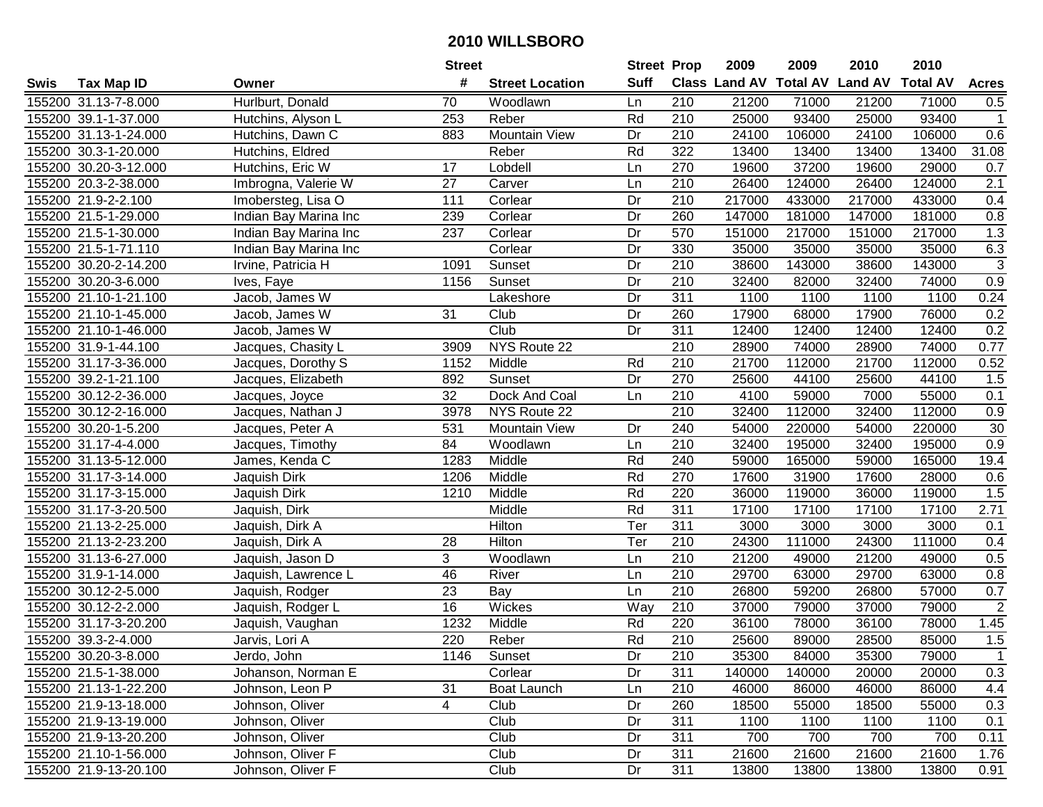|      |                       |                                      | <b>Street</b> |                        | <b>Street Prop</b> |                  | 2009                           | 2009   | 2010   | 2010            |                  |
|------|-----------------------|--------------------------------------|---------------|------------------------|--------------------|------------------|--------------------------------|--------|--------|-----------------|------------------|
| Swis | <b>Tax Map ID</b>     | Owner                                | #             | <b>Street Location</b> | <b>Suff</b>        |                  | Class Land AV Total AV Land AV |        |        | <b>Total AV</b> | <b>Acres</b>     |
|      | 155200 31.13-7-8.000  | Hurlburt, Donald                     | 70            | Woodlawn               | Ln                 | 210              | 21200                          | 71000  | 21200  | 71000           | 0.5              |
|      | 155200 39.1-1-37.000  | Hutchins, Alyson L                   | 253           | Reber                  | Rd                 | 210              | 25000                          | 93400  | 25000  | 93400           | $\mathbf{1}$     |
|      | 155200 31.13-1-24.000 | Hutchins, Dawn C                     | 883           | Mountain View          | Dr                 | 210              | 24100                          | 106000 | 24100  | 106000          | 0.6              |
|      | 155200 30.3-1-20.000  | Hutchins, Eldred                     |               | Reber                  | Rd                 | 322              | 13400                          | 13400  | 13400  | 13400           | 31.08            |
|      | 155200 30.20-3-12.000 | Hutchins, Eric W                     | 17            | Lobdell                | Ln                 | 270              | 19600                          | 37200  | 19600  | 29000           | 0.7              |
|      | 155200 20.3-2-38.000  | Imbrogna, Valerie W                  | 27            | Carver                 | Ln                 | 210              | 26400                          | 124000 | 26400  | 124000          | $\overline{2.1}$ |
|      | 155200 21.9-2-2.100   | Imobersteg, Lisa O                   | 111           | Corlear                | Dr                 | 210              | 217000                         | 433000 | 217000 | 433000          | 0.4              |
|      | 155200 21.5-1-29.000  | Indian Bay Marina Inc                | 239           | Corlear                | Dr                 | 260              | 147000                         | 181000 | 147000 | 181000          | 0.8              |
|      | 155200 21.5-1-30.000  | Indian Bay Marina Inc                | 237           | Corlear                | Dr                 | 570              | 151000                         | 217000 | 151000 | 217000          | 1.3              |
|      | 155200 21.5-1-71.110  | Indian Bay Marina Inc                |               | Corlear                | Dr                 | 330              | 35000                          | 35000  | 35000  | 35000           | 6.3              |
|      | 155200 30.20-2-14.200 | Irvine, Patricia H                   | 1091          | Sunset                 | Dr                 | 210              | 38600                          | 143000 | 38600  | 143000          | $\sqrt{3}$       |
|      | 155200 30.20-3-6.000  | Ives, Faye                           | 1156          | Sunset                 | Dr                 | 210              | 32400                          | 82000  | 32400  | 74000           | 0.9              |
|      | 155200 21.10-1-21.100 | Jacob, James $\overline{\mathsf{W}}$ |               | Lakeshore              | Dr                 | 311              | 1100                           | 1100   | 1100   | 1100            | 0.24             |
|      | 155200 21.10-1-45.000 | Jacob, James W                       | 31            | Club                   | Dr                 | 260              | 17900                          | 68000  | 17900  | 76000           | 0.2              |
|      | 155200 21.10-1-46.000 | Jacob, James W                       |               | Club                   | Dr                 | 311              | 12400                          | 12400  | 12400  | 12400           | 0.2              |
|      | 155200 31.9-1-44.100  | Jacques, Chasity L                   | 3909          | NYS Route 22           |                    | 210              | 28900                          | 74000  | 28900  | 74000           | 0.77             |
|      | 155200 31.17-3-36.000 | Jacques, Dorothy S                   | 1152          | Middle                 | Rd                 | 210              | 21700                          | 112000 | 21700  | 112000          | 0.52             |
|      | 155200 39.2-1-21.100  | Jacques, Elizabeth                   | 892           | Sunset                 | Dr                 | 270              | 25600                          | 44100  | 25600  | 44100           | 1.5              |
|      | 155200 30.12-2-36.000 | Jacques, Joyce                       | 32            | Dock And Coal          | Ln                 | 210              | 4100                           | 59000  | 7000   | 55000           | 0.1              |
|      | 155200 30.12-2-16.000 | Jacques, Nathan J                    | 3978          | NYS Route 22           |                    | 210              | 32400                          | 112000 | 32400  | 112000          | 0.9              |
|      | 155200 30.20-1-5.200  | Jacques, Peter A                     | 531           | <b>Mountain View</b>   | Dr                 | 240              | 54000                          | 220000 | 54000  | 220000          | 30               |
|      | 155200 31.17-4-4.000  | Jacques, Timothy                     | 84            | Woodlawn               | Ln                 | 210              | 32400                          | 195000 | 32400  | 195000          | 0.9              |
|      | 155200 31.13-5-12.000 | James, Kenda C                       | 1283          | Middle                 | Rd                 | 240              | 59000                          | 165000 | 59000  | 165000          | 19.4             |
|      | 155200 31.17-3-14.000 | Jaquish Dirk                         | 1206          | Middle                 | Rd                 | 270              | 17600                          | 31900  | 17600  | 28000           | 0.6              |
|      | 155200 31.17-3-15.000 | Jaquish Dirk                         | 1210          | Middle                 | Rd                 | 220              | 36000                          | 119000 | 36000  | 119000          | 1.5              |
|      | 155200 31.17-3-20.500 | Jaquish, Dirk                        |               | Middle                 | Rd                 | 311              | 17100                          | 17100  | 17100  | 17100           | 2.71             |
|      | 155200 21.13-2-25.000 | Jaquish, Dirk A                      |               | Hilton                 | Ter                | 311              | 3000                           | 3000   | 3000   | 3000            | 0.1              |
|      | 155200 21.13-2-23.200 | Jaquish, Dirk A                      | 28            | Hilton                 | Ter                | 210              | 24300                          | 111000 | 24300  | 111000          | 0.4              |
|      | 155200 31.13-6-27.000 | Jaquish, Jason D                     | 3             | Woodlawn               | Ln                 | 210              | 21200                          | 49000  | 21200  | 49000           | 0.5              |
|      | 155200 31.9-1-14.000  | Jaquish, Lawrence L                  | 46            | River                  | Ln                 | $\overline{210}$ | 29700                          | 63000  | 29700  | 63000           | 0.8              |
|      | 155200 30.12-2-5.000  | Jaquish, Rodger                      | 23            | Bay                    | Ln                 | 210              | 26800                          | 59200  | 26800  | 57000           | 0.7              |
|      | 155200 30.12-2-2.000  | Jaquish, Rodger L                    | 16            | Wickes                 | Way                | 210              | 37000                          | 79000  | 37000  | 79000           | $\overline{2}$   |
|      | 155200 31.17-3-20.200 | Jaquish, Vaughan                     | 1232          | Middle                 | Rd                 | 220              | 36100                          | 78000  | 36100  | 78000           | 1.45             |
|      | 155200 39.3-2-4.000   | Jarvis, Lori A                       | 220           | Reber                  | Rd                 | $\overline{210}$ | 25600                          | 89000  | 28500  | 85000           | 1.5              |
|      | 155200 30.20-3-8.000  | Jerdo, John                          | 1146          | Sunset                 | Dr                 | 210              | 35300                          | 84000  | 35300  | 79000           |                  |
|      | 155200 21.5-1-38.000  | Johanson, Norman E                   |               | Corlear                | Dr                 | 311              | 140000                         | 140000 | 20000  | 20000           | 0.3              |
|      | 155200 21.13-1-22.200 | Johnson, Leon P                      | 31            | Boat Launch            | Ln                 | 210              | 46000                          | 86000  | 46000  | 86000           | 4.4              |
|      | 155200 21.9-13-18.000 | Johnson, Oliver                      | 4             | Club                   | Dr                 | 260              | 18500                          | 55000  | 18500  | 55000           | 0.3              |
|      | 155200 21.9-13-19.000 | Johnson, Oliver                      |               | Club                   | Dr                 | 311              | 1100                           | 1100   | 1100   | 1100            | 0.1              |
|      | 155200 21.9-13-20.200 | Johnson, Oliver                      |               | Club                   | Dr                 | 311              | 700                            | 700    | 700    | 700             | 0.11             |
|      | 155200 21.10-1-56.000 | Johnson, Oliver F                    |               | Club                   | Dr                 | 311              | 21600                          | 21600  | 21600  | 21600           | 1.76             |
|      | 155200 21.9-13-20.100 | Johnson, Oliver F                    |               | Club                   | Dr                 | 311              | 13800                          | 13800  | 13800  | 13800           | 0.91             |
|      |                       |                                      |               |                        |                    |                  |                                |        |        |                 |                  |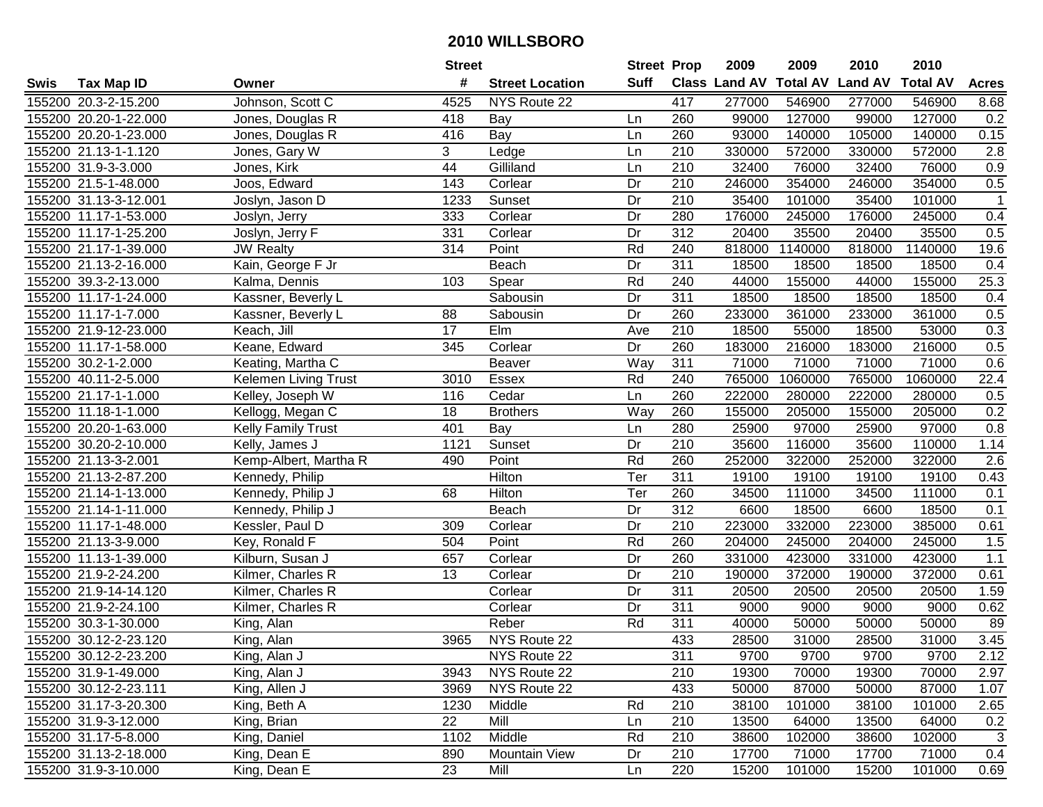|      |                       |                       | <b>Street</b> |                        | <b>Street Prop</b> |                  | 2009          | 2009            | 2010           | 2010            |                |
|------|-----------------------|-----------------------|---------------|------------------------|--------------------|------------------|---------------|-----------------|----------------|-----------------|----------------|
| Swis | <b>Tax Map ID</b>     | Owner                 | #             | <b>Street Location</b> | <b>Suff</b>        |                  | Class Land AV | <b>Total AV</b> | <b>Land AV</b> | <b>Total AV</b> | <b>Acres</b>   |
|      | 155200 20.3-2-15.200  | Johnson, Scott C      | 4525          | NYS Route 22           |                    | 417              | 277000        | 546900          | 277000         | 546900          | 8.68           |
|      | 155200 20.20-1-22.000 | Jones, Douglas R      | 418           | Bay                    | Ln                 | 260              | 99000         | 127000          | 99000          | 127000          | 0.2            |
|      | 155200 20.20-1-23.000 | Jones, Douglas R      | 416           | Bay                    | Ln                 | 260              | 93000         | 140000          | 105000         | 140000          | 0.15           |
|      | 155200 21.13-1-1.120  | Jones, Gary W         | 3             | Ledge                  | Ln                 | 210              | 330000        | 572000          | 330000         | 572000          | 2.8            |
|      | 155200 31.9-3-3.000   | Jones, Kirk           | 44            | Gilliland              | Ln                 | 210              | 32400         | 76000           | 32400          | 76000           | 0.9            |
|      | 155200 21.5-1-48.000  | Joos, Edward          | 143           | Corlear                | Dr                 | 210              | 246000        | 354000          | 246000         | 354000          | 0.5            |
|      | 155200 31.13-3-12.001 | Joslyn, Jason D       | 1233          | Sunset                 | Dr                 | 210              | 35400         | 101000          | 35400          | 101000          | $\overline{1}$ |
|      | 155200 11.17-1-53.000 | Joslyn, Jerry         | 333           | Corlear                | Dr                 | 280              | 176000        | 245000          | 176000         | 245000          | 0.4            |
|      | 155200 11.17-1-25.200 | Joslyn, Jerry F       | 331           | Corlear                | Dr                 | $\overline{312}$ | 20400         | 35500           | 20400          | 35500           | 0.5            |
|      | 155200 21.17-1-39.000 | <b>JW Realty</b>      | 314           | Point                  | Rd                 | 240              | 818000        | 1140000         | 818000         | 1140000         | 19.6           |
|      | 155200 21.13-2-16.000 | Kain, George F Jr     |               | Beach                  | Dr                 | 311              | 18500         | 18500           | 18500          | 18500           | 0.4            |
|      | 155200 39.3-2-13.000  | Kalma, Dennis         | 103           | Spear                  | Rd                 | 240              | 44000         | 155000          | 44000          | 155000          | 25.3           |
|      | 155200 11.17-1-24.000 | Kassner, Beverly L    |               | Sabousin               | Dr                 | 311              | 18500         | 18500           | 18500          | 18500           | 0.4            |
|      | 155200 11.17-1-7.000  | Kassner, Beverly L    | 88            | Sabousin               | Dr                 | 260              | 233000        | 361000          | 233000         | 361000          | 0.5            |
|      | 155200 21.9-12-23.000 | Keach, Jill           | 17            | Elm                    | Ave                | 210              | 18500         | 55000           | 18500          | 53000           | 0.3            |
|      | 155200 11.17-1-58.000 | Keane, Edward         | 345           | Corlear                | Dr                 | 260              | 183000        | 216000          | 183000         | 216000          | 0.5            |
|      | 155200 30.2-1-2.000   | Keating, Martha C     |               | Beaver                 | Way                | 311              | 71000         | 71000           | 71000          | 71000           | 0.6            |
|      | 155200 40.11-2-5.000  | Kelemen Living Trust  | 3010          | Essex                  | Rd                 | 240              | 765000        | 1060000         | 765000         | 1060000         | 22.4           |
|      | 155200 21.17-1-1.000  | Kelley, Joseph W      | 116           | Cedar                  | Ln                 | 260              | 222000        | 280000          | 222000         | 280000          | 0.5            |
|      | 155200 11.18-1-1.000  | Kellogg, Megan C      | 18            | <b>Brothers</b>        | Way                | 260              | 155000        | 205000          | 155000         | 205000          | 0.2            |
|      | 155200 20.20-1-63.000 | Kelly Family Trust    | 401           | Bay                    | Ln                 | 280              | 25900         | 97000           | 25900          | 97000           | 0.8            |
|      | 155200 30.20-2-10.000 | Kelly, James J        | 1121          | Sunset                 | Dr                 | 210              | 35600         | 116000          | 35600          | 110000          | 1.14           |
|      | 155200 21.13-3-2.001  | Kemp-Albert, Martha R | 490           | Point                  | Rd                 | 260              | 252000        | 322000          | 252000         | 322000          | 2.6            |
|      | 155200 21.13-2-87.200 | Kennedy, Philip       |               | Hilton                 | Ter                | 311              | 19100         | 19100           | 19100          | 19100           | 0.43           |
|      | 155200 21.14-1-13.000 | Kennedy, Philip J     | 68            | Hilton                 | Ter                | 260              | 34500         | 111000          | 34500          | 111000          | 0.1            |
|      | 155200 21.14-1-11.000 | Kennedy, Philip J     |               | Beach                  | Dr                 | $\overline{312}$ | 6600          | 18500           | 6600           | 18500           | 0.1            |
|      | 155200 11.17-1-48.000 | Kessler, Paul D       | 309           | Corlear                | Dr                 | 210              | 223000        | 332000          | 223000         | 385000          | 0.61           |
|      | 155200 21.13-3-9.000  | Key, Ronald F         | 504           | Point                  | Rd                 | 260              | 204000        | 245000          | 204000         | 245000          | 1.5            |
|      | 155200 11.13-1-39.000 | Kilburn, Susan J      | 657           | Corlear                | Dr                 | 260              | 331000        | 423000          | 331000         | 423000          | 1.1            |
|      | 155200 21.9-2-24.200  | Kilmer, Charles R     | 13            | Corlear                | Dr                 | $\overline{210}$ | 190000        | 372000          | 190000         | 372000          | 0.61           |
|      | 155200 21.9-14-14.120 | Kilmer, Charles R     |               | Corlear                | Dr                 | $\overline{311}$ | 20500         | 20500           | 20500          | 20500           | 1.59           |
|      | 155200 21.9-2-24.100  | Kilmer, Charles R     |               | Corlear                | Dr                 | 311              | 9000          | 9000            | 9000           | 9000            | 0.62           |
|      | 155200 30.3-1-30.000  | King, Alan            |               | Reber                  | Rd                 | 311              | 40000         | 50000           | 50000          | 50000           | 89             |
|      | 155200 30.12-2-23.120 | King, Alan            | 3965          | NYS Route 22           |                    | 433              | 28500         | 31000           | 28500          | 31000           | 3.45           |
|      | 155200 30.12-2-23.200 | King, Alan J          |               | NYS Route 22           |                    | 311              | 9700          | 9700            | 9700           | 9700            | 2.12           |
|      | 155200 31.9-1-49.000  | King, Alan J          | 3943          | NYS Route 22           |                    | 210              | 19300         | 70000           | 19300          | 70000           | 2.97           |
|      | 155200 30.12-2-23.111 | King, Allen J         | 3969          | NYS Route 22           |                    | 433              | 50000         | 87000           | 50000          | 87000           | 1.07           |
|      | 155200 31.17-3-20.300 | King, Beth A          | 1230          | Middle                 | Rd                 | 210              | 38100         | 101000          | 38100          | 101000          | 2.65           |
|      | 155200 31.9-3-12.000  | King, Brian           | 22            | Mill                   | Ln                 | 210              | 13500         | 64000           | 13500          | 64000           | 0.2            |
|      | 155200 31.17-5-8.000  | King, Daniel          | 1102          | Middle                 | Rd                 | 210              | 38600         | 102000          | 38600          | 102000          | 3              |
|      | 155200 31.13-2-18.000 | King, Dean E          | 890           | Mountain View          | Dr                 | 210              | 17700         | 71000           | 17700          | 71000           | 0.4            |
|      | 155200 31.9-3-10.000  | King, Dean E          | 23            | Mill                   | Ln                 | 220              | 15200         | 101000          | 15200          | 101000          | 0.69           |
|      |                       |                       |               |                        |                    |                  |               |                 |                |                 |                |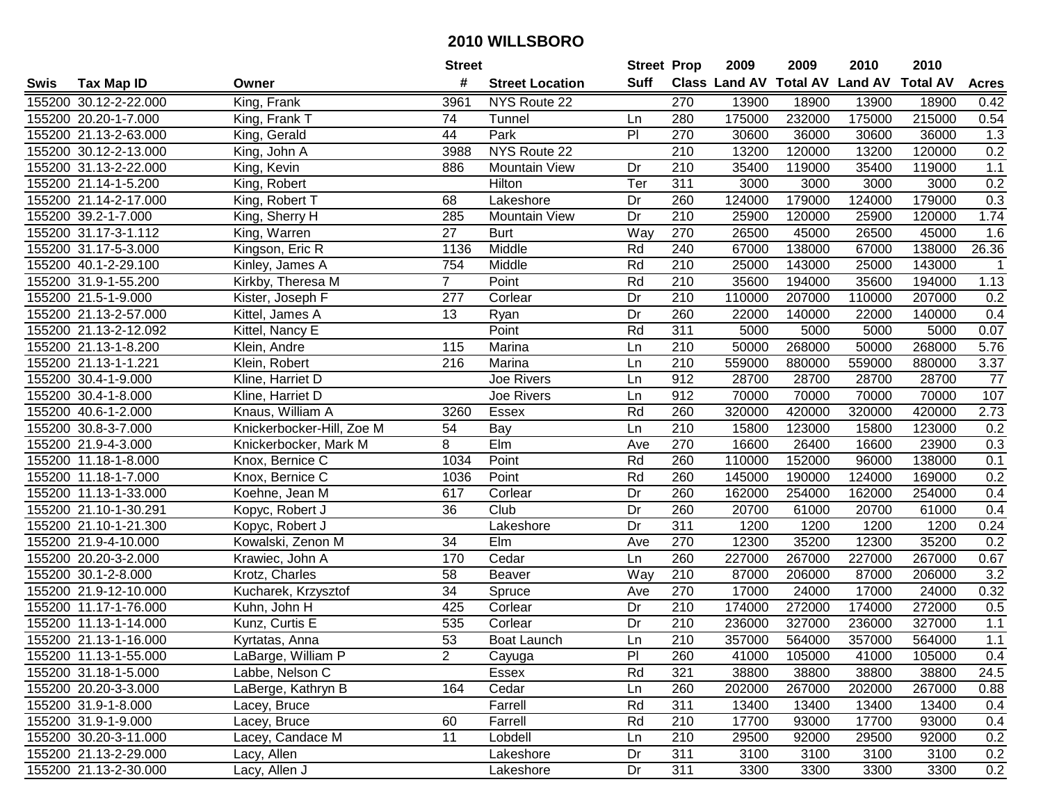|      |                       |                           | <b>Street</b>   |                        | <b>Street Prop</b> |                  | 2009   | 2009   | 2010                           | 2010            |              |
|------|-----------------------|---------------------------|-----------------|------------------------|--------------------|------------------|--------|--------|--------------------------------|-----------------|--------------|
| Swis | <b>Tax Map ID</b>     | Owner                     | #               | <b>Street Location</b> | Suff               |                  |        |        | Class Land AV Total AV Land AV | <b>Total AV</b> | <b>Acres</b> |
|      | 155200 30.12-2-22.000 | King, Frank               | 3961            | NYS Route 22           |                    | 270              | 13900  | 18900  | 13900                          | 18900           | 0.42         |
|      | 155200 20.20-1-7.000  | King, Frank T             | 74              | Tunnel                 | Ln                 | 280              | 175000 | 232000 | 175000                         | 215000          | 0.54         |
|      | 155200 21.13-2-63.000 | King, Gerald              | 44              | Park                   | P                  | 270              | 30600  | 36000  | 30600                          | 36000           | 1.3          |
|      | 155200 30.12-2-13.000 | King, John A              | 3988            | NYS Route 22           |                    | 210              | 13200  | 120000 | 13200                          | 120000          | 0.2          |
|      | 155200 31.13-2-22.000 | King, Kevin               | 886             | <b>Mountain View</b>   | Dr                 | 210              | 35400  | 119000 | 35400                          | 119000          | 1.1          |
|      | 155200 21.14-1-5.200  | King, Robert              |                 | Hilton                 | Ter                | 311              | 3000   | 3000   | 3000                           | 3000            | 0.2          |
|      | 155200 21.14-2-17.000 | King, Robert T            | 68              | Lakeshore              | Dr                 | 260              | 124000 | 179000 | 124000                         | 179000          | 0.3          |
|      | 155200 39.2-1-7.000   | King, Sherry H            | 285             | <b>Mountain View</b>   | Dr                 | 210              | 25900  | 120000 | 25900                          | 120000          | 1.74         |
|      | 155200 31.17-3-1.112  | King, Warren              | $\overline{27}$ | <b>Burt</b>            | Way                | 270              | 26500  | 45000  | 26500                          | 45000           | 1.6          |
|      | 155200 31.17-5-3.000  | Kingson, Eric R           | 1136            | Middle                 | Rd                 | 240              | 67000  | 138000 | 67000                          | 138000          | 26.36        |
|      | 155200 40.1-2-29.100  | Kinley, James A           | 754             | Middle                 | Rd                 | 210              | 25000  | 143000 | 25000                          | 143000          |              |
|      | 155200 31.9-1-55.200  | Kirkby, Theresa M         | $\overline{7}$  | Point                  | Rd                 | 210              | 35600  | 194000 | 35600                          | 194000          | 1.13         |
|      | 155200 21.5-1-9.000   | Kister, Joseph F          | 277             | Corlear                | Dr                 | 210              | 110000 | 207000 | 110000                         | 207000          | 0.2          |
|      | 155200 21.13-2-57.000 | Kittel, James A           | 13              | Ryan                   | Dr                 | 260              | 22000  | 140000 | 22000                          | 140000          | 0.4          |
|      | 155200 21.13-2-12.092 | Kittel, Nancy E           |                 | Point                  | Rd                 | 311              | 5000   | 5000   | 5000                           | 5000            | 0.07         |
|      | 155200 21.13-1-8.200  | Klein, Andre              | 115             | Marina                 | Ln                 | 210              | 50000  | 268000 | 50000                          | 268000          | 5.76         |
|      | 155200 21.13-1-1.221  | Klein, Robert             | 216             | Marina                 | Ln                 | $\overline{210}$ | 559000 | 880000 | 559000                         | 880000          | 3.37         |
|      | 155200 30.4-1-9.000   | Kline, Harriet D          |                 | Joe Rivers             | Ln                 | 912              | 28700  | 28700  | 28700                          | 28700           | 77           |
|      | 155200 30.4-1-8.000   | Kline, Harriet D          |                 | Joe Rivers             | Ln                 | 912              | 70000  | 70000  | 70000                          | 70000           | 107          |
|      | 155200 40.6-1-2.000   | Knaus, William A          | 3260            | Essex                  | Rd                 | 260              | 320000 | 420000 | 320000                         | 420000          | 2.73         |
|      | 155200 30.8-3-7.000   | Knickerbocker-Hill, Zoe M | 54              | Bay                    | Ln                 | 210              | 15800  | 123000 | 15800                          | 123000          | 0.2          |
|      | 155200 21.9-4-3.000   | Knickerbocker, Mark M     | 8               | Elm                    | Ave                | 270              | 16600  | 26400  | 16600                          | 23900           | 0.3          |
|      | 155200 11.18-1-8.000  | Knox, Bernice C           | 1034            | Point                  | Rd                 | 260              | 110000 | 152000 | 96000                          | 138000          | 0.1          |
|      | 155200 11.18-1-7.000  | Knox, Bernice C           | 1036            | Point                  | Rd                 | 260              | 145000 | 190000 | 124000                         | 169000          | 0.2          |
|      | 155200 11.13-1-33.000 | Koehne, Jean M            | 617             | Corlear                | Dr                 | 260              | 162000 | 254000 | 162000                         | 254000          | 0.4          |
|      | 155200 21.10-1-30.291 | Kopyc, Robert J           | 36              | Club                   | Dr                 | 260              | 20700  | 61000  | 20700                          | 61000           | 0.4          |
|      | 155200 21.10-1-21.300 | Kopyc, Robert J           |                 | Lakeshore              | Dr                 | 311              | 1200   | 1200   | 1200                           | 1200            | 0.24         |
|      | 155200 21.9-4-10.000  | Kowalski, Zenon M         | 34              | Elm                    | Ave                | 270              | 12300  | 35200  | 12300                          | 35200           | 0.2          |
|      | 155200 20.20-3-2.000  | Krawiec, John A           | 170             | Cedar                  | Ln                 | 260              | 227000 | 267000 | 227000                         | 267000          | 0.67         |
|      | 155200 30.1-2-8.000   | Krotz, Charles            | 58              | <b>Beaver</b>          | Way                | $\overline{210}$ | 87000  | 206000 | 87000                          | 206000          | 3.2          |
|      | 155200 21.9-12-10.000 | Kucharek, Krzysztof       | $\overline{34}$ | Spruce                 | Ave                | 270              | 17000  | 24000  | 17000                          | 24000           | 0.32         |
|      | 155200 11.17-1-76.000 | Kuhn, John H              | 425             | Corlear                | Dr                 | 210              | 174000 | 272000 | 174000                         | 272000          | 0.5          |
|      | 155200 11.13-1-14.000 | Kunz, Curtis E            | 535             | Corlear                | Dr                 | $\overline{210}$ | 236000 | 327000 | 236000                         | 327000          | 1.1          |
|      | 155200 21.13-1-16.000 | Kyrtatas, Anna            | 53              | <b>Boat Launch</b>     | Ln                 | $\overline{210}$ | 357000 | 564000 | 357000                         | 564000          | 1.1          |
|      | 155200 11.13-1-55.000 | LaBarge, William P        | 2               | Cayuga                 | PI.                | 260              | 41000  | 105000 | 41000                          | 105000          | 0.4          |
|      | 155200 31.18-1-5.000  | Labbe, Nelson C           |                 | Essex                  | Rd                 | 321              | 38800  | 38800  | 38800                          | 38800           | 24.5         |
|      | 155200 20.20-3-3.000  | LaBerge, Kathryn B        | 164             | Cedar                  | Ln                 | 260              | 202000 | 267000 | 202000                         | 267000          | 0.88         |
|      | 155200 31.9-1-8.000   | Lacey, Bruce              |                 | Farrell                | Rd                 | 311              | 13400  | 13400  | 13400                          | 13400           | 0.4          |
|      | 155200 31.9-1-9.000   | Lacey, Bruce              | 60              | Farrell                | Rd                 | 210              | 17700  | 93000  | 17700                          | 93000           | 0.4          |
|      | 155200 30.20-3-11.000 | Lacey, Candace M          | 11              | Lobdell                | Ln                 | 210              | 29500  | 92000  | 29500                          | 92000           | 0.2          |
|      | 155200 21.13-2-29.000 | Lacy, Allen               |                 | Lakeshore              | Dr                 | 311              | 3100   | 3100   | 3100                           | 3100            | 0.2          |
|      | 155200 21.13-2-30.000 | Lacy, Allen J             |                 | Lakeshore              | Dr                 | 311              | 3300   | 3300   | 3300                           | 3300            | 0.2          |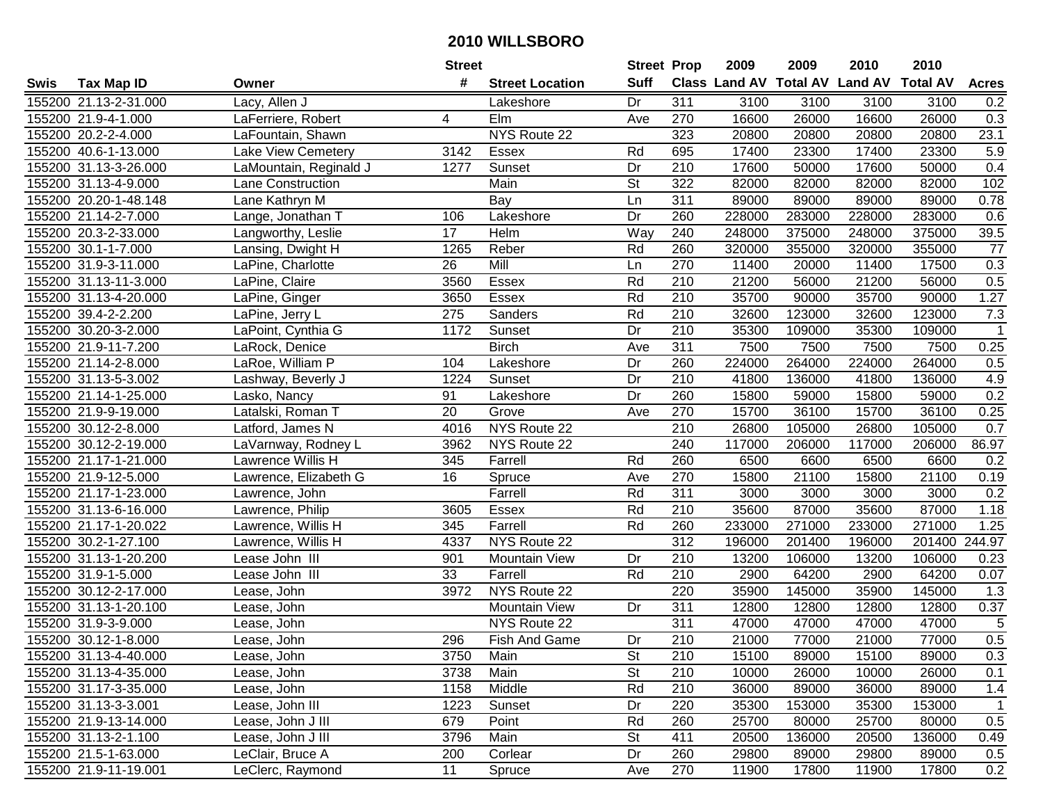|      |                       |                        | <b>Street</b> |                        | <b>Street Prop</b>       |                  | 2009   | 2009   | 2010                                    | 2010   |                  |
|------|-----------------------|------------------------|---------------|------------------------|--------------------------|------------------|--------|--------|-----------------------------------------|--------|------------------|
| Swis | <b>Tax Map ID</b>     | Owner                  | #             | <b>Street Location</b> | <b>Suff</b>              |                  |        |        | Class Land AV Total AV Land AV Total AV |        | <b>Acres</b>     |
|      | 155200 21.13-2-31.000 | Lacy, Allen J          |               | Lakeshore              | Dr                       | 311              | 3100   | 3100   | 3100                                    | 3100   | 0.2              |
|      | 155200 21.9-4-1.000   | LaFerriere, Robert     | 4             | Elm                    | Ave                      | 270              | 16600  | 26000  | 16600                                   | 26000  | 0.3              |
|      | 155200 20.2-2-4.000   | LaFountain, Shawn      |               | NYS Route 22           |                          | 323              | 20800  | 20800  | 20800                                   | 20800  | 23.1             |
|      | 155200 40.6-1-13.000  | Lake View Cemetery     | 3142          | Essex                  | Rd                       | 695              | 17400  | 23300  | 17400                                   | 23300  | 5.9              |
|      | 155200 31.13-3-26.000 | LaMountain, Reginald J | 1277          | Sunset                 | Dr                       | 210              | 17600  | 50000  | 17600                                   | 50000  | 0.4              |
|      | 155200 31.13-4-9.000  | Lane Construction      |               | Main                   | $\overline{\mathsf{St}}$ | 322              | 82000  | 82000  | 82000                                   | 82000  | 102              |
|      | 155200 20.20-1-48.148 | Lane Kathryn M         |               | Bay                    | Ln                       | 311              | 89000  | 89000  | 89000                                   | 89000  | 0.78             |
|      | 155200 21.14-2-7.000  | Lange, Jonathan T      | 106           | Lakeshore              | Dr                       | 260              | 228000 | 283000 | 228000                                  | 283000 | 0.6              |
|      | 155200 20.3-2-33.000  | Langworthy, Leslie     | 17            | Helm                   | Way                      | 240              | 248000 | 375000 | 248000                                  | 375000 | 39.5             |
|      | 155200 30.1-1-7.000   | Lansing, Dwight H      | 1265          | Reber                  | Rd                       | 260              | 320000 | 355000 | 320000                                  | 355000 | 77               |
|      | 155200 31.9-3-11.000  | LaPine, Charlotte      | 26            | Mill                   | Ln                       | 270              | 11400  | 20000  | 11400                                   | 17500  | 0.3              |
|      | 155200 31.13-11-3.000 | LaPine, Claire         | 3560          | Essex                  | Rd                       | 210              | 21200  | 56000  | 21200                                   | 56000  | 0.5              |
|      | 155200 31.13-4-20.000 | LaPine, Ginger         | 3650          | Essex                  | Rd                       | 210              | 35700  | 90000  | 35700                                   | 90000  | 1.27             |
|      | 155200 39.4-2-2.200   | LaPine, Jerry L        | 275           | Sanders                | Rd                       | 210              | 32600  | 123000 | 32600                                   | 123000 | 7.3              |
|      | 155200 30.20-3-2.000  | LaPoint, Cynthia G     | 1172          | Sunset                 | Dr                       | 210              | 35300  | 109000 | 35300                                   | 109000 | $\overline{1}$   |
|      | 155200 21.9-11-7.200  | LaRock, Denice         |               | <b>Birch</b>           | Ave                      | 311              | 7500   | 7500   | 7500                                    | 7500   | 0.25             |
|      | 155200 21.14-2-8.000  | LaRoe, William P       | 104           | Lakeshore              | Dr                       | 260              | 224000 | 264000 | 224000                                  | 264000 | 0.5              |
|      | 155200 31.13-5-3.002  | Lashway, Beverly J     | 1224          | Sunset                 | Dr                       | 210              | 41800  | 136000 | 41800                                   | 136000 | 4.9              |
|      | 155200 21.14-1-25.000 | Lasko, Nancy           | 91            | Lakeshore              | Dr                       | 260              | 15800  | 59000  | 15800                                   | 59000  | 0.2              |
|      | 155200 21.9-9-19.000  | Latalski, Roman T      | 20            | Grove                  | Ave                      | 270              | 15700  | 36100  | 15700                                   | 36100  | 0.25             |
|      | 155200 30.12-2-8.000  | Latford, James N       | 4016          | NYS Route 22           |                          | 210              | 26800  | 105000 | 26800                                   | 105000 | 0.7              |
|      | 155200 30.12-2-19.000 | LaVarnway, Rodney L    | 3962          | NYS Route 22           |                          | 240              | 117000 | 206000 | 117000                                  | 206000 | 86.97            |
|      | 155200 21.17-1-21.000 | Lawrence Willis H      | 345           | Farrell                | Rd                       | 260              | 6500   | 6600   | 6500                                    | 6600   | 0.2              |
|      | 155200 21.9-12-5.000  | Lawrence, Elizabeth G  | 16            | Spruce                 | Ave                      | 270              | 15800  | 21100  | 15800                                   | 21100  | 0.19             |
|      | 155200 21.17-1-23.000 | Lawrence, John         |               | Farrell                | Rd                       | $\overline{311}$ | 3000   | 3000   | 3000                                    | 3000   | 0.2              |
|      | 155200 31.13-6-16.000 | Lawrence, Philip       | 3605          | Essex                  | Rd                       | 210              | 35600  | 87000  | 35600                                   | 87000  | 1.18             |
|      | 155200 21.17-1-20.022 | Lawrence, Willis H     | 345           | Farrell                | Rd                       | 260              | 233000 | 271000 | 233000                                  | 271000 | 1.25             |
|      | 155200 30.2-1-27.100  | Lawrence, Willis H     | 4337          | NYS Route 22           |                          | 312              | 196000 | 201400 | 196000                                  | 201400 | 244.97           |
|      | 155200 31.13-1-20.200 | Lease John III         | 901           | <b>Mountain View</b>   | Dr                       | 210              | 13200  | 106000 | 13200                                   | 106000 | 0.23             |
|      | 155200 31.9-1-5.000   | Lease John III         | 33            | Farrell                | Rd                       | $\overline{210}$ | 2900   | 64200  | 2900                                    | 64200  | 0.07             |
|      | 155200 30.12-2-17.000 | Lease, John            | 3972          | NYS Route 22           |                          | 220              | 35900  | 145000 | 35900                                   | 145000 | $\overline{1.3}$ |
|      | 155200 31.13-1-20.100 | Lease, John            |               | <b>Mountain View</b>   | Dr                       | 311              | 12800  | 12800  | 12800                                   | 12800  | 0.37             |
|      | 155200 31.9-3-9.000   | Lease, John            |               | NYS Route 22           |                          | 311              | 47000  | 47000  | 47000                                   | 47000  | $\overline{5}$   |
|      | 155200 30.12-1-8.000  | Lease, John            | 296           | Fish And Game          | Dr                       | $\overline{210}$ | 21000  | 77000  | 21000                                   | 77000  | 0.5              |
|      | 155200 31.13-4-40.000 | Lease, John            | 3750          | Main                   | St                       | 210              | 15100  | 89000  | 15100                                   | 89000  | 0.3              |
|      | 155200 31.13-4-35.000 | Lease, John            | 3738          | Main                   | <b>St</b>                | 210              | 10000  | 26000  | 10000                                   | 26000  | 0.1              |
|      | 155200 31.17-3-35.000 | Lease, John            | 1158          | Middle                 | Rd                       | 210              | 36000  | 89000  | 36000                                   | 89000  | 1.4              |
|      | 155200 31.13-3-3.001  | Lease, John III        | 1223          | Sunset                 | Dr                       | 220              | 35300  | 153000 | 35300                                   | 153000 | $\mathbf 1$      |
|      | 155200 21.9-13-14.000 | Lease, John J III      | 679           | Point                  | Rd                       | 260              | 25700  | 80000  | 25700                                   | 80000  | 0.5              |
|      | 155200 31.13-2-1.100  | Lease, John J III      | 3796          | Main                   | <b>St</b>                | 411              | 20500  | 136000 | 20500                                   | 136000 | 0.49             |
|      | 155200 21.5-1-63.000  | LeClair, Bruce A       | 200           | Corlear                | Dr                       | 260              | 29800  | 89000  | 29800                                   | 89000  | 0.5              |
|      | 155200 21.9-11-19.001 | LeClerc, Raymond       | 11            | Spruce                 | Ave                      | 270              | 11900  | 17800  | 11900                                   | 17800  | 0.2              |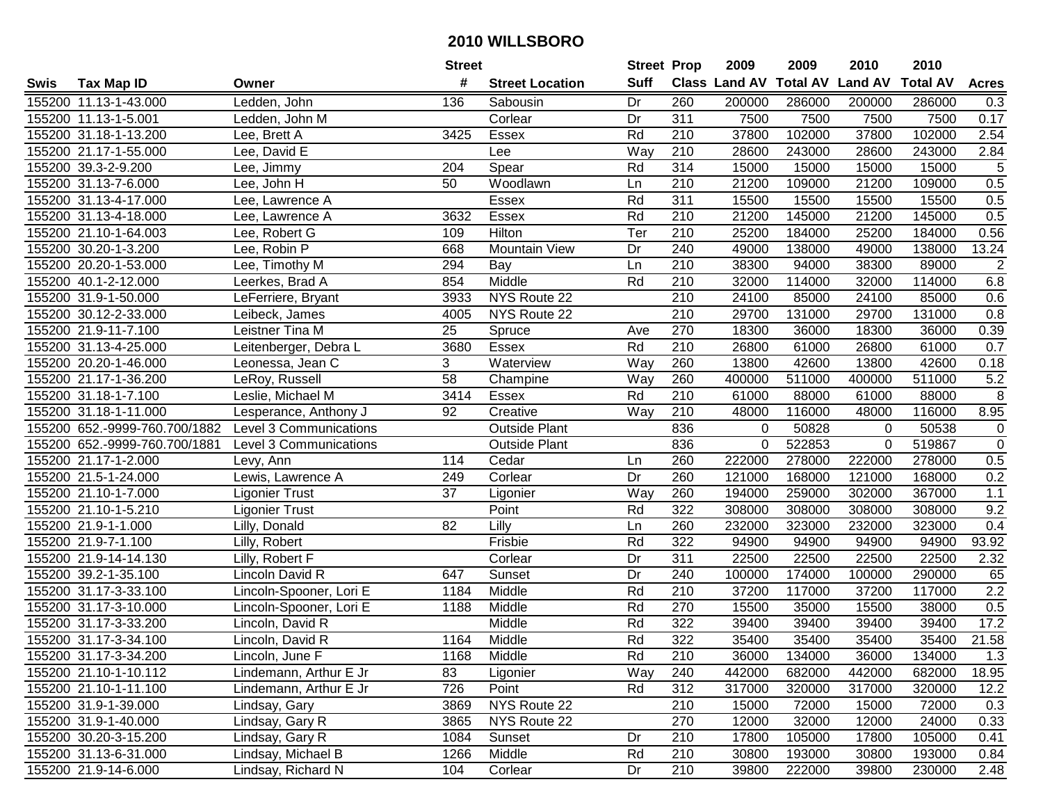|      |                               |                         | <b>Street</b>   |                        | <b>Street Prop</b> |                  | 2009                 | 2009            | 2010           | 2010            |                |
|------|-------------------------------|-------------------------|-----------------|------------------------|--------------------|------------------|----------------------|-----------------|----------------|-----------------|----------------|
| Swis | <b>Tax Map ID</b>             | Owner                   | #               | <b>Street Location</b> | <b>Suff</b>        |                  | <b>Class Land AV</b> | <b>Total AV</b> | <b>Land AV</b> | <b>Total AV</b> | <b>Acres</b>   |
|      | 155200 11.13-1-43.000         | Ledden, John            | 136             | Sabousin               | Dr                 | 260              | 200000               | 286000          | 200000         | 286000          | 0.3            |
|      | 155200 11.13-1-5.001          | Ledden, John M          |                 | Corlear                | Dr                 | 311              | 7500                 | 7500            | 7500           | 7500            | 0.17           |
|      | 155200 31.18-1-13.200         | Lee, Brett A            | 3425            | Essex                  | Rd                 | 210              | 37800                | 102000          | 37800          | 102000          | 2.54           |
|      | 155200 21.17-1-55.000         | Lee, David E            |                 | Lee                    | Way                | 210              | 28600                | 243000          | 28600          | 243000          | 2.84           |
|      | 155200 39.3-2-9.200           | Lee, Jimmy              | 204             | Spear                  | Rd                 | 314              | 15000                | 15000           | 15000          | 15000           | $\sqrt{5}$     |
|      | 155200 31.13-7-6.000          | Lee, John H             | 50              | Woodlawn               | Ln                 | 210              | 21200                | 109000          | 21200          | 109000          | 0.5            |
|      | 155200 31.13-4-17.000         | Lee, Lawrence A         |                 | <b>Essex</b>           | Rd                 | 311              | 15500                | 15500           | 15500          | 15500           | 0.5            |
|      | 155200 31.13-4-18.000         | Lee, Lawrence A         | 3632            | Essex                  | Rd                 | $\overline{210}$ | 21200                | 145000          | 21200          | 145000          | 0.5            |
|      | 155200 21.10-1-64.003         | Lee, Robert G           | 109             | <b>Hilton</b>          | Ter                | $\overline{210}$ | 25200                | 184000          | 25200          | 184000          | 0.56           |
|      | 155200 30.20-1-3.200          | Lee, Robin P            | 668             | <b>Mountain View</b>   | Dr                 | 240              | 49000                | 138000          | 49000          | 138000          | 13.24          |
|      | 155200 20.20-1-53.000         | Lee, Timothy M          | 294             | Bay                    | Ln                 | 210              | 38300                | 94000           | 38300          | 89000           | $\overline{2}$ |
|      | 155200 40.1-2-12.000          | Leerkes, Brad A         | 854             | Middle                 | Rd                 | 210              | 32000                | 114000          | 32000          | 114000          | 6.8            |
|      | 155200 31.9-1-50.000          | LeFerriere, Bryant      | 3933            | NYS Route 22           |                    | 210              | 24100                | 85000           | 24100          | 85000           | 0.6            |
|      | 155200 30.12-2-33.000         | Leibeck, James          | 4005            | NYS Route 22           |                    | 210              | 29700                | 131000          | 29700          | 131000          | 0.8            |
|      | 155200 21.9-11-7.100          | Leistner Tina M         | 25              | Spruce                 | Ave                | 270              | 18300                | 36000           | 18300          | 36000           | 0.39           |
|      | 155200 31.13-4-25.000         | Leitenberger, Debra L   | 3680            | Essex                  | Rd                 | 210              | 26800                | 61000           | 26800          | 61000           | 0.7            |
|      | 155200 20.20-1-46.000         | Leonessa, Jean C        | 3               | Waterview              | Way                | 260              | 13800                | 42600           | 13800          | 42600           | 0.18           |
|      | 155200 21.17-1-36.200         | LeRoy, Russell          | $\overline{58}$ | Champine               | Way                | 260              | 400000               | 511000          | 400000         | 511000          | 5.2            |
|      | 155200 31.18-1-7.100          | Leslie, Michael M       | 3414            | Essex                  | Rd                 | 210              | 61000                | 88000           | 61000          | 88000           | 8              |
|      | 155200 31.18-1-11.000         | Lesperance, Anthony J   | 92              | Creative               | Way                | 210              | 48000                | 116000          | 48000          | 116000          | 8.95           |
|      | 155200 652.-9999-760.700/1882 | Level 3 Communications  |                 | <b>Outside Plant</b>   |                    | 836              | $\mathbf{0}$         | 50828           | $\Omega$       | 50538           | $\mathbf 0$    |
|      | 155200 652.-9999-760.700/1881 | Level 3 Communications  |                 | <b>Outside Plant</b>   |                    | 836              | 0                    | 522853          | $\Omega$       | 519867          | $\mathbf 0$    |
|      | 155200 21.17-1-2.000          | Levy, Ann               | 114             | Cedar                  | Ln                 | 260              | 222000               | 278000          | 222000         | 278000          | 0.5            |
|      | 155200 21.5-1-24.000          | Lewis, Lawrence A       | 249             | Corlear                | Dr                 | 260              | 121000               | 168000          | 121000         | 168000          | 0.2            |
|      | 155200 21.10-1-7.000          | <b>Ligonier Trust</b>   | 37              | Ligonier               | Way                | 260              | 194000               | 259000          | 302000         | 367000          | 1.1            |
|      | 155200 21.10-1-5.210          | <b>Ligonier Trust</b>   |                 | Point                  | Rd                 | 322              | 308000               | 308000          | 308000         | 308000          | 9.2            |
|      | 155200 21.9-1-1.000           | Lilly, Donald           | 82              | Lilly                  | Ln                 | 260              | 232000               | 323000          | 232000         | 323000          | 0.4            |
|      | 155200 21.9-7-1.100           | Lilly, Robert           |                 | Frisbie                | Rd                 | 322              | 94900                | 94900           | 94900          | 94900           | 93.92          |
|      | 155200 21.9-14-14.130         | Lilly, Robert F         |                 | Corlear                | Dr                 | $\overline{311}$ | 22500                | 22500           | 22500          | 22500           | 2.32           |
|      | 155200 39.2-1-35.100          | Lincoln David R         | 647             | Sunset                 | Dr                 | 240              | 100000               | 174000          | 100000         | 290000          | 65             |
|      | 155200 31.17-3-33.100         | Lincoln-Spooner, Lori E | 1184            | Middle                 | Rd                 | $\overline{210}$ | 37200                | 117000          | 37200          | 117000          | 2.2            |
|      | 155200 31.17-3-10.000         | Lincoln-Spooner, Lori E | 1188            | Middle                 | Rd                 | 270              | 15500                | 35000           | 15500          | 38000           | 0.5            |
|      | 155200 31.17-3-33.200         | Lincoln, David R        |                 | Middle                 | Rd                 | 322              | 39400                | 39400           | 39400          | 39400           | 17.2           |
|      | 155200 31.17-3-34.100         | Lincoln, David R        | 1164            | Middle                 | Rd                 | 322              | 35400                | 35400           | 35400          | 35400           | 21.58          |
|      | 155200 31.17-3-34.200         | Lincoln, June F         | 1168            | Middle                 | Rd                 | 210              | 36000                | 134000          | 36000          | 134000          | 1.3            |
|      | 155200 21.10-1-10.112         | Lindemann, Arthur E Jr  | 83              | Ligonier               | Way                | 240              | 442000               | 682000          | 442000         | 682000          | 18.95          |
|      | 155200 21.10-1-11.100         | Lindemann, Arthur E Jr  | 726             | Point                  | Rd                 | 312              | 317000               | 320000          | 317000         | 320000          | 12.2           |
|      | 155200 31.9-1-39.000          | Lindsay, Gary           | 3869            | NYS Route 22           |                    | 210              | 15000                | 72000           | 15000          | 72000           | 0.3            |
|      | 155200 31.9-1-40.000          | Lindsay, Gary R         | 3865            | NYS Route 22           |                    | 270              | 12000                | 32000           | 12000          | 24000           | 0.33           |
|      | 155200 30.20-3-15.200         | Lindsay, Gary R         | 1084            | Sunset                 | Dr                 | 210              | 17800                | 105000          | 17800          | 105000          | 0.41           |
|      | 155200 31.13-6-31.000         | Lindsay, Michael B      | 1266            | Middle                 | Rd                 | 210              | 30800                | 193000          | 30800          | 193000          | 0.84           |
|      | 155200 21.9-14-6.000          | Lindsay, Richard N      | 104             | Corlear                | Dr                 | 210              | 39800                | 222000          | 39800          | 230000          | 2.48           |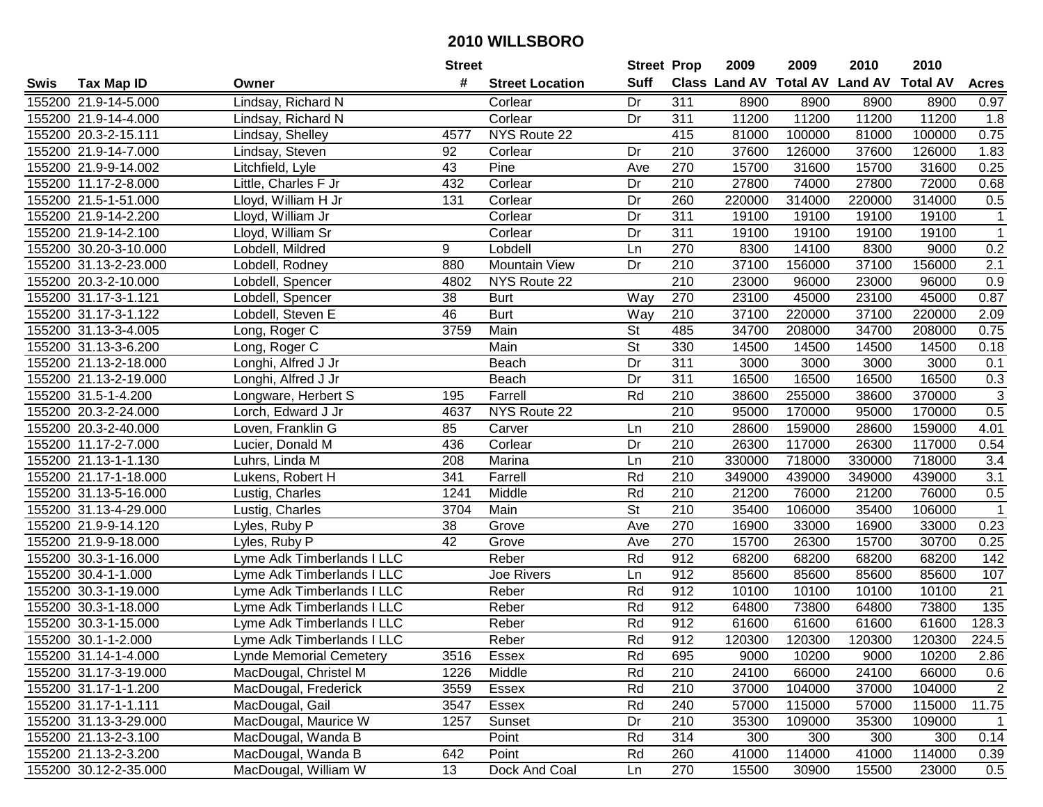| #<br><b>Suff</b><br>Class Land AV Total AV Land AV<br><b>Total AV</b><br><b>Tax Map ID</b><br><b>Street Location</b><br><b>Acres</b><br>Swis<br>Owner<br>155200 21.9-14-5.000<br>Lindsay, Richard N<br>Dr<br>311<br>8900<br>8900<br>8900<br>8900<br>0.97<br>Corlear<br>11200<br>11200<br>Corlear<br>Dr<br>311<br>11200<br>11200<br>1.8<br>155200 21.9-14-4.000<br>Lindsay, Richard N<br>155200 20.3-2-15.111<br>4577<br>NYS Route 22<br>415<br>81000<br>100000<br>81000<br>100000<br>0.75<br>Lindsay, Shelley<br>210<br>37600<br>126000<br>37600<br>126000<br>1.83<br>155200 21.9-14-7.000<br>92<br>Dr<br>Lindsay, Steven<br>Corlear<br>155200 21.9-9-14.002<br>Pine<br>270<br>15700<br>31600<br>15700<br>31600<br>0.25<br>Litchfield, Lyle<br>43<br>Ave<br>27800<br>155200 11.17-2-8.000<br>Little, Charles F Jr<br>432<br>Corlear<br>Dr<br>210<br>27800<br>74000<br>72000<br>0.68<br>155200 21.5-1-51.000<br>260<br>314000<br>220000<br>314000<br>0.5<br>Lloyd, William H Jr<br>131<br>Corlear<br>Dr<br>220000<br>311<br>19100<br>19100<br>155200 21.9-14-2.200<br>Lloyd, William Jr<br>Corlear<br>Dr<br>19100<br>19100<br>$\mathbf{1}$<br>$\overline{311}$<br>155200 21.9-14-2.100<br>Lloyd, William Sr<br>Dr<br>19100<br>19100<br>19100<br>19100<br>$\mathbf{1}$<br>Corlear<br>9<br>270<br>0.2<br>155200 30.20-3-10.000<br>Lobdell, Mildred<br>Lobdell<br>8300<br>14100<br>8300<br>9000<br>Ln<br>210<br>37100<br>156000<br>155200 31.13-2-23.000<br>880<br><b>Mountain View</b><br>Dr<br>156000<br>37100<br>2.1<br>Lobdell, Rodney<br>155200 20.3-2-10.000<br>NYS Route 22<br>210<br>23000<br>96000<br>23000<br>96000<br>0.9<br>Lobdell, Spencer<br>4802<br>38<br>270<br>23100<br>45000<br>23100<br>45000<br>0.87<br>155200 31.17-3-1.121<br><b>Burt</b><br>Way<br>Lobdell, Spencer<br>46<br>37100<br>155200 31.17-3-1.122<br><b>Burt</b><br>Way<br>210<br>37100<br>220000<br>220000<br>Lobdell, Steven E<br>2.09<br>Main<br><b>St</b><br>485<br>34700<br>155200 31.13-3-4.005<br>3759<br>208000<br>34700<br>208000<br>0.75<br>Long, Roger C<br><b>St</b><br>Main<br>330<br>14500<br>14500<br>14500<br>155200 31.13-3-6.200<br>Long, Roger C<br>14500<br>0.18<br>Dr<br>311<br>3000<br>3000<br>3000<br>3000<br>0.1<br>155200 21.13-2-18.000<br>Longhi, Alfred J Jr<br>Beach<br>Dr<br>Beach<br>311<br>16500<br>16500<br>16500<br>16500<br>0.3<br>155200 21.13-2-19.000<br>Longhi, Alfred J Jr<br>$\ensuremath{\mathsf{3}}$<br>Rd<br>155200 31.5-1-4.200<br>Farrell<br>210<br>38600<br>255000<br>38600<br>370000<br>Longware, Herbert S<br>195<br>0.5<br>155200 20.3-2-24.000<br>NYS Route 22<br>210<br>95000<br>170000<br>95000<br>170000<br>Lorch, Edward J Jr<br>4637<br>210<br>28600<br>159000<br>28600<br>159000<br>155200 20.3-2-40.000<br>Loven, Franklin G<br>85<br>4.01<br>Carver<br>Ln<br>155200 11.17-2-7.000<br>436<br>Corlear<br>Dr<br>210<br>26300<br>117000<br>26300<br>117000<br>0.54<br>Lucier, Donald M<br>210<br>330000<br>3.4<br>155200 21.13-1-1.130<br>208<br>Marina<br>718000<br>330000<br>718000<br>Luhrs, Linda M<br>Ln<br>155200 21.17-1-18.000<br>341<br>Farrell<br>Rd<br>210<br>349000<br>439000<br>349000<br>439000<br>3.1<br>Lukens, Robert H<br>21200<br>1241<br>Middle<br>Rd<br>210<br>76000<br>21200<br>76000<br>0.5<br>155200 31.13-5-16.000<br>Lustig, Charles<br>$\overline{\mathsf{St}}$<br>Main<br>210<br>35400<br>155200 31.13-4-29.000<br>Lustig, Charles<br>3704<br>106000<br>35400<br>106000<br>$\overline{1}$<br>38<br>270<br>33000<br>155200 21.9-9-14.120<br>Ave<br>16900<br>33000<br>16900<br>0.23<br>Lyles, Ruby P<br>Grove<br>42<br>270<br>15700<br>30700<br>155200 21.9-9-18.000<br>26300<br>15700<br>0.25<br>Lyles, Ruby P<br>Grove<br>Ave<br>$\overline{912}$<br>155200 30.3-1-16.000<br>Lyme Adk Timberlands I LLC<br>Rd<br>68200<br>68200<br>68200<br>142<br>Reber<br>68200<br>$\overline{912}$<br>155200 30.4-1-1.000<br>Joe Rivers<br>85600<br>85600<br>85600<br>85600<br>107<br>Lyme Adk Timberlands I LLC<br>Ln<br>Rd<br>$\overline{912}$<br>10100<br>10100<br>$\overline{21}$<br>155200 30.3-1-19.000<br>Reber<br>10100<br>10100<br>Lyme Adk Timberlands I LLC<br>Rd<br>912<br>155200 30.3-1-18.000<br>Reber<br>73800<br>64800<br>73800<br>135<br>Lyme Adk Timberlands I LLC<br>64800<br>155200 30.3-1-15.000<br>Rd<br>912<br>61600<br>61600<br>128.3<br>Reber<br>61600<br>61600<br>Lyme Adk Timberlands I LLC<br>Rd<br>$\overline{912}$<br>155200 30.1-1-2.000<br>Reber<br>120300<br>120300<br>120300<br>120300<br>224.5<br>Lyme Adk Timberlands I LLC<br>155200 31.14-1-4.000<br><b>Lynde Memorial Cemetery</b><br>3516<br>Essex<br>Rd<br>695<br>9000<br>10200<br>9000<br>10200<br>2.86<br>155200 31.17-3-19.000<br>MacDougal, Christel M<br>Middle<br>Rd<br>210<br>24100<br>66000<br>24100<br>66000<br>0.6<br>1226<br>210<br>104000<br>$\overline{2}$<br>155200 31.17-1-1.200<br>MacDougal, Frederick<br>3559<br>Rd<br>37000<br>104000<br>37000<br>Essex<br>155200 31.17-1-1.111<br>Rd<br>240<br>57000<br>115000<br>115000<br>11.75<br>MacDougal, Gail<br>3547<br>Essex<br>57000<br>210<br>155200 31.13-3-29.000<br>MacDougal, Maurice W<br>1257<br>Dr<br>35300<br>109000<br>35300<br>109000<br>$\overline{1}$<br>Sunset<br>0.14<br>MacDougal, Wanda B<br>Rd<br>314<br>300<br>155200 21.13-2-3.100<br>Point<br>300<br>300<br>300<br>MacDougal, Wanda B<br>41000<br>155200 21.13-2-3.200<br>642<br>Point<br>Rd<br>260<br>114000<br>41000<br>114000<br>0.39<br>155200 30.12-2-35.000<br>15500 |  |                      | <b>Street</b> |               | <b>Street Prop</b> |     | 2009 | 2009  | 2010  | 2010  |     |
|-----------------------------------------------------------------------------------------------------------------------------------------------------------------------------------------------------------------------------------------------------------------------------------------------------------------------------------------------------------------------------------------------------------------------------------------------------------------------------------------------------------------------------------------------------------------------------------------------------------------------------------------------------------------------------------------------------------------------------------------------------------------------------------------------------------------------------------------------------------------------------------------------------------------------------------------------------------------------------------------------------------------------------------------------------------------------------------------------------------------------------------------------------------------------------------------------------------------------------------------------------------------------------------------------------------------------------------------------------------------------------------------------------------------------------------------------------------------------------------------------------------------------------------------------------------------------------------------------------------------------------------------------------------------------------------------------------------------------------------------------------------------------------------------------------------------------------------------------------------------------------------------------------------------------------------------------------------------------------------------------------------------------------------------------------------------------------------------------------------------------------------------------------------------------------------------------------------------------------------------------------------------------------------------------------------------------------------------------------------------------------------------------------------------------------------------------------------------------------------------------------------------------------------------------------------------------------------------------------------------------------------------------------------------------------------------------------------------------------------------------------------------------------------------------------------------------------------------------------------------------------------------------------------------------------------------------------------------------------------------------------------------------------------------------------------------------------------------------------------------------------------------------------------------------------------------------------------------------------------------------------------------------------------------------------------------------------------------------------------------------------------------------------------------------------------------------------------------------------------------------------------------------------------------------------------------------------------------------------------------------------------------------------------------------------------------------------------------------------------------------------------------------------------------------------------------------------------------------------------------------------------------------------------------------------------------------------------------------------------------------------------------------------------------------------------------------------------------------------------------------------------------------------------------------------------------------------------------------------------------------------------------------------------------------------------------------------------------------------------------------------------------------------------------------------------------------------------------------------------------------------------------------------------------------------------------------------------------------------------------------------------------------------------------------------------------------------------------------------------------------------------------------------------------------------------------------------------------------------------------------------------------------------------------------------------------------------------------------------------------------------------------------------------------------------------------------------------------------------------------------------------------------------------------------------------------------------------------------------------------------------------------------------------------------------------------------------------------------------------------------------------------------------------------------------------------------------------|--|----------------------|---------------|---------------|--------------------|-----|------|-------|-------|-------|-----|
|                                                                                                                                                                                                                                                                                                                                                                                                                                                                                                                                                                                                                                                                                                                                                                                                                                                                                                                                                                                                                                                                                                                                                                                                                                                                                                                                                                                                                                                                                                                                                                                                                                                                                                                                                                                                                                                                                                                                                                                                                                                                                                                                                                                                                                                                                                                                                                                                                                                                                                                                                                                                                                                                                                                                                                                                                                                                                                                                                                                                                                                                                                                                                                                                                                                                                                                                                                                                                                                                                                                                                                                                                                                                                                                                                                                                                                                                                                                                                                                                                                                                                                                                                                                                                                                                                                                                                                                                                                                                                                                                                                                                                                                                                                                                                                                                                                                                                                                                                                                                                                                                                                                                                                                                                                                                                                                                                                                                                                                           |  |                      |               |               |                    |     |      |       |       |       |     |
|                                                                                                                                                                                                                                                                                                                                                                                                                                                                                                                                                                                                                                                                                                                                                                                                                                                                                                                                                                                                                                                                                                                                                                                                                                                                                                                                                                                                                                                                                                                                                                                                                                                                                                                                                                                                                                                                                                                                                                                                                                                                                                                                                                                                                                                                                                                                                                                                                                                                                                                                                                                                                                                                                                                                                                                                                                                                                                                                                                                                                                                                                                                                                                                                                                                                                                                                                                                                                                                                                                                                                                                                                                                                                                                                                                                                                                                                                                                                                                                                                                                                                                                                                                                                                                                                                                                                                                                                                                                                                                                                                                                                                                                                                                                                                                                                                                                                                                                                                                                                                                                                                                                                                                                                                                                                                                                                                                                                                                                           |  |                      |               |               |                    |     |      |       |       |       |     |
|                                                                                                                                                                                                                                                                                                                                                                                                                                                                                                                                                                                                                                                                                                                                                                                                                                                                                                                                                                                                                                                                                                                                                                                                                                                                                                                                                                                                                                                                                                                                                                                                                                                                                                                                                                                                                                                                                                                                                                                                                                                                                                                                                                                                                                                                                                                                                                                                                                                                                                                                                                                                                                                                                                                                                                                                                                                                                                                                                                                                                                                                                                                                                                                                                                                                                                                                                                                                                                                                                                                                                                                                                                                                                                                                                                                                                                                                                                                                                                                                                                                                                                                                                                                                                                                                                                                                                                                                                                                                                                                                                                                                                                                                                                                                                                                                                                                                                                                                                                                                                                                                                                                                                                                                                                                                                                                                                                                                                                                           |  |                      |               |               |                    |     |      |       |       |       |     |
|                                                                                                                                                                                                                                                                                                                                                                                                                                                                                                                                                                                                                                                                                                                                                                                                                                                                                                                                                                                                                                                                                                                                                                                                                                                                                                                                                                                                                                                                                                                                                                                                                                                                                                                                                                                                                                                                                                                                                                                                                                                                                                                                                                                                                                                                                                                                                                                                                                                                                                                                                                                                                                                                                                                                                                                                                                                                                                                                                                                                                                                                                                                                                                                                                                                                                                                                                                                                                                                                                                                                                                                                                                                                                                                                                                                                                                                                                                                                                                                                                                                                                                                                                                                                                                                                                                                                                                                                                                                                                                                                                                                                                                                                                                                                                                                                                                                                                                                                                                                                                                                                                                                                                                                                                                                                                                                                                                                                                                                           |  |                      |               |               |                    |     |      |       |       |       |     |
|                                                                                                                                                                                                                                                                                                                                                                                                                                                                                                                                                                                                                                                                                                                                                                                                                                                                                                                                                                                                                                                                                                                                                                                                                                                                                                                                                                                                                                                                                                                                                                                                                                                                                                                                                                                                                                                                                                                                                                                                                                                                                                                                                                                                                                                                                                                                                                                                                                                                                                                                                                                                                                                                                                                                                                                                                                                                                                                                                                                                                                                                                                                                                                                                                                                                                                                                                                                                                                                                                                                                                                                                                                                                                                                                                                                                                                                                                                                                                                                                                                                                                                                                                                                                                                                                                                                                                                                                                                                                                                                                                                                                                                                                                                                                                                                                                                                                                                                                                                                                                                                                                                                                                                                                                                                                                                                                                                                                                                                           |  |                      |               |               |                    |     |      |       |       |       |     |
|                                                                                                                                                                                                                                                                                                                                                                                                                                                                                                                                                                                                                                                                                                                                                                                                                                                                                                                                                                                                                                                                                                                                                                                                                                                                                                                                                                                                                                                                                                                                                                                                                                                                                                                                                                                                                                                                                                                                                                                                                                                                                                                                                                                                                                                                                                                                                                                                                                                                                                                                                                                                                                                                                                                                                                                                                                                                                                                                                                                                                                                                                                                                                                                                                                                                                                                                                                                                                                                                                                                                                                                                                                                                                                                                                                                                                                                                                                                                                                                                                                                                                                                                                                                                                                                                                                                                                                                                                                                                                                                                                                                                                                                                                                                                                                                                                                                                                                                                                                                                                                                                                                                                                                                                                                                                                                                                                                                                                                                           |  |                      |               |               |                    |     |      |       |       |       |     |
|                                                                                                                                                                                                                                                                                                                                                                                                                                                                                                                                                                                                                                                                                                                                                                                                                                                                                                                                                                                                                                                                                                                                                                                                                                                                                                                                                                                                                                                                                                                                                                                                                                                                                                                                                                                                                                                                                                                                                                                                                                                                                                                                                                                                                                                                                                                                                                                                                                                                                                                                                                                                                                                                                                                                                                                                                                                                                                                                                                                                                                                                                                                                                                                                                                                                                                                                                                                                                                                                                                                                                                                                                                                                                                                                                                                                                                                                                                                                                                                                                                                                                                                                                                                                                                                                                                                                                                                                                                                                                                                                                                                                                                                                                                                                                                                                                                                                                                                                                                                                                                                                                                                                                                                                                                                                                                                                                                                                                                                           |  |                      |               |               |                    |     |      |       |       |       |     |
|                                                                                                                                                                                                                                                                                                                                                                                                                                                                                                                                                                                                                                                                                                                                                                                                                                                                                                                                                                                                                                                                                                                                                                                                                                                                                                                                                                                                                                                                                                                                                                                                                                                                                                                                                                                                                                                                                                                                                                                                                                                                                                                                                                                                                                                                                                                                                                                                                                                                                                                                                                                                                                                                                                                                                                                                                                                                                                                                                                                                                                                                                                                                                                                                                                                                                                                                                                                                                                                                                                                                                                                                                                                                                                                                                                                                                                                                                                                                                                                                                                                                                                                                                                                                                                                                                                                                                                                                                                                                                                                                                                                                                                                                                                                                                                                                                                                                                                                                                                                                                                                                                                                                                                                                                                                                                                                                                                                                                                                           |  |                      |               |               |                    |     |      |       |       |       |     |
|                                                                                                                                                                                                                                                                                                                                                                                                                                                                                                                                                                                                                                                                                                                                                                                                                                                                                                                                                                                                                                                                                                                                                                                                                                                                                                                                                                                                                                                                                                                                                                                                                                                                                                                                                                                                                                                                                                                                                                                                                                                                                                                                                                                                                                                                                                                                                                                                                                                                                                                                                                                                                                                                                                                                                                                                                                                                                                                                                                                                                                                                                                                                                                                                                                                                                                                                                                                                                                                                                                                                                                                                                                                                                                                                                                                                                                                                                                                                                                                                                                                                                                                                                                                                                                                                                                                                                                                                                                                                                                                                                                                                                                                                                                                                                                                                                                                                                                                                                                                                                                                                                                                                                                                                                                                                                                                                                                                                                                                           |  |                      |               |               |                    |     |      |       |       |       |     |
|                                                                                                                                                                                                                                                                                                                                                                                                                                                                                                                                                                                                                                                                                                                                                                                                                                                                                                                                                                                                                                                                                                                                                                                                                                                                                                                                                                                                                                                                                                                                                                                                                                                                                                                                                                                                                                                                                                                                                                                                                                                                                                                                                                                                                                                                                                                                                                                                                                                                                                                                                                                                                                                                                                                                                                                                                                                                                                                                                                                                                                                                                                                                                                                                                                                                                                                                                                                                                                                                                                                                                                                                                                                                                                                                                                                                                                                                                                                                                                                                                                                                                                                                                                                                                                                                                                                                                                                                                                                                                                                                                                                                                                                                                                                                                                                                                                                                                                                                                                                                                                                                                                                                                                                                                                                                                                                                                                                                                                                           |  |                      |               |               |                    |     |      |       |       |       |     |
|                                                                                                                                                                                                                                                                                                                                                                                                                                                                                                                                                                                                                                                                                                                                                                                                                                                                                                                                                                                                                                                                                                                                                                                                                                                                                                                                                                                                                                                                                                                                                                                                                                                                                                                                                                                                                                                                                                                                                                                                                                                                                                                                                                                                                                                                                                                                                                                                                                                                                                                                                                                                                                                                                                                                                                                                                                                                                                                                                                                                                                                                                                                                                                                                                                                                                                                                                                                                                                                                                                                                                                                                                                                                                                                                                                                                                                                                                                                                                                                                                                                                                                                                                                                                                                                                                                                                                                                                                                                                                                                                                                                                                                                                                                                                                                                                                                                                                                                                                                                                                                                                                                                                                                                                                                                                                                                                                                                                                                                           |  |                      |               |               |                    |     |      |       |       |       |     |
|                                                                                                                                                                                                                                                                                                                                                                                                                                                                                                                                                                                                                                                                                                                                                                                                                                                                                                                                                                                                                                                                                                                                                                                                                                                                                                                                                                                                                                                                                                                                                                                                                                                                                                                                                                                                                                                                                                                                                                                                                                                                                                                                                                                                                                                                                                                                                                                                                                                                                                                                                                                                                                                                                                                                                                                                                                                                                                                                                                                                                                                                                                                                                                                                                                                                                                                                                                                                                                                                                                                                                                                                                                                                                                                                                                                                                                                                                                                                                                                                                                                                                                                                                                                                                                                                                                                                                                                                                                                                                                                                                                                                                                                                                                                                                                                                                                                                                                                                                                                                                                                                                                                                                                                                                                                                                                                                                                                                                                                           |  |                      |               |               |                    |     |      |       |       |       |     |
|                                                                                                                                                                                                                                                                                                                                                                                                                                                                                                                                                                                                                                                                                                                                                                                                                                                                                                                                                                                                                                                                                                                                                                                                                                                                                                                                                                                                                                                                                                                                                                                                                                                                                                                                                                                                                                                                                                                                                                                                                                                                                                                                                                                                                                                                                                                                                                                                                                                                                                                                                                                                                                                                                                                                                                                                                                                                                                                                                                                                                                                                                                                                                                                                                                                                                                                                                                                                                                                                                                                                                                                                                                                                                                                                                                                                                                                                                                                                                                                                                                                                                                                                                                                                                                                                                                                                                                                                                                                                                                                                                                                                                                                                                                                                                                                                                                                                                                                                                                                                                                                                                                                                                                                                                                                                                                                                                                                                                                                           |  |                      |               |               |                    |     |      |       |       |       |     |
|                                                                                                                                                                                                                                                                                                                                                                                                                                                                                                                                                                                                                                                                                                                                                                                                                                                                                                                                                                                                                                                                                                                                                                                                                                                                                                                                                                                                                                                                                                                                                                                                                                                                                                                                                                                                                                                                                                                                                                                                                                                                                                                                                                                                                                                                                                                                                                                                                                                                                                                                                                                                                                                                                                                                                                                                                                                                                                                                                                                                                                                                                                                                                                                                                                                                                                                                                                                                                                                                                                                                                                                                                                                                                                                                                                                                                                                                                                                                                                                                                                                                                                                                                                                                                                                                                                                                                                                                                                                                                                                                                                                                                                                                                                                                                                                                                                                                                                                                                                                                                                                                                                                                                                                                                                                                                                                                                                                                                                                           |  |                      |               |               |                    |     |      |       |       |       |     |
|                                                                                                                                                                                                                                                                                                                                                                                                                                                                                                                                                                                                                                                                                                                                                                                                                                                                                                                                                                                                                                                                                                                                                                                                                                                                                                                                                                                                                                                                                                                                                                                                                                                                                                                                                                                                                                                                                                                                                                                                                                                                                                                                                                                                                                                                                                                                                                                                                                                                                                                                                                                                                                                                                                                                                                                                                                                                                                                                                                                                                                                                                                                                                                                                                                                                                                                                                                                                                                                                                                                                                                                                                                                                                                                                                                                                                                                                                                                                                                                                                                                                                                                                                                                                                                                                                                                                                                                                                                                                                                                                                                                                                                                                                                                                                                                                                                                                                                                                                                                                                                                                                                                                                                                                                                                                                                                                                                                                                                                           |  |                      |               |               |                    |     |      |       |       |       |     |
|                                                                                                                                                                                                                                                                                                                                                                                                                                                                                                                                                                                                                                                                                                                                                                                                                                                                                                                                                                                                                                                                                                                                                                                                                                                                                                                                                                                                                                                                                                                                                                                                                                                                                                                                                                                                                                                                                                                                                                                                                                                                                                                                                                                                                                                                                                                                                                                                                                                                                                                                                                                                                                                                                                                                                                                                                                                                                                                                                                                                                                                                                                                                                                                                                                                                                                                                                                                                                                                                                                                                                                                                                                                                                                                                                                                                                                                                                                                                                                                                                                                                                                                                                                                                                                                                                                                                                                                                                                                                                                                                                                                                                                                                                                                                                                                                                                                                                                                                                                                                                                                                                                                                                                                                                                                                                                                                                                                                                                                           |  |                      |               |               |                    |     |      |       |       |       |     |
|                                                                                                                                                                                                                                                                                                                                                                                                                                                                                                                                                                                                                                                                                                                                                                                                                                                                                                                                                                                                                                                                                                                                                                                                                                                                                                                                                                                                                                                                                                                                                                                                                                                                                                                                                                                                                                                                                                                                                                                                                                                                                                                                                                                                                                                                                                                                                                                                                                                                                                                                                                                                                                                                                                                                                                                                                                                                                                                                                                                                                                                                                                                                                                                                                                                                                                                                                                                                                                                                                                                                                                                                                                                                                                                                                                                                                                                                                                                                                                                                                                                                                                                                                                                                                                                                                                                                                                                                                                                                                                                                                                                                                                                                                                                                                                                                                                                                                                                                                                                                                                                                                                                                                                                                                                                                                                                                                                                                                                                           |  |                      |               |               |                    |     |      |       |       |       |     |
|                                                                                                                                                                                                                                                                                                                                                                                                                                                                                                                                                                                                                                                                                                                                                                                                                                                                                                                                                                                                                                                                                                                                                                                                                                                                                                                                                                                                                                                                                                                                                                                                                                                                                                                                                                                                                                                                                                                                                                                                                                                                                                                                                                                                                                                                                                                                                                                                                                                                                                                                                                                                                                                                                                                                                                                                                                                                                                                                                                                                                                                                                                                                                                                                                                                                                                                                                                                                                                                                                                                                                                                                                                                                                                                                                                                                                                                                                                                                                                                                                                                                                                                                                                                                                                                                                                                                                                                                                                                                                                                                                                                                                                                                                                                                                                                                                                                                                                                                                                                                                                                                                                                                                                                                                                                                                                                                                                                                                                                           |  |                      |               |               |                    |     |      |       |       |       |     |
|                                                                                                                                                                                                                                                                                                                                                                                                                                                                                                                                                                                                                                                                                                                                                                                                                                                                                                                                                                                                                                                                                                                                                                                                                                                                                                                                                                                                                                                                                                                                                                                                                                                                                                                                                                                                                                                                                                                                                                                                                                                                                                                                                                                                                                                                                                                                                                                                                                                                                                                                                                                                                                                                                                                                                                                                                                                                                                                                                                                                                                                                                                                                                                                                                                                                                                                                                                                                                                                                                                                                                                                                                                                                                                                                                                                                                                                                                                                                                                                                                                                                                                                                                                                                                                                                                                                                                                                                                                                                                                                                                                                                                                                                                                                                                                                                                                                                                                                                                                                                                                                                                                                                                                                                                                                                                                                                                                                                                                                           |  |                      |               |               |                    |     |      |       |       |       |     |
|                                                                                                                                                                                                                                                                                                                                                                                                                                                                                                                                                                                                                                                                                                                                                                                                                                                                                                                                                                                                                                                                                                                                                                                                                                                                                                                                                                                                                                                                                                                                                                                                                                                                                                                                                                                                                                                                                                                                                                                                                                                                                                                                                                                                                                                                                                                                                                                                                                                                                                                                                                                                                                                                                                                                                                                                                                                                                                                                                                                                                                                                                                                                                                                                                                                                                                                                                                                                                                                                                                                                                                                                                                                                                                                                                                                                                                                                                                                                                                                                                                                                                                                                                                                                                                                                                                                                                                                                                                                                                                                                                                                                                                                                                                                                                                                                                                                                                                                                                                                                                                                                                                                                                                                                                                                                                                                                                                                                                                                           |  |                      |               |               |                    |     |      |       |       |       |     |
|                                                                                                                                                                                                                                                                                                                                                                                                                                                                                                                                                                                                                                                                                                                                                                                                                                                                                                                                                                                                                                                                                                                                                                                                                                                                                                                                                                                                                                                                                                                                                                                                                                                                                                                                                                                                                                                                                                                                                                                                                                                                                                                                                                                                                                                                                                                                                                                                                                                                                                                                                                                                                                                                                                                                                                                                                                                                                                                                                                                                                                                                                                                                                                                                                                                                                                                                                                                                                                                                                                                                                                                                                                                                                                                                                                                                                                                                                                                                                                                                                                                                                                                                                                                                                                                                                                                                                                                                                                                                                                                                                                                                                                                                                                                                                                                                                                                                                                                                                                                                                                                                                                                                                                                                                                                                                                                                                                                                                                                           |  |                      |               |               |                    |     |      |       |       |       |     |
|                                                                                                                                                                                                                                                                                                                                                                                                                                                                                                                                                                                                                                                                                                                                                                                                                                                                                                                                                                                                                                                                                                                                                                                                                                                                                                                                                                                                                                                                                                                                                                                                                                                                                                                                                                                                                                                                                                                                                                                                                                                                                                                                                                                                                                                                                                                                                                                                                                                                                                                                                                                                                                                                                                                                                                                                                                                                                                                                                                                                                                                                                                                                                                                                                                                                                                                                                                                                                                                                                                                                                                                                                                                                                                                                                                                                                                                                                                                                                                                                                                                                                                                                                                                                                                                                                                                                                                                                                                                                                                                                                                                                                                                                                                                                                                                                                                                                                                                                                                                                                                                                                                                                                                                                                                                                                                                                                                                                                                                           |  |                      |               |               |                    |     |      |       |       |       |     |
|                                                                                                                                                                                                                                                                                                                                                                                                                                                                                                                                                                                                                                                                                                                                                                                                                                                                                                                                                                                                                                                                                                                                                                                                                                                                                                                                                                                                                                                                                                                                                                                                                                                                                                                                                                                                                                                                                                                                                                                                                                                                                                                                                                                                                                                                                                                                                                                                                                                                                                                                                                                                                                                                                                                                                                                                                                                                                                                                                                                                                                                                                                                                                                                                                                                                                                                                                                                                                                                                                                                                                                                                                                                                                                                                                                                                                                                                                                                                                                                                                                                                                                                                                                                                                                                                                                                                                                                                                                                                                                                                                                                                                                                                                                                                                                                                                                                                                                                                                                                                                                                                                                                                                                                                                                                                                                                                                                                                                                                           |  |                      |               |               |                    |     |      |       |       |       |     |
|                                                                                                                                                                                                                                                                                                                                                                                                                                                                                                                                                                                                                                                                                                                                                                                                                                                                                                                                                                                                                                                                                                                                                                                                                                                                                                                                                                                                                                                                                                                                                                                                                                                                                                                                                                                                                                                                                                                                                                                                                                                                                                                                                                                                                                                                                                                                                                                                                                                                                                                                                                                                                                                                                                                                                                                                                                                                                                                                                                                                                                                                                                                                                                                                                                                                                                                                                                                                                                                                                                                                                                                                                                                                                                                                                                                                                                                                                                                                                                                                                                                                                                                                                                                                                                                                                                                                                                                                                                                                                                                                                                                                                                                                                                                                                                                                                                                                                                                                                                                                                                                                                                                                                                                                                                                                                                                                                                                                                                                           |  |                      |               |               |                    |     |      |       |       |       |     |
|                                                                                                                                                                                                                                                                                                                                                                                                                                                                                                                                                                                                                                                                                                                                                                                                                                                                                                                                                                                                                                                                                                                                                                                                                                                                                                                                                                                                                                                                                                                                                                                                                                                                                                                                                                                                                                                                                                                                                                                                                                                                                                                                                                                                                                                                                                                                                                                                                                                                                                                                                                                                                                                                                                                                                                                                                                                                                                                                                                                                                                                                                                                                                                                                                                                                                                                                                                                                                                                                                                                                                                                                                                                                                                                                                                                                                                                                                                                                                                                                                                                                                                                                                                                                                                                                                                                                                                                                                                                                                                                                                                                                                                                                                                                                                                                                                                                                                                                                                                                                                                                                                                                                                                                                                                                                                                                                                                                                                                                           |  |                      |               |               |                    |     |      |       |       |       |     |
|                                                                                                                                                                                                                                                                                                                                                                                                                                                                                                                                                                                                                                                                                                                                                                                                                                                                                                                                                                                                                                                                                                                                                                                                                                                                                                                                                                                                                                                                                                                                                                                                                                                                                                                                                                                                                                                                                                                                                                                                                                                                                                                                                                                                                                                                                                                                                                                                                                                                                                                                                                                                                                                                                                                                                                                                                                                                                                                                                                                                                                                                                                                                                                                                                                                                                                                                                                                                                                                                                                                                                                                                                                                                                                                                                                                                                                                                                                                                                                                                                                                                                                                                                                                                                                                                                                                                                                                                                                                                                                                                                                                                                                                                                                                                                                                                                                                                                                                                                                                                                                                                                                                                                                                                                                                                                                                                                                                                                                                           |  |                      |               |               |                    |     |      |       |       |       |     |
|                                                                                                                                                                                                                                                                                                                                                                                                                                                                                                                                                                                                                                                                                                                                                                                                                                                                                                                                                                                                                                                                                                                                                                                                                                                                                                                                                                                                                                                                                                                                                                                                                                                                                                                                                                                                                                                                                                                                                                                                                                                                                                                                                                                                                                                                                                                                                                                                                                                                                                                                                                                                                                                                                                                                                                                                                                                                                                                                                                                                                                                                                                                                                                                                                                                                                                                                                                                                                                                                                                                                                                                                                                                                                                                                                                                                                                                                                                                                                                                                                                                                                                                                                                                                                                                                                                                                                                                                                                                                                                                                                                                                                                                                                                                                                                                                                                                                                                                                                                                                                                                                                                                                                                                                                                                                                                                                                                                                                                                           |  |                      |               |               |                    |     |      |       |       |       |     |
|                                                                                                                                                                                                                                                                                                                                                                                                                                                                                                                                                                                                                                                                                                                                                                                                                                                                                                                                                                                                                                                                                                                                                                                                                                                                                                                                                                                                                                                                                                                                                                                                                                                                                                                                                                                                                                                                                                                                                                                                                                                                                                                                                                                                                                                                                                                                                                                                                                                                                                                                                                                                                                                                                                                                                                                                                                                                                                                                                                                                                                                                                                                                                                                                                                                                                                                                                                                                                                                                                                                                                                                                                                                                                                                                                                                                                                                                                                                                                                                                                                                                                                                                                                                                                                                                                                                                                                                                                                                                                                                                                                                                                                                                                                                                                                                                                                                                                                                                                                                                                                                                                                                                                                                                                                                                                                                                                                                                                                                           |  |                      |               |               |                    |     |      |       |       |       |     |
|                                                                                                                                                                                                                                                                                                                                                                                                                                                                                                                                                                                                                                                                                                                                                                                                                                                                                                                                                                                                                                                                                                                                                                                                                                                                                                                                                                                                                                                                                                                                                                                                                                                                                                                                                                                                                                                                                                                                                                                                                                                                                                                                                                                                                                                                                                                                                                                                                                                                                                                                                                                                                                                                                                                                                                                                                                                                                                                                                                                                                                                                                                                                                                                                                                                                                                                                                                                                                                                                                                                                                                                                                                                                                                                                                                                                                                                                                                                                                                                                                                                                                                                                                                                                                                                                                                                                                                                                                                                                                                                                                                                                                                                                                                                                                                                                                                                                                                                                                                                                                                                                                                                                                                                                                                                                                                                                                                                                                                                           |  |                      |               |               |                    |     |      |       |       |       |     |
|                                                                                                                                                                                                                                                                                                                                                                                                                                                                                                                                                                                                                                                                                                                                                                                                                                                                                                                                                                                                                                                                                                                                                                                                                                                                                                                                                                                                                                                                                                                                                                                                                                                                                                                                                                                                                                                                                                                                                                                                                                                                                                                                                                                                                                                                                                                                                                                                                                                                                                                                                                                                                                                                                                                                                                                                                                                                                                                                                                                                                                                                                                                                                                                                                                                                                                                                                                                                                                                                                                                                                                                                                                                                                                                                                                                                                                                                                                                                                                                                                                                                                                                                                                                                                                                                                                                                                                                                                                                                                                                                                                                                                                                                                                                                                                                                                                                                                                                                                                                                                                                                                                                                                                                                                                                                                                                                                                                                                                                           |  |                      |               |               |                    |     |      |       |       |       |     |
|                                                                                                                                                                                                                                                                                                                                                                                                                                                                                                                                                                                                                                                                                                                                                                                                                                                                                                                                                                                                                                                                                                                                                                                                                                                                                                                                                                                                                                                                                                                                                                                                                                                                                                                                                                                                                                                                                                                                                                                                                                                                                                                                                                                                                                                                                                                                                                                                                                                                                                                                                                                                                                                                                                                                                                                                                                                                                                                                                                                                                                                                                                                                                                                                                                                                                                                                                                                                                                                                                                                                                                                                                                                                                                                                                                                                                                                                                                                                                                                                                                                                                                                                                                                                                                                                                                                                                                                                                                                                                                                                                                                                                                                                                                                                                                                                                                                                                                                                                                                                                                                                                                                                                                                                                                                                                                                                                                                                                                                           |  |                      |               |               |                    |     |      |       |       |       |     |
|                                                                                                                                                                                                                                                                                                                                                                                                                                                                                                                                                                                                                                                                                                                                                                                                                                                                                                                                                                                                                                                                                                                                                                                                                                                                                                                                                                                                                                                                                                                                                                                                                                                                                                                                                                                                                                                                                                                                                                                                                                                                                                                                                                                                                                                                                                                                                                                                                                                                                                                                                                                                                                                                                                                                                                                                                                                                                                                                                                                                                                                                                                                                                                                                                                                                                                                                                                                                                                                                                                                                                                                                                                                                                                                                                                                                                                                                                                                                                                                                                                                                                                                                                                                                                                                                                                                                                                                                                                                                                                                                                                                                                                                                                                                                                                                                                                                                                                                                                                                                                                                                                                                                                                                                                                                                                                                                                                                                                                                           |  |                      |               |               |                    |     |      |       |       |       |     |
|                                                                                                                                                                                                                                                                                                                                                                                                                                                                                                                                                                                                                                                                                                                                                                                                                                                                                                                                                                                                                                                                                                                                                                                                                                                                                                                                                                                                                                                                                                                                                                                                                                                                                                                                                                                                                                                                                                                                                                                                                                                                                                                                                                                                                                                                                                                                                                                                                                                                                                                                                                                                                                                                                                                                                                                                                                                                                                                                                                                                                                                                                                                                                                                                                                                                                                                                                                                                                                                                                                                                                                                                                                                                                                                                                                                                                                                                                                                                                                                                                                                                                                                                                                                                                                                                                                                                                                                                                                                                                                                                                                                                                                                                                                                                                                                                                                                                                                                                                                                                                                                                                                                                                                                                                                                                                                                                                                                                                                                           |  |                      |               |               |                    |     |      |       |       |       |     |
|                                                                                                                                                                                                                                                                                                                                                                                                                                                                                                                                                                                                                                                                                                                                                                                                                                                                                                                                                                                                                                                                                                                                                                                                                                                                                                                                                                                                                                                                                                                                                                                                                                                                                                                                                                                                                                                                                                                                                                                                                                                                                                                                                                                                                                                                                                                                                                                                                                                                                                                                                                                                                                                                                                                                                                                                                                                                                                                                                                                                                                                                                                                                                                                                                                                                                                                                                                                                                                                                                                                                                                                                                                                                                                                                                                                                                                                                                                                                                                                                                                                                                                                                                                                                                                                                                                                                                                                                                                                                                                                                                                                                                                                                                                                                                                                                                                                                                                                                                                                                                                                                                                                                                                                                                                                                                                                                                                                                                                                           |  |                      |               |               |                    |     |      |       |       |       |     |
|                                                                                                                                                                                                                                                                                                                                                                                                                                                                                                                                                                                                                                                                                                                                                                                                                                                                                                                                                                                                                                                                                                                                                                                                                                                                                                                                                                                                                                                                                                                                                                                                                                                                                                                                                                                                                                                                                                                                                                                                                                                                                                                                                                                                                                                                                                                                                                                                                                                                                                                                                                                                                                                                                                                                                                                                                                                                                                                                                                                                                                                                                                                                                                                                                                                                                                                                                                                                                                                                                                                                                                                                                                                                                                                                                                                                                                                                                                                                                                                                                                                                                                                                                                                                                                                                                                                                                                                                                                                                                                                                                                                                                                                                                                                                                                                                                                                                                                                                                                                                                                                                                                                                                                                                                                                                                                                                                                                                                                                           |  |                      |               |               |                    |     |      |       |       |       |     |
|                                                                                                                                                                                                                                                                                                                                                                                                                                                                                                                                                                                                                                                                                                                                                                                                                                                                                                                                                                                                                                                                                                                                                                                                                                                                                                                                                                                                                                                                                                                                                                                                                                                                                                                                                                                                                                                                                                                                                                                                                                                                                                                                                                                                                                                                                                                                                                                                                                                                                                                                                                                                                                                                                                                                                                                                                                                                                                                                                                                                                                                                                                                                                                                                                                                                                                                                                                                                                                                                                                                                                                                                                                                                                                                                                                                                                                                                                                                                                                                                                                                                                                                                                                                                                                                                                                                                                                                                                                                                                                                                                                                                                                                                                                                                                                                                                                                                                                                                                                                                                                                                                                                                                                                                                                                                                                                                                                                                                                                           |  |                      |               |               |                    |     |      |       |       |       |     |
|                                                                                                                                                                                                                                                                                                                                                                                                                                                                                                                                                                                                                                                                                                                                                                                                                                                                                                                                                                                                                                                                                                                                                                                                                                                                                                                                                                                                                                                                                                                                                                                                                                                                                                                                                                                                                                                                                                                                                                                                                                                                                                                                                                                                                                                                                                                                                                                                                                                                                                                                                                                                                                                                                                                                                                                                                                                                                                                                                                                                                                                                                                                                                                                                                                                                                                                                                                                                                                                                                                                                                                                                                                                                                                                                                                                                                                                                                                                                                                                                                                                                                                                                                                                                                                                                                                                                                                                                                                                                                                                                                                                                                                                                                                                                                                                                                                                                                                                                                                                                                                                                                                                                                                                                                                                                                                                                                                                                                                                           |  |                      |               |               |                    |     |      |       |       |       |     |
|                                                                                                                                                                                                                                                                                                                                                                                                                                                                                                                                                                                                                                                                                                                                                                                                                                                                                                                                                                                                                                                                                                                                                                                                                                                                                                                                                                                                                                                                                                                                                                                                                                                                                                                                                                                                                                                                                                                                                                                                                                                                                                                                                                                                                                                                                                                                                                                                                                                                                                                                                                                                                                                                                                                                                                                                                                                                                                                                                                                                                                                                                                                                                                                                                                                                                                                                                                                                                                                                                                                                                                                                                                                                                                                                                                                                                                                                                                                                                                                                                                                                                                                                                                                                                                                                                                                                                                                                                                                                                                                                                                                                                                                                                                                                                                                                                                                                                                                                                                                                                                                                                                                                                                                                                                                                                                                                                                                                                                                           |  |                      |               |               |                    |     |      |       |       |       |     |
|                                                                                                                                                                                                                                                                                                                                                                                                                                                                                                                                                                                                                                                                                                                                                                                                                                                                                                                                                                                                                                                                                                                                                                                                                                                                                                                                                                                                                                                                                                                                                                                                                                                                                                                                                                                                                                                                                                                                                                                                                                                                                                                                                                                                                                                                                                                                                                                                                                                                                                                                                                                                                                                                                                                                                                                                                                                                                                                                                                                                                                                                                                                                                                                                                                                                                                                                                                                                                                                                                                                                                                                                                                                                                                                                                                                                                                                                                                                                                                                                                                                                                                                                                                                                                                                                                                                                                                                                                                                                                                                                                                                                                                                                                                                                                                                                                                                                                                                                                                                                                                                                                                                                                                                                                                                                                                                                                                                                                                                           |  |                      |               |               |                    |     |      |       |       |       |     |
|                                                                                                                                                                                                                                                                                                                                                                                                                                                                                                                                                                                                                                                                                                                                                                                                                                                                                                                                                                                                                                                                                                                                                                                                                                                                                                                                                                                                                                                                                                                                                                                                                                                                                                                                                                                                                                                                                                                                                                                                                                                                                                                                                                                                                                                                                                                                                                                                                                                                                                                                                                                                                                                                                                                                                                                                                                                                                                                                                                                                                                                                                                                                                                                                                                                                                                                                                                                                                                                                                                                                                                                                                                                                                                                                                                                                                                                                                                                                                                                                                                                                                                                                                                                                                                                                                                                                                                                                                                                                                                                                                                                                                                                                                                                                                                                                                                                                                                                                                                                                                                                                                                                                                                                                                                                                                                                                                                                                                                                           |  |                      |               |               |                    |     |      |       |       |       |     |
|                                                                                                                                                                                                                                                                                                                                                                                                                                                                                                                                                                                                                                                                                                                                                                                                                                                                                                                                                                                                                                                                                                                                                                                                                                                                                                                                                                                                                                                                                                                                                                                                                                                                                                                                                                                                                                                                                                                                                                                                                                                                                                                                                                                                                                                                                                                                                                                                                                                                                                                                                                                                                                                                                                                                                                                                                                                                                                                                                                                                                                                                                                                                                                                                                                                                                                                                                                                                                                                                                                                                                                                                                                                                                                                                                                                                                                                                                                                                                                                                                                                                                                                                                                                                                                                                                                                                                                                                                                                                                                                                                                                                                                                                                                                                                                                                                                                                                                                                                                                                                                                                                                                                                                                                                                                                                                                                                                                                                                                           |  |                      |               |               |                    |     |      |       |       |       |     |
|                                                                                                                                                                                                                                                                                                                                                                                                                                                                                                                                                                                                                                                                                                                                                                                                                                                                                                                                                                                                                                                                                                                                                                                                                                                                                                                                                                                                                                                                                                                                                                                                                                                                                                                                                                                                                                                                                                                                                                                                                                                                                                                                                                                                                                                                                                                                                                                                                                                                                                                                                                                                                                                                                                                                                                                                                                                                                                                                                                                                                                                                                                                                                                                                                                                                                                                                                                                                                                                                                                                                                                                                                                                                                                                                                                                                                                                                                                                                                                                                                                                                                                                                                                                                                                                                                                                                                                                                                                                                                                                                                                                                                                                                                                                                                                                                                                                                                                                                                                                                                                                                                                                                                                                                                                                                                                                                                                                                                                                           |  |                      |               |               |                    |     |      |       |       |       |     |
|                                                                                                                                                                                                                                                                                                                                                                                                                                                                                                                                                                                                                                                                                                                                                                                                                                                                                                                                                                                                                                                                                                                                                                                                                                                                                                                                                                                                                                                                                                                                                                                                                                                                                                                                                                                                                                                                                                                                                                                                                                                                                                                                                                                                                                                                                                                                                                                                                                                                                                                                                                                                                                                                                                                                                                                                                                                                                                                                                                                                                                                                                                                                                                                                                                                                                                                                                                                                                                                                                                                                                                                                                                                                                                                                                                                                                                                                                                                                                                                                                                                                                                                                                                                                                                                                                                                                                                                                                                                                                                                                                                                                                                                                                                                                                                                                                                                                                                                                                                                                                                                                                                                                                                                                                                                                                                                                                                                                                                                           |  | MacDougal, William W | 13            | Dock And Coal | Ln                 | 270 |      | 30900 | 15500 | 23000 | 0.5 |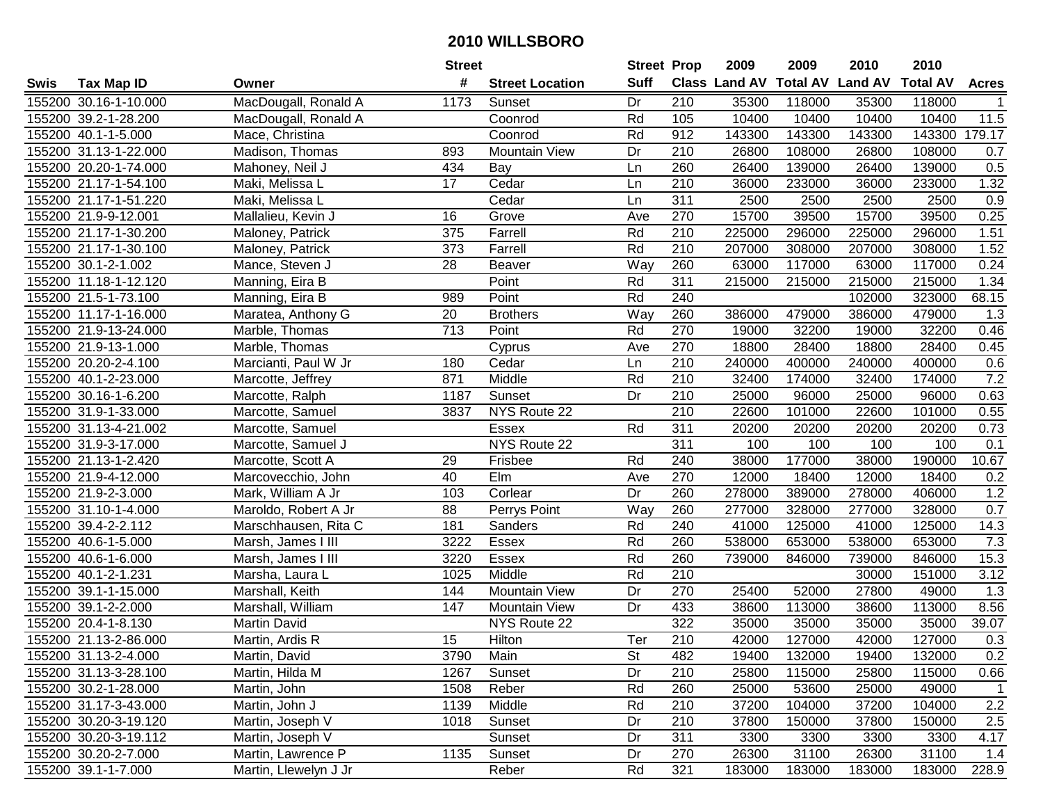|      |                       |                       | <b>Street</b> |                        | <b>Street Prop</b> |                  | 2009   | 2009   | 2010                           | 2010            |                  |
|------|-----------------------|-----------------------|---------------|------------------------|--------------------|------------------|--------|--------|--------------------------------|-----------------|------------------|
| Swis | <b>Tax Map ID</b>     | Owner                 | #             | <b>Street Location</b> | <b>Suff</b>        |                  |        |        | Class Land AV Total AV Land AV | <b>Total AV</b> | <b>Acres</b>     |
|      | 155200 30.16-1-10.000 | MacDougall, Ronald A  | 1173          | Sunset                 | Dr                 | 210              | 35300  | 118000 | 35300                          | 118000          |                  |
|      | 155200 39.2-1-28.200  | MacDougall, Ronald A  |               | Coonrod                | Rd                 | 105              | 10400  | 10400  | 10400                          | 10400           | 11.5             |
|      | 155200 40.1-1-5.000   | Mace, Christina       |               | Coonrod                | Rd                 | 912              | 143300 | 143300 | 143300                         | 143300          | 179.17           |
|      | 155200 31.13-1-22.000 | Madison, Thomas       | 893           | Mountain View          | Dr                 | 210              | 26800  | 108000 | 26800                          | 108000          | 0.7              |
|      | 155200 20.20-1-74.000 | Mahoney, Neil J       | 434           | Bay                    | Ln                 | 260              | 26400  | 139000 | 26400                          | 139000          | 0.5              |
|      | 155200 21.17-1-54.100 | Maki, Melissa L       | 17            | Cedar                  | Ln                 | 210              | 36000  | 233000 | 36000                          | 233000          | 1.32             |
|      | 155200 21.17-1-51.220 | Maki, Melissa L       |               | Cedar                  | Ln                 | 311              | 2500   | 2500   | 2500                           | 2500            | 0.9              |
|      | 155200 21.9-9-12.001  | Mallalieu, Kevin J    | 16            | Grove                  | Ave                | 270              | 15700  | 39500  | 15700                          | 39500           | 0.25             |
|      | 155200 21.17-1-30.200 | Maloney, Patrick      | 375           | Farrell                | Rd                 | $\overline{210}$ | 225000 | 296000 | 225000                         | 296000          | 1.51             |
|      | 155200 21.17-1-30.100 | Maloney, Patrick      | 373           | Farrell                | Rd                 | 210              | 207000 | 308000 | 207000                         | 308000          | 1.52             |
|      | 155200 30.1-2-1.002   | Mance, Steven J       | 28            | Beaver                 | Way                | 260              | 63000  | 117000 | 63000                          | 117000          | 0.24             |
|      | 155200 11.18-1-12.120 | Manning, Eira B       |               | Point                  | Rd                 | 311              | 215000 | 215000 | 215000                         | 215000          | 1.34             |
|      | 155200 21.5-1-73.100  | Manning, Eira B       | 989           | Point                  | Rd                 | 240              |        |        | 102000                         | 323000          | 68.15            |
|      | 155200 11.17-1-16.000 | Maratea, Anthony G    | 20            | <b>Brothers</b>        | Way                | 260              | 386000 | 479000 | 386000                         | 479000          | 1.3              |
|      | 155200 21.9-13-24.000 | Marble, Thomas        | 713           | Point                  | Rd                 | 270              | 19000  | 32200  | 19000                          | 32200           | 0.46             |
|      | 155200 21.9-13-1.000  | Marble, Thomas        |               | Cyprus                 | Ave                | 270              | 18800  | 28400  | 18800                          | 28400           | 0.45             |
|      | 155200 20.20-2-4.100  | Marcianti, Paul W Jr  | 180           | Cedar                  | Ln                 | 210              | 240000 | 400000 | 240000                         | 400000          | 0.6              |
|      | 155200 40.1-2-23.000  | Marcotte, Jeffrey     | 871           | Middle                 | Rd                 | 210              | 32400  | 174000 | 32400                          | 174000          | 7.2              |
|      | 155200 30.16-1-6.200  | Marcotte, Ralph       | 1187          | Sunset                 | Dr                 | 210              | 25000  | 96000  | 25000                          | 96000           | 0.63             |
|      | 155200 31.9-1-33.000  | Marcotte, Samuel      | 3837          | NYS Route 22           |                    | 210              | 22600  | 101000 | 22600                          | 101000          | 0.55             |
|      | 155200 31.13-4-21.002 | Marcotte, Samuel      |               | Essex                  | Rd                 | 311              | 20200  | 20200  | 20200                          | 20200           | 0.73             |
|      | 155200 31.9-3-17.000  | Marcotte, Samuel J    |               | NYS Route 22           |                    | 311              | 100    | 100    | 100                            | 100             | 0.1              |
|      | 155200 21.13-1-2.420  | Marcotte, Scott A     | 29            | Frisbee                | Rd                 | 240              | 38000  | 177000 | 38000                          | 190000          | 10.67            |
|      | 155200 21.9-4-12.000  | Marcovecchio, John    | 40            | Elm                    | Ave                | 270              | 12000  | 18400  | 12000                          | 18400           | 0.2              |
|      | 155200 21.9-2-3.000   | Mark, William A Jr    | 103           | Corlear                | Dr                 | 260              | 278000 | 389000 | 278000                         | 406000          | 1.2              |
|      | 155200 31.10-1-4.000  | Maroldo, Robert A Jr  | 88            | Perrys Point           | Way                | 260              | 277000 | 328000 | 277000                         | 328000          | 0.7              |
|      | 155200 39.4-2-2.112   | Marschhausen, Rita C  | 181           | Sanders                | Rd                 | 240              | 41000  | 125000 | 41000                          | 125000          | 14.3             |
|      | 155200 40.6-1-5.000   | Marsh, James I III    | 3222          | Essex                  | Rd                 | 260              | 538000 | 653000 | 538000                         | 653000          | 7.3              |
|      | 155200 40.6-1-6.000   | Marsh, James I III    | 3220          | Essex                  | Rd                 | 260              | 739000 | 846000 | 739000                         | 846000          | 15.3             |
|      | 155200 40.1-2-1.231   | Marsha, Laura L       | 1025          | Middle                 | Rd                 | $\overline{210}$ |        |        | 30000                          | 151000          | 3.12             |
|      | 155200 39.1-1-15.000  | Marshall, Keith       | 144           | <b>Mountain View</b>   | Dr                 | 270              | 25400  | 52000  | 27800                          | 49000           | $\overline{1.3}$ |
|      | 155200 39.1-2-2.000   | Marshall, William     | 147           | <b>Mountain View</b>   | Dr                 | 433              | 38600  | 113000 | 38600                          | 113000          | 8.56             |
|      | 155200 20.4-1-8.130   | Martin David          |               | NYS Route 22           |                    | 322              | 35000  | 35000  | 35000                          | 35000           | 39.07            |
|      | 155200 21.13-2-86.000 | Martin, Ardis R       | 15            | Hilton                 | Ter                | 210              | 42000  | 127000 | 42000                          | 127000          | 0.3              |
|      | 155200 31.13-2-4.000  | Martin, David         | 3790          | Main                   | <b>St</b>          | 482              | 19400  | 132000 | 19400                          | 132000          | 0.2              |
|      | 155200 31.13-3-28.100 | Martin, Hilda M       | 1267          | Sunset                 | Dr                 | 210              | 25800  | 115000 | 25800                          | 115000          | 0.66             |
|      | 155200 30.2-1-28.000  | Martin, John          | 1508          | Reber                  | Rd                 | 260              | 25000  | 53600  | 25000                          | 49000           | $\mathbf{1}$     |
|      | 155200 31.17-3-43.000 | Martin, John J        | 1139          | Middle                 | Rd                 | 210              | 37200  | 104000 | 37200                          | 104000          | 2.2              |
|      | 155200 30.20-3-19.120 | Martin, Joseph V      | 1018          | Sunset                 | Dr                 | 210              | 37800  | 150000 | 37800                          | 150000          | 2.5              |
|      | 155200 30.20-3-19.112 | Martin, Joseph V      |               | Sunset                 | Dr                 | 311              | 3300   | 3300   | 3300                           | 3300            | 4.17             |
|      | 155200 30.20-2-7.000  | Martin, Lawrence P    | 1135          | Sunset                 | Dr                 | 270              | 26300  | 31100  | 26300                          | 31100           | 1.4              |
|      | 155200 39.1-1-7.000   | Martin, Llewelyn J Jr |               | Reber                  | Rd                 | 321              | 183000 | 183000 | 183000                         | 183000          | 228.9            |
|      |                       |                       |               |                        |                    |                  |        |        |                                |                 |                  |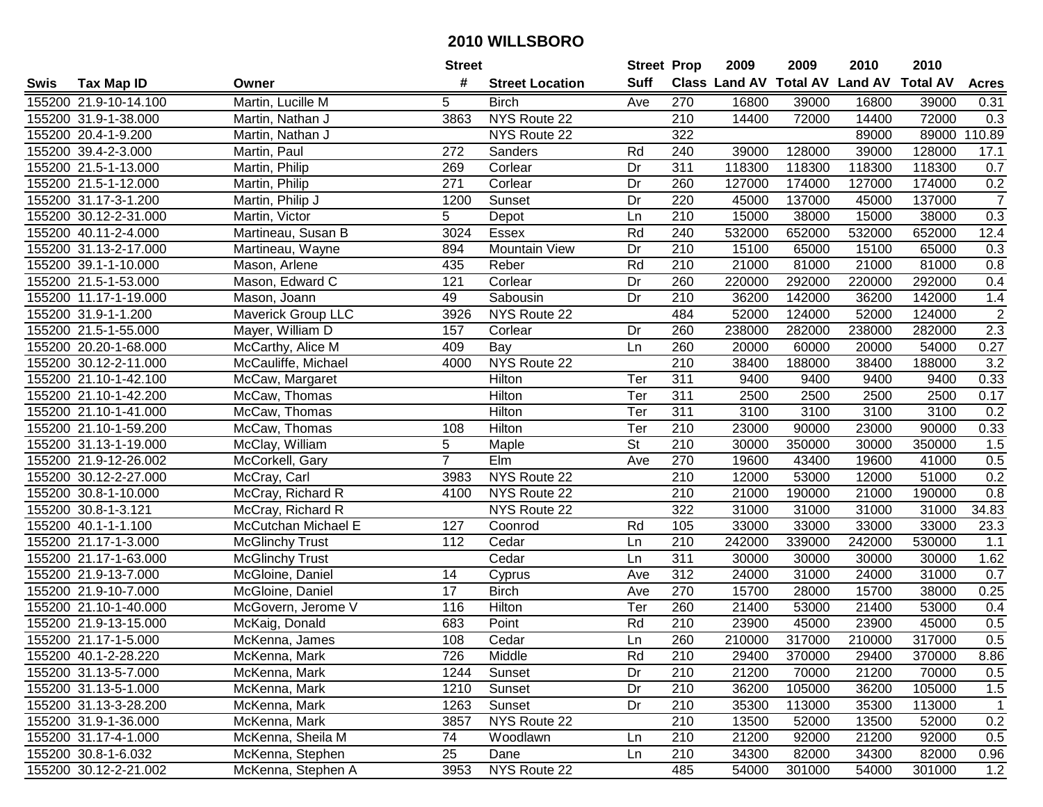|      |                       |                        | <b>Street</b>   |                        | <b>Street Prop</b> |                  | 2009                           | 2009   | 2010   | 2010            |                |
|------|-----------------------|------------------------|-----------------|------------------------|--------------------|------------------|--------------------------------|--------|--------|-----------------|----------------|
| Swis | <b>Tax Map ID</b>     | Owner                  | #               | <b>Street Location</b> | <b>Suff</b>        |                  | Class Land AV Total AV Land AV |        |        | <b>Total AV</b> | <b>Acres</b>   |
|      | 155200 21.9-10-14.100 | Martin, Lucille M      | 5               | <b>Birch</b>           | Ave                | 270              | 16800                          | 39000  | 16800  | 39000           | 0.31           |
|      | 155200 31.9-1-38.000  | Martin, Nathan J       | 3863            | NYS Route 22           |                    | 210              | 14400                          | 72000  | 14400  | 72000           | 0.3            |
|      | 155200 20.4-1-9.200   | Martin, Nathan J       |                 | NYS Route 22           |                    | 322              |                                |        | 89000  | 89000           | 110.89         |
|      | 155200 39.4-2-3.000   | Martin, Paul           | 272             | Sanders                | Rd                 | 240              | 39000                          | 128000 | 39000  | 128000          | 17.1           |
|      | 155200 21.5-1-13.000  | Martin, Philip         | 269             | Corlear                | Dr                 | 311              | 118300                         | 118300 | 118300 | 118300          | 0.7            |
|      | 155200 21.5-1-12.000  | Martin, Philip         | 271             | Corlear                | Dr                 | 260              | 127000                         | 174000 | 127000 | 174000          | 0.2            |
|      | 155200 31.17-3-1.200  | Martin, Philip J       | 1200            | Sunset                 | Dr                 | 220              | 45000                          | 137000 | 45000  | 137000          | $\overline{7}$ |
|      | 155200 30.12-2-31.000 | Martin, Victor         | $\overline{5}$  | Depot                  | Ln                 | 210              | 15000                          | 38000  | 15000  | 38000           | 0.3            |
|      | 155200 40.11-2-4.000  | Martineau, Susan B     | 3024            | Essex                  | Rd                 | 240              | 532000                         | 652000 | 532000 | 652000          | 12.4           |
|      | 155200 31.13-2-17.000 | Martineau, Wayne       | 894             | Mountain View          | Dr                 | 210              | 15100                          | 65000  | 15100  | 65000           | 0.3            |
|      | 155200 39.1-1-10.000  | Mason, Arlene          | 435             | Reber                  | Rd                 | 210              | 21000                          | 81000  | 21000  | 81000           | 0.8            |
|      | 155200 21.5-1-53.000  | Mason, Edward C        | 121             | Corlear                | Dr                 | 260              | 220000                         | 292000 | 220000 | 292000          | 0.4            |
|      | 155200 11.17-1-19.000 | Mason, Joann           | 49              | Sabousin               | Dr                 | 210              | 36200                          | 142000 | 36200  | 142000          | 1.4            |
|      | 155200 31.9-1-1.200   | Maverick Group LLC     | 3926            | NYS Route 22           |                    | 484              | 52000                          | 124000 | 52000  | 124000          | $\overline{2}$ |
|      | 155200 21.5-1-55.000  | Mayer, William D       | 157             | Corlear                | Dr                 | 260              | 238000                         | 282000 | 238000 | 282000          | 2.3            |
|      | 155200 20.20-1-68.000 | McCarthy, Alice M      | 409             | Bay                    | Ln                 | 260              | 20000                          | 60000  | 20000  | 54000           | 0.27           |
|      | 155200 30.12-2-11.000 | McCauliffe, Michael    | 4000            | NYS Route 22           |                    | $\overline{210}$ | 38400                          | 188000 | 38400  | 188000          | 3.2            |
|      | 155200 21.10-1-42.100 | McCaw, Margaret        |                 | Hilton                 | Ter                | 311              | 9400                           | 9400   | 9400   | 9400            | 0.33           |
|      | 155200 21.10-1-42.200 | McCaw, Thomas          |                 | Hilton                 | Ter                | 311              | 2500                           | 2500   | 2500   | 2500            | 0.17           |
|      | 155200 21.10-1-41.000 | McCaw, Thomas          |                 | Hilton                 | Ter                | 311              | 3100                           | 3100   | 3100   | 3100            | 0.2            |
|      | 155200 21.10-1-59.200 | McCaw, Thomas          | 108             | Hilton                 | Ter                | 210              | 23000                          | 90000  | 23000  | 90000           | 0.33           |
|      | 155200 31.13-1-19.000 | McClay, William        | 5               | Maple                  | <b>St</b>          | 210              | 30000                          | 350000 | 30000  | 350000          | 1.5            |
|      | 155200 21.9-12-26.002 | McCorkell, Gary        | $\overline{7}$  | Elm                    | Ave                | 270              | 19600                          | 43400  | 19600  | 41000           | 0.5            |
|      | 155200 30.12-2-27.000 | McCray, Carl           | 3983            | NYS Route 22           |                    | 210              | 12000                          | 53000  | 12000  | 51000           | 0.2            |
|      | 155200 30.8-1-10.000  | McCray, Richard R      | 4100            | NYS Route 22           |                    | 210              | 21000                          | 190000 | 21000  | 190000          | 0.8            |
|      | 155200 30.8-1-3.121   | McCray, Richard R      |                 | NYS Route 22           |                    | 322              | 31000                          | 31000  | 31000  | 31000           | 34.83          |
|      | 155200 40.1-1-1.100   | McCutchan Michael E    | 127             | Coonrod                | Rd                 | 105              | 33000                          | 33000  | 33000  | 33000           | 23.3           |
|      | 155200 21.17-1-3.000  | <b>McGlinchy Trust</b> | 112             | Cedar                  | Ln                 | 210              | 242000                         | 339000 | 242000 | 530000          | 1.1            |
|      | 155200 21.17-1-63.000 | <b>McGlinchy Trust</b> |                 | Cedar                  | Ln                 | 311              | 30000                          | 30000  | 30000  | 30000           | 1.62           |
|      | 155200 21.9-13-7.000  | McGloine, Daniel       | 14              | Cyprus                 | Ave                | 312              | 24000                          | 31000  | 24000  | 31000           | 0.7            |
|      | 155200 21.9-10-7.000  | McGloine, Daniel       | $\overline{17}$ | <b>Birch</b>           | Ave                | 270              | 15700                          | 28000  | 15700  | 38000           | 0.25           |
|      | 155200 21.10-1-40.000 | McGovern, Jerome V     | 116             | Hilton                 | Ter                | 260              | 21400                          | 53000  | 21400  | 53000           | 0.4            |
|      | 155200 21.9-13-15.000 | McKaig, Donald         | 683             | Point                  | Rd                 | $\overline{210}$ | 23900                          | 45000  | 23900  | 45000           | 0.5            |
|      | 155200 21.17-1-5.000  | McKenna, James         | 108             | Cedar                  | Ln                 | 260              | 210000                         | 317000 | 210000 | 317000          | 0.5            |
|      | 155200 40.1-2-28.220  | McKenna, Mark          | 726             | Middle                 | Rd                 | 210              | 29400                          | 370000 | 29400  | 370000          | 8.86           |
|      | 155200 31.13-5-7.000  | McKenna, Mark          | 1244            | Sunset                 | Dr                 | 210              | 21200                          | 70000  | 21200  | 70000           | 0.5            |
|      | 155200 31.13-5-1.000  | McKenna, Mark          | 1210            | Sunset                 | Dr                 | 210              | 36200                          | 105000 | 36200  | 105000          | 1.5            |
|      | 155200 31.13-3-28.200 | McKenna, Mark          | 1263            | Sunset                 | Dr                 | 210              | 35300                          | 113000 | 35300  | 113000          | $\mathbf{1}$   |
|      | 155200 31.9-1-36.000  | McKenna, Mark          | 3857            | NYS Route 22           |                    | 210              | 13500                          | 52000  | 13500  | 52000           | 0.2            |
|      | 155200 31.17-4-1.000  | McKenna, Sheila M      | 74              | Woodlawn               | Ln                 | 210              | 21200                          | 92000  | 21200  | 92000           | 0.5            |
|      | 155200 30.8-1-6.032   | McKenna, Stephen       | 25              | Dane                   | Ln                 | 210              | 34300                          | 82000  | 34300  | 82000           | 0.96           |
|      | 155200 30.12-2-21.002 | McKenna, Stephen A     | 3953            | NYS Route 22           |                    | 485              | 54000                          | 301000 | 54000  | 301000          | 1.2            |
|      |                       |                        |                 |                        |                    |                  |                                |        |        |                 |                |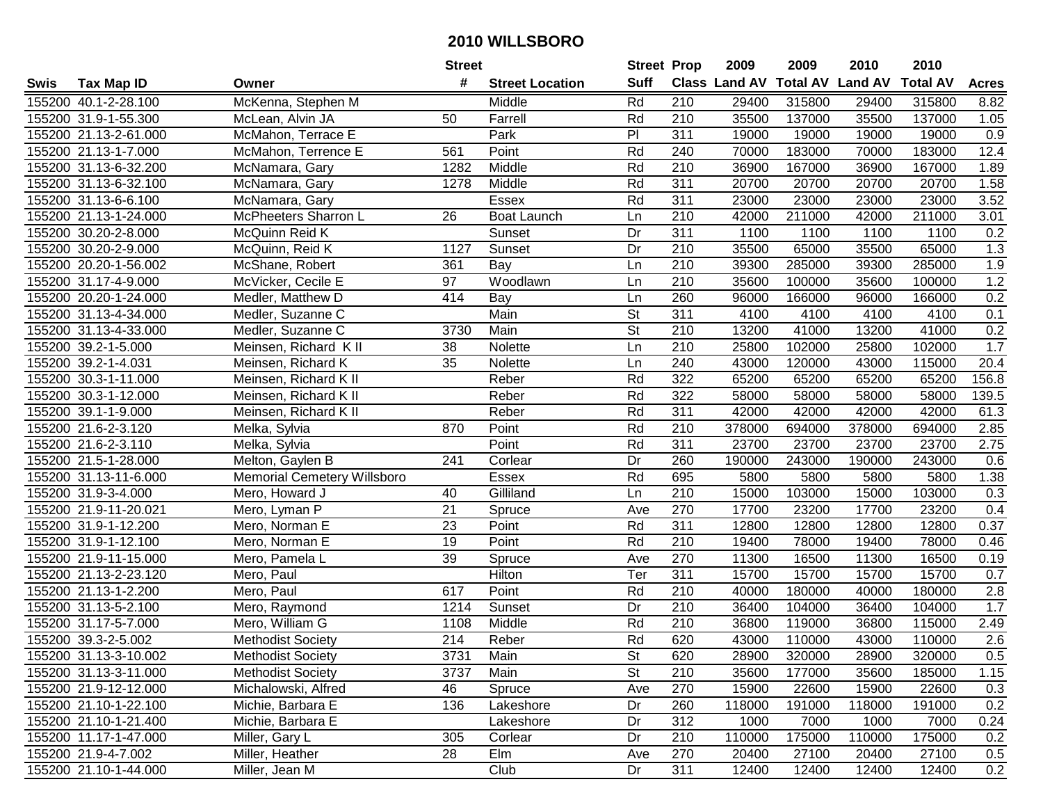|      |                       |                                    | <b>Street</b>   |                        | <b>Street Prop</b>       |                  | 2009                 | 2009            | 2010           | 2010            |                   |
|------|-----------------------|------------------------------------|-----------------|------------------------|--------------------------|------------------|----------------------|-----------------|----------------|-----------------|-------------------|
| Swis | <b>Tax Map ID</b>     | Owner                              | #               | <b>Street Location</b> | <b>Suff</b>              |                  | <b>Class Land AV</b> | <b>Total AV</b> | <b>Land AV</b> | <b>Total AV</b> | <b>Acres</b>      |
|      | 155200 40.1-2-28.100  | McKenna, Stephen M                 |                 | Middle                 | Rd                       | 210              | 29400                | 315800          | 29400          | 315800          | 8.82              |
|      | 155200 31.9-1-55.300  | McLean, Alvin JA                   | 50              | Farrell                | Rd                       | 210              | 35500                | 137000          | 35500          | 137000          | 1.05              |
|      | 155200 21.13-2-61.000 | McMahon, Terrace E                 |                 | Park                   | P                        | 311              | 19000                | 19000           | 19000          | 19000           | 0.9               |
|      | 155200 21.13-1-7.000  | McMahon, Terrence E                | 561             | Point                  | Rd                       | 240              | 70000                | 183000          | 70000          | 183000          | 12.4              |
|      | 155200 31.13-6-32.200 | McNamara, Gary                     | 1282            | Middle                 | Rd                       | 210              | 36900                | 167000          | 36900          | 167000          | 1.89              |
|      | 155200 31.13-6-32.100 | McNamara, Gary                     | 1278            | Middle                 | Rd                       | 311              | 20700                | 20700           | 20700          | 20700           | 1.58              |
|      | 155200 31.13-6-6.100  | McNamara, Gary                     |                 | Essex                  | Rd                       | 311              | 23000                | 23000           | 23000          | 23000           | 3.52              |
|      | 155200 21.13-1-24.000 | <b>McPheeters Sharron L</b>        | $\overline{26}$ | Boat Launch            | Ln                       | $\overline{210}$ | 42000                | 211000          | 42000          | 211000          | $\overline{3.01}$ |
|      | 155200 30.20-2-8.000  | McQuinn Reid K                     |                 | Sunset                 | Dr                       | 311              | 1100                 | 1100            | 1100           | 1100            | 0.2               |
|      | 155200 30.20-2-9.000  | McQuinn, Reid K                    | 1127            | Sunset                 | Dr                       | 210              | 35500                | 65000           | 35500          | 65000           | 1.3               |
|      | 155200 20.20-1-56.002 | McShane, Robert                    | 361             | Bay                    | Ln                       | 210              | 39300                | 285000          | 39300          | 285000          | 1.9               |
|      | 155200 31.17-4-9.000  | McVicker, Cecile E                 | 97              | Woodlawn               | Ln                       | 210              | 35600                | 100000          | 35600          | 100000          | 1.2               |
|      | 155200 20.20-1-24.000 | Medler, Matthew D                  | 414             | $\overline{$           | Ln                       | 260              | 96000                | 166000          | 96000          | 166000          | 0.2               |
|      | 155200 31.13-4-34.000 | Medler, Suzanne C                  |                 | Main                   | <b>St</b>                | 311              | 4100                 | 4100            | 4100           | 4100            | 0.1               |
|      | 155200 31.13-4-33.000 | Medler, Suzanne C                  | 3730            | Main                   | $\overline{\mathsf{St}}$ | 210              | 13200                | 41000           | 13200          | 41000           | 0.2               |
|      | 155200 39.2-1-5.000   | Meinsen, Richard K II              | 38              | Nolette                | Ln                       | 210              | 25800                | 102000          | 25800          | 102000          | 1.7               |
|      | 155200 39.2-1-4.031   | Meinsen, Richard K                 | 35              | Nolette                | Ln                       | 240              | 43000                | 120000          | 43000          | 115000          | 20.4              |
|      | 155200 30.3-1-11.000  | Meinsen, Richard K II              |                 | Reber                  | Rd                       | 322              | 65200                | 65200           | 65200          | 65200           | 156.8             |
|      | 155200 30.3-1-12.000  | Meinsen, Richard K II              |                 | Reber                  | Rd                       | 322              | 58000                | 58000           | 58000          | 58000           | 139.5             |
|      | 155200 39.1-1-9.000   | Meinsen, Richard K II              |                 | Reber                  | Rd                       | 311              | 42000                | 42000           | 42000          | 42000           | 61.3              |
|      | 155200 21.6-2-3.120   | Melka, Sylvia                      | 870             | Point                  | Rd                       | 210              | 378000               | 694000          | 378000         | 694000          | 2.85              |
|      | 155200 21.6-2-3.110   | Melka, Sylvia                      |                 | Point                  | Rd                       | 311              | 23700                | 23700           | 23700          | 23700           | 2.75              |
|      | 155200 21.5-1-28.000  | Melton, Gaylen B                   | 241             | Corlear                | Dr                       | 260              | 190000               | 243000          | 190000         | 243000          | 0.6               |
|      | 155200 31.13-11-6.000 | <b>Memorial Cemetery Willsboro</b> |                 | Essex                  | Rd                       | 695              | 5800                 | 5800            | 5800           | 5800            | 1.38              |
|      | 155200 31.9-3-4.000   | Mero, Howard J                     | 40              | Gilliland              | Ln                       | 210              | 15000                | 103000          | 15000          | 103000          | 0.3               |
|      | 155200 21.9-11-20.021 | Mero, Lyman P                      | 21              | Spruce                 | Ave                      | 270              | 17700                | 23200           | 17700          | 23200           | 0.4               |
|      | 155200 31.9-1-12.200  | Mero, Norman E                     | 23              | Point                  | Rd                       | $\overline{311}$ | 12800                | 12800           | 12800          | 12800           | 0.37              |
|      | 155200 31.9-1-12.100  | Mero, Norman E                     | 19              | Point                  | Rd                       | 210              | 19400                | 78000           | 19400          | 78000           | 0.46              |
|      | 155200 21.9-11-15.000 | Mero, Pamela L                     | 39              | Spruce                 | Ave                      | 270              | 11300                | 16500           | 11300          | 16500           | 0.19              |
|      | 155200 21.13-2-23.120 | Mero, Paul                         |                 | Hilton                 | Ter                      | $\overline{311}$ | 15700                | 15700           | 15700          | 15700           | 0.7               |
|      | 155200 21.13-1-2.200  | Mero, Paul                         | 617             | Point                  | Rd                       | 210              | 40000                | 180000          | 40000          | 180000          | $\overline{2.8}$  |
|      | 155200 31.13-5-2.100  | Mero, Raymond                      | 1214            | Sunset                 | Dr                       | 210              | 36400                | 104000          | 36400          | 104000          | 1.7               |
|      | 155200 31.17-5-7.000  | Mero, William G                    | 1108            | Middle                 | Rd                       | $\overline{210}$ | 36800                | 119000          | 36800          | 115000          | 2.49              |
|      | 155200 39.3-2-5.002   | <b>Methodist Society</b>           | 214             | Reber                  | Rd                       | 620              | 43000                | 110000          | 43000          | 110000          | 2.6               |
|      | 155200 31.13-3-10.002 | <b>Methodist Society</b>           | 3731            | Main                   | St                       | 620              | 28900                | 320000          | 28900          | 320000          | 0.5               |
|      | 155200 31.13-3-11.000 | <b>Methodist Society</b>           | 3737            | Main                   | <b>St</b>                | 210              | 35600                | 177000          | 35600          | 185000          | 1.15              |
|      | 155200 21.9-12-12.000 | Michalowski, Alfred                | 46              | Spruce                 | Ave                      | 270              | 15900                | 22600           | 15900          | 22600           | 0.3               |
|      | 155200 21.10-1-22.100 | Michie, Barbara E                  | 136             | Lakeshore              | Dr                       | 260              | 118000               | 191000          | 118000         | 191000          | 0.2               |
|      | 155200 21.10-1-21.400 | Michie, Barbara E                  |                 | Lakeshore              | Dr                       | 312              | 1000                 | 7000            | 1000           | 7000            | 0.24              |
|      | 155200 11.17-1-47.000 | Miller, Gary L                     | 305             | Corlear                | Dr                       | 210              | 110000               | 175000          | 110000         | 175000          | 0.2               |
|      | 155200 21.9-4-7.002   | Miller, Heather                    | 28              | Elm                    | Ave                      | 270              | 20400                | 27100           | 20400          | 27100           | 0.5               |
|      | 155200 21.10-1-44.000 | Miller, Jean M                     |                 | Club                   | Dr                       | 311              | 12400                | 12400           | 12400          | 12400           | 0.2               |
|      |                       |                                    |                 |                        |                          |                  |                      |                 |                |                 |                   |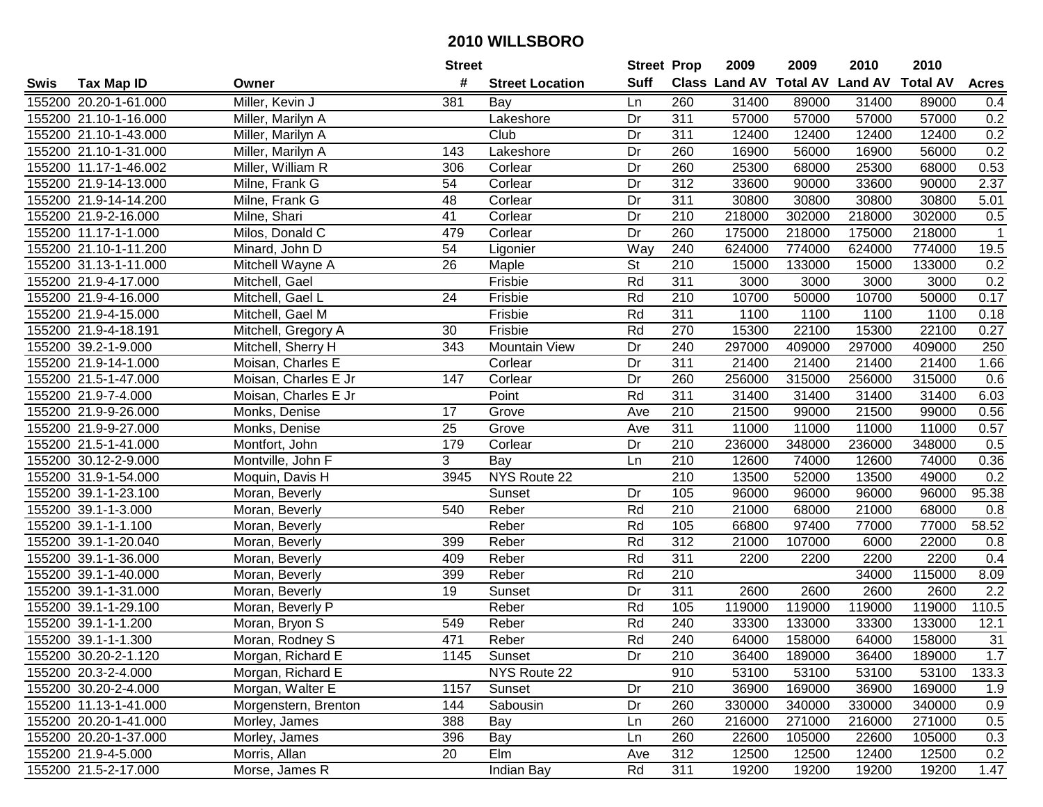|      |                       |                      | <b>Street</b>   |                        | <b>Street Prop</b>       |                  | 2009   | 2009   | 2010                           | 2010            |                  |
|------|-----------------------|----------------------|-----------------|------------------------|--------------------------|------------------|--------|--------|--------------------------------|-----------------|------------------|
| Swis | <b>Tax Map ID</b>     | Owner                | #               | <b>Street Location</b> | <b>Suff</b>              |                  |        |        | Class Land AV Total AV Land AV | <b>Total AV</b> | <b>Acres</b>     |
|      | 155200 20.20-1-61.000 | Miller, Kevin J      | 381             | Bay                    | Ln                       | 260              | 31400  | 89000  | 31400                          | 89000           | 0.4              |
|      | 155200 21.10-1-16.000 | Miller, Marilyn A    |                 | Lakeshore              | Dr                       | 311              | 57000  | 57000  | 57000                          | 57000           | 0.2              |
|      | 155200 21.10-1-43.000 | Miller, Marilyn A    |                 | Club                   | Dr                       | 311              | 12400  | 12400  | 12400                          | 12400           | 0.2              |
|      | 155200 21.10-1-31.000 | Miller, Marilyn A    | 143             | Lakeshore              | Dr                       | 260              | 16900  | 56000  | 16900                          | 56000           | 0.2              |
|      | 155200 11.17-1-46.002 | Miller, William R    | 306             | Corlear                | Dr                       | 260              | 25300  | 68000  | 25300                          | 68000           | 0.53             |
|      | 155200 21.9-14-13.000 | Milne, Frank G       | 54              | Corlear                | Dr                       | $\overline{312}$ | 33600  | 90000  | 33600                          | 90000           | 2.37             |
|      | 155200 21.9-14-14.200 | Milne, Frank G       | 48              | Corlear                | Dr                       | 311              | 30800  | 30800  | 30800                          | 30800           | 5.01             |
|      | 155200 21.9-2-16.000  | Milne, Shari         | $\overline{41}$ | Corlear                | Dr                       | $\overline{210}$ | 218000 | 302000 | 218000                         | 302000          | 0.5              |
|      | 155200 11.17-1-1.000  | Milos, Donald C      | 479             | Corlear                | Dr                       | 260              | 175000 | 218000 | 175000                         | 218000          | $\overline{1}$   |
|      | 155200 21.10-1-11.200 | Minard, John D       | 54              | Ligonier               | Way                      | 240              | 624000 | 774000 | 624000                         | 774000          | 19.5             |
|      | 155200 31.13-1-11.000 | Mitchell Wayne A     | 26              | Maple                  | $\overline{\mathsf{St}}$ | 210              | 15000  | 133000 | 15000                          | 133000          | 0.2              |
|      | 155200 21.9-4-17.000  | Mitchell, Gael       |                 | Frisbie                | Rd                       | 311              | 3000   | 3000   | 3000                           | 3000            | 0.2              |
|      | 155200 21.9-4-16.000  | Mitchell, Gael L     | 24              | Frisbie                | Rd                       | 210              | 10700  | 50000  | 10700                          | 50000           | 0.17             |
|      | 155200 21.9-4-15.000  | Mitchell, Gael M     |                 | Frisbie                | Rd                       | 311              | 1100   | 1100   | 1100                           | 1100            | 0.18             |
|      | 155200 21.9-4-18.191  | Mitchell, Gregory A  | 30              | Frisbie                | Rd                       | 270              | 15300  | 22100  | 15300                          | 22100           | 0.27             |
|      | 155200 39.2-1-9.000   | Mitchell, Sherry H   | 343             | <b>Mountain View</b>   | Dr                       | 240              | 297000 | 409000 | 297000                         | 409000          | 250              |
|      | 155200 21.9-14-1.000  | Moisan, Charles E    |                 | Corlear                | Dr                       | $\overline{311}$ | 21400  | 21400  | 21400                          | 21400           | 1.66             |
|      | 155200 21.5-1-47.000  | Moisan, Charles E Jr | 147             | Corlear                | Dr                       | 260              | 256000 | 315000 | 256000                         | 315000          | 0.6              |
|      | 155200 21.9-7-4.000   | Moisan, Charles E Jr |                 | Point                  | Rd                       | 311              | 31400  | 31400  | 31400                          | 31400           | 6.03             |
|      | 155200 21.9-9-26.000  | Monks, Denise        | 17              | Grove                  | Ave                      | 210              | 21500  | 99000  | 21500                          | 99000           | 0.56             |
|      | 155200 21.9-9-27.000  | Monks, Denise        | 25              | Grove                  | Ave                      | 311              | 11000  | 11000  | 11000                          | 11000           | 0.57             |
|      | 155200 21.5-1-41.000  | Montfort, John       | 179             | Corlear                | Dr                       | 210              | 236000 | 348000 | 236000                         | 348000          | 0.5              |
|      | 155200 30.12-2-9.000  | Montville, John F    | 3               | Bay                    | Ln                       | 210              | 12600  | 74000  | 12600                          | 74000           | 0.36             |
|      | 155200 31.9-1-54.000  | Moquin, Davis H      | 3945            | NYS Route 22           |                          | 210              | 13500  | 52000  | 13500                          | 49000           | 0.2              |
|      | 155200 39.1-1-23.100  | Moran, Beverly       |                 | Sunset                 | Dr                       | 105              | 96000  | 96000  | 96000                          | 96000           | 95.38            |
|      | 155200 39.1-1-3.000   | Moran, Beverly       | 540             | Reber                  | Rd                       | 210              | 21000  | 68000  | 21000                          | 68000           | 0.8              |
|      | 155200 39.1-1-1.100   | Moran, Beverly       |                 | Reber                  | Rd                       | 105              | 66800  | 97400  | 77000                          | 77000           | 58.52            |
|      | 155200 39.1-1-20.040  | Moran, Beverly       | 399             | Reber                  | Rd                       | 312              | 21000  | 107000 | 6000                           | 22000           | 0.8              |
|      | 155200 39.1-1-36.000  | Moran, Beverly       | 409             | Reber                  | Rd                       | 311              | 2200   | 2200   | 2200                           | 2200            | 0.4              |
|      | 155200 39.1-1-40.000  | Moran, Beverly       | 399             | Reber                  | Rd                       | $\overline{210}$ |        |        | 34000                          | 115000          | 8.09             |
|      | 155200 39.1-1-31.000  | Moran, Beverly       | $\overline{19}$ | Sunset                 | Dr                       | 311              | 2600   | 2600   | 2600                           | 2600            | $\overline{2.2}$ |
|      | 155200 39.1-1-29.100  | Moran, Beverly P     |                 | Reber                  | Rd                       | 105              | 119000 | 119000 | 119000                         | 119000          | 110.5            |
|      | 155200 39.1-1-1.200   | Moran, Bryon S       | 549             | Reber                  | Rd                       | 240              | 33300  | 133000 | 33300                          | 133000          | 12.1             |
|      | 155200 39.1-1-1.300   | Moran, Rodney S      | 471             | Reber                  | Rd                       | 240              | 64000  | 158000 | 64000                          | 158000          | 31               |
|      | 155200 30.20-2-1.120  | Morgan, Richard E    | 1145            | Sunset                 | Dr                       | 210              | 36400  | 189000 | 36400                          | 189000          | 1.7              |
|      | 155200 20.3-2-4.000   | Morgan, Richard E    |                 | NYS Route 22           |                          | 910              | 53100  | 53100  | 53100                          | 53100           | 133.3            |
|      | 155200 30.20-2-4.000  | Morgan, Walter E     | 1157            | Sunset                 | Dr                       | 210              | 36900  | 169000 | 36900                          | 169000          | 1.9              |
|      | 155200 11.13-1-41.000 | Morgenstern, Brenton | 144             | Sabousin               | Dr                       | 260              | 330000 | 340000 | 330000                         | 340000          | 0.9              |
|      | 155200 20.20-1-41.000 | Morley, James        | 388             | Bay                    | Ln                       | 260              | 216000 | 271000 | 216000                         | 271000          | 0.5              |
|      | 155200 20.20-1-37.000 | Morley, James        | 396             | Bay                    | Ln                       | 260              | 22600  | 105000 | 22600                          | 105000          | 0.3              |
|      | 155200 21.9-4-5.000   | Morris, Allan        | 20              | Elm                    | Ave                      | 312              | 12500  | 12500  | 12400                          | 12500           | 0.2              |
|      | 155200 21.5-2-17.000  | Morse, James R       |                 | Indian Bay             | Rd                       | 311              | 19200  | 19200  | 19200                          | 19200           | 1.47             |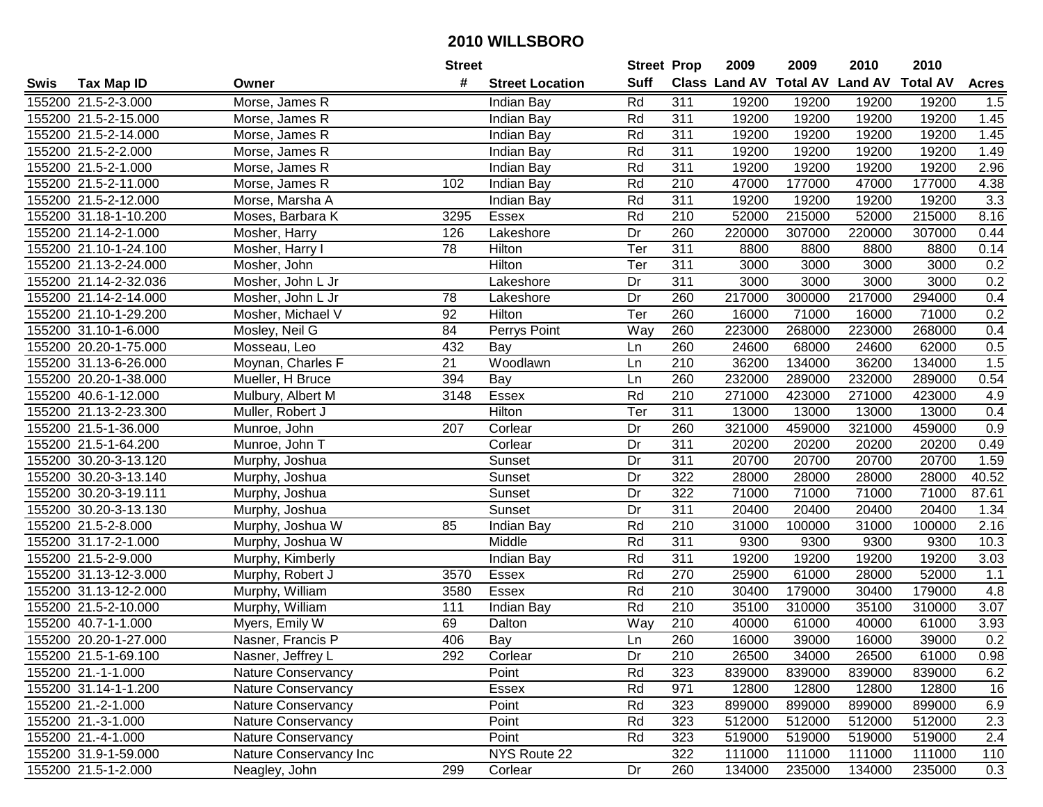|      |                       |                           | <b>Street</b> |                        | <b>Street Prop</b> |                  | 2009                          | 2009   | 2010           | 2010            |              |
|------|-----------------------|---------------------------|---------------|------------------------|--------------------|------------------|-------------------------------|--------|----------------|-----------------|--------------|
| Swis | <b>Tax Map ID</b>     | Owner                     | #             | <b>Street Location</b> | <b>Suff</b>        |                  | <b>Class Land AV Total AV</b> |        | <b>Land AV</b> | <b>Total AV</b> | <b>Acres</b> |
|      | 155200 21.5-2-3.000   | Morse, James R            |               | Indian Bay             | Rd                 | 311              | 19200                         | 19200  | 19200          | 19200           | 1.5          |
|      | 155200 21.5-2-15.000  | Morse, James R            |               | <b>Indian Bay</b>      | Rd                 | 311              | 19200                         | 19200  | 19200          | 19200           | 1.45         |
|      | 155200 21.5-2-14.000  | Morse, James R            |               | Indian Bay             | Rd                 | 311              | 19200                         | 19200  | 19200          | 19200           | 1.45         |
|      | 155200 21.5-2-2.000   | Morse, James R            |               | Indian Bay             | Rd                 | 311              | 19200                         | 19200  | 19200          | 19200           | 1.49         |
|      | 155200 21.5-2-1.000   | Morse, James R            |               | Indian Bay             | Rd                 | $\overline{311}$ | 19200                         | 19200  | 19200          | 19200           | 2.96         |
|      | 155200 21.5-2-11.000  | Morse, James R            | 102           | Indian Bay             | Rd                 | 210              | 47000                         | 177000 | 47000          | 177000          | 4.38         |
|      | 155200 21.5-2-12.000  | Morse, Marsha A           |               | Indian Bay             | Rd                 | 311              | 19200                         | 19200  | 19200          | 19200           | 3.3          |
|      | 155200 31.18-1-10.200 | Moses, Barbara K          | 3295          | <b>Essex</b>           | Rd                 | $\overline{210}$ | 52000                         | 215000 | 52000          | 215000          | 8.16         |
|      | 155200 21.14-2-1.000  | Mosher, Harry             | 126           | Lakeshore              | Dr                 | 260              | 220000                        | 307000 | 220000         | 307000          | 0.44         |
|      | 155200 21.10-1-24.100 | Mosher, Harry I           | 78            | Hilton                 | Ter                | 311              | 8800                          | 8800   | 8800           | 8800            | 0.14         |
|      | 155200 21.13-2-24.000 | Mosher, John              |               | Hilton                 | Ter                | 311              | 3000                          | 3000   | 3000           | 3000            | 0.2          |
|      | 155200 21.14-2-32.036 | Mosher, John L Jr         |               | Lakeshore              | Dr                 | 311              | 3000                          | 3000   | 3000           | 3000            | 0.2          |
|      | 155200 21.14-2-14.000 | Mosher, John L Jr         | 78            | Lakeshore              | Dr                 | 260              | 217000                        | 300000 | 217000         | 294000          | 0.4          |
|      | 155200 21.10-1-29.200 | Mosher, Michael V         | 92            | Hilton                 | Ter                | 260              | 16000                         | 71000  | 16000          | 71000           | 0.2          |
|      | 155200 31.10-1-6.000  | Mosley, Neil G            | 84            | Perrys Point           | Way                | 260              | 223000                        | 268000 | 223000         | 268000          | 0.4          |
|      | 155200 20.20-1-75.000 | Mosseau, Leo              | 432           | Bay                    | Ln                 | 260              | 24600                         | 68000  | 24600          | 62000           | 0.5          |
|      | 155200 31.13-6-26.000 | Moynan, Charles F         | 21            | Woodlawn               | Ln                 | 210              | 36200                         | 134000 | 36200          | 134000          | 1.5          |
|      | 155200 20.20-1-38.000 | Mueller, H Bruce          | 394           | Bay                    | Ln                 | 260              | 232000                        | 289000 | 232000         | 289000          | 0.54         |
|      | 155200 40.6-1-12.000  | Mulbury, Albert M         | 3148          | Essex                  | Rd                 | 210              | 271000                        | 423000 | 271000         | 423000          | 4.9          |
|      | 155200 21.13-2-23.300 | Muller, Robert J          |               | Hilton                 | Ter                | 311              | 13000                         | 13000  | 13000          | 13000           | 0.4          |
|      | 155200 21.5-1-36.000  | Munroe, John              | 207           | Corlear                | Dr                 | 260              | 321000                        | 459000 | 321000         | 459000          | 0.9          |
|      | 155200 21.5-1-64.200  | Munroe, John T            |               | Corlear                | Dr                 | 311              | 20200                         | 20200  | 20200          | 20200           | 0.49         |
|      | 155200 30.20-3-13.120 | Murphy, Joshua            |               | Sunset                 | Dr                 | 311              | 20700                         | 20700  | 20700          | 20700           | 1.59         |
|      | 155200 30.20-3-13.140 | Murphy, Joshua            |               | Sunset                 | Dr                 | 322              | 28000                         | 28000  | 28000          | 28000           | 40.52        |
|      | 155200 30.20-3-19.111 | Murphy, Joshua            |               | Sunset                 | Dr                 | 322              | 71000                         | 71000  | 71000          | 71000           | 87.61        |
|      | 155200 30.20-3-13.130 | Murphy, Joshua            |               | Sunset                 | Dr                 | 311              | 20400                         | 20400  | 20400          | 20400           | 1.34         |
|      | 155200 21.5-2-8.000   | Murphy, Joshua W          | 85            | <b>Indian Bay</b>      | Rd                 | 210              | 31000                         | 100000 | 31000          | 100000          | 2.16         |
|      | 155200 31.17-2-1.000  | Murphy, Joshua W          |               | Middle                 | Rd                 | 311              | 9300                          | 9300   | 9300           | 9300            | 10.3         |
|      | 155200 21.5-2-9.000   | Murphy, Kimberly          |               | Indian Bay             | Rd                 | 311              | 19200                         | 19200  | 19200          | 19200           | 3.03         |
|      | 155200 31.13-12-3.000 | Murphy, Robert J          | 3570          | Essex                  | Rd                 | 270              | 25900                         | 61000  | 28000          | 52000           | 1.1          |
|      | 155200 31.13-12-2.000 | Murphy, William           | 3580          | Essex                  | Rd                 | $\overline{210}$ | 30400                         | 179000 | 30400          | 179000          | 4.8          |
|      | 155200 21.5-2-10.000  | Murphy, William           | 111           | Indian Bay             | Rd                 | 210              | 35100                         | 310000 | 35100          | 310000          | 3.07         |
|      | 155200 40.7-1-1.000   | Myers, Emily W            | 69            | Dalton                 | Way                | $\overline{210}$ | 40000                         | 61000  | 40000          | 61000           | 3.93         |
|      | 155200 20.20-1-27.000 | Nasner, Francis P         | 406           | Bay                    | Ln                 | 260              | 16000                         | 39000  | 16000          | 39000           | 0.2          |
|      | 155200 21.5-1-69.100  | Nasner, Jeffrey L         | 292           | Corlear                | Dr                 | 210              | 26500                         | 34000  | 26500          | 61000           | 0.98         |
|      | 155200 21.-1-1.000    | Nature Conservancy        |               | Point                  | Rd                 | 323              | 839000                        | 839000 | 839000         | 839000          | 6.2          |
|      | 155200 31.14-1-1.200  | <b>Nature Conservancy</b> |               | Essex                  | Rd                 | 971              | 12800                         | 12800  | 12800          | 12800           | 16           |
|      | 155200 21.-2-1.000    | Nature Conservancy        |               | Point                  | Rd                 | 323              | 899000                        | 899000 | 899000         | 899000          | 6.9          |
|      | 155200 21.-3-1.000    | Nature Conservancy        |               | Point                  | Rd                 | 323              | 512000                        | 512000 | 512000         | 512000          | 2.3          |
|      | 155200 21.-4-1.000    | Nature Conservancy        |               | Point                  | Rd                 | 323              | 519000                        | 519000 | 519000         | 519000          | 2.4          |
|      | 155200 31.9-1-59.000  | Nature Conservancy Inc    |               | NYS Route 22           |                    | 322              | 111000                        | 111000 | 111000         | 111000          | 110          |
|      | 155200 21.5-1-2.000   | Neagley, John             | 299           | Corlear                | Dr                 | 260              | 134000                        | 235000 | 134000         | 235000          | 0.3          |
|      |                       |                           |               |                        |                    |                  |                               |        |                |                 |              |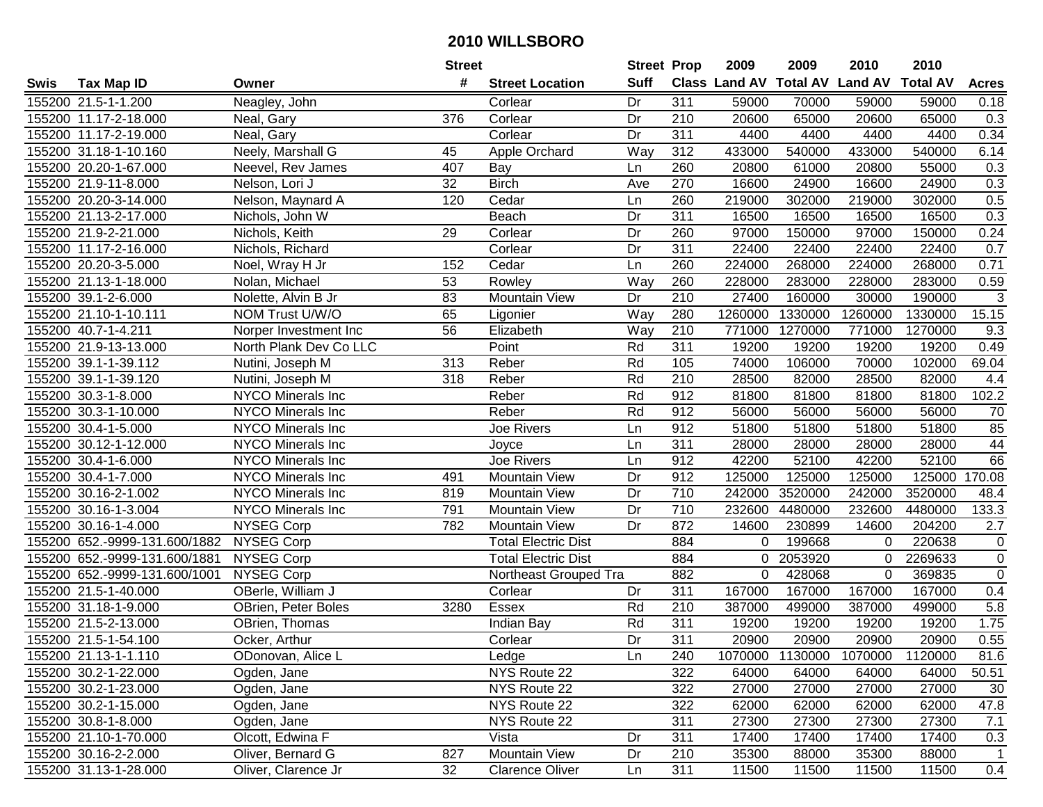| #<br><b>Suff</b><br>Class Land AV Total AV Land AV<br><b>Total AV</b><br><b>Tax Map ID</b><br><b>Street Location</b><br><b>Acres</b><br>Swis<br>Owner<br>311<br>155200 21.5-1-1.200<br>Neagley, John<br>Dr<br>59000<br>70000<br>59000<br>59000<br>0.18<br>Corlear<br>65000<br>155200 11.17-2-18.000<br>376<br>Corlear<br>Dr<br>210<br>20600<br>20600<br>65000<br>0.3<br>Neal, Gary<br>155200 11.17-2-19.000<br>Neal, Gary<br>Corlear<br>Dr<br>311<br>4400<br>4400<br>4400<br>4400<br>0.34<br>155200 31.18-1-10.160<br>Neely, Marshall G<br>Way<br>312<br>433000<br>540000<br>433000<br>540000<br>6.14<br>45<br>Apple Orchard<br>155200 20.20-1-67.000<br>Neevel, Rev James<br>407<br>Bay<br>260<br>20800<br>61000<br>20800<br>55000<br>0.3<br>Ln<br>270<br>0.3<br>155200 21.9-11-8.000<br>32<br><b>Birch</b><br>16600<br>24900<br>16600<br>24900<br>Nelson, Lori J<br>Ave<br>155200 20.20-3-14.000<br>120<br>260<br>219000<br>219000<br>302000<br>0.5<br>Nelson, Maynard A<br>Cedar<br>302000<br>Ln<br>311<br>0.3<br>155200 21.13-2-17.000<br>Nichols, John W<br>Beach<br>16500<br>16500<br>16500<br>16500<br>Dr<br>97000<br>150000<br>155200 21.9-2-21.000<br>29<br>Dr<br>260<br>97000<br>150000<br>0.24<br>Nichols, Keith<br>Corlear<br>155200 11.17-2-16.000<br>311<br>22400<br>22400<br>22400<br>0.7<br>Nichols, Richard<br>Corlear<br>Dr<br>22400<br>Cedar<br>224000<br>155200 20.20-3-5.000<br>Noel, Wray H Jr<br>152<br>260<br>224000<br>268000<br>268000<br>0.71<br>Ln<br>155200 21.13-1-18.000<br>Nolan, Michael<br>53<br>Way<br>260<br>228000<br>283000<br>228000<br>283000<br>Rowley<br>0.59<br>$\overline{83}$<br>$\overline{210}$<br>$\mathbf{3}$<br>155200 39.1-2-6.000<br>Mountain View<br>Dr<br>27400<br>160000<br>30000<br>Nolette, Alvin B Jr<br>190000<br>65<br>280<br>15.15<br>155200 21.10-1-10.111<br>NOM Trust U/W/O<br>Way<br>1260000<br>1330000<br>1260000<br>1330000<br>Ligonier<br>56<br>210<br>1270000<br>155200 40.7-1-4.211<br>Elizabeth<br>Way<br>771000<br>771000<br>1270000<br>9.3<br>Norper Investment Inc<br>311<br>155200 21.9-13-13.000<br>Point<br>Rd<br>19200<br>19200<br>19200<br>19200<br>0.49<br>North Plank Dev Co LLC<br>Rd<br>105<br>69.04<br>155200 39.1-1-39.112<br>313<br>Reber<br>74000<br>106000<br>70000<br>102000<br>Nutini, Joseph M<br>Rd<br>210<br>155200 39.1-1-39.120<br>Reber<br>28500<br>82000<br>28500<br>82000<br>Nutini, Joseph M<br>318<br>4.4<br>Rd<br>912<br>81800<br>102.2<br>155200 30.3-1-8.000<br>NYCO Minerals Inc<br>Reber<br>81800<br>81800<br>81800<br>155200 30.3-1-10.000<br>NYCO Minerals Inc<br>Reber<br>Rd<br>912<br>56000<br>56000<br>56000<br>56000<br>70<br>85<br>NYCO Minerals Inc<br>912<br>51800<br>51800<br>51800<br>51800<br>155200 30.4-1-5.000<br>Joe Rivers<br>Ln<br>NYCO Minerals Inc<br>311<br>44<br>155200 30.12-1-12.000<br>28000<br>28000<br>28000<br>28000<br>Joyce<br>Ln<br>66<br>Joe Rivers<br>912<br>52100<br>155200 30.4-1-6.000<br><b>NYCO Minerals Inc</b><br>42200<br>52100<br>42200<br>Ln<br>912<br>125000<br>170.08<br>155200 30.4-1-7.000<br>NYCO Minerals Inc<br>491<br><b>Mountain View</b><br>Dr<br>125000<br>125000<br>125000<br>710<br>155200 30.16-2-1.002<br><b>NYCO Minerals Inc</b><br>819<br>242000<br>3520000<br>242000<br>3520000<br><b>Mountain View</b><br>Dr<br>48.4<br>791<br>710<br>232600<br>232600<br>133.3<br>155200 30.16-1-3.004<br>NYCO Minerals Inc<br><b>Mountain View</b><br>Dr<br>4480000<br>4480000<br><b>NYSEG Corp</b><br>872<br>230899<br>204200<br>155200 30.16-1-4.000<br>782<br><b>Mountain View</b><br>Dr<br>14600<br>14600<br>2.7<br><b>NYSEG Corp</b><br>199668<br>220638<br>155200 652.-9999-131.600/1882<br><b>Total Electric Dist</b><br>884<br>$\pmb{0}$<br>0<br>$\Omega$<br>884<br>$\mathbf 0$<br>155200 652.-9999-131.600/1881<br><b>NYSEG Corp</b><br>2053920<br>2269633<br><b>Total Electric Dist</b><br>$\mathbf 0$<br>0<br>$\overline{0}$<br>155200 652.-9999-131.600/1001<br>882<br>428068<br><b>NYSEG Corp</b><br>Northeast Grouped Tra<br>0<br>$\Omega$<br>369835<br>155200 21.5-1-40.000<br>OBerle, William J<br>$\overline{311}$<br>167000<br>167000<br>167000<br>0.4<br>Corlear<br>167000<br>Dr<br>5.8<br>155200 31.18-1-9.000<br><b>Essex</b><br>Rd<br>210<br>387000<br>499000<br>499000<br>OBrien, Peter Boles<br>3280<br>387000<br>311<br>Rd<br>19200<br>19200<br>1.75<br>155200 21.5-2-13.000<br>OBrien, Thomas<br>19200<br>19200<br>Indian Bay<br>Dr<br>311<br>0.55<br>155200 21.5-1-54.100<br>20900<br>20900<br>20900<br>20900<br>Ocker, Arthur<br>Corlear<br>155200 21.13-1-1.110<br>ODonovan, Alice L<br>Ledge<br>Ln<br>240<br>1070000 1130000<br>1070000<br>1120000<br>81.6<br>155200 30.2-1-22.000<br>NYS Route 22<br>322<br>64000<br>64000<br>64000<br>50.51<br>Ogden, Jane<br>64000<br>27000<br>155200 30.2-1-23.000<br>NYS Route 22<br>322<br>27000<br>27000<br>27000<br>30<br>Ogden, Jane<br>155200 30.2-1-15.000<br>NYS Route 22<br>322<br>62000<br>62000<br>47.8<br>Ogden, Jane<br>62000<br>62000<br>NYS Route 22<br>311<br>7.1<br>155200 30.8-1-8.000<br>Ogden, Jane<br>27300<br>27300<br>27300<br>27300<br>Olcott, Edwina F<br>311<br>17400<br>155200 21.10-1-70.000<br>Vista<br>Dr<br>17400<br>17400<br>17400<br>0.3<br>Mountain View<br>155200 30.16-2-2.000<br>Oliver, Bernard G<br>827<br>Dr<br>210<br>35300<br>88000<br>35300<br>88000<br>1<br>155200 31.13-1-28.000<br>32<br>311<br>Oliver, Clarence Jr<br><b>Clarence Oliver</b><br>11500<br>11500<br>11500<br>Ln<br>11500 |  | <b>Street</b> | <b>Street Prop</b> | 2009 | 2009 | 2010 | 2010 |  |
|-------------------------------------------------------------------------------------------------------------------------------------------------------------------------------------------------------------------------------------------------------------------------------------------------------------------------------------------------------------------------------------------------------------------------------------------------------------------------------------------------------------------------------------------------------------------------------------------------------------------------------------------------------------------------------------------------------------------------------------------------------------------------------------------------------------------------------------------------------------------------------------------------------------------------------------------------------------------------------------------------------------------------------------------------------------------------------------------------------------------------------------------------------------------------------------------------------------------------------------------------------------------------------------------------------------------------------------------------------------------------------------------------------------------------------------------------------------------------------------------------------------------------------------------------------------------------------------------------------------------------------------------------------------------------------------------------------------------------------------------------------------------------------------------------------------------------------------------------------------------------------------------------------------------------------------------------------------------------------------------------------------------------------------------------------------------------------------------------------------------------------------------------------------------------------------------------------------------------------------------------------------------------------------------------------------------------------------------------------------------------------------------------------------------------------------------------------------------------------------------------------------------------------------------------------------------------------------------------------------------------------------------------------------------------------------------------------------------------------------------------------------------------------------------------------------------------------------------------------------------------------------------------------------------------------------------------------------------------------------------------------------------------------------------------------------------------------------------------------------------------------------------------------------------------------------------------------------------------------------------------------------------------------------------------------------------------------------------------------------------------------------------------------------------------------------------------------------------------------------------------------------------------------------------------------------------------------------------------------------------------------------------------------------------------------------------------------------------------------------------------------------------------------------------------------------------------------------------------------------------------------------------------------------------------------------------------------------------------------------------------------------------------------------------------------------------------------------------------------------------------------------------------------------------------------------------------------------------------------------------------------------------------------------------------------------------------------------------------------------------------------------------------------------------------------------------------------------------------------------------------------------------------------------------------------------------------------------------------------------------------------------------------------------------------------------------------------------------------------------------------------------------------------------------------------------------------------------------------------------------------------------------------------------------------------------------------------------------------------------------------------------------------------------------------------------------------------------------------------------------------------------------------------------------------------------------------------------------------------------------------------------------------------------------------------------------------------------------------------------------------------------------------------------------------------------------------------------------|--|---------------|--------------------|------|------|------|------|--|
|                                                                                                                                                                                                                                                                                                                                                                                                                                                                                                                                                                                                                                                                                                                                                                                                                                                                                                                                                                                                                                                                                                                                                                                                                                                                                                                                                                                                                                                                                                                                                                                                                                                                                                                                                                                                                                                                                                                                                                                                                                                                                                                                                                                                                                                                                                                                                                                                                                                                                                                                                                                                                                                                                                                                                                                                                                                                                                                                                                                                                                                                                                                                                                                                                                                                                                                                                                                                                                                                                                                                                                                                                                                                                                                                                                                                                                                                                                                                                                                                                                                                                                                                                                                                                                                                                                                                                                                                                                                                                                                                                                                                                                                                                                                                                                                                                                                                                                                                                                                                                                                                                                                                                                                                                                                                                                                                                                                                                                                                   |  |               |                    |      |      |      |      |  |
|                                                                                                                                                                                                                                                                                                                                                                                                                                                                                                                                                                                                                                                                                                                                                                                                                                                                                                                                                                                                                                                                                                                                                                                                                                                                                                                                                                                                                                                                                                                                                                                                                                                                                                                                                                                                                                                                                                                                                                                                                                                                                                                                                                                                                                                                                                                                                                                                                                                                                                                                                                                                                                                                                                                                                                                                                                                                                                                                                                                                                                                                                                                                                                                                                                                                                                                                                                                                                                                                                                                                                                                                                                                                                                                                                                                                                                                                                                                                                                                                                                                                                                                                                                                                                                                                                                                                                                                                                                                                                                                                                                                                                                                                                                                                                                                                                                                                                                                                                                                                                                                                                                                                                                                                                                                                                                                                                                                                                                                                   |  |               |                    |      |      |      |      |  |
| 0.4                                                                                                                                                                                                                                                                                                                                                                                                                                                                                                                                                                                                                                                                                                                                                                                                                                                                                                                                                                                                                                                                                                                                                                                                                                                                                                                                                                                                                                                                                                                                                                                                                                                                                                                                                                                                                                                                                                                                                                                                                                                                                                                                                                                                                                                                                                                                                                                                                                                                                                                                                                                                                                                                                                                                                                                                                                                                                                                                                                                                                                                                                                                                                                                                                                                                                                                                                                                                                                                                                                                                                                                                                                                                                                                                                                                                                                                                                                                                                                                                                                                                                                                                                                                                                                                                                                                                                                                                                                                                                                                                                                                                                                                                                                                                                                                                                                                                                                                                                                                                                                                                                                                                                                                                                                                                                                                                                                                                                                                               |  |               |                    |      |      |      |      |  |
|                                                                                                                                                                                                                                                                                                                                                                                                                                                                                                                                                                                                                                                                                                                                                                                                                                                                                                                                                                                                                                                                                                                                                                                                                                                                                                                                                                                                                                                                                                                                                                                                                                                                                                                                                                                                                                                                                                                                                                                                                                                                                                                                                                                                                                                                                                                                                                                                                                                                                                                                                                                                                                                                                                                                                                                                                                                                                                                                                                                                                                                                                                                                                                                                                                                                                                                                                                                                                                                                                                                                                                                                                                                                                                                                                                                                                                                                                                                                                                                                                                                                                                                                                                                                                                                                                                                                                                                                                                                                                                                                                                                                                                                                                                                                                                                                                                                                                                                                                                                                                                                                                                                                                                                                                                                                                                                                                                                                                                                                   |  |               |                    |      |      |      |      |  |
|                                                                                                                                                                                                                                                                                                                                                                                                                                                                                                                                                                                                                                                                                                                                                                                                                                                                                                                                                                                                                                                                                                                                                                                                                                                                                                                                                                                                                                                                                                                                                                                                                                                                                                                                                                                                                                                                                                                                                                                                                                                                                                                                                                                                                                                                                                                                                                                                                                                                                                                                                                                                                                                                                                                                                                                                                                                                                                                                                                                                                                                                                                                                                                                                                                                                                                                                                                                                                                                                                                                                                                                                                                                                                                                                                                                                                                                                                                                                                                                                                                                                                                                                                                                                                                                                                                                                                                                                                                                                                                                                                                                                                                                                                                                                                                                                                                                                                                                                                                                                                                                                                                                                                                                                                                                                                                                                                                                                                                                                   |  |               |                    |      |      |      |      |  |
|                                                                                                                                                                                                                                                                                                                                                                                                                                                                                                                                                                                                                                                                                                                                                                                                                                                                                                                                                                                                                                                                                                                                                                                                                                                                                                                                                                                                                                                                                                                                                                                                                                                                                                                                                                                                                                                                                                                                                                                                                                                                                                                                                                                                                                                                                                                                                                                                                                                                                                                                                                                                                                                                                                                                                                                                                                                                                                                                                                                                                                                                                                                                                                                                                                                                                                                                                                                                                                                                                                                                                                                                                                                                                                                                                                                                                                                                                                                                                                                                                                                                                                                                                                                                                                                                                                                                                                                                                                                                                                                                                                                                                                                                                                                                                                                                                                                                                                                                                                                                                                                                                                                                                                                                                                                                                                                                                                                                                                                                   |  |               |                    |      |      |      |      |  |
|                                                                                                                                                                                                                                                                                                                                                                                                                                                                                                                                                                                                                                                                                                                                                                                                                                                                                                                                                                                                                                                                                                                                                                                                                                                                                                                                                                                                                                                                                                                                                                                                                                                                                                                                                                                                                                                                                                                                                                                                                                                                                                                                                                                                                                                                                                                                                                                                                                                                                                                                                                                                                                                                                                                                                                                                                                                                                                                                                                                                                                                                                                                                                                                                                                                                                                                                                                                                                                                                                                                                                                                                                                                                                                                                                                                                                                                                                                                                                                                                                                                                                                                                                                                                                                                                                                                                                                                                                                                                                                                                                                                                                                                                                                                                                                                                                                                                                                                                                                                                                                                                                                                                                                                                                                                                                                                                                                                                                                                                   |  |               |                    |      |      |      |      |  |
|                                                                                                                                                                                                                                                                                                                                                                                                                                                                                                                                                                                                                                                                                                                                                                                                                                                                                                                                                                                                                                                                                                                                                                                                                                                                                                                                                                                                                                                                                                                                                                                                                                                                                                                                                                                                                                                                                                                                                                                                                                                                                                                                                                                                                                                                                                                                                                                                                                                                                                                                                                                                                                                                                                                                                                                                                                                                                                                                                                                                                                                                                                                                                                                                                                                                                                                                                                                                                                                                                                                                                                                                                                                                                                                                                                                                                                                                                                                                                                                                                                                                                                                                                                                                                                                                                                                                                                                                                                                                                                                                                                                                                                                                                                                                                                                                                                                                                                                                                                                                                                                                                                                                                                                                                                                                                                                                                                                                                                                                   |  |               |                    |      |      |      |      |  |
|                                                                                                                                                                                                                                                                                                                                                                                                                                                                                                                                                                                                                                                                                                                                                                                                                                                                                                                                                                                                                                                                                                                                                                                                                                                                                                                                                                                                                                                                                                                                                                                                                                                                                                                                                                                                                                                                                                                                                                                                                                                                                                                                                                                                                                                                                                                                                                                                                                                                                                                                                                                                                                                                                                                                                                                                                                                                                                                                                                                                                                                                                                                                                                                                                                                                                                                                                                                                                                                                                                                                                                                                                                                                                                                                                                                                                                                                                                                                                                                                                                                                                                                                                                                                                                                                                                                                                                                                                                                                                                                                                                                                                                                                                                                                                                                                                                                                                                                                                                                                                                                                                                                                                                                                                                                                                                                                                                                                                                                                   |  |               |                    |      |      |      |      |  |
|                                                                                                                                                                                                                                                                                                                                                                                                                                                                                                                                                                                                                                                                                                                                                                                                                                                                                                                                                                                                                                                                                                                                                                                                                                                                                                                                                                                                                                                                                                                                                                                                                                                                                                                                                                                                                                                                                                                                                                                                                                                                                                                                                                                                                                                                                                                                                                                                                                                                                                                                                                                                                                                                                                                                                                                                                                                                                                                                                                                                                                                                                                                                                                                                                                                                                                                                                                                                                                                                                                                                                                                                                                                                                                                                                                                                                                                                                                                                                                                                                                                                                                                                                                                                                                                                                                                                                                                                                                                                                                                                                                                                                                                                                                                                                                                                                                                                                                                                                                                                                                                                                                                                                                                                                                                                                                                                                                                                                                                                   |  |               |                    |      |      |      |      |  |
|                                                                                                                                                                                                                                                                                                                                                                                                                                                                                                                                                                                                                                                                                                                                                                                                                                                                                                                                                                                                                                                                                                                                                                                                                                                                                                                                                                                                                                                                                                                                                                                                                                                                                                                                                                                                                                                                                                                                                                                                                                                                                                                                                                                                                                                                                                                                                                                                                                                                                                                                                                                                                                                                                                                                                                                                                                                                                                                                                                                                                                                                                                                                                                                                                                                                                                                                                                                                                                                                                                                                                                                                                                                                                                                                                                                                                                                                                                                                                                                                                                                                                                                                                                                                                                                                                                                                                                                                                                                                                                                                                                                                                                                                                                                                                                                                                                                                                                                                                                                                                                                                                                                                                                                                                                                                                                                                                                                                                                                                   |  |               |                    |      |      |      |      |  |
|                                                                                                                                                                                                                                                                                                                                                                                                                                                                                                                                                                                                                                                                                                                                                                                                                                                                                                                                                                                                                                                                                                                                                                                                                                                                                                                                                                                                                                                                                                                                                                                                                                                                                                                                                                                                                                                                                                                                                                                                                                                                                                                                                                                                                                                                                                                                                                                                                                                                                                                                                                                                                                                                                                                                                                                                                                                                                                                                                                                                                                                                                                                                                                                                                                                                                                                                                                                                                                                                                                                                                                                                                                                                                                                                                                                                                                                                                                                                                                                                                                                                                                                                                                                                                                                                                                                                                                                                                                                                                                                                                                                                                                                                                                                                                                                                                                                                                                                                                                                                                                                                                                                                                                                                                                                                                                                                                                                                                                                                   |  |               |                    |      |      |      |      |  |
|                                                                                                                                                                                                                                                                                                                                                                                                                                                                                                                                                                                                                                                                                                                                                                                                                                                                                                                                                                                                                                                                                                                                                                                                                                                                                                                                                                                                                                                                                                                                                                                                                                                                                                                                                                                                                                                                                                                                                                                                                                                                                                                                                                                                                                                                                                                                                                                                                                                                                                                                                                                                                                                                                                                                                                                                                                                                                                                                                                                                                                                                                                                                                                                                                                                                                                                                                                                                                                                                                                                                                                                                                                                                                                                                                                                                                                                                                                                                                                                                                                                                                                                                                                                                                                                                                                                                                                                                                                                                                                                                                                                                                                                                                                                                                                                                                                                                                                                                                                                                                                                                                                                                                                                                                                                                                                                                                                                                                                                                   |  |               |                    |      |      |      |      |  |
|                                                                                                                                                                                                                                                                                                                                                                                                                                                                                                                                                                                                                                                                                                                                                                                                                                                                                                                                                                                                                                                                                                                                                                                                                                                                                                                                                                                                                                                                                                                                                                                                                                                                                                                                                                                                                                                                                                                                                                                                                                                                                                                                                                                                                                                                                                                                                                                                                                                                                                                                                                                                                                                                                                                                                                                                                                                                                                                                                                                                                                                                                                                                                                                                                                                                                                                                                                                                                                                                                                                                                                                                                                                                                                                                                                                                                                                                                                                                                                                                                                                                                                                                                                                                                                                                                                                                                                                                                                                                                                                                                                                                                                                                                                                                                                                                                                                                                                                                                                                                                                                                                                                                                                                                                                                                                                                                                                                                                                                                   |  |               |                    |      |      |      |      |  |
|                                                                                                                                                                                                                                                                                                                                                                                                                                                                                                                                                                                                                                                                                                                                                                                                                                                                                                                                                                                                                                                                                                                                                                                                                                                                                                                                                                                                                                                                                                                                                                                                                                                                                                                                                                                                                                                                                                                                                                                                                                                                                                                                                                                                                                                                                                                                                                                                                                                                                                                                                                                                                                                                                                                                                                                                                                                                                                                                                                                                                                                                                                                                                                                                                                                                                                                                                                                                                                                                                                                                                                                                                                                                                                                                                                                                                                                                                                                                                                                                                                                                                                                                                                                                                                                                                                                                                                                                                                                                                                                                                                                                                                                                                                                                                                                                                                                                                                                                                                                                                                                                                                                                                                                                                                                                                                                                                                                                                                                                   |  |               |                    |      |      |      |      |  |
|                                                                                                                                                                                                                                                                                                                                                                                                                                                                                                                                                                                                                                                                                                                                                                                                                                                                                                                                                                                                                                                                                                                                                                                                                                                                                                                                                                                                                                                                                                                                                                                                                                                                                                                                                                                                                                                                                                                                                                                                                                                                                                                                                                                                                                                                                                                                                                                                                                                                                                                                                                                                                                                                                                                                                                                                                                                                                                                                                                                                                                                                                                                                                                                                                                                                                                                                                                                                                                                                                                                                                                                                                                                                                                                                                                                                                                                                                                                                                                                                                                                                                                                                                                                                                                                                                                                                                                                                                                                                                                                                                                                                                                                                                                                                                                                                                                                                                                                                                                                                                                                                                                                                                                                                                                                                                                                                                                                                                                                                   |  |               |                    |      |      |      |      |  |
|                                                                                                                                                                                                                                                                                                                                                                                                                                                                                                                                                                                                                                                                                                                                                                                                                                                                                                                                                                                                                                                                                                                                                                                                                                                                                                                                                                                                                                                                                                                                                                                                                                                                                                                                                                                                                                                                                                                                                                                                                                                                                                                                                                                                                                                                                                                                                                                                                                                                                                                                                                                                                                                                                                                                                                                                                                                                                                                                                                                                                                                                                                                                                                                                                                                                                                                                                                                                                                                                                                                                                                                                                                                                                                                                                                                                                                                                                                                                                                                                                                                                                                                                                                                                                                                                                                                                                                                                                                                                                                                                                                                                                                                                                                                                                                                                                                                                                                                                                                                                                                                                                                                                                                                                                                                                                                                                                                                                                                                                   |  |               |                    |      |      |      |      |  |
|                                                                                                                                                                                                                                                                                                                                                                                                                                                                                                                                                                                                                                                                                                                                                                                                                                                                                                                                                                                                                                                                                                                                                                                                                                                                                                                                                                                                                                                                                                                                                                                                                                                                                                                                                                                                                                                                                                                                                                                                                                                                                                                                                                                                                                                                                                                                                                                                                                                                                                                                                                                                                                                                                                                                                                                                                                                                                                                                                                                                                                                                                                                                                                                                                                                                                                                                                                                                                                                                                                                                                                                                                                                                                                                                                                                                                                                                                                                                                                                                                                                                                                                                                                                                                                                                                                                                                                                                                                                                                                                                                                                                                                                                                                                                                                                                                                                                                                                                                                                                                                                                                                                                                                                                                                                                                                                                                                                                                                                                   |  |               |                    |      |      |      |      |  |
|                                                                                                                                                                                                                                                                                                                                                                                                                                                                                                                                                                                                                                                                                                                                                                                                                                                                                                                                                                                                                                                                                                                                                                                                                                                                                                                                                                                                                                                                                                                                                                                                                                                                                                                                                                                                                                                                                                                                                                                                                                                                                                                                                                                                                                                                                                                                                                                                                                                                                                                                                                                                                                                                                                                                                                                                                                                                                                                                                                                                                                                                                                                                                                                                                                                                                                                                                                                                                                                                                                                                                                                                                                                                                                                                                                                                                                                                                                                                                                                                                                                                                                                                                                                                                                                                                                                                                                                                                                                                                                                                                                                                                                                                                                                                                                                                                                                                                                                                                                                                                                                                                                                                                                                                                                                                                                                                                                                                                                                                   |  |               |                    |      |      |      |      |  |
|                                                                                                                                                                                                                                                                                                                                                                                                                                                                                                                                                                                                                                                                                                                                                                                                                                                                                                                                                                                                                                                                                                                                                                                                                                                                                                                                                                                                                                                                                                                                                                                                                                                                                                                                                                                                                                                                                                                                                                                                                                                                                                                                                                                                                                                                                                                                                                                                                                                                                                                                                                                                                                                                                                                                                                                                                                                                                                                                                                                                                                                                                                                                                                                                                                                                                                                                                                                                                                                                                                                                                                                                                                                                                                                                                                                                                                                                                                                                                                                                                                                                                                                                                                                                                                                                                                                                                                                                                                                                                                                                                                                                                                                                                                                                                                                                                                                                                                                                                                                                                                                                                                                                                                                                                                                                                                                                                                                                                                                                   |  |               |                    |      |      |      |      |  |
|                                                                                                                                                                                                                                                                                                                                                                                                                                                                                                                                                                                                                                                                                                                                                                                                                                                                                                                                                                                                                                                                                                                                                                                                                                                                                                                                                                                                                                                                                                                                                                                                                                                                                                                                                                                                                                                                                                                                                                                                                                                                                                                                                                                                                                                                                                                                                                                                                                                                                                                                                                                                                                                                                                                                                                                                                                                                                                                                                                                                                                                                                                                                                                                                                                                                                                                                                                                                                                                                                                                                                                                                                                                                                                                                                                                                                                                                                                                                                                                                                                                                                                                                                                                                                                                                                                                                                                                                                                                                                                                                                                                                                                                                                                                                                                                                                                                                                                                                                                                                                                                                                                                                                                                                                                                                                                                                                                                                                                                                   |  |               |                    |      |      |      |      |  |
|                                                                                                                                                                                                                                                                                                                                                                                                                                                                                                                                                                                                                                                                                                                                                                                                                                                                                                                                                                                                                                                                                                                                                                                                                                                                                                                                                                                                                                                                                                                                                                                                                                                                                                                                                                                                                                                                                                                                                                                                                                                                                                                                                                                                                                                                                                                                                                                                                                                                                                                                                                                                                                                                                                                                                                                                                                                                                                                                                                                                                                                                                                                                                                                                                                                                                                                                                                                                                                                                                                                                                                                                                                                                                                                                                                                                                                                                                                                                                                                                                                                                                                                                                                                                                                                                                                                                                                                                                                                                                                                                                                                                                                                                                                                                                                                                                                                                                                                                                                                                                                                                                                                                                                                                                                                                                                                                                                                                                                                                   |  |               |                    |      |      |      |      |  |
|                                                                                                                                                                                                                                                                                                                                                                                                                                                                                                                                                                                                                                                                                                                                                                                                                                                                                                                                                                                                                                                                                                                                                                                                                                                                                                                                                                                                                                                                                                                                                                                                                                                                                                                                                                                                                                                                                                                                                                                                                                                                                                                                                                                                                                                                                                                                                                                                                                                                                                                                                                                                                                                                                                                                                                                                                                                                                                                                                                                                                                                                                                                                                                                                                                                                                                                                                                                                                                                                                                                                                                                                                                                                                                                                                                                                                                                                                                                                                                                                                                                                                                                                                                                                                                                                                                                                                                                                                                                                                                                                                                                                                                                                                                                                                                                                                                                                                                                                                                                                                                                                                                                                                                                                                                                                                                                                                                                                                                                                   |  |               |                    |      |      |      |      |  |
|                                                                                                                                                                                                                                                                                                                                                                                                                                                                                                                                                                                                                                                                                                                                                                                                                                                                                                                                                                                                                                                                                                                                                                                                                                                                                                                                                                                                                                                                                                                                                                                                                                                                                                                                                                                                                                                                                                                                                                                                                                                                                                                                                                                                                                                                                                                                                                                                                                                                                                                                                                                                                                                                                                                                                                                                                                                                                                                                                                                                                                                                                                                                                                                                                                                                                                                                                                                                                                                                                                                                                                                                                                                                                                                                                                                                                                                                                                                                                                                                                                                                                                                                                                                                                                                                                                                                                                                                                                                                                                                                                                                                                                                                                                                                                                                                                                                                                                                                                                                                                                                                                                                                                                                                                                                                                                                                                                                                                                                                   |  |               |                    |      |      |      |      |  |
|                                                                                                                                                                                                                                                                                                                                                                                                                                                                                                                                                                                                                                                                                                                                                                                                                                                                                                                                                                                                                                                                                                                                                                                                                                                                                                                                                                                                                                                                                                                                                                                                                                                                                                                                                                                                                                                                                                                                                                                                                                                                                                                                                                                                                                                                                                                                                                                                                                                                                                                                                                                                                                                                                                                                                                                                                                                                                                                                                                                                                                                                                                                                                                                                                                                                                                                                                                                                                                                                                                                                                                                                                                                                                                                                                                                                                                                                                                                                                                                                                                                                                                                                                                                                                                                                                                                                                                                                                                                                                                                                                                                                                                                                                                                                                                                                                                                                                                                                                                                                                                                                                                                                                                                                                                                                                                                                                                                                                                                                   |  |               |                    |      |      |      |      |  |
|                                                                                                                                                                                                                                                                                                                                                                                                                                                                                                                                                                                                                                                                                                                                                                                                                                                                                                                                                                                                                                                                                                                                                                                                                                                                                                                                                                                                                                                                                                                                                                                                                                                                                                                                                                                                                                                                                                                                                                                                                                                                                                                                                                                                                                                                                                                                                                                                                                                                                                                                                                                                                                                                                                                                                                                                                                                                                                                                                                                                                                                                                                                                                                                                                                                                                                                                                                                                                                                                                                                                                                                                                                                                                                                                                                                                                                                                                                                                                                                                                                                                                                                                                                                                                                                                                                                                                                                                                                                                                                                                                                                                                                                                                                                                                                                                                                                                                                                                                                                                                                                                                                                                                                                                                                                                                                                                                                                                                                                                   |  |               |                    |      |      |      |      |  |
|                                                                                                                                                                                                                                                                                                                                                                                                                                                                                                                                                                                                                                                                                                                                                                                                                                                                                                                                                                                                                                                                                                                                                                                                                                                                                                                                                                                                                                                                                                                                                                                                                                                                                                                                                                                                                                                                                                                                                                                                                                                                                                                                                                                                                                                                                                                                                                                                                                                                                                                                                                                                                                                                                                                                                                                                                                                                                                                                                                                                                                                                                                                                                                                                                                                                                                                                                                                                                                                                                                                                                                                                                                                                                                                                                                                                                                                                                                                                                                                                                                                                                                                                                                                                                                                                                                                                                                                                                                                                                                                                                                                                                                                                                                                                                                                                                                                                                                                                                                                                                                                                                                                                                                                                                                                                                                                                                                                                                                                                   |  |               |                    |      |      |      |      |  |
|                                                                                                                                                                                                                                                                                                                                                                                                                                                                                                                                                                                                                                                                                                                                                                                                                                                                                                                                                                                                                                                                                                                                                                                                                                                                                                                                                                                                                                                                                                                                                                                                                                                                                                                                                                                                                                                                                                                                                                                                                                                                                                                                                                                                                                                                                                                                                                                                                                                                                                                                                                                                                                                                                                                                                                                                                                                                                                                                                                                                                                                                                                                                                                                                                                                                                                                                                                                                                                                                                                                                                                                                                                                                                                                                                                                                                                                                                                                                                                                                                                                                                                                                                                                                                                                                                                                                                                                                                                                                                                                                                                                                                                                                                                                                                                                                                                                                                                                                                                                                                                                                                                                                                                                                                                                                                                                                                                                                                                                                   |  |               |                    |      |      |      |      |  |
|                                                                                                                                                                                                                                                                                                                                                                                                                                                                                                                                                                                                                                                                                                                                                                                                                                                                                                                                                                                                                                                                                                                                                                                                                                                                                                                                                                                                                                                                                                                                                                                                                                                                                                                                                                                                                                                                                                                                                                                                                                                                                                                                                                                                                                                                                                                                                                                                                                                                                                                                                                                                                                                                                                                                                                                                                                                                                                                                                                                                                                                                                                                                                                                                                                                                                                                                                                                                                                                                                                                                                                                                                                                                                                                                                                                                                                                                                                                                                                                                                                                                                                                                                                                                                                                                                                                                                                                                                                                                                                                                                                                                                                                                                                                                                                                                                                                                                                                                                                                                                                                                                                                                                                                                                                                                                                                                                                                                                                                                   |  |               |                    |      |      |      |      |  |
|                                                                                                                                                                                                                                                                                                                                                                                                                                                                                                                                                                                                                                                                                                                                                                                                                                                                                                                                                                                                                                                                                                                                                                                                                                                                                                                                                                                                                                                                                                                                                                                                                                                                                                                                                                                                                                                                                                                                                                                                                                                                                                                                                                                                                                                                                                                                                                                                                                                                                                                                                                                                                                                                                                                                                                                                                                                                                                                                                                                                                                                                                                                                                                                                                                                                                                                                                                                                                                                                                                                                                                                                                                                                                                                                                                                                                                                                                                                                                                                                                                                                                                                                                                                                                                                                                                                                                                                                                                                                                                                                                                                                                                                                                                                                                                                                                                                                                                                                                                                                                                                                                                                                                                                                                                                                                                                                                                                                                                                                   |  |               |                    |      |      |      |      |  |
|                                                                                                                                                                                                                                                                                                                                                                                                                                                                                                                                                                                                                                                                                                                                                                                                                                                                                                                                                                                                                                                                                                                                                                                                                                                                                                                                                                                                                                                                                                                                                                                                                                                                                                                                                                                                                                                                                                                                                                                                                                                                                                                                                                                                                                                                                                                                                                                                                                                                                                                                                                                                                                                                                                                                                                                                                                                                                                                                                                                                                                                                                                                                                                                                                                                                                                                                                                                                                                                                                                                                                                                                                                                                                                                                                                                                                                                                                                                                                                                                                                                                                                                                                                                                                                                                                                                                                                                                                                                                                                                                                                                                                                                                                                                                                                                                                                                                                                                                                                                                                                                                                                                                                                                                                                                                                                                                                                                                                                                                   |  |               |                    |      |      |      |      |  |
|                                                                                                                                                                                                                                                                                                                                                                                                                                                                                                                                                                                                                                                                                                                                                                                                                                                                                                                                                                                                                                                                                                                                                                                                                                                                                                                                                                                                                                                                                                                                                                                                                                                                                                                                                                                                                                                                                                                                                                                                                                                                                                                                                                                                                                                                                                                                                                                                                                                                                                                                                                                                                                                                                                                                                                                                                                                                                                                                                                                                                                                                                                                                                                                                                                                                                                                                                                                                                                                                                                                                                                                                                                                                                                                                                                                                                                                                                                                                                                                                                                                                                                                                                                                                                                                                                                                                                                                                                                                                                                                                                                                                                                                                                                                                                                                                                                                                                                                                                                                                                                                                                                                                                                                                                                                                                                                                                                                                                                                                   |  |               |                    |      |      |      |      |  |
|                                                                                                                                                                                                                                                                                                                                                                                                                                                                                                                                                                                                                                                                                                                                                                                                                                                                                                                                                                                                                                                                                                                                                                                                                                                                                                                                                                                                                                                                                                                                                                                                                                                                                                                                                                                                                                                                                                                                                                                                                                                                                                                                                                                                                                                                                                                                                                                                                                                                                                                                                                                                                                                                                                                                                                                                                                                                                                                                                                                                                                                                                                                                                                                                                                                                                                                                                                                                                                                                                                                                                                                                                                                                                                                                                                                                                                                                                                                                                                                                                                                                                                                                                                                                                                                                                                                                                                                                                                                                                                                                                                                                                                                                                                                                                                                                                                                                                                                                                                                                                                                                                                                                                                                                                                                                                                                                                                                                                                                                   |  |               |                    |      |      |      |      |  |
|                                                                                                                                                                                                                                                                                                                                                                                                                                                                                                                                                                                                                                                                                                                                                                                                                                                                                                                                                                                                                                                                                                                                                                                                                                                                                                                                                                                                                                                                                                                                                                                                                                                                                                                                                                                                                                                                                                                                                                                                                                                                                                                                                                                                                                                                                                                                                                                                                                                                                                                                                                                                                                                                                                                                                                                                                                                                                                                                                                                                                                                                                                                                                                                                                                                                                                                                                                                                                                                                                                                                                                                                                                                                                                                                                                                                                                                                                                                                                                                                                                                                                                                                                                                                                                                                                                                                                                                                                                                                                                                                                                                                                                                                                                                                                                                                                                                                                                                                                                                                                                                                                                                                                                                                                                                                                                                                                                                                                                                                   |  |               |                    |      |      |      |      |  |
|                                                                                                                                                                                                                                                                                                                                                                                                                                                                                                                                                                                                                                                                                                                                                                                                                                                                                                                                                                                                                                                                                                                                                                                                                                                                                                                                                                                                                                                                                                                                                                                                                                                                                                                                                                                                                                                                                                                                                                                                                                                                                                                                                                                                                                                                                                                                                                                                                                                                                                                                                                                                                                                                                                                                                                                                                                                                                                                                                                                                                                                                                                                                                                                                                                                                                                                                                                                                                                                                                                                                                                                                                                                                                                                                                                                                                                                                                                                                                                                                                                                                                                                                                                                                                                                                                                                                                                                                                                                                                                                                                                                                                                                                                                                                                                                                                                                                                                                                                                                                                                                                                                                                                                                                                                                                                                                                                                                                                                                                   |  |               |                    |      |      |      |      |  |
|                                                                                                                                                                                                                                                                                                                                                                                                                                                                                                                                                                                                                                                                                                                                                                                                                                                                                                                                                                                                                                                                                                                                                                                                                                                                                                                                                                                                                                                                                                                                                                                                                                                                                                                                                                                                                                                                                                                                                                                                                                                                                                                                                                                                                                                                                                                                                                                                                                                                                                                                                                                                                                                                                                                                                                                                                                                                                                                                                                                                                                                                                                                                                                                                                                                                                                                                                                                                                                                                                                                                                                                                                                                                                                                                                                                                                                                                                                                                                                                                                                                                                                                                                                                                                                                                                                                                                                                                                                                                                                                                                                                                                                                                                                                                                                                                                                                                                                                                                                                                                                                                                                                                                                                                                                                                                                                                                                                                                                                                   |  |               |                    |      |      |      |      |  |
|                                                                                                                                                                                                                                                                                                                                                                                                                                                                                                                                                                                                                                                                                                                                                                                                                                                                                                                                                                                                                                                                                                                                                                                                                                                                                                                                                                                                                                                                                                                                                                                                                                                                                                                                                                                                                                                                                                                                                                                                                                                                                                                                                                                                                                                                                                                                                                                                                                                                                                                                                                                                                                                                                                                                                                                                                                                                                                                                                                                                                                                                                                                                                                                                                                                                                                                                                                                                                                                                                                                                                                                                                                                                                                                                                                                                                                                                                                                                                                                                                                                                                                                                                                                                                                                                                                                                                                                                                                                                                                                                                                                                                                                                                                                                                                                                                                                                                                                                                                                                                                                                                                                                                                                                                                                                                                                                                                                                                                                                   |  |               |                    |      |      |      |      |  |
|                                                                                                                                                                                                                                                                                                                                                                                                                                                                                                                                                                                                                                                                                                                                                                                                                                                                                                                                                                                                                                                                                                                                                                                                                                                                                                                                                                                                                                                                                                                                                                                                                                                                                                                                                                                                                                                                                                                                                                                                                                                                                                                                                                                                                                                                                                                                                                                                                                                                                                                                                                                                                                                                                                                                                                                                                                                                                                                                                                                                                                                                                                                                                                                                                                                                                                                                                                                                                                                                                                                                                                                                                                                                                                                                                                                                                                                                                                                                                                                                                                                                                                                                                                                                                                                                                                                                                                                                                                                                                                                                                                                                                                                                                                                                                                                                                                                                                                                                                                                                                                                                                                                                                                                                                                                                                                                                                                                                                                                                   |  |               |                    |      |      |      |      |  |
|                                                                                                                                                                                                                                                                                                                                                                                                                                                                                                                                                                                                                                                                                                                                                                                                                                                                                                                                                                                                                                                                                                                                                                                                                                                                                                                                                                                                                                                                                                                                                                                                                                                                                                                                                                                                                                                                                                                                                                                                                                                                                                                                                                                                                                                                                                                                                                                                                                                                                                                                                                                                                                                                                                                                                                                                                                                                                                                                                                                                                                                                                                                                                                                                                                                                                                                                                                                                                                                                                                                                                                                                                                                                                                                                                                                                                                                                                                                                                                                                                                                                                                                                                                                                                                                                                                                                                                                                                                                                                                                                                                                                                                                                                                                                                                                                                                                                                                                                                                                                                                                                                                                                                                                                                                                                                                                                                                                                                                                                   |  |               |                    |      |      |      |      |  |
|                                                                                                                                                                                                                                                                                                                                                                                                                                                                                                                                                                                                                                                                                                                                                                                                                                                                                                                                                                                                                                                                                                                                                                                                                                                                                                                                                                                                                                                                                                                                                                                                                                                                                                                                                                                                                                                                                                                                                                                                                                                                                                                                                                                                                                                                                                                                                                                                                                                                                                                                                                                                                                                                                                                                                                                                                                                                                                                                                                                                                                                                                                                                                                                                                                                                                                                                                                                                                                                                                                                                                                                                                                                                                                                                                                                                                                                                                                                                                                                                                                                                                                                                                                                                                                                                                                                                                                                                                                                                                                                                                                                                                                                                                                                                                                                                                                                                                                                                                                                                                                                                                                                                                                                                                                                                                                                                                                                                                                                                   |  |               |                    |      |      |      |      |  |
|                                                                                                                                                                                                                                                                                                                                                                                                                                                                                                                                                                                                                                                                                                                                                                                                                                                                                                                                                                                                                                                                                                                                                                                                                                                                                                                                                                                                                                                                                                                                                                                                                                                                                                                                                                                                                                                                                                                                                                                                                                                                                                                                                                                                                                                                                                                                                                                                                                                                                                                                                                                                                                                                                                                                                                                                                                                                                                                                                                                                                                                                                                                                                                                                                                                                                                                                                                                                                                                                                                                                                                                                                                                                                                                                                                                                                                                                                                                                                                                                                                                                                                                                                                                                                                                                                                                                                                                                                                                                                                                                                                                                                                                                                                                                                                                                                                                                                                                                                                                                                                                                                                                                                                                                                                                                                                                                                                                                                                                                   |  |               |                    |      |      |      |      |  |
|                                                                                                                                                                                                                                                                                                                                                                                                                                                                                                                                                                                                                                                                                                                                                                                                                                                                                                                                                                                                                                                                                                                                                                                                                                                                                                                                                                                                                                                                                                                                                                                                                                                                                                                                                                                                                                                                                                                                                                                                                                                                                                                                                                                                                                                                                                                                                                                                                                                                                                                                                                                                                                                                                                                                                                                                                                                                                                                                                                                                                                                                                                                                                                                                                                                                                                                                                                                                                                                                                                                                                                                                                                                                                                                                                                                                                                                                                                                                                                                                                                                                                                                                                                                                                                                                                                                                                                                                                                                                                                                                                                                                                                                                                                                                                                                                                                                                                                                                                                                                                                                                                                                                                                                                                                                                                                                                                                                                                                                                   |  |               |                    |      |      |      |      |  |
|                                                                                                                                                                                                                                                                                                                                                                                                                                                                                                                                                                                                                                                                                                                                                                                                                                                                                                                                                                                                                                                                                                                                                                                                                                                                                                                                                                                                                                                                                                                                                                                                                                                                                                                                                                                                                                                                                                                                                                                                                                                                                                                                                                                                                                                                                                                                                                                                                                                                                                                                                                                                                                                                                                                                                                                                                                                                                                                                                                                                                                                                                                                                                                                                                                                                                                                                                                                                                                                                                                                                                                                                                                                                                                                                                                                                                                                                                                                                                                                                                                                                                                                                                                                                                                                                                                                                                                                                                                                                                                                                                                                                                                                                                                                                                                                                                                                                                                                                                                                                                                                                                                                                                                                                                                                                                                                                                                                                                                                                   |  |               |                    |      |      |      |      |  |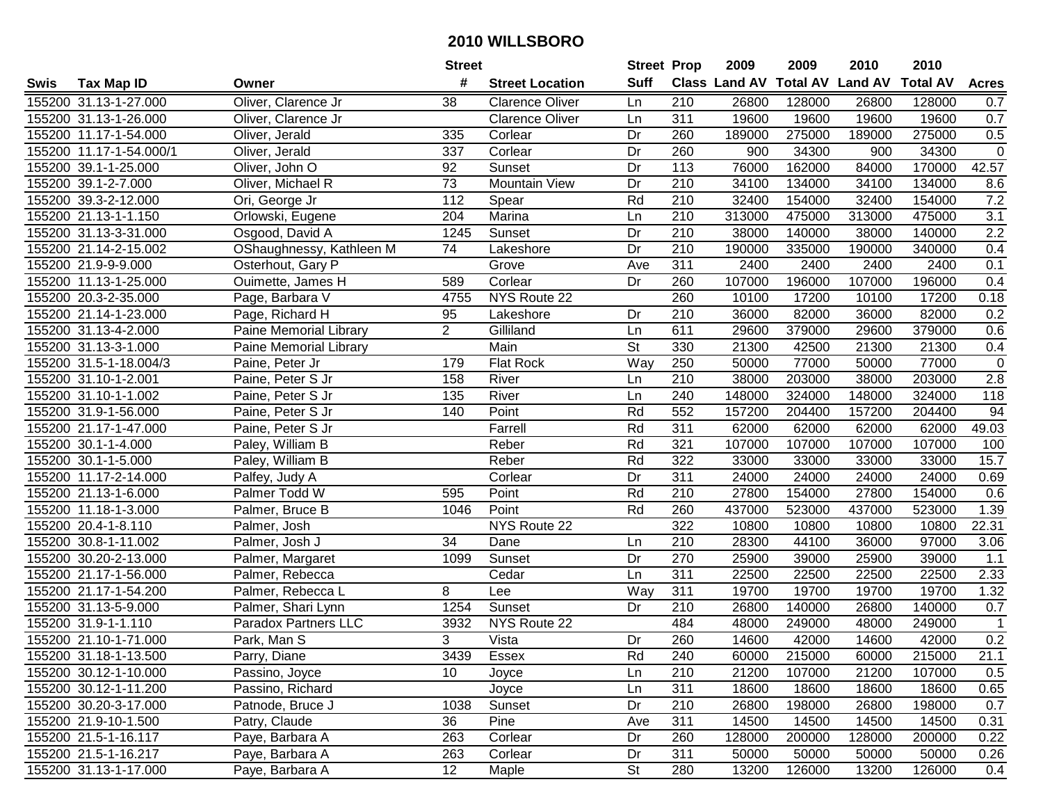|      |                         |                             | <b>Street</b>   |                        | <b>Street Prop</b> |                  | 2009                           | 2009   | 2010   | 2010            |                |
|------|-------------------------|-----------------------------|-----------------|------------------------|--------------------|------------------|--------------------------------|--------|--------|-----------------|----------------|
| Swis | <b>Tax Map ID</b>       | Owner                       | #               | <b>Street Location</b> | <b>Suff</b>        |                  | Class Land AV Total AV Land AV |        |        | <b>Total AV</b> | <b>Acres</b>   |
|      | 155200 31.13-1-27.000   | Oliver, Clarence Jr         | 38              | <b>Clarence Oliver</b> | Ln                 | 210              | 26800                          | 128000 | 26800  | 128000          | 0.7            |
|      | 155200 31.13-1-26.000   | Oliver, Clarence Jr         |                 | <b>Clarence Oliver</b> | Ln                 | 311              | 19600                          | 19600  | 19600  | 19600           | 0.7            |
|      | 155200 11.17-1-54.000   | Oliver, Jerald              | 335             | Corlear                | Dr                 | 260              | 189000                         | 275000 | 189000 | 275000          | 0.5            |
|      | 155200 11.17-1-54.000/1 | Oliver, Jerald              | 337             | Corlear                | Dr                 | 260              | 900                            | 34300  | 900    | 34300           | $\overline{0}$ |
|      | 155200 39.1-1-25.000    | Oliver, John O              | 92              | Sunset                 | Dr                 | 113              | 76000                          | 162000 | 84000  | 170000          | 42.57          |
|      | 155200 39.1-2-7.000     | Oliver, Michael R           | $\overline{73}$ | <b>Mountain View</b>   | Dr                 | 210              | 34100                          | 134000 | 34100  | 134000          | 8.6            |
|      | 155200 39.3-2-12.000    | Ori, George Jr              | 112             | Spear                  | Rd                 | 210              | 32400                          | 154000 | 32400  | 154000          | 7.2            |
|      | 155200 21.13-1-1.150    | Orlowski, Eugene            | 204             | Marina                 | Ln                 | 210              | 313000                         | 475000 | 313000 | 475000          | 3.1            |
|      | 155200 31.13-3-31.000   | Osgood, David A             | 1245            | Sunset                 | Dr                 | $\overline{210}$ | 38000                          | 140000 | 38000  | 140000          | 2.2            |
|      | 155200 21.14-2-15.002   | OShaughnessy, Kathleen M    | 74              | Lakeshore              | Dr                 | 210              | 190000                         | 335000 | 190000 | 340000          | 0.4            |
|      | 155200 21.9-9-9.000     | Osterhout, Gary P           |                 | Grove                  | Ave                | 311              | 2400                           | 2400   | 2400   | 2400            | 0.1            |
|      | 155200 11.13-1-25.000   | Ouimette, James H           | 589             | Corlear                | Dr                 | 260              | 107000                         | 196000 | 107000 | 196000          | 0.4            |
|      | 155200 20.3-2-35.000    | Page, Barbara V             | 4755            | NYS Route 22           |                    | 260              | 10100                          | 17200  | 10100  | 17200           | 0.18           |
|      | 155200 21.14-1-23.000   | Page, Richard H             | 95              | Lakeshore              | Dr                 | 210              | 36000                          | 82000  | 36000  | 82000           | 0.2            |
|      | 155200 31.13-4-2.000    | Paine Memorial Library      | $\overline{c}$  | Gilliland              | Ln                 | 611              | 29600                          | 379000 | 29600  | 379000          | 0.6            |
|      | 155200 31.13-3-1.000    | Paine Memorial Library      |                 | Main                   | St                 | 330              | 21300                          | 42500  | 21300  | 21300           | 0.4            |
|      | 155200 31.5-1-18.004/3  | Paine, Peter Jr             | 179             | Flat Rock              | Way                | 250              | 50000                          | 77000  | 50000  | 77000           | $\mathbf 0$    |
|      | 155200 31.10-1-2.001    | Paine, Peter S Jr           | 158             | River                  | Ln                 | 210              | 38000                          | 203000 | 38000  | 203000          | 2.8            |
|      | 155200 31.10-1-1.002    | Paine, Peter S Jr           | 135             | River                  | Ln                 | 240              | 148000                         | 324000 | 148000 | 324000          | 118            |
|      | 155200 31.9-1-56.000    | Paine, Peter S Jr           | 140             | Point                  | Rd                 | 552              | 157200                         | 204400 | 157200 | 204400          | 94             |
|      | 155200 21.17-1-47.000   | Paine, Peter S Jr           |                 | Farrell                | Rd                 | 311              | 62000                          | 62000  | 62000  | 62000           | 49.03          |
|      | 155200 30.1-1-4.000     | Paley, William B            |                 | Reber                  | Rd                 | 321              | 107000                         | 107000 | 107000 | 107000          | 100            |
|      | 155200 30.1-1-5.000     | Paley, William B            |                 | Reber                  | Rd                 | 322              | 33000                          | 33000  | 33000  | 33000           | 15.7           |
|      | 155200 11.17-2-14.000   | Palfey, Judy A              |                 | Corlear                | Dr                 | 311              | 24000                          | 24000  | 24000  | 24000           | 0.69           |
|      | 155200 21.13-1-6.000    | Palmer Todd W               | 595             | Point                  | Rd                 | 210              | 27800                          | 154000 | 27800  | 154000          | 0.6            |
|      | 155200 11.18-1-3.000    | Palmer, Bruce B             | 1046            | Point                  | Rd                 | 260              | 437000                         | 523000 | 437000 | 523000          | 1.39           |
|      | 155200 20.4-1-8.110     | Palmer, Josh                |                 | NYS Route 22           |                    | 322              | 10800                          | 10800  | 10800  | 10800           | 22.31          |
|      | 155200 30.8-1-11.002    | Palmer, Josh J              | 34              | Dane                   | Ln                 | 210              | 28300                          | 44100  | 36000  | 97000           | 3.06           |
|      | 155200 30.20-2-13.000   | Palmer, Margaret            | 1099            | Sunset                 | Dr                 | 270              | 25900                          | 39000  | 25900  | 39000           | 1.1            |
|      | 155200 21.17-1-56.000   | Palmer, Rebecca             |                 | Cedar                  | Ln                 | $\overline{311}$ | 22500                          | 22500  | 22500  | 22500           | 2.33           |
|      | 155200 21.17-1-54.200   | Palmer, Rebecca L           | 8               | Lee                    | Way                | 311              | 19700                          | 19700  | 19700  | 19700           | 1.32           |
|      | 155200 31.13-5-9.000    | Palmer, Shari Lynn          | 1254            | Sunset                 | Dr                 | 210              | 26800                          | 140000 | 26800  | 140000          | 0.7            |
|      | 155200 31.9-1-1.110     | <b>Paradox Partners LLC</b> | 3932            | NYS Route 22           |                    | 484              | 48000                          | 249000 | 48000  | 249000          | $\mathbf{1}$   |
|      | 155200 21.10-1-71.000   | Park, Man S                 | 3               | Vista                  | Dr                 | 260              | 14600                          | 42000  | 14600  | 42000           | 0.2            |
|      | 155200 31.18-1-13.500   | Parry, Diane                | 3439            | Essex                  | Rd                 | 240              | 60000                          | 215000 | 60000  | 215000          | 21.1           |
|      | 155200 30.12-1-10.000   | Passino, Joyce              | 10 <sup>1</sup> | Joyce                  | Ln                 | 210              | 21200                          | 107000 | 21200  | 107000          | 0.5            |
|      | 155200 30.12-1-11.200   | Passino, Richard            |                 | Joyce                  | Ln                 | 311              | 18600                          | 18600  | 18600  | 18600           | 0.65           |
|      | 155200 30.20-3-17.000   | Patnode, Bruce J            | 1038            | Sunset                 | Dr                 | 210              | 26800                          | 198000 | 26800  | 198000          | 0.7            |
|      | 155200 21.9-10-1.500    | Patry, Claude               | 36              | Pine                   | Ave                | 311              | 14500                          | 14500  | 14500  | 14500           | 0.31           |
|      | 155200 21.5-1-16.117    | Paye, Barbara A             | 263             | Corlear                | Dr                 | 260              | 128000                         | 200000 | 128000 | 200000          | 0.22           |
|      | 155200 21.5-1-16.217    | Paye, Barbara A             | 263             | Corlear                | Dr                 | 311              | 50000                          | 50000  | 50000  | 50000           | 0.26           |
|      | 155200 31.13-1-17.000   | Paye, Barbara A             | 12              | Maple                  | <b>St</b>          | 280              | 13200                          | 126000 | 13200  | 126000          | 0.4            |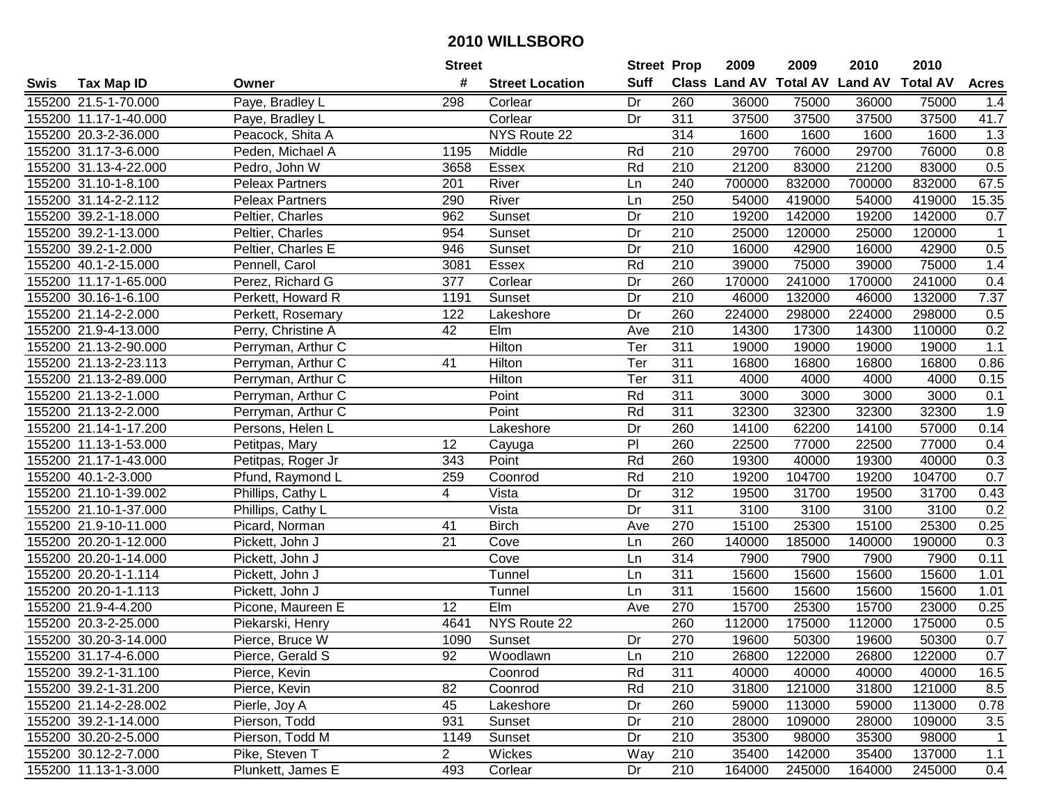|      |                       |                    | <b>Street</b>  |                        | <b>Street Prop</b> |                  | 2009   | 2009   | 2010                           | 2010            |                |
|------|-----------------------|--------------------|----------------|------------------------|--------------------|------------------|--------|--------|--------------------------------|-----------------|----------------|
| Swis | <b>Tax Map ID</b>     | Owner              | #              | <b>Street Location</b> | <b>Suff</b>        |                  |        |        | Class Land AV Total AV Land AV | <b>Total AV</b> | <b>Acres</b>   |
|      | 155200 21.5-1-70.000  | Paye, Bradley L    | 298            | Corlear                | Dr                 | 260              | 36000  | 75000  | 36000                          | 75000           | 1.4            |
|      | 155200 11.17-1-40.000 | Paye, Bradley L    |                | Corlear                | Dr                 | 311              | 37500  | 37500  | 37500                          | 37500           | 41.7           |
|      | 155200 20.3-2-36.000  | Peacock, Shita A   |                | NYS Route 22           |                    | 314              | 1600   | 1600   | 1600                           | 1600            | 1.3            |
|      | 155200 31.17-3-6.000  | Peden, Michael A   | 1195           | Middle                 | Rd                 | 210              | 29700  | 76000  | 29700                          | 76000           | 0.8            |
|      | 155200 31.13-4-22.000 | Pedro, John W      | 3658           | Essex                  | Rd                 | 210              | 21200  | 83000  | 21200                          | 83000           | 0.5            |
|      | 155200 31.10-1-8.100  | Peleax Partners    | 201            | River                  | Ln                 | 240              | 700000 | 832000 | 700000                         | 832000          | 67.5           |
|      | 155200 31.14-2-2.112  | Peleax Partners    | 290            | River                  | Ln                 | 250              | 54000  | 419000 | 54000                          | 419000          | 15.35          |
|      | 155200 39.2-1-18.000  | Peltier, Charles   | 962            | Sunset                 | Dr                 | 210              | 19200  | 142000 | 19200                          | 142000          | 0.7            |
|      | 155200 39.2-1-13.000  | Peltier, Charles   | 954            | Sunset                 | Dr                 | $\overline{210}$ | 25000  | 120000 | 25000                          | 120000          | $\overline{1}$ |
|      | 155200 39.2-1-2.000   | Peltier, Charles E | 946            | Sunset                 | Dr                 | 210              | 16000  | 42900  | 16000                          | 42900           | 0.5            |
|      | 155200 40.1-2-15.000  | Pennell, Carol     | 3081           | Essex                  | Rd                 | 210              | 39000  | 75000  | 39000                          | 75000           | 1.4            |
|      | 155200 11.17-1-65.000 | Perez, Richard G   | 377            | Corlear                | Dr                 | 260              | 170000 | 241000 | 170000                         | 241000          | 0.4            |
|      | 155200 30.16-1-6.100  | Perkett, Howard R  | 1191           | Sunset                 | Dr                 | $\overline{210}$ | 46000  | 132000 | 46000                          | 132000          | 7.37           |
|      | 155200 21.14-2-2.000  | Perkett, Rosemary  | 122            | Lakeshore              | Dr                 | 260              | 224000 | 298000 | 224000                         | 298000          | 0.5            |
|      | 155200 21.9-4-13.000  | Perry, Christine A | 42             | Elm                    | Ave                | 210              | 14300  | 17300  | 14300                          | 110000          | 0.2            |
|      | 155200 21.13-2-90.000 | Perryman, Arthur C |                | Hilton                 | Ter                | 311              | 19000  | 19000  | 19000                          | 19000           | 1.1            |
|      | 155200 21.13-2-23.113 | Perryman, Arthur C | 41             | Hilton                 | Ter                | 311              | 16800  | 16800  | 16800                          | 16800           | 0.86           |
|      | 155200 21.13-2-89.000 | Perryman, Arthur C |                | Hilton                 | Ter                | 311              | 4000   | 4000   | 4000                           | 4000            | 0.15           |
|      | 155200 21.13-2-1.000  | Perryman, Arthur C |                | Point                  | Rd                 | 311              | 3000   | 3000   | 3000                           | 3000            | 0.1            |
|      | 155200 21.13-2-2.000  | Perryman, Arthur C |                | Point                  | Rd                 | 311              | 32300  | 32300  | 32300                          | 32300           | 1.9            |
|      | 155200 21.14-1-17.200 | Persons, Helen L   |                | Lakeshore              | Dr                 | 260              | 14100  | 62200  | 14100                          | 57000           | 0.14           |
|      | 155200 11.13-1-53.000 | Petitpas, Mary     | 12             | Cayuga                 | P <sub>1</sub>     | 260              | 22500  | 77000  | 22500                          | 77000           | 0.4            |
|      | 155200 21.17-1-43.000 | Petitpas, Roger Jr | 343            | Point                  | Rd                 | 260              | 19300  | 40000  | 19300                          | 40000           | 0.3            |
|      | 155200 40.1-2-3.000   | Pfund, Raymond L   | 259            | Coonrod                | Rd                 | 210              | 19200  | 104700 | 19200                          | 104700          | 0.7            |
|      | 155200 21.10-1-39.002 | Phillips, Cathy L  | 4              | Vista                  | Dr                 | 312              | 19500  | 31700  | 19500                          | 31700           | 0.43           |
|      | 155200 21.10-1-37.000 | Phillips, Cathy L  |                | Vista                  | Dr                 | 311              | 3100   | 3100   | 3100                           | 3100            | 0.2            |
|      | 155200 21.9-10-11.000 | Picard, Norman     | 41             | <b>Birch</b>           | Ave                | 270              | 15100  | 25300  | 15100                          | 25300           | 0.25           |
|      | 155200 20.20-1-12.000 | Pickett, John J    | 21             | Cove                   | Ln                 | 260              | 140000 | 185000 | 140000                         | 190000          | 0.3            |
|      | 155200 20.20-1-14.000 | Pickett, John J    |                | Cove                   | Ln                 | 314              | 7900   | 7900   | 7900                           | 7900            | 0.11           |
|      | 155200 20.20-1-1.114  | Pickett, John J    |                | Tunnel                 | Ln                 | 311              | 15600  | 15600  | 15600                          | 15600           | 1.01           |
|      | 155200 20.20-1-1.113  | Pickett, John J    |                | Tunnel                 | Ln                 | 311              | 15600  | 15600  | 15600                          | 15600           | 1.01           |
|      | 155200 21.9-4-4.200   | Picone, Maureen E  | 12             | EIm                    | Ave                | 270              | 15700  | 25300  | 15700                          | 23000           | 0.25           |
|      | 155200 20.3-2-25.000  | Piekarski, Henry   | 4641           | NYS Route 22           |                    | 260              | 112000 | 175000 | 112000                         | 175000          | 0.5            |
|      | 155200 30.20-3-14.000 | Pierce, Bruce W    | 1090           | Sunset                 | Dr                 | 270              | 19600  | 50300  | 19600                          | 50300           | 0.7            |
|      | 155200 31.17-4-6.000  | Pierce, Gerald S   | 92             | Woodlawn               | Ln                 | 210              | 26800  | 122000 | 26800                          | 122000          | 0.7            |
|      | 155200 39.2-1-31.100  | Pierce, Kevin      |                | Coonrod                | Rd                 | 311              | 40000  | 40000  | 40000                          | 40000           | 16.5           |
|      | 155200 39.2-1-31.200  | Pierce, Kevin      | 82             | Coonrod                | Rd                 | 210              | 31800  | 121000 | 31800                          | 121000          | 8.5            |
|      | 155200 21.14-2-28.002 | Pierle, Joy A      | 45             | Lakeshore              | Dr                 | 260              | 59000  | 113000 | 59000                          | 113000          | 0.78           |
|      | 155200 39.2-1-14.000  | Pierson, Todd      | 931            | Sunset                 | Dr                 | 210              | 28000  | 109000 | 28000                          | 109000          | 3.5            |
|      | 155200 30.20-2-5.000  | Pierson, Todd M    | 1149           | Sunset                 | Dr                 | 210              | 35300  | 98000  | 35300                          | 98000           | $\mathbf{1}$   |
|      | 155200 30.12-2-7.000  | Pike, Steven T     | $\overline{2}$ | Wickes                 | Way                | 210              | 35400  | 142000 | 35400                          | 137000          | 1.1            |
|      | 155200 11.13-1-3.000  | Plunkett, James E  | 493            | Corlear                | Dr                 | 210              | 164000 | 245000 | 164000                         | 245000          | 0.4            |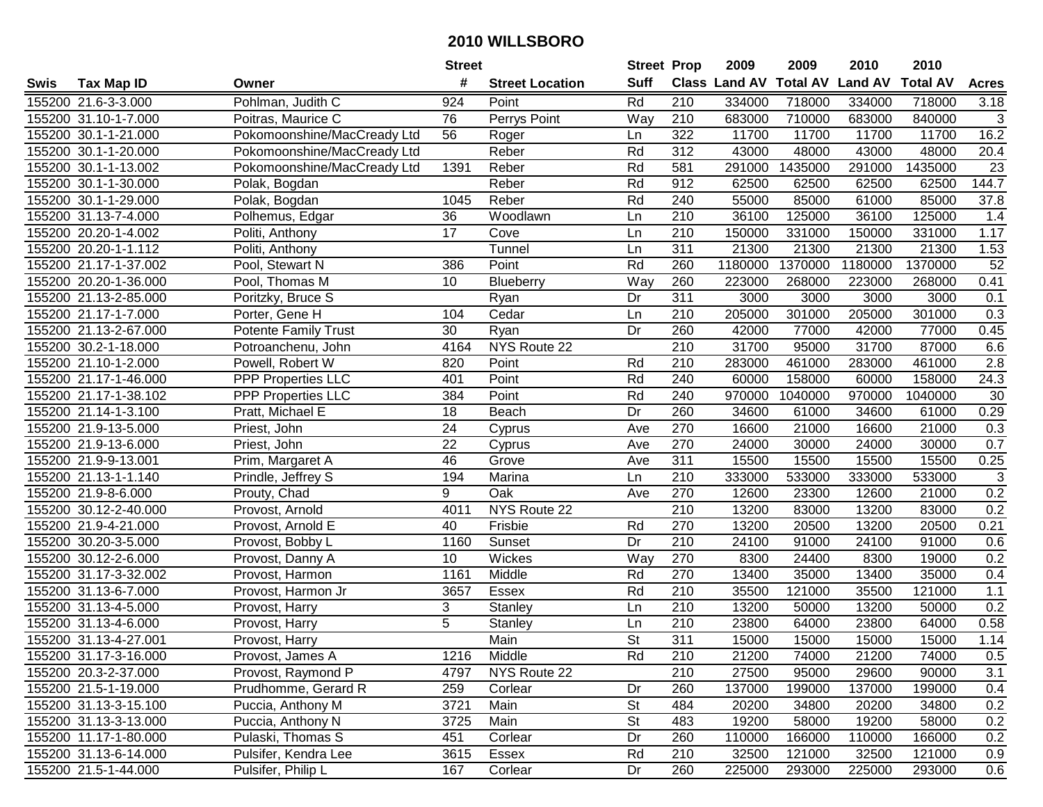|      |                       |                             | <b>Street</b>   |                        | <b>Street Prop</b>       |                  | 2009                 | 2009            | 2010           | 2010            |                  |
|------|-----------------------|-----------------------------|-----------------|------------------------|--------------------------|------------------|----------------------|-----------------|----------------|-----------------|------------------|
| Swis | <b>Tax Map ID</b>     | Owner                       | #               | <b>Street Location</b> | <b>Suff</b>              |                  | <b>Class Land AV</b> | <b>Total AV</b> | <b>Land AV</b> | <b>Total AV</b> | <b>Acres</b>     |
|      | 155200 21.6-3-3.000   | Pohlman, Judith C           | 924             | Point                  | Rd                       | 210              | 334000               | 718000          | 334000         | 718000          | 3.18             |
|      | 155200 31.10-1-7.000  | Poitras, Maurice C          | 76              | Perrys Point           | Way                      | 210              | 683000               | 710000          | 683000         | 840000          | 3                |
|      | 155200 30.1-1-21.000  | Pokomoonshine/MacCready Ltd | 56              | Roger                  | Ln                       | 322              | 11700                | 11700           | 11700          | 11700           | 16.2             |
|      | 155200 30.1-1-20.000  | Pokomoonshine/MacCready Ltd |                 | Reber                  | Rd                       | 312              | 43000                | 48000           | 43000          | 48000           | 20.4             |
|      | 155200 30.1-1-13.002  | Pokomoonshine/MacCready Ltd | 1391            | Reber                  | Rd                       | 581              | 291000               | 1435000         | 291000         | 1435000         | 23               |
|      | 155200 30.1-1-30.000  | Polak, Bogdan               |                 | Reber                  | Rd                       | 912              | 62500                | 62500           | 62500          | 62500           | 144.7            |
|      | 155200 30.1-1-29.000  | Polak, Bogdan               | 1045            | Reber                  | Rd                       | 240              | 55000                | 85000           | 61000          | 85000           | 37.8             |
|      | 155200 31.13-7-4.000  | Polhemus, Edgar             | 36              | Woodlawn               | Ln                       | 210              | 36100                | 125000          | 36100          | 125000          | 1.4              |
|      | 155200 20.20-1-4.002  | Politi, Anthony             | $\overline{17}$ | Cove                   | Ln                       | $\overline{210}$ | 150000               | 331000          | 150000         | 331000          | 1.17             |
|      | 155200 20.20-1-1.112  | Politi, Anthony             |                 | Tunnel                 | Ln                       | 311              | 21300                | 21300           | 21300          | 21300           | 1.53             |
|      | 155200 21.17-1-37.002 | Pool, Stewart N             | 386             | Point                  | Rd                       | 260              | 1180000              | 1370000         | 1180000        | 1370000         | 52               |
|      | 155200 20.20-1-36.000 | Pool, Thomas M              | 10              | <b>Blueberry</b>       | Way                      | 260              | 223000               | 268000          | 223000         | 268000          | 0.41             |
|      | 155200 21.13-2-85.000 | Poritzky, Bruce S           |                 | Ryan                   | Dr                       | 311              | 3000                 | 3000            | 3000           | 3000            | 0.1              |
|      | 155200 21.17-1-7.000  | Porter, Gene H              | 104             | Cedar                  | Ln                       | 210              | 205000               | 301000          | 205000         | 301000          | 0.3              |
|      | 155200 21.13-2-67.000 | <b>Potente Family Trust</b> | 30              | Ryan                   | Dr                       | 260              | 42000                | 77000           | 42000          | 77000           | 0.45             |
|      | 155200 30.2-1-18.000  | Potroanchenu, John          | 4164            | NYS Route 22           |                          | 210              | 31700                | 95000           | 31700          | 87000           | 6.6              |
|      | 155200 21.10-1-2.000  | Powell, Robert W            | 820             | Point                  | Rd                       | 210              | 283000               | 461000          | 283000         | 461000          | $\overline{2.8}$ |
|      | 155200 21.17-1-46.000 | PPP Properties LLC          | 401             | Point                  | Rd                       | 240              | 60000                | 158000          | 60000          | 158000          | 24.3             |
|      | 155200 21.17-1-38.102 | <b>PPP Properties LLC</b>   | 384             | Point                  | Rd                       | 240              | 970000               | 1040000         | 970000         | 1040000         | 30               |
|      | 155200 21.14-1-3.100  | Pratt, Michael E            | 18              | Beach                  | Dr                       | 260              | 34600                | 61000           | 34600          | 61000           | 0.29             |
|      | 155200 21.9-13-5.000  | Priest, John                | 24              | Cyprus                 | Ave                      | 270              | 16600                | 21000           | 16600          | 21000           | 0.3              |
|      | 155200 21.9-13-6.000  | Priest, John                | 22              | Cyprus                 | Ave                      | 270              | 24000                | 30000           | 24000          | 30000           | 0.7              |
|      | 155200 21.9-9-13.001  | Prim, Margaret A            | 46              | Grove                  | Ave                      | 311              | 15500                | 15500           | 15500          | 15500           | 0.25             |
|      | 155200 21.13-1-1.140  | Prindle, Jeffrey S          | 194             | Marina                 | Ln                       | 210              | 333000               | 533000          | 333000         | 533000          | $\sqrt{3}$       |
|      | 155200 21.9-8-6.000   | Prouty, Chad                | 9               | Oak                    | Ave                      | 270              | 12600                | 23300           | 12600          | 21000           | 0.2              |
|      | 155200 30.12-2-40.000 | Provost, Arnold             | 4011            | NYS Route 22           |                          | 210              | 13200                | 83000           | 13200          | 83000           | 0.2              |
|      | 155200 21.9-4-21.000  | Provost, Arnold E           | 40              | Frisbie                | Rd                       | 270              | 13200                | 20500           | 13200          | 20500           | 0.21             |
|      | 155200 30.20-3-5.000  | Provost, Bobby L            | 1160            | Sunset                 | Dr                       | 210              | 24100                | 91000           | 24100          | 91000           | 0.6              |
|      | 155200 30.12-2-6.000  | Provost, Danny A            | 10              | Wickes                 | Way                      | 270              | 8300                 | 24400           | 8300           | 19000           | 0.2              |
|      | 155200 31.17-3-32.002 | Provost, Harmon             | 1161            | Middle                 | Rd                       | 270              | 13400                | 35000           | 13400          | 35000           | 0.4              |
|      | 155200 31.13-6-7.000  | Provost, Harmon Jr          | 3657            | Essex                  | Rd                       | $\overline{210}$ | 35500                | 121000          | 35500          | 121000          | 1.1              |
|      | 155200 31.13-4-5.000  | Provost, Harry              | 3               | Stanley                | Ln                       | 210              | 13200                | 50000           | 13200          | 50000           | 0.2              |
|      | 155200 31.13-4-6.000  | Provost, Harry              | $\overline{5}$  | Stanley                | Ln                       | $\overline{210}$ | 23800                | 64000           | 23800          | 64000           | 0.58             |
|      | 155200 31.13-4-27.001 | Provost, Harry              |                 | Main                   | $\overline{\mathsf{St}}$ | 311              | 15000                | 15000           | 15000          | 15000           | 1.14             |
|      | 155200 31.17-3-16.000 | Provost, James A            | 1216            | Middle                 | Rd                       | 210              | 21200                | 74000           | 21200          | 74000           | 0.5              |
|      | 155200 20.3-2-37.000  | Provost, Raymond P          | 4797            | NYS Route 22           |                          | 210              | 27500                | 95000           | 29600          | 90000           | 3.1              |
|      | 155200 21.5-1-19.000  | Prudhomme, Gerard R         | 259             | Corlear                | Dr                       | 260              | 137000               | 199000          | 137000         | 199000          | 0.4              |
|      | 155200 31.13-3-15.100 | Puccia, Anthony M           | 3721            | Main                   | <b>St</b>                | 484              | 20200                | 34800           | 20200          | 34800           | 0.2              |
|      | 155200 31.13-3-13.000 | Puccia, Anthony N           | 3725            | Main                   | <b>St</b>                | 483              | 19200                | 58000           | 19200          | 58000           | 0.2              |
|      | 155200 11.17-1-80.000 | Pulaski, Thomas S           | 451             | Corlear                | Dr                       | 260              | 110000               | 166000          | 110000         | 166000          | 0.2              |
|      | 155200 31.13-6-14.000 | Pulsifer, Kendra Lee        | 3615            | Essex                  | Rd                       | 210              | 32500                | 121000          | 32500          | 121000          | 0.9              |
|      | 155200 21.5-1-44.000  | Pulsifer, Philip L          | 167             | Corlear                | Dr                       | 260              | 225000               | 293000          | 225000         | 293000          | 0.6              |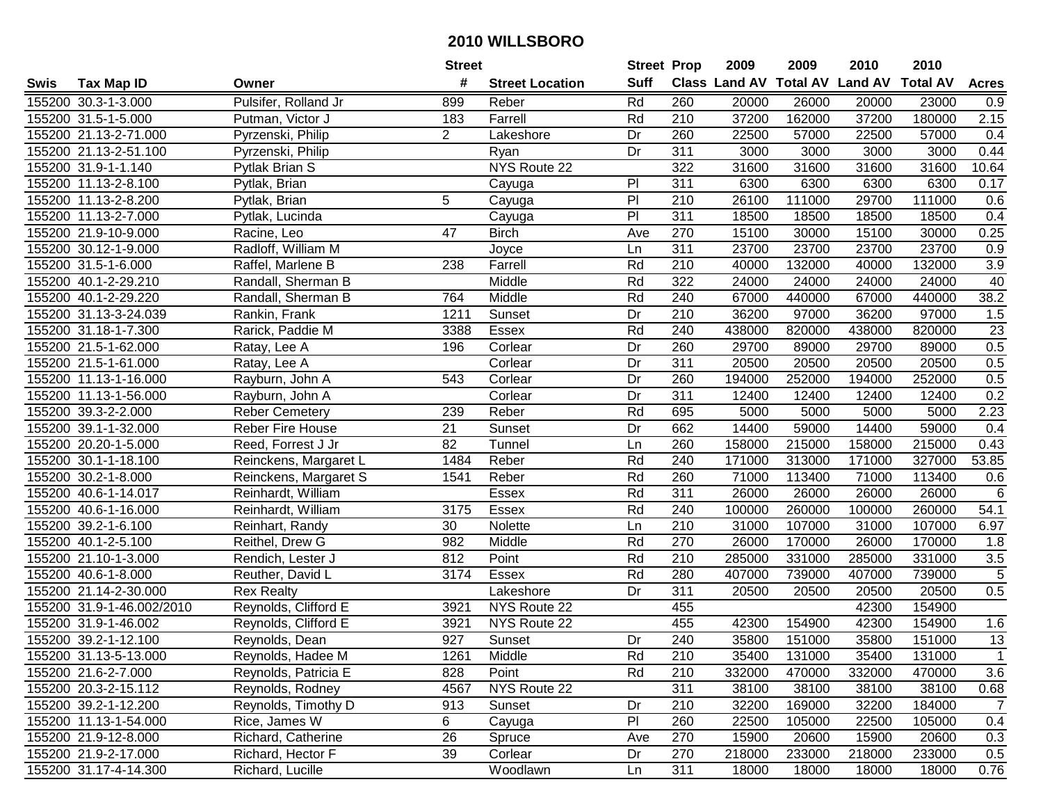|      |                           |                       | <b>Street</b>  |                        | <b>Street Prop</b> |                  | 2009   | 2009   | 2010                           | 2010            |                |
|------|---------------------------|-----------------------|----------------|------------------------|--------------------|------------------|--------|--------|--------------------------------|-----------------|----------------|
| Swis | <b>Tax Map ID</b>         | Owner                 | #              | <b>Street Location</b> | <b>Suff</b>        |                  |        |        | Class Land AV Total AV Land AV | <b>Total AV</b> | <b>Acres</b>   |
|      | 155200 30.3-1-3.000       | Pulsifer, Rolland Jr  | 899            | Reber                  | Rd                 | 260              | 20000  | 26000  | 20000                          | 23000           | 0.9            |
|      | 155200 31.5-1-5.000       | Putman, Victor J      | 183            | Farrell                | Rd                 | 210              | 37200  | 162000 | 37200                          | 180000          | 2.15           |
|      | 155200 21.13-2-71.000     | Pyrzenski, Philip     | $\overline{2}$ | Lakeshore              | Dr                 | 260              | 22500  | 57000  | 22500                          | 57000           | 0.4            |
|      | 155200 21.13-2-51.100     | Pyrzenski, Philip     |                | Ryan                   | Dr                 | 311              | 3000   | 3000   | 3000                           | 3000            | 0.44           |
|      | 155200 31.9-1-1.140       | Pytlak Brian S        |                | NYS Route 22           |                    | 322              | 31600  | 31600  | 31600                          | 31600           | 10.64          |
|      | 155200 11.13-2-8.100      | Pytlak, Brian         |                | Cayuga                 | $\overline{P}$     | 311              | 6300   | 6300   | 6300                           | 6300            | 0.17           |
|      | 155200 11.13-2-8.200      | Pytlak, Brian         | 5              | Cayuga                 | $\overline{P}$     | 210              | 26100  | 111000 | 29700                          | 111000          | 0.6            |
|      | 155200 11.13-2-7.000      | Pytlak, Lucinda       |                | Cayuga                 | $\overline{P}$     | 311              | 18500  | 18500  | 18500                          | 18500           | 0.4            |
|      | 155200 21.9-10-9.000      | Racine, Leo           | 47             | <b>Birch</b>           | Ave                | 270              | 15100  | 30000  | 15100                          | 30000           | 0.25           |
|      | 155200 30.12-1-9.000      | Radloff, William M    |                | Joyce                  | Ln                 | 311              | 23700  | 23700  | 23700                          | 23700           | 0.9            |
|      | 155200 31.5-1-6.000       | Raffel, Marlene B     | 238            | Farrell                | Rd                 | 210              | 40000  | 132000 | 40000                          | 132000          | 3.9            |
|      | 155200 40.1-2-29.210      | Randall, Sherman B    |                | Middle                 | Rd                 | 322              | 24000  | 24000  | 24000                          | 24000           | 40             |
|      | 155200 40.1-2-29.220      | Randall, Sherman B    | 764            | Middle                 | Rd                 | 240              | 67000  | 440000 | 67000                          | 440000          | 38.2           |
|      | 155200 31.13-3-24.039     | Rankin, Frank         | 1211           | Sunset                 | Dr                 | 210              | 36200  | 97000  | 36200                          | 97000           | 1.5            |
|      | 155200 31.18-1-7.300      | Rarick, Paddie M      | 3388           | <b>Essex</b>           | Rd                 | 240              | 438000 | 820000 | 438000                         | 820000          | 23             |
|      | 155200 21.5-1-62.000      | Ratay, Lee A          | 196            | Corlear                | Dr                 | 260              | 29700  | 89000  | 29700                          | 89000           | 0.5            |
|      | 155200 21.5-1-61.000      | Ratay, Lee A          |                | Corlear                | Dr                 | 311              | 20500  | 20500  | 20500                          | 20500           | 0.5            |
|      | 155200 11.13-1-16.000     | Rayburn, John A       | 543            | Corlear                | Dr                 | 260              | 194000 | 252000 | 194000                         | 252000          | 0.5            |
|      | 155200 11.13-1-56.000     | Rayburn, John A       |                | Corlear                | Dr                 | 311              | 12400  | 12400  | 12400                          | 12400           | 0.2            |
|      | 155200 39.3-2-2.000       | <b>Reber Cemetery</b> | 239            | Reber                  | Rd                 | 695              | 5000   | 5000   | 5000                           | 5000            | 2.23           |
|      | 155200 39.1-1-32.000      | Reber Fire House      | 21             | Sunset                 | Dr                 | 662              | 14400  | 59000  | 14400                          | 59000           | 0.4            |
|      | 155200 20.20-1-5.000      | Reed, Forrest J Jr    | 82             | Tunnel                 | Ln                 | 260              | 158000 | 215000 | 158000                         | 215000          | 0.43           |
|      | 155200 30.1-1-18.100      | Reinckens, Margaret L | 1484           | Reber                  | Rd                 | 240              | 171000 | 313000 | 171000                         | 327000          | 53.85          |
|      | 155200 30.2-1-8.000       | Reinckens, Margaret S | 1541           | Reber                  | Rd                 | 260              | 71000  | 113400 | 71000                          | 113400          | 0.6            |
|      | 155200 40.6-1-14.017      | Reinhardt, William    |                | Essex                  | Rd                 | 311              | 26000  | 26000  | 26000                          | 26000           | $\,6$          |
|      | 155200 40.6-1-16.000      | Reinhardt, William    | 3175           | Essex                  | Rd                 | 240              | 100000 | 260000 | 100000                         | 260000          | 54.1           |
|      | 155200 39.2-1-6.100       | Reinhart, Randy       | 30             | Nolette                | Ln                 | 210              | 31000  | 107000 | 31000                          | 107000          | 6.97           |
|      | 155200 40.1-2-5.100       | Reithel, Drew G       | 982            | Middle                 | Rd                 | 270              | 26000  | 170000 | 26000                          | 170000          | 1.8            |
|      | 155200 21.10-1-3.000      | Rendich, Lester J     | 812            | Point                  | Rd                 | $\overline{210}$ | 285000 | 331000 | 285000                         | 331000          | $3.5\,$        |
|      | 155200 40.6-1-8.000       | Reuther, David L      | 3174           | Essex                  | Rd                 | 280              | 407000 | 739000 | 407000                         | 739000          | 5              |
|      | 155200 21.14-2-30.000     | <b>Rex Realty</b>     |                | Lakeshore              | Dr                 | $\overline{311}$ | 20500  | 20500  | 20500                          | 20500           | 0.5            |
|      | 155200 31.9-1-46.002/2010 | Reynolds, Clifford E  | 3921           | NYS Route 22           |                    | 455              |        |        | 42300                          | 154900          |                |
|      | 155200 31.9-1-46.002      | Reynolds, Clifford E  | 3921           | NYS Route 22           |                    | 455              | 42300  | 154900 | 42300                          | 154900          | 1.6            |
|      | 155200 39.2-1-12.100      | Reynolds, Dean        | 927            | Sunset                 | Dr                 | 240              | 35800  | 151000 | 35800                          | 151000          | 13             |
|      | 155200 31.13-5-13.000     | Reynolds, Hadee M     | 1261           | Middle                 | Rd                 | 210              | 35400  | 131000 | 35400                          | 131000          | 1              |
|      | 155200 21.6-2-7.000       | Reynolds, Patricia E  | 828            | Point                  | Rd                 | 210              | 332000 | 470000 | 332000                         | 470000          | 3.6            |
|      | 155200 20.3-2-15.112      | Reynolds, Rodney      | 4567           | NYS Route 22           |                    | 311              | 38100  | 38100  | 38100                          | 38100           | 0.68           |
|      | 155200 39.2-1-12.200      | Reynolds, Timothy D   | 913            | Sunset                 | Dr                 | 210              | 32200  | 169000 | 32200                          | 184000          | $\overline{7}$ |
|      | 155200 11.13-1-54.000     | Rice, James W         | 6              | Cayuga                 | PI                 | 260              | 22500  | 105000 | 22500                          | 105000          | 0.4            |
|      | 155200 21.9-12-8.000      | Richard, Catherine    | 26             | Spruce                 | Ave                | 270              | 15900  | 20600  | 15900                          | 20600           | 0.3            |
|      | 155200 21.9-2-17.000      | Richard, Hector F     | 39             | Corlear                | Dr                 | 270              | 218000 | 233000 | 218000                         | 233000          | 0.5            |
|      | 155200 31.17-4-14.300     | Richard, Lucille      |                | Woodlawn               | Ln                 | 311              | 18000  | 18000  | 18000                          | 18000           | 0.76           |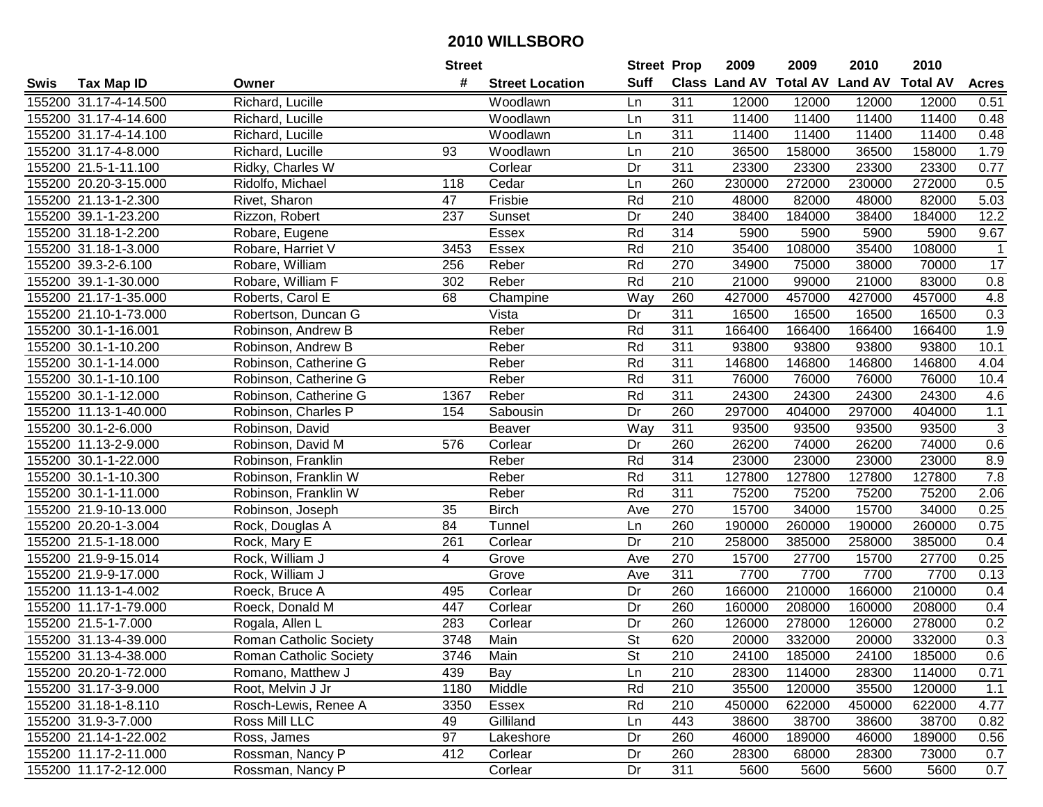|      |                       |                               | <b>Street</b>  |                        | <b>Street Prop</b>       |                  | 2009   | 2009   | 2010                           | 2010            |                     |
|------|-----------------------|-------------------------------|----------------|------------------------|--------------------------|------------------|--------|--------|--------------------------------|-----------------|---------------------|
| Swis | <b>Tax Map ID</b>     | Owner                         | #              | <b>Street Location</b> | <b>Suff</b>              |                  |        |        | Class Land AV Total AV Land AV | <b>Total AV</b> | <b>Acres</b>        |
|      | 155200 31.17-4-14.500 | Richard, Lucille              |                | Woodlawn               | Ln                       | 311              | 12000  | 12000  | 12000                          | 12000           | 0.51                |
|      | 155200 31.17-4-14.600 | Richard, Lucille              |                | Woodlawn               | Ln                       | 311              | 11400  | 11400  | 11400                          | 11400           | 0.48                |
|      | 155200 31.17-4-14.100 | Richard, Lucille              |                | Woodlawn               | Ln                       | 311              | 11400  | 11400  | 11400                          | 11400           | 0.48                |
|      | 155200 31.17-4-8.000  | Richard, Lucille              | 93             | Woodlawn               | Ln                       | 210              | 36500  | 158000 | 36500                          | 158000          | 1.79                |
|      | 155200 21.5-1-11.100  | Ridky, Charles W              |                | Corlear                | Dr                       | 311              | 23300  | 23300  | 23300                          | 23300           | 0.77                |
|      | 155200 20.20-3-15.000 | Ridolfo, Michael              | 118            | Cedar                  | Ln                       | 260              | 230000 | 272000 | 230000                         | 272000          | 0.5                 |
|      | 155200 21.13-1-2.300  | Rivet, Sharon                 | 47             | Frisbie                | Rd                       | 210              | 48000  | 82000  | 48000                          | 82000           | 5.03                |
|      | 155200 39.1-1-23.200  | Rizzon, Robert                | 237            | Sunset                 | Dr                       | 240              | 38400  | 184000 | 38400                          | 184000          | 12.2                |
|      | 155200 31.18-1-2.200  | Robare, Eugene                |                | Essex                  | Rd                       | 314              | 5900   | 5900   | 5900                           | 5900            | 9.67                |
|      | 155200 31.18-1-3.000  | Robare, Harriet V             | 3453           | Essex                  | Rd                       | 210              | 35400  | 108000 | 35400                          | 108000          | $\mathbf{1}$        |
|      | 155200 39.3-2-6.100   | Robare, William               | 256            | Reber                  | Rd                       | 270              | 34900  | 75000  | 38000                          | 70000           | 17                  |
|      | 155200 39.1-1-30.000  | Robare, William F             | 302            | Reber                  | Rd                       | 210              | 21000  | 99000  | 21000                          | 83000           | 0.8                 |
|      | 155200 21.17-1-35.000 | Roberts, Carol E              | 68             | Champine               | Way                      | 260              | 427000 | 457000 | 427000                         | 457000          | 4.8                 |
|      | 155200 21.10-1-73.000 | Robertson, Duncan G           |                | Vista                  | Dr                       | 311              | 16500  | 16500  | 16500                          | 16500           | 0.3                 |
|      | 155200 30.1-1-16.001  | Robinson, Andrew B            |                | Reber                  | Rd                       | 311              | 166400 | 166400 | 166400                         | 166400          | 1.9                 |
|      | 155200 30.1-1-10.200  | Robinson, Andrew B            |                | Reber                  | Rd                       | 311              | 93800  | 93800  | 93800                          | 93800           | 10.1                |
|      | 155200 30.1-1-14.000  | Robinson, Catherine G         |                | Reber                  | Rd                       | 311              | 146800 | 146800 | 146800                         | 146800          | 4.04                |
|      | 155200 30.1-1-10.100  | Robinson, Catherine G         |                | Reber                  | Rd                       | 311              | 76000  | 76000  | 76000                          | 76000           | 10.4                |
|      | 155200 30.1-1-12.000  | Robinson, Catherine G         | 1367           | Reber                  | Rd                       | 311              | 24300  | 24300  | 24300                          | 24300           | 4.6                 |
|      | 155200 11.13-1-40.000 | Robinson, Charles P           | 154            | Sabousin               | Dr                       | 260              | 297000 | 404000 | 297000                         | 404000          | $1.1$               |
|      | 155200 30.1-2-6.000   | Robinson, David               |                | Beaver                 | Way                      | 311              | 93500  | 93500  | 93500                          | 93500           | $\overline{\omega}$ |
|      | 155200 11.13-2-9.000  | Robinson, David M             | 576            | Corlear                | Dr                       | 260              | 26200  | 74000  | 26200                          | 74000           | 0.6                 |
|      | 155200 30.1-1-22.000  | Robinson, Franklin            |                | Reber                  | Rd                       | 314              | 23000  | 23000  | 23000                          | 23000           | 8.9                 |
|      | 155200 30.1-1-10.300  | Robinson, Franklin W          |                | Reber                  | Rd                       | 311              | 127800 | 127800 | 127800                         | 127800          | 7.8                 |
|      | 155200 30.1-1-11.000  | Robinson, Franklin W          |                | Reber                  | Rd                       | 311              | 75200  | 75200  | 75200                          | 75200           | 2.06                |
|      | 155200 21.9-10-13.000 | Robinson, Joseph              | 35             | <b>Birch</b>           | Ave                      | 270              | 15700  | 34000  | 15700                          | 34000           | 0.25                |
|      | 155200 20.20-1-3.004  | Rock, Douglas A               | 84             | Tunnel                 | Ln                       | 260              | 190000 | 260000 | 190000                         | 260000          | 0.75                |
|      | 155200 21.5-1-18.000  | Rock, Mary E                  | 261            | Corlear                | Dr                       | 210              | 258000 | 385000 | 258000                         | 385000          | 0.4                 |
|      | 155200 21.9-9-15.014  | Rock, William J               | $\overline{4}$ | Grove                  | Ave                      | 270              | 15700  | 27700  | 15700                          | 27700           | 0.25                |
|      | 155200 21.9-9-17.000  | Rock, William J               |                | Grove                  | Ave                      | $\overline{311}$ | 7700   | 7700   | 7700                           | 7700            | 0.13                |
|      | 155200 11.13-1-4.002  | Roeck, Bruce A                | 495            | Corlear                | Dr                       | 260              | 166000 | 210000 | 166000                         | 210000          | 0.4                 |
|      | 155200 11.17-1-79.000 | Roeck, Donald M               | 447            | Corlear                | Dr                       | 260              | 160000 | 208000 | 160000                         | 208000          | 0.4                 |
|      | 155200 21.5-1-7.000   | Rogala, Allen L               | 283            | Corlear                | Dr                       | 260              | 126000 | 278000 | 126000                         | 278000          | 0.2                 |
|      | 155200 31.13-4-39.000 | <b>Roman Catholic Society</b> | 3748           | Main                   | $\overline{\mathsf{St}}$ | 620              | 20000  | 332000 | 20000                          | 332000          | 0.3                 |
|      | 155200 31.13-4-38.000 | Roman Catholic Society        | 3746           | Main                   | St                       | 210              | 24100  | 185000 | 24100                          | 185000          | 0.6                 |
|      | 155200 20.20-1-72.000 | Romano, Matthew J             | 439            | Bay                    | Ln                       | 210              | 28300  | 114000 | 28300                          | 114000          | 0.71                |
|      | 155200 31.17-3-9.000  | Root, Melvin J Jr             | 1180           | Middle                 | Rd                       | 210              | 35500  | 120000 | 35500                          | 120000          | 1.1                 |
|      | 155200 31.18-1-8.110  | Rosch-Lewis, Renee A          | 3350           | Essex                  | Rd                       | 210              | 450000 | 622000 | 450000                         | 622000          | 4.77                |
|      | 155200 31.9-3-7.000   | Ross Mill LLC                 | 49             | Gilliland              | Ln                       | 443              | 38600  | 38700  | 38600                          | 38700           | 0.82                |
|      | 155200 21.14-1-22.002 | Ross, James                   | 97             | Lakeshore              | Dr                       | 260              | 46000  | 189000 | 46000                          | 189000          | 0.56                |
|      | 155200 11.17-2-11.000 | Rossman, Nancy P              | 412            | Corlear                | Dr                       | 260              | 28300  | 68000  | 28300                          | 73000           | 0.7                 |
|      | 155200 11.17-2-12.000 | Rossman, Nancy P              |                | Corlear                | Dr                       | 311              | 5600   | 5600   | 5600                           | 5600            | 0.7                 |
|      |                       |                               |                |                        |                          |                  |        |        |                                |                 |                     |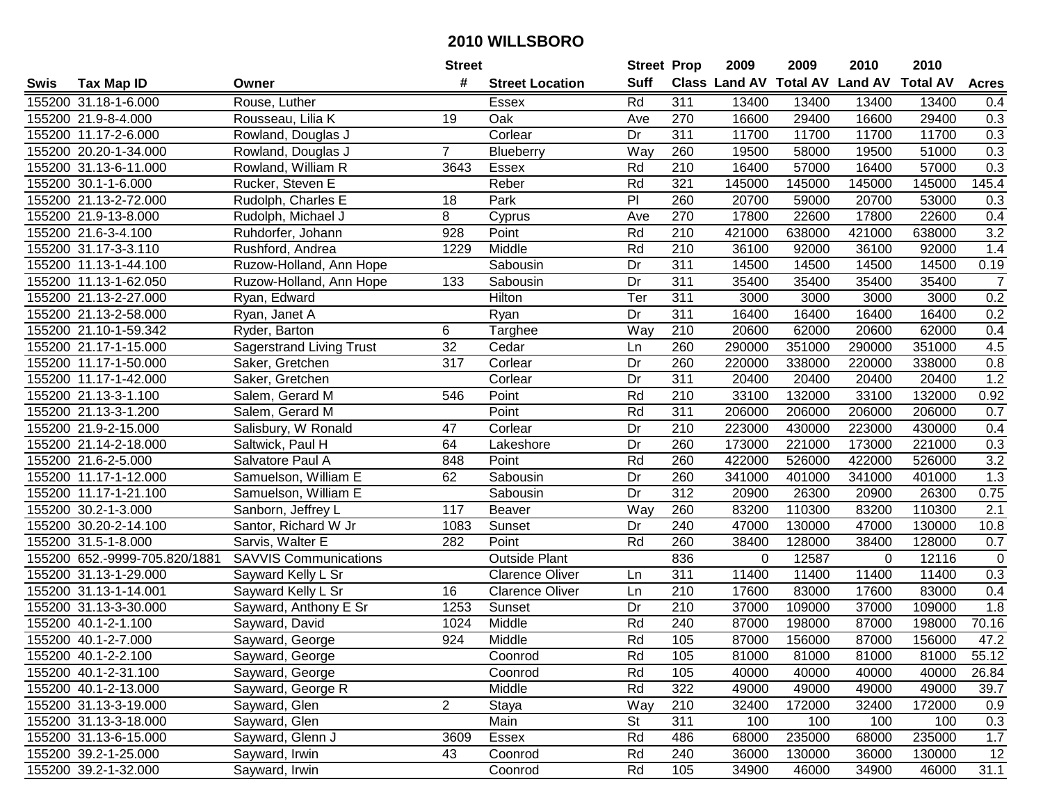|      |                               |                                 | <b>Street</b>    |                        | <b>Street Prop</b> |                  | 2009          | 2009            | 2010           | 2010            |                |
|------|-------------------------------|---------------------------------|------------------|------------------------|--------------------|------------------|---------------|-----------------|----------------|-----------------|----------------|
| Swis | <b>Tax Map ID</b>             | Owner                           | #                | <b>Street Location</b> | <b>Suff</b>        |                  | Class Land AV | <b>Total AV</b> | <b>Land AV</b> | <b>Total AV</b> | <b>Acres</b>   |
|      | 155200 31.18-1-6.000          | Rouse, Luther                   |                  | Essex                  | Rd                 | 311              | 13400         | 13400           | 13400          | 13400           | 0.4            |
|      | 155200 21.9-8-4.000           | Rousseau, Lilia K               | 19               | Oak                    | Ave                | 270              | 16600         | 29400           | 16600          | 29400           | 0.3            |
|      | 155200 11.17-2-6.000          | Rowland, Douglas J              |                  | Corlear                | Dr                 | 311              | 11700         | 11700           | 11700          | 11700           | 0.3            |
|      | 155200 20.20-1-34.000         | Rowland, Douglas J              | $\overline{7}$   | Blueberry              | Way                | 260              | 19500         | 58000           | 19500          | 51000           | 0.3            |
|      | 155200 31.13-6-11.000         | Rowland, William R              | 3643             | <b>Essex</b>           | Rd                 | 210              | 16400         | 57000           | 16400          | 57000           | 0.3            |
|      | 155200 30.1-1-6.000           | Rucker, Steven E                |                  | Reber                  | Rd                 | 321              | 145000        | 145000          | 145000         | 145000          | 145.4          |
|      | 155200 21.13-2-72.000         | Rudolph, Charles E              | 18               | Park                   | $\overline{P}$     | 260              | 20700         | 59000           | 20700          | 53000           | 0.3            |
|      | 155200 21.9-13-8.000          | Rudolph, Michael J              | 8                | Cyprus                 | Ave                | 270              | 17800         | 22600           | 17800          | 22600           | 0.4            |
|      | 155200 21.6-3-4.100           | Ruhdorfer, Johann               | $\overline{928}$ | Point                  | Rd                 | $\overline{210}$ | 421000        | 638000          | 421000         | 638000          | 3.2            |
|      | 155200 31.17-3-3.110          | Rushford, Andrea                | 1229             | Middle                 | Rd                 | 210              | 36100         | 92000           | 36100          | 92000           | 1.4            |
|      | 155200 11.13-1-44.100         | Ruzow-Holland, Ann Hope         |                  | Sabousin               | Dr                 | 311              | 14500         | 14500           | 14500          | 14500           | 0.19           |
|      | 155200 11.13-1-62.050         | Ruzow-Holland, Ann Hope         | 133              | Sabousin               | Dr                 | 311              | 35400         | 35400           | 35400          | 35400           | $\overline{7}$ |
|      | 155200 21.13-2-27.000         | Ryan, Edward                    |                  | Hilton                 | Ter                | 311              | 3000          | 3000            | 3000           | 3000            | 0.2            |
|      | 155200 21.13-2-58.000         | Ryan, Janet A                   |                  | Ryan                   | Dr                 | 311              | 16400         | 16400           | 16400          | 16400           | 0.2            |
|      | 155200 21.10-1-59.342         | Ryder, Barton                   | 6                | Targhee                | Way                | 210              | 20600         | 62000           | 20600          | 62000           | 0.4            |
|      | 155200 21.17-1-15.000         | <b>Sagerstrand Living Trust</b> | 32               | Cedar                  | Ln                 | 260              | 290000        | 351000          | 290000         | 351000          | 4.5            |
|      | 155200 11.17-1-50.000         | Saker, Gretchen                 | 317              | Corlear                | Dr                 | 260              | 220000        | 338000          | 220000         | 338000          | 0.8            |
|      | 155200 11.17-1-42.000         | Saker, Gretchen                 |                  | Corlear                | Dr                 | 311              | 20400         | 20400           | 20400          | 20400           | 1.2            |
|      | 155200 21.13-3-1.100          | Salem, Gerard M                 | 546              | Point                  | Rd                 | 210              | 33100         | 132000          | 33100          | 132000          | 0.92           |
|      | 155200 21.13-3-1.200          | Salem, Gerard M                 |                  | Point                  | Rd                 | 311              | 206000        | 206000          | 206000         | 206000          | 0.7            |
|      | 155200 21.9-2-15.000          | Salisbury, W Ronald             | 47               | Corlear                | Dr                 | 210              | 223000        | 430000          | 223000         | 430000          | 0.4            |
|      | 155200 21.14-2-18.000         | Saltwick, Paul H                | 64               | Lakeshore              | Dr                 | 260              | 173000        | 221000          | 173000         | 221000          | 0.3            |
|      | 155200 21.6-2-5.000           | Salvatore Paul A                | 848              | Point                  | Rd                 | 260              | 422000        | 526000          | 422000         | 526000          | 3.2            |
|      | 155200 11.17-1-12.000         | Samuelson, William E            | 62               | Sabousin               | Dr                 | 260              | 341000        | 401000          | 341000         | 401000          | 1.3            |
|      | 155200 11.17-1-21.100         | Samuelson, William E            |                  | Sabousin               | Dr                 | $\overline{312}$ | 20900         | 26300           | 20900          | 26300           | 0.75           |
|      | 155200 30.2-1-3.000           | Sanborn, Jeffrey L              | 117              | Beaver                 | Way                | 260              | 83200         | 110300          | 83200          | 110300          | 2.1            |
|      | 155200 30.20-2-14.100         | Santor, Richard W Jr            | 1083             | Sunset                 | Dr                 | 240              | 47000         | 130000          | 47000          | 130000          | 10.8           |
|      | 155200 31.5-1-8.000           | Sarvis, Walter E                | 282              | Point                  | Rd                 | 260              | 38400         | 128000          | 38400          | 128000          | 0.7            |
|      | 155200 652.-9999-705.820/1881 | <b>SAVVIS Communications</b>    |                  | Outside Plant          |                    | 836              | $\Omega$      | 12587           | $\Omega$       | 12116           | $\mathbf 0$    |
|      | 155200 31.13-1-29.000         | Sayward Kelly L Sr              |                  | <b>Clarence Oliver</b> | Ln                 | $\overline{311}$ | 11400         | 11400           | 11400          | 11400           | 0.3            |
|      | 155200 31.13-1-14.001         | Sayward Kelly L Sr              | 16               | <b>Clarence Oliver</b> | Ln                 | $\overline{210}$ | 17600         | 83000           | 17600          | 83000           | 0.4            |
|      | 155200 31.13-3-30.000         | Sayward, Anthony E Sr           | 1253             | Sunset                 | Dr                 | 210              | 37000         | 109000          | 37000          | 109000          | 1.8            |
|      | 155200 40.1-2-1.100           | Sayward, David                  | 1024             | Middle                 | Rd                 | 240              | 87000         | 198000          | 87000          | 198000          | 70.16          |
|      | 155200 40.1-2-7.000           | Sayward, George                 | 924              | Middle                 | Rd                 | 105              | 87000         | 156000          | 87000          | 156000          | 47.2           |
|      | 155200 40.1-2-2.100           | Sayward, George                 |                  | Coonrod                | Rd                 | 105              | 81000         | 81000           | 81000          | 81000           | 55.12          |
|      | 155200 40.1-2-31.100          | Sayward, George                 |                  | Coonrod                | Rd                 | 105              | 40000         | 40000           | 40000          | 40000           | 26.84          |
|      | 155200 40.1-2-13.000          | Sayward, George R               |                  | Middle                 | Rd                 | 322              | 49000         | 49000           | 49000          | 49000           | 39.7           |
|      | 155200 31.13-3-19.000         | Sayward, Glen                   | $\overline{2}$   | Staya                  | Way                | 210              | 32400         | 172000          | 32400          | 172000          | 0.9            |
|      | 155200 31.13-3-18.000         | Sayward, Glen                   |                  | Main                   | <b>St</b>          | 311              | 100           | 100             | 100            | 100             | 0.3            |
|      | 155200 31.13-6-15.000         | Sayward, Glenn J                | 3609             | Essex                  | Rd                 | 486              | 68000         | 235000          | 68000          | 235000          | 1.7            |
|      | 155200 39.2-1-25.000          | Sayward, Irwin                  | 43               | Coonrod                | Rd                 | 240              | 36000         | 130000          | 36000          | 130000          | 12             |
|      | 155200 39.2-1-32.000          | Sayward, Irwin                  |                  | Coonrod                | Rd                 | 105              | 34900         | 46000           | 34900          | 46000           | 31.1           |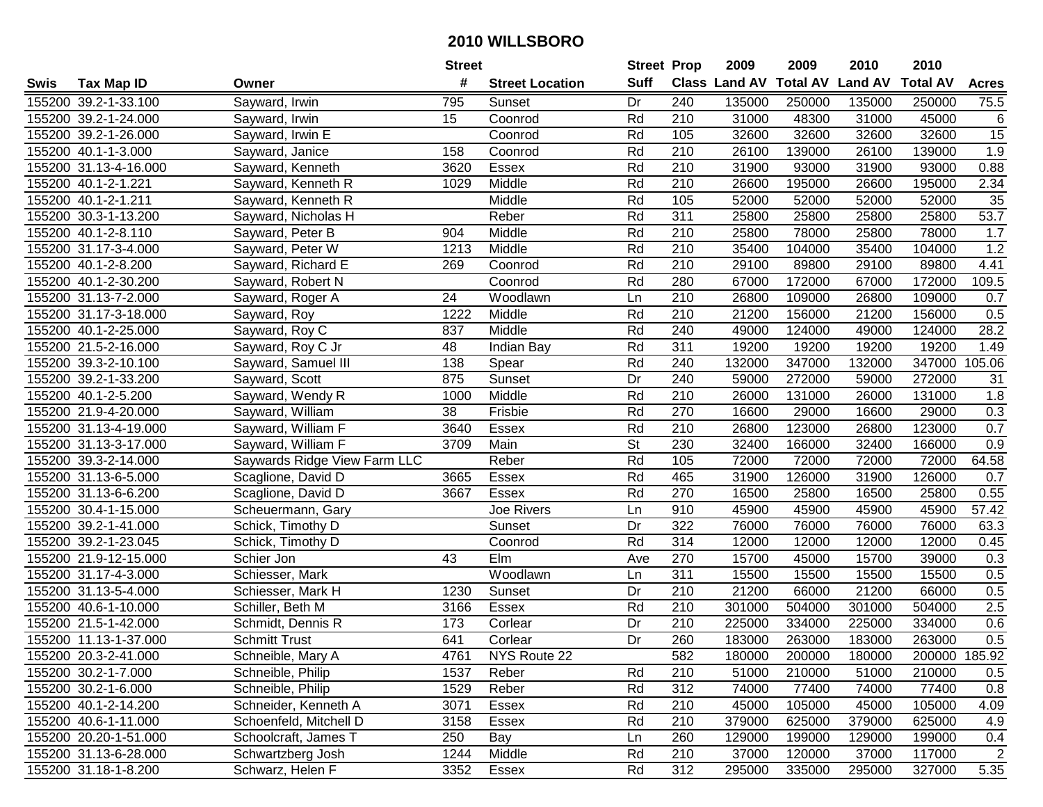|      |                       |                              | <b>Street</b> |                        | <b>Street Prop</b> |                  | 2009          | 2009            | 2010           | 2010            |                |
|------|-----------------------|------------------------------|---------------|------------------------|--------------------|------------------|---------------|-----------------|----------------|-----------------|----------------|
| Swis | <b>Tax Map ID</b>     | Owner                        | #             | <b>Street Location</b> | <b>Suff</b>        |                  | Class Land AV | <b>Total AV</b> | <b>Land AV</b> | <b>Total AV</b> | <b>Acres</b>   |
|      | 155200 39.2-1-33.100  | Sayward, Irwin               | 795           | Sunset                 | Dr                 | 240              | 135000        | 250000          | 135000         | 250000          | 75.5           |
|      | 155200 39.2-1-24.000  | Sayward, Irwin               | 15            | Coonrod                | Rd                 | 210              | 31000         | 48300           | 31000          | 45000           | 6              |
|      | 155200 39.2-1-26.000  | Sayward, Irwin E             |               | Coonrod                | Rd                 | 105              | 32600         | 32600           | 32600          | 32600           | 15             |
|      | 155200 40.1-1-3.000   | Sayward, Janice              | 158           | Coonrod                | Rd                 | 210              | 26100         | 139000          | 26100          | 139000          | 1.9            |
|      | 155200 31.13-4-16.000 | Sayward, Kenneth             | 3620          | Essex                  | Rd                 | 210              | 31900         | 93000           | 31900          | 93000           | 0.88           |
|      | 155200 40.1-2-1.221   | Sayward, Kenneth R           | 1029          | Middle                 | Rd                 | 210              | 26600         | 195000          | 26600          | 195000          | 2.34           |
|      | 155200 40.1-2-1.211   | Sayward, Kenneth R           |               | Middle                 | Rd                 | 105              | 52000         | 52000           | 52000          | 52000           | 35             |
|      | 155200 30.3-1-13.200  | Sayward, Nicholas H          |               | Reber                  | Rd                 | 311              | 25800         | 25800           | 25800          | 25800           | 53.7           |
|      | 155200 40.1-2-8.110   | Sayward, Peter B             | 904           | Middle                 | Rd                 | $\overline{210}$ | 25800         | 78000           | 25800          | 78000           | 1.7            |
|      | 155200 31.17-3-4.000  | Sayward, Peter W             | 1213          | Middle                 | Rd                 | 210              | 35400         | 104000          | 35400          | 104000          | 1.2            |
|      | 155200 40.1-2-8.200   | Sayward, Richard E           | 269           | Coonrod                | Rd                 | 210              | 29100         | 89800           | 29100          | 89800           | 4.41           |
|      | 155200 40.1-2-30.200  | Sayward, Robert N            |               | Coonrod                | Rd                 | 280              | 67000         | 172000          | 67000          | 172000          | 109.5          |
|      | 155200 31.13-7-2.000  | Sayward, Roger A             | 24            | Woodlawn               | Ln                 | 210              | 26800         | 109000          | 26800          | 109000          | 0.7            |
|      | 155200 31.17-3-18.000 | Sayward, Roy                 | 1222          | Middle                 | Rd                 | 210              | 21200         | 156000          | 21200          | 156000          | 0.5            |
|      | 155200 40.1-2-25.000  | Sayward, Roy C               | 837           | Middle                 | Rd                 | 240              | 49000         | 124000          | 49000          | 124000          | 28.2           |
|      | 155200 21.5-2-16.000  | Sayward, Roy C Jr            | 48            | Indian Bay             | Rd                 | 311              | 19200         | 19200           | 19200          | 19200           | 1.49           |
|      | 155200 39.3-2-10.100  | Sayward, Samuel III          | 138           | Spear                  | Rd                 | 240              | 132000        | 347000          | 132000         | 347000          | 105.06         |
|      | 155200 39.2-1-33.200  | Sayward, Scott               | 875           | Sunset                 | Dr                 | 240              | 59000         | 272000          | 59000          | 272000          | 31             |
|      | 155200 40.1-2-5.200   | Sayward, Wendy R             | 1000          | Middle                 | Rd                 | 210              | 26000         | 131000          | 26000          | 131000          | 1.8            |
|      | 155200 21.9-4-20.000  | Sayward, William             | 38            | Frisbie                | Rd                 | 270              | 16600         | 29000           | 16600          | 29000           | 0.3            |
|      | 155200 31.13-4-19.000 | Sayward, William F           | 3640          | Essex                  | Rd                 | 210              | 26800         | 123000          | 26800          | 123000          | 0.7            |
|      | 155200 31.13-3-17.000 | Sayward, William F           | 3709          | Main                   | <b>St</b>          | 230              | 32400         | 166000          | 32400          | 166000          | 0.9            |
|      | 155200 39.3-2-14.000  | Saywards Ridge View Farm LLC |               | Reber                  | Rd                 | 105              | 72000         | 72000           | 72000          | 72000           | 64.58          |
|      | 155200 31.13-6-5.000  | Scaglione, David D           | 3665          | Essex                  | Rd                 | 465              | 31900         | 126000          | 31900          | 126000          | 0.7            |
|      | 155200 31.13-6-6.200  | Scaglione, David D           | 3667          | Essex                  | Rd                 | 270              | 16500         | 25800           | 16500          | 25800           | 0.55           |
|      | 155200 30.4-1-15.000  | Scheuermann, Gary            |               | Joe Rivers             | Ln                 | 910              | 45900         | 45900           | 45900          | 45900           | 57.42          |
|      | 155200 39.2-1-41.000  | Schick, Timothy D            |               | Sunset                 | Dr                 | $\overline{322}$ | 76000         | 76000           | 76000          | 76000           | 63.3           |
|      | 155200 39.2-1-23.045  | Schick, Timothy D            |               | Coonrod                | Rd                 | 314              | 12000         | 12000           | 12000          | 12000           | 0.45           |
|      | 155200 21.9-12-15.000 | Schier Jon                   | 43            | Elm                    | Ave                | 270              | 15700         | 45000           | 15700          | 39000           | 0.3            |
|      | 155200 31.17-4-3.000  | Schiesser, Mark              |               | Woodlawn               | Ln                 | $\overline{311}$ | 15500         | 15500           | 15500          | 15500           | 0.5            |
|      | 155200 31.13-5-4.000  | Schiesser, Mark H            | 1230          | Sunset                 | $\overline{Dr}$    | $\overline{210}$ | 21200         | 66000           | 21200          | 66000           | 0.5            |
|      | 155200 40.6-1-10.000  | Schiller, Beth M             | 3166          | Essex                  | Rd                 | 210              | 301000        | 504000          | 301000         | 504000          | 2.5            |
|      | 155200 21.5-1-42.000  | Schmidt, Dennis R            | 173           | Corlear                | $\overline{Dr}$    | $\overline{210}$ | 225000        | 334000          | 225000         | 334000          | 0.6            |
|      | 155200 11.13-1-37.000 | <b>Schmitt Trust</b>         | 641           | Corlear                | $\overline{Dr}$    | 260              | 183000        | 263000          | 183000         | 263000          | 0.5            |
|      | 155200 20.3-2-41.000  | Schneible, Mary A            | 4761          | NYS Route 22           |                    | 582              | 180000        | 200000          | 180000         | 200000 185.92   |                |
|      | 155200 30.2-1-7.000   | Schneible, Philip            | 1537          | Reber                  | Rd                 | 210              | 51000         | 210000          | 51000          | 210000          | 0.5            |
|      | 155200 30.2-1-6.000   | Schneible, Philip            | 1529          | Reber                  | Rd                 | 312              | 74000         | 77400           | 74000          | 77400           | 0.8            |
|      | 155200 40.1-2-14.200  | Schneider, Kenneth A         | 3071          | Essex                  | Rd                 | 210              | 45000         | 105000          | 45000          | 105000          | 4.09           |
|      | 155200 40.6-1-11.000  | Schoenfeld, Mitchell D       | 3158          | Essex                  | Rd                 | 210              | 379000        | 625000          | 379000         | 625000          | 4.9            |
|      | 155200 20.20-1-51.000 | Schoolcraft, James T         | 250           | Bay                    | Ln                 | 260              | 129000        | 199000          | 129000         | 199000          | 0.4            |
|      | 155200 31.13-6-28.000 | Schwartzberg Josh            | 1244          | Middle                 | Rd                 | 210              | 37000         | 120000          | 37000          | 117000          | $\overline{2}$ |
|      | 155200 31.18-1-8.200  | Schwarz, Helen F             | 3352          | Essex                  | Rd                 | 312              | 295000        | 335000          | 295000         | 327000          | 5.35           |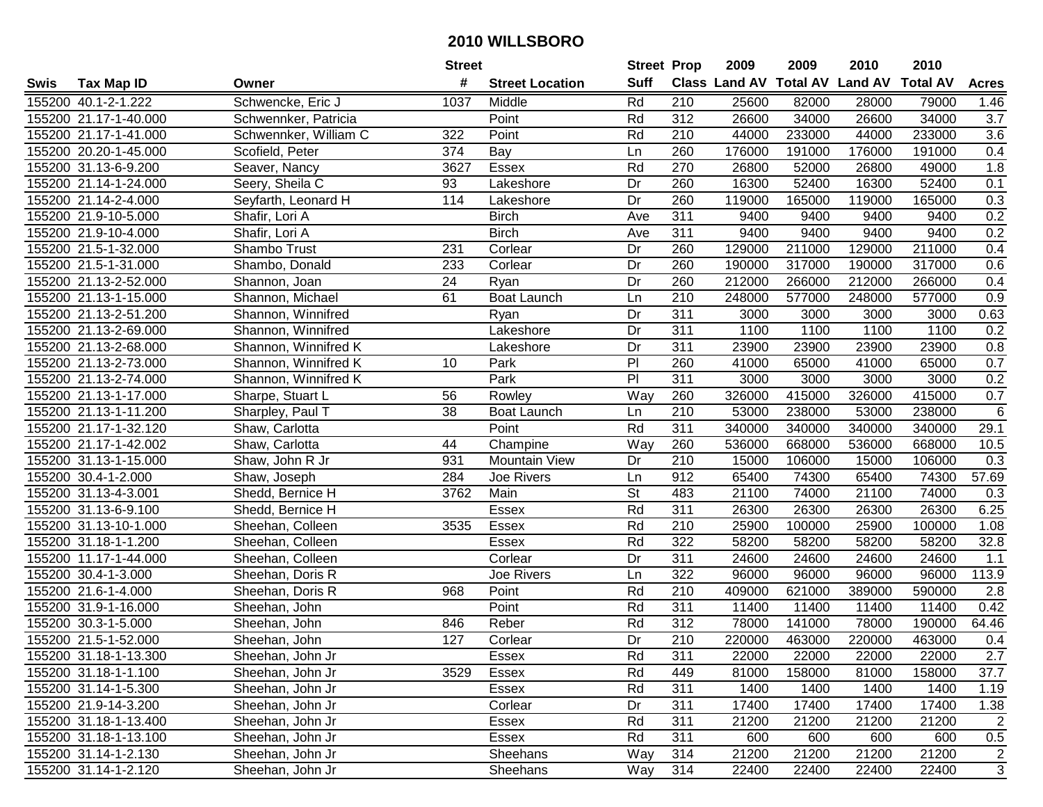|      |                       |                       | <b>Street</b> |                        | <b>Street Prop</b>       |                  | 2009   | 2009   | 2010                           | 2010            |                |
|------|-----------------------|-----------------------|---------------|------------------------|--------------------------|------------------|--------|--------|--------------------------------|-----------------|----------------|
| Swis | <b>Tax Map ID</b>     | Owner                 | #             | <b>Street Location</b> | <b>Suff</b>              |                  |        |        | Class Land AV Total AV Land AV | <b>Total AV</b> | <b>Acres</b>   |
|      | 155200 40.1-2-1.222   | Schwencke, Eric J     | 1037          | Middle                 | Rd                       | 210              | 25600  | 82000  | 28000                          | 79000           | 1.46           |
|      | 155200 21.17-1-40.000 | Schwennker, Patricia  |               | Point                  | Rd                       | 312              | 26600  | 34000  | 26600                          | 34000           | 3.7            |
|      | 155200 21.17-1-41.000 | Schwennker, William C | 322           | Point                  | Rd                       | 210              | 44000  | 233000 | 44000                          | 233000          | 3.6            |
|      | 155200 20.20-1-45.000 | Scofield, Peter       | 374           | Bay                    | Ln                       | 260              | 176000 | 191000 | 176000                         | 191000          | 0.4            |
|      | 155200 31.13-6-9.200  | Seaver, Nancy         | 3627          | <b>Essex</b>           | Rd                       | 270              | 26800  | 52000  | 26800                          | 49000           | 1.8            |
|      | 155200 21.14-1-24.000 | Seery, Sheila C       | 93            | Lakeshore              | Dr                       | 260              | 16300  | 52400  | 16300                          | 52400           | 0.1            |
|      | 155200 21.14-2-4.000  | Seyfarth, Leonard H   | 114           | Lakeshore              | Dr                       | 260              | 119000 | 165000 | 119000                         | 165000          | 0.3            |
|      | 155200 21.9-10-5.000  | Shafir, Lori A        |               | <b>Birch</b>           | Ave                      | 311              | 9400   | 9400   | 9400                           | 9400            | 0.2            |
|      | 155200 21.9-10-4.000  | Shafir, Lori A        |               | <b>Birch</b>           | Ave                      | 311              | 9400   | 9400   | 9400                           | 9400            | 0.2            |
|      | 155200 21.5-1-32.000  | Shambo Trust          | 231           | Corlear                | Dr                       | 260              | 129000 | 211000 | 129000                         | 211000          | 0.4            |
|      | 155200 21.5-1-31.000  | Shambo, Donald        | 233           | Corlear                | Dr                       | 260              | 190000 | 317000 | 190000                         | 317000          | 0.6            |
|      | 155200 21.13-2-52.000 | Shannon, Joan         | 24            | Ryan                   | Dr                       | 260              | 212000 | 266000 | 212000                         | 266000          | 0.4            |
|      | 155200 21.13-1-15.000 | Shannon, Michael      | 61            | <b>Boat Launch</b>     | Ln                       | 210              | 248000 | 577000 | 248000                         | 577000          | 0.9            |
|      | 155200 21.13-2-51.200 | Shannon, Winnifred    |               | Ryan                   | Dr                       | 311              | 3000   | 3000   | 3000                           | 3000            | 0.63           |
|      | 155200 21.13-2-69.000 | Shannon, Winnifred    |               | Lakeshore              | Dr                       | 311              | 1100   | 1100   | 1100                           | 1100            | 0.2            |
|      | 155200 21.13-2-68.000 | Shannon, Winnifred K  |               | Lakeshore              | Dr                       | 311              | 23900  | 23900  | 23900                          | 23900           | 0.8            |
|      | 155200 21.13-2-73.000 | Shannon, Winnifred K  | 10            | Park                   | $\overline{P}$           | 260              | 41000  | 65000  | 41000                          | 65000           | 0.7            |
|      | 155200 21.13-2-74.000 | Shannon, Winnifred K  |               | Park                   | $\overline{P}$           | 311              | 3000   | 3000   | 3000                           | 3000            | 0.2            |
|      | 155200 21.13-1-17.000 | Sharpe, Stuart L      | 56            | Rowley                 | Way                      | 260              | 326000 | 415000 | 326000                         | 415000          | 0.7            |
|      | 155200 21.13-1-11.200 | Sharpley, Paul T      | 38            | Boat Launch            | Ln                       | 210              | 53000  | 238000 | 53000                          | 238000          | $\,6\,$        |
|      | 155200 21.17-1-32.120 | Shaw, Carlotta        |               | Point                  | Rd                       | 311              | 340000 | 340000 | 340000                         | 340000          | 29.1           |
|      | 155200 21.17-1-42.002 | Shaw, Carlotta        | 44            | Champine               | Way                      | 260              | 536000 | 668000 | 536000                         | 668000          | 10.5           |
|      | 155200 31.13-1-15.000 | Shaw, John R Jr       | 931           | <b>Mountain View</b>   | Dr                       | 210              | 15000  | 106000 | 15000                          | 106000          | 0.3            |
|      | 155200 30.4-1-2.000   | Shaw, Joseph          | 284           | Joe Rivers             | Ln                       | 912              | 65400  | 74300  | 65400                          | 74300           | 57.69          |
|      | 155200 31.13-4-3.001  | Shedd, Bernice H      | 3762          | Main                   | $\overline{\mathsf{St}}$ | 483              | 21100  | 74000  | 21100                          | 74000           | 0.3            |
|      | 155200 31.13-6-9.100  | Shedd, Bernice H      |               | Essex                  | Rd                       | 311              | 26300  | 26300  | 26300                          | 26300           | 6.25           |
|      | 155200 31.13-10-1.000 | Sheehan, Colleen      | 3535          | Essex                  | Rd                       | 210              | 25900  | 100000 | 25900                          | 100000          | 1.08           |
|      | 155200 31.18-1-1.200  | Sheehan, Colleen      |               | Essex                  | Rd                       | 322              | 58200  | 58200  | 58200                          | 58200           | 32.8           |
|      | 155200 11.17-1-44.000 | Sheehan, Colleen      |               | Corlear                | Dr                       | 311              | 24600  | 24600  | 24600                          | 24600           | 1.1            |
|      | 155200 30.4-1-3.000   | Sheehan, Doris R      |               | Joe Rivers             | Ln                       | 322              | 96000  | 96000  | 96000                          | 96000           | 113.9          |
|      | 155200 21.6-1-4.000   | Sheehan, Doris R      | 968           | Point                  | Rd                       | $\overline{210}$ | 409000 | 621000 | 389000                         | 590000          | 2.8            |
|      | 155200 31.9-1-16.000  | Sheehan, John         |               | Point                  | Rd                       | 311              | 11400  | 11400  | 11400                          | 11400           | 0.42           |
|      | 155200 30.3-1-5.000   | Sheehan, John         | 846           | Reber                  | Rd                       | $\overline{312}$ | 78000  | 141000 | 78000                          | 190000          | 64.46          |
|      | 155200 21.5-1-52.000  | Sheehan, John         | 127           | Corlear                | Dr                       | $\overline{210}$ | 220000 | 463000 | 220000                         | 463000          | 0.4            |
|      | 155200 31.18-1-13.300 | Sheehan, John Jr      |               | Essex                  | Rd                       | 311              | 22000  | 22000  | 22000                          | 22000           | 2.7            |
|      | 155200 31.18-1-1.100  | Sheehan, John Jr      | 3529          | Essex                  | Rd                       | 449              | 81000  | 158000 | 81000                          | 158000          | 37.7           |
|      | 155200 31.14-1-5.300  | Sheehan, John Jr      |               | Essex                  | Rd                       | 311              | 1400   | 1400   | 1400                           | 1400            | 1.19           |
|      | 155200 21.9-14-3.200  | Sheehan, John Jr      |               | Corlear                | Dr                       | 311              | 17400  | 17400  | 17400                          | 17400           | 1.38           |
|      | 155200 31.18-1-13.400 | Sheehan, John Jr      |               | Essex                  | Rd                       | 311              | 21200  | 21200  | 21200                          | 21200           | $\overline{2}$ |
|      | 155200 31.18-1-13.100 | Sheehan, John Jr      |               | Essex                  | Rd                       | 311              | 600    | 600    | 600                            | 600             | 0.5            |
|      | 155200 31.14-1-2.130  | Sheehan, John Jr      |               | Sheehans               | Way                      | 314              | 21200  | 21200  | 21200                          | 21200           | $\overline{c}$ |
|      | 155200 31.14-1-2.120  | Sheehan, John Jr      |               | Sheehans               | Way                      | 314              | 22400  | 22400  | 22400                          | 22400           | 3              |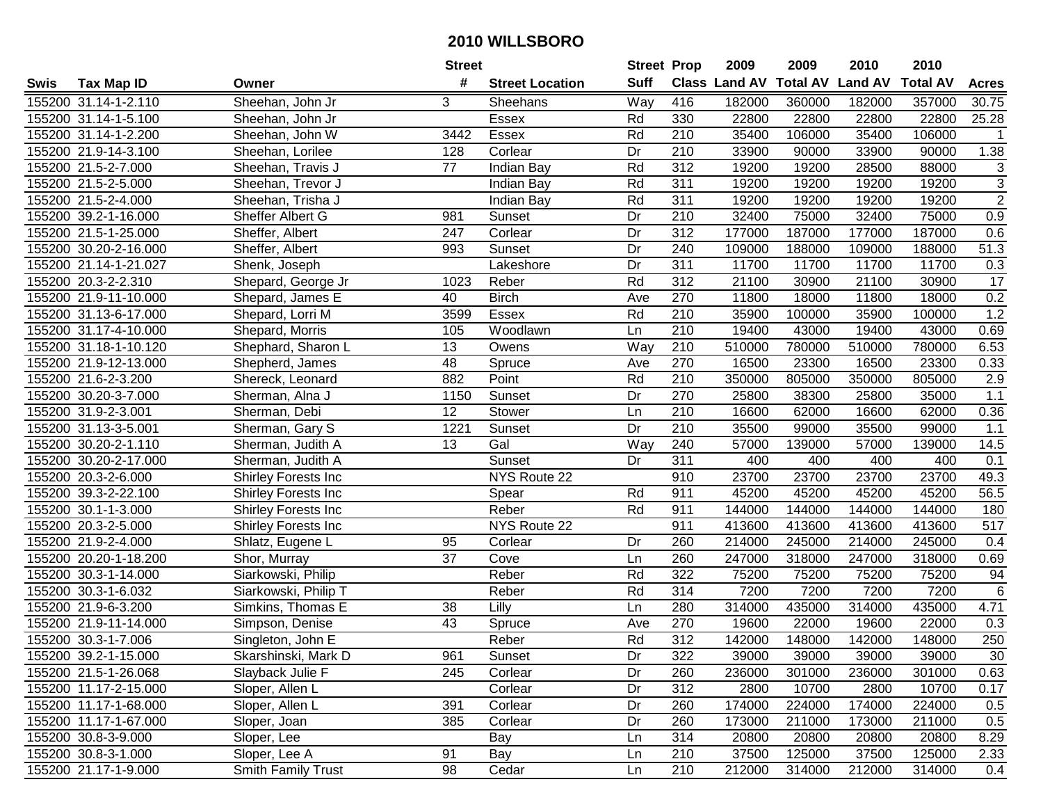|      |                       |                            | <b>Street</b>   |                        | <b>Street Prop</b> |                  | 2009                 | 2009            | 2010           | 2010            |                   |
|------|-----------------------|----------------------------|-----------------|------------------------|--------------------|------------------|----------------------|-----------------|----------------|-----------------|-------------------|
| Swis | <b>Tax Map ID</b>     | Owner                      | #               | <b>Street Location</b> | <b>Suff</b>        |                  | <b>Class Land AV</b> | <b>Total AV</b> | <b>Land AV</b> | <b>Total AV</b> | <b>Acres</b>      |
|      | 155200 31.14-1-2.110  | Sheehan, John Jr           | 3               | Sheehans               | Way                | 416              | 182000               | 360000          | 182000         | 357000          | 30.75             |
|      | 155200 31.14-1-5.100  | Sheehan, John Jr           |                 | Essex                  | Rd                 | 330              | 22800                | 22800           | 22800          | 22800           | 25.28             |
|      | 155200 31.14-1-2.200  | Sheehan, John W            | 3442            | Essex                  | Rd                 | 210              | 35400                | 106000          | 35400          | 106000          | $\mathbf{1}$      |
|      | 155200 21.9-14-3.100  | Sheehan, Lorilee           | 128             | Corlear                | Dr                 | 210              | 33900                | 90000           | 33900          | 90000           | 1.38              |
|      | 155200 21.5-2-7.000   | Sheehan, Travis J          | 77              | Indian Bay             | Rd                 | 312              | 19200                | 19200           | 28500          | 88000           | 3                 |
|      | 155200 21.5-2-5.000   | Sheehan, Trevor J          |                 | Indian Bay             | Rd                 | 311              | 19200                | 19200           | 19200          | 19200           | $\overline{3}$    |
|      | 155200 21.5-2-4.000   | Sheehan, Trisha J          |                 | Indian Bay             | Rd                 | 311              | 19200                | 19200           | 19200          | 19200           | $\overline{2}$    |
|      | 155200 39.2-1-16.000  | Sheffer Albert G           | 981             | Sunset                 | Dr                 | $\overline{210}$ | 32400                | 75000           | 32400          | 75000           | 0.9               |
|      | 155200 21.5-1-25.000  | Sheffer, Albert            | 247             | Corlear                | Dr                 | $\overline{312}$ | 177000               | 187000          | 177000         | 187000          | 0.6               |
|      | 155200 30.20-2-16.000 | Sheffer, Albert            | 993             | Sunset                 | Dr                 | 240              | 109000               | 188000          | 109000         | 188000          | $\overline{5}1.3$ |
|      | 155200 21.14-1-21.027 | Shenk, Joseph              |                 | Lakeshore              | Dr                 | 311              | 11700                | 11700           | 11700          | 11700           | 0.3               |
|      | 155200 20.3-2-2.310   | Shepard, George Jr         | 1023            | Reber                  | Rd                 | 312              | 21100                | 30900           | 21100          | 30900           | 17                |
|      | 155200 21.9-11-10.000 | Shepard, James E           | 40              | <b>Birch</b>           | Ave                | 270              | 11800                | 18000           | 11800          | 18000           | 0.2               |
|      | 155200 31.13-6-17.000 | Shepard, Lorri M           | 3599            | Essex                  | Rd                 | 210              | 35900                | 100000          | 35900          | 100000          | 1.2               |
|      | 155200 31.17-4-10.000 | Shepard, Morris            | 105             | Woodlawn               | Ln                 | 210              | 19400                | 43000           | 19400          | 43000           | 0.69              |
|      | 155200 31.18-1-10.120 | Shephard, Sharon L         | 13              | Owens                  | Way                | 210              | 510000               | 780000          | 510000         | 780000          | 6.53              |
|      | 155200 21.9-12-13.000 | Shepherd, James            | $\overline{48}$ | Spruce                 | Ave                | 270              | 16500                | 23300           | 16500          | 23300           | 0.33              |
|      | 155200 21.6-2-3.200   | Shereck, Leonard           | 882             | Point                  | Rd                 | 210              | 350000               | 805000          | 350000         | 805000          | 2.9               |
|      | 155200 30.20-3-7.000  | Sherman, Alna J            | 1150            | Sunset                 | Dr                 | 270              | 25800                | 38300           | 25800          | 35000           | 1.1               |
|      | 155200 31.9-2-3.001   | Sherman, Debi              | 12              | Stower                 | Ln                 | 210              | 16600                | 62000           | 16600          | 62000           | 0.36              |
|      | 155200 31.13-3-5.001  | Sherman, Gary S            | 1221            | Sunset                 | Dr                 | 210              | 35500                | 99000           | 35500          | 99000           | 1.1               |
|      | 155200 30.20-2-1.110  | Sherman, Judith A          | 13              | Gal                    | Way                | 240              | 57000                | 139000          | 57000          | 139000          | 14.5              |
|      | 155200 30.20-2-17.000 | Sherman, Judith A          |                 | Sunset                 | Dr                 | 311              | 400                  | 400             | 400            | 400             | 0.1               |
|      | 155200 20.3-2-6.000   | <b>Shirley Forests Inc</b> |                 | NYS Route 22           |                    | 910              | 23700                | 23700           | 23700          | 23700           | 49.3              |
|      | 155200 39.3-2-22.100  | Shirley Forests Inc        |                 | Spear                  | Rd                 | 911              | 45200                | 45200           | 45200          | 45200           | 56.5              |
|      | 155200 30.1-1-3.000   | Shirley Forests Inc        |                 | Reber                  | Rd                 | 911              | 144000               | 144000          | 144000         | 144000          | 180               |
|      | 155200 20.3-2-5.000   | Shirley Forests Inc        |                 | NYS Route 22           |                    | 911              | 413600               | 413600          | 413600         | 413600          | 517               |
|      | 155200 21.9-2-4.000   | Shlatz, Eugene L           | 95              | Corlear                | Dr                 | 260              | 214000               | 245000          | 214000         | 245000          | 0.4               |
|      | 155200 20.20-1-18.200 | Shor, Murray               | 37              | Cove                   | Ln                 | 260              | 247000               | 318000          | 247000         | 318000          | 0.69              |
|      | 155200 30.3-1-14.000  | Siarkowski, Philip         |                 | Reber                  | Rd                 | 322              | 75200                | 75200           | 75200          | 75200           | 94                |
|      | 155200 30.3-1-6.032   | Siarkowski, Philip T       |                 | Reber                  | Rd                 | 314              | 7200                 | 7200            | 7200           | 7200            | $\overline{6}$    |
|      | 155200 21.9-6-3.200   | Simkins, Thomas E          | 38              | Lilly                  | Ln                 | 280              | 314000               | 435000          | 314000         | 435000          | 4.71              |
|      | 155200 21.9-11-14.000 | Simpson, Denise            | $\overline{43}$ | Spruce                 | Ave                | 270              | 19600                | 22000           | 19600          | 22000           | 0.3               |
|      | 155200 30.3-1-7.006   | Singleton, John E          |                 | Reber                  | Rd                 | $\overline{312}$ | 142000               | 148000          | 142000         | 148000          | 250               |
|      | 155200 39.2-1-15.000  | Skarshinski, Mark D        | 961             | Sunset                 | Dr                 | 322              | 39000                | 39000           | 39000          | 39000           | 30                |
|      | 155200 21.5-1-26.068  | Slayback Julie F           | 245             | Corlear                | Dr                 | 260              | 236000               | 301000          | 236000         | 301000          | 0.63              |
|      | 155200 11.17-2-15.000 | Sloper, Allen L            |                 | Corlear                | Dr                 | 312              | 2800                 | 10700           | 2800           | 10700           | 0.17              |
|      | 155200 11.17-1-68.000 | Sloper, Allen L            | 391             | Corlear                | Dr                 | 260              | 174000               | 224000          | 174000         | 224000          | 0.5               |
|      | 155200 11.17-1-67.000 | Sloper, Joan               | 385             | Corlear                | Dr                 | 260              | 173000               | 211000          | 173000         | 211000          | 0.5               |
|      | 155200 30.8-3-9.000   | Sloper, Lee                |                 | Bay                    | Ln                 | 314              | 20800                | 20800           | 20800          | 20800           | 8.29              |
|      | 155200 30.8-3-1.000   | Sloper, Lee A              | 91              | Bay                    | Ln                 | 210              | 37500                | 125000          | 37500          | 125000          | 2.33              |
|      | 155200 21.17-1-9.000  | <b>Smith Family Trust</b>  | 98              | Cedar                  | Ln                 | 210              | 212000               | 314000          | 212000         | 314000          | 0.4               |
|      |                       |                            |                 |                        |                    |                  |                      |                 |                |                 |                   |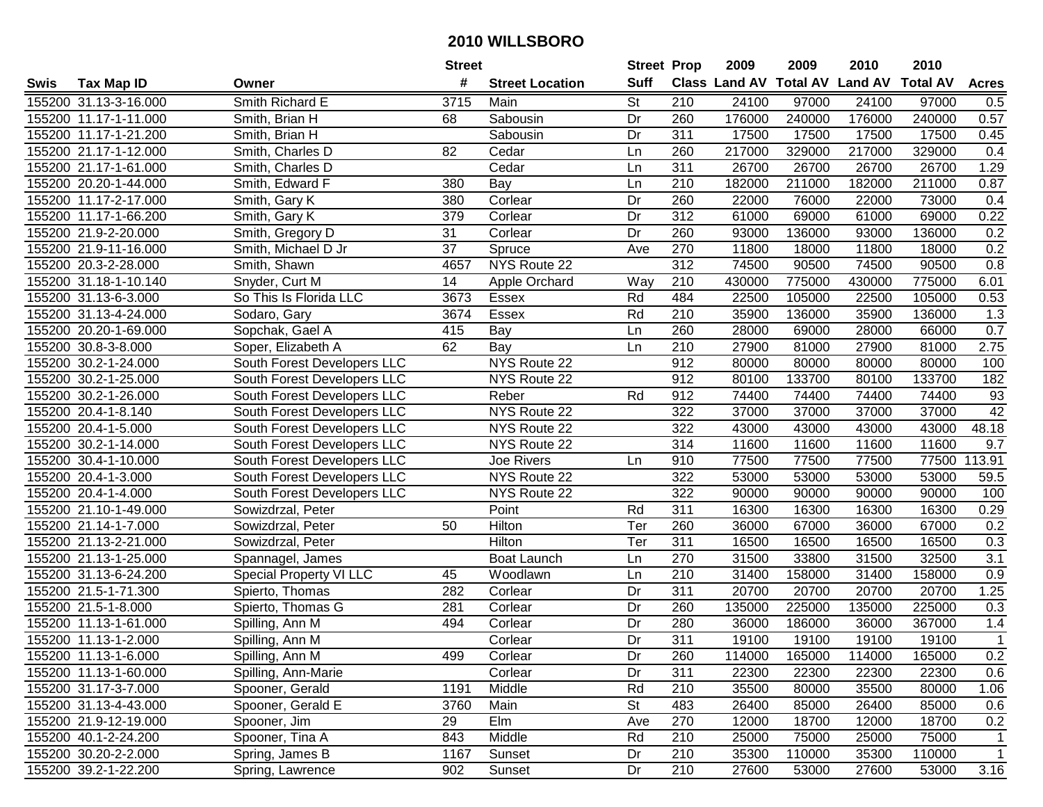|      |                       |                             | <b>Street</b> |                        | <b>Street Prop</b> |                  | 2009                           | 2009   | 2010   | 2010            |                  |
|------|-----------------------|-----------------------------|---------------|------------------------|--------------------|------------------|--------------------------------|--------|--------|-----------------|------------------|
| Swis | <b>Tax Map ID</b>     | Owner                       | #             | <b>Street Location</b> | <b>Suff</b>        |                  | Class Land AV Total AV Land AV |        |        | <b>Total AV</b> | <b>Acres</b>     |
|      | 155200 31.13-3-16.000 | Smith Richard E             | 3715          | Main                   | <b>St</b>          | 210              | 24100                          | 97000  | 24100  | 97000           | 0.5              |
|      | 155200 11.17-1-11.000 | Smith, Brian H              | 68            | Sabousin               | Dr                 | 260              | 176000                         | 240000 | 176000 | 240000          | 0.57             |
|      | 155200 11.17-1-21.200 | Smith, Brian H              |               | Sabousin               | Dr                 | 311              | 17500                          | 17500  | 17500  | 17500           | 0.45             |
|      | 155200 21.17-1-12.000 | Smith, Charles D            | 82            | Cedar                  | Ln                 | 260              | 217000                         | 329000 | 217000 | 329000          | 0.4              |
|      | 155200 21.17-1-61.000 | Smith, Charles D            |               | Cedar                  | Ln                 | 311              | 26700                          | 26700  | 26700  | 26700           | 1.29             |
|      | 155200 20.20-1-44.000 | Smith, Edward F             | 380           | Bay                    | Ln                 | 210              | 182000                         | 211000 | 182000 | 211000          | 0.87             |
|      | 155200 11.17-2-17.000 | Smith, Gary K               | 380           | Corlear                | Dr                 | 260              | 22000                          | 76000  | 22000  | 73000           | 0.4              |
|      | 155200 11.17-1-66.200 | Smith, Gary K               | 379           | Corlear                | Dr                 | 312              | 61000                          | 69000  | 61000  | 69000           | 0.22             |
|      | 155200 21.9-2-20.000  | Smith, Gregory D            | 31            | Corlear                | Dr                 | 260              | 93000                          | 136000 | 93000  | 136000          | 0.2              |
|      | 155200 21.9-11-16.000 | Smith, Michael D Jr         | 37            | Spruce                 | Ave                | 270              | 11800                          | 18000  | 11800  | 18000           | 0.2              |
|      | 155200 20.3-2-28.000  | Smith, Shawn                | 4657          | NYS Route 22           |                    | $\overline{312}$ | 74500                          | 90500  | 74500  | 90500           | 0.8              |
|      | 155200 31.18-1-10.140 | Snyder, Curt M              | 14            | Apple Orchard          | Way                | 210              | 430000                         | 775000 | 430000 | 775000          | 6.01             |
|      | 155200 31.13-6-3.000  | So This Is Florida LLC      | 3673          | Essex                  | Rd                 | 484              | 22500                          | 105000 | 22500  | 105000          | 0.53             |
|      | 155200 31.13-4-24.000 | Sodaro, Gary                | 3674          | Essex                  | Rd                 | 210              | 35900                          | 136000 | 35900  | 136000          | 1.3              |
|      | 155200 20.20-1-69.000 | Sopchak, Gael A             | 415           | Bay                    | Ln                 | 260              | 28000                          | 69000  | 28000  | 66000           | 0.7              |
|      | 155200 30.8-3-8.000   | Soper, Elizabeth A          | 62            | Bay                    | Ln                 | 210              | 27900                          | 81000  | 27900  | 81000           | 2.75             |
|      | 155200 30.2-1-24.000  | South Forest Developers LLC |               | <b>NYS Route 22</b>    |                    | 912              | 80000                          | 80000  | 80000  | 80000           | 100              |
|      | 155200 30.2-1-25.000  | South Forest Developers LLC |               | NYS Route 22           |                    | 912              | 80100                          | 133700 | 80100  | 133700          | 182              |
|      | 155200 30.2-1-26.000  | South Forest Developers LLC |               | Reber                  | Rd                 | 912              | 74400                          | 74400  | 74400  | 74400           | 93               |
|      | 155200 20.4-1-8.140   | South Forest Developers LLC |               | NYS Route 22           |                    | 322              | 37000                          | 37000  | 37000  | 37000           | 42               |
|      | 155200 20.4-1-5.000   | South Forest Developers LLC |               | NYS Route 22           |                    | 322              | 43000                          | 43000  | 43000  | 43000           | 48.18            |
|      | 155200 30.2-1-14.000  | South Forest Developers LLC |               | NYS Route 22           |                    | 314              | 11600                          | 11600  | 11600  | 11600           | 9.7              |
|      | 155200 30.4-1-10.000  | South Forest Developers LLC |               | Joe Rivers             | Ln                 | 910              | 77500                          | 77500  | 77500  | 77500           | 13.91<br>1       |
|      | 155200 20.4-1-3.000   | South Forest Developers LLC |               | NYS Route 22           |                    | 322              | 53000                          | 53000  | 53000  | 53000           | 59.5             |
|      | 155200 20.4-1-4.000   | South Forest Developers LLC |               | NYS Route 22           |                    | 322              | 90000                          | 90000  | 90000  | 90000           | 100              |
|      | 155200 21.10-1-49.000 | Sowizdrzal, Peter           |               | Point                  | Rd                 | 311              | 16300                          | 16300  | 16300  | 16300           | 0.29             |
|      | 155200 21.14-1-7.000  | Sowizdrzal, Peter           | 50            | Hilton                 | Ter                | 260              | 36000                          | 67000  | 36000  | 67000           | 0.2              |
|      | 155200 21.13-2-21.000 | Sowizdrzal, Peter           |               | Hilton                 | Ter                | 311              | 16500                          | 16500  | 16500  | 16500           | 0.3              |
|      | 155200 21.13-1-25.000 | Spannagel, James            |               | <b>Boat Launch</b>     | Ln                 | 270              | 31500                          | 33800  | 31500  | 32500           | $\overline{3.1}$ |
|      | 155200 31.13-6-24.200 | Special Property VI LLC     | 45            | Woodlawn               | Ln                 | $\overline{210}$ | 31400                          | 158000 | 31400  | 158000          | 0.9              |
|      | 155200 21.5-1-71.300  | Spierto, Thomas             | 282           | Corlear                | Dr                 | 311              | 20700                          | 20700  | 20700  | 20700           | 1.25             |
|      | 155200 21.5-1-8.000   | Spierto, Thomas G           | 281           | Corlear                | Dr                 | 260              | 135000                         | 225000 | 135000 | 225000          | 0.3              |
|      | 155200 11.13-1-61.000 | Spilling, Ann M             | 494           | Corlear                | Dr                 | 280              | 36000                          | 186000 | 36000  | 367000          | 1.4              |
|      | 155200 11.13-1-2.000  | Spilling, Ann M             |               | Corlear                | $\overline{Dr}$    | 311              | 19100                          | 19100  | 19100  | 19100           | $\mathbf{1}$     |
|      | 155200 11.13-1-6.000  | Spilling, Ann M             | 499           | Corlear                | Dr                 | 260              | 114000                         | 165000 | 114000 | 165000          | 0.2              |
|      | 155200 11.13-1-60.000 | Spilling, Ann-Marie         |               | Corlear                | Dr                 | 311              | 22300                          | 22300  | 22300  | 22300           | 0.6              |
|      | 155200 31.17-3-7.000  | Spooner, Gerald             | 1191          | Middle                 | Rd                 | 210              | 35500                          | 80000  | 35500  | 80000           | 1.06             |
|      | 155200 31.13-4-43.000 | Spooner, Gerald E           | 3760          | Main                   | <b>St</b>          | 483              | 26400                          | 85000  | 26400  | 85000           | 0.6              |
|      | 155200 21.9-12-19.000 | Spooner, Jim                | 29            | Elm                    | Ave                | 270              | 12000                          | 18700  | 12000  | 18700           | 0.2              |
|      | 155200 40.1-2-24.200  | Spooner, Tina A             | 843           | Middle                 | Rd                 | 210              | 25000                          | 75000  | 25000  | 75000           | $\mathbf{1}$     |
|      | 155200 30.20-2-2.000  | Spring, James B             | 1167          | Sunset                 | Dr                 | 210              | 35300                          | 110000 | 35300  | 110000          | $\mathbf{1}$     |
|      | 155200 39.2-1-22.200  | Spring, Lawrence            | 902           | Sunset                 | Dr                 | 210              | 27600                          | 53000  | 27600  | 53000           | 3.16             |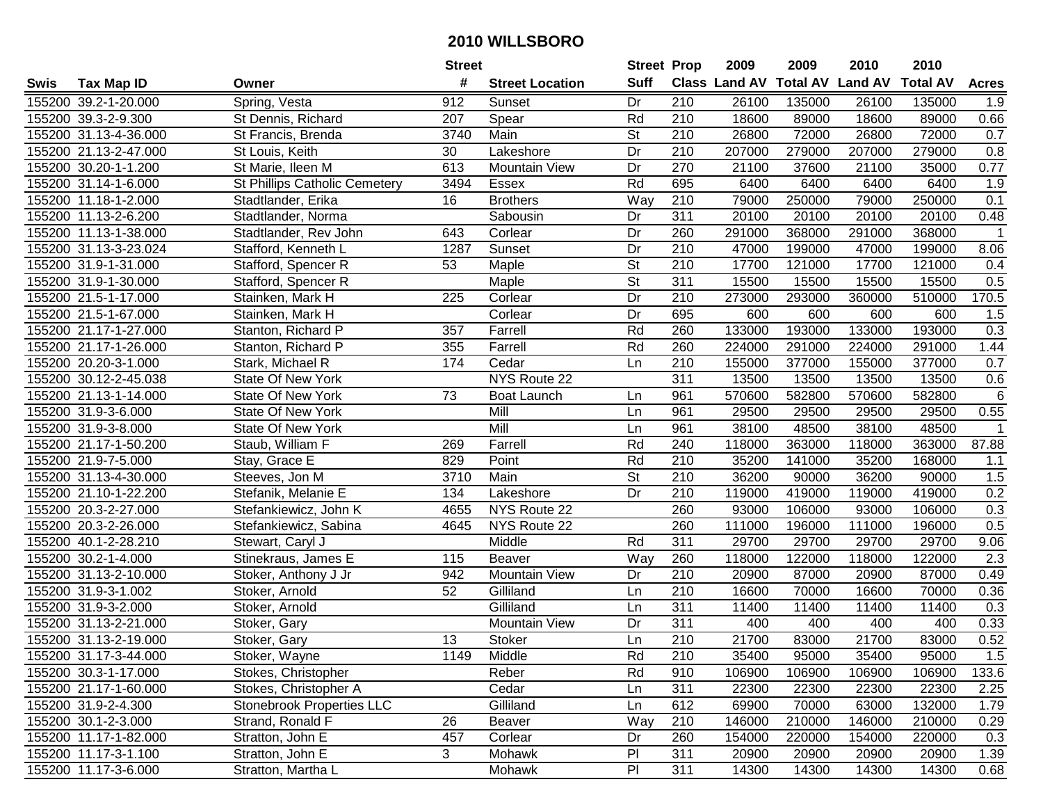|      |                       |                                  | <b>Street</b> |                        | <b>Street Prop</b>       |                  | 2009                           | 2009   | 2010   | 2010            |                |
|------|-----------------------|----------------------------------|---------------|------------------------|--------------------------|------------------|--------------------------------|--------|--------|-----------------|----------------|
| Swis | <b>Tax Map ID</b>     | Owner                            | #             | <b>Street Location</b> | <b>Suff</b>              |                  | Class Land AV Total AV Land AV |        |        | <b>Total AV</b> | <b>Acres</b>   |
|      | 155200 39.2-1-20.000  | Spring, Vesta                    | 912           | Sunset                 | Dr                       | 210              | 26100                          | 135000 | 26100  | 135000          | 1.9            |
|      | 155200 39.3-2-9.300   | St Dennis, Richard               | 207           | Spear                  | Rd                       | 210              | 18600                          | 89000  | 18600  | 89000           | 0.66           |
|      | 155200 31.13-4-36.000 | St Francis, Brenda               | 3740          | Main                   | <b>St</b>                | 210              | 26800                          | 72000  | 26800  | 72000           | 0.7            |
|      | 155200 21.13-2-47.000 | St Louis, Keith                  | 30            | Lakeshore              | Dr                       | 210              | 207000                         | 279000 | 207000 | 279000          | 0.8            |
|      | 155200 30.20-1-1.200  | St Marie, Ileen M                | 613           | <b>Mountain View</b>   | Dr                       | 270              | 21100                          | 37600  | 21100  | 35000           | 0.77           |
|      | 155200 31.14-1-6.000  | St Phillips Catholic Cemetery    | 3494          | Essex                  | Rd                       | 695              | 6400                           | 6400   | 6400   | 6400            | 1.9            |
|      | 155200 11.18-1-2.000  | Stadtlander, Erika               | 16            | <b>Brothers</b>        | Way                      | 210              | 79000                          | 250000 | 79000  | 250000          | 0.1            |
|      | 155200 11.13-2-6.200  | Stadtlander, Norma               |               | Sabousin               | Dr                       | 311              | 20100                          | 20100  | 20100  | 20100           | 0.48           |
|      | 155200 11.13-1-38.000 | Stadtlander, Rev John            | 643           | Corlear                | Dr                       | 260              | 291000                         | 368000 | 291000 | 368000          | $\overline{1}$ |
|      | 155200 31.13-3-23.024 | Stafford, Kenneth L              | 1287          | Sunset                 | Dr                       | 210              | 47000                          | 199000 | 47000  | 199000          | 8.06           |
|      | 155200 31.9-1-31.000  | Stafford, Spencer R              | 53            | Maple                  | $\overline{\mathsf{St}}$ | 210              | 17700                          | 121000 | 17700  | 121000          | 0.4            |
|      | 155200 31.9-1-30.000  | Stafford, Spencer R              |               | Maple                  | <b>St</b>                | 311              | 15500                          | 15500  | 15500  | 15500           | 0.5            |
|      | 155200 21.5-1-17.000  | Stainken, Mark H                 | 225           | Corlear                | Dr                       | 210              | 273000                         | 293000 | 360000 | 510000          | 170.5          |
|      | 155200 21.5-1-67.000  | Stainken, Mark H                 |               | Corlear                | Dr                       | 695              | 600                            | 600    | 600    | 600             | 1.5            |
|      | 155200 21.17-1-27.000 | Stanton, Richard P               | 357           | Farrell                | Rd                       | 260              | 133000                         | 193000 | 133000 | 193000          | 0.3            |
|      | 155200 21.17-1-26.000 | Stanton, Richard P               | 355           | Farrell                | Rd                       | 260              | 224000                         | 291000 | 224000 | 291000          | 1.44           |
|      | 155200 20.20-3-1.000  | Stark, Michael R                 | 174           | Cedar                  | Ln                       | 210              | 155000                         | 377000 | 155000 | 377000          | 0.7            |
|      | 155200 30.12-2-45.038 | <b>State Of New York</b>         |               | NYS Route 22           |                          | 311              | 13500                          | 13500  | 13500  | 13500           | 0.6            |
|      | 155200 21.13-1-14.000 | <b>State Of New York</b>         | 73            | Boat Launch            | Ln                       | 961              | 570600                         | 582800 | 570600 | 582800          | $\,6$          |
|      | 155200 31.9-3-6.000   | State Of New York                |               | Mill                   | Ln                       | 961              | 29500                          | 29500  | 29500  | 29500           | 0.55           |
|      | 155200 31.9-3-8.000   | State Of New York                |               | Mill                   | Ln                       | 961              | 38100                          | 48500  | 38100  | 48500           | $\overline{1}$ |
|      | 155200 21.17-1-50.200 | Staub, William F                 | 269           | Farrell                | Rd                       | 240              | 118000                         | 363000 | 118000 | 363000          | 87.88          |
|      | 155200 21.9-7-5.000   | Stay, Grace E                    | 829           | Point                  | Rd                       | 210              | 35200                          | 141000 | 35200  | 168000          | 1.1            |
|      | 155200 31.13-4-30.000 | Steeves, Jon M                   | 3710          | Main                   | <b>St</b>                | 210              | 36200                          | 90000  | 36200  | 90000           | 1.5            |
|      | 155200 21.10-1-22.200 | Stefanik, Melanie E              | 134           | Lakeshore              | Dr                       | 210              | 119000                         | 419000 | 119000 | 419000          | 0.2            |
|      | 155200 20.3-2-27.000  | Stefankiewicz, John K            | 4655          | NYS Route 22           |                          | 260              | 93000                          | 106000 | 93000  | 106000          | 0.3            |
|      | 155200 20.3-2-26.000  | Stefankiewicz, Sabina            | 4645          | NYS Route 22           |                          | 260              | 111000                         | 196000 | 111000 | 196000          | 0.5            |
|      | 155200 40.1-2-28.210  | Stewart, Caryl J                 |               | Middle                 | Rd                       | 311              | 29700                          | 29700  | 29700  | 29700           | 9.06           |
|      | 155200 30.2-1-4.000   | Stinekraus, James E              | 115           | Beaver                 | Way                      | 260              | 118000                         | 122000 | 118000 | 122000          | 2.3            |
|      | 155200 31.13-2-10.000 | Stoker, Anthony J Jr             | 942           | Mountain View          | Dr                       | $\overline{210}$ | 20900                          | 87000  | 20900  | 87000           | 0.49           |
|      | 155200 31.9-3-1.002   | Stoker, Arnold                   | 52            | Gilliland              | Ln                       | $\overline{210}$ | 16600                          | 70000  | 16600  | 70000           | 0.36           |
|      | 155200 31.9-3-2.000   | Stoker, Arnold                   |               | Gilliland              | Ln                       | 311              | 11400                          | 11400  | 11400  | 11400           | 0.3            |
|      | 155200 31.13-2-21.000 | Stoker, Gary                     |               | Mountain View          | Dr                       | 311              | 400                            | 400    | 400    | 400             | 0.33           |
|      | 155200 31.13-2-19.000 | Stoker, Gary                     | 13            | Stoker                 | Ln                       | $\overline{210}$ | 21700                          | 83000  | 21700  | 83000           | 0.52           |
|      | 155200 31.17-3-44.000 | Stoker, Wayne                    | 1149          | Middle                 | Rd                       | 210              | 35400                          | 95000  | 35400  | 95000           | 1.5            |
|      | 155200 30.3-1-17.000  | Stokes, Christopher              |               | Reber                  | Rd                       | 910              | 106900                         | 106900 | 106900 | 106900          | 133.6          |
|      | 155200 21.17-1-60.000 | Stokes, Christopher A            |               | Cedar                  | Ln                       | 311              | 22300                          | 22300  | 22300  | 22300           | 2.25           |
|      | 155200 31.9-2-4.300   | <b>Stonebrook Properties LLC</b> |               | Gilliland              | Ln                       | 612              | 69900                          | 70000  | 63000  | 132000          | 1.79           |
|      | 155200 30.1-2-3.000   | Strand, Ronald F                 | 26            | Beaver                 | Way                      | 210              | 146000                         | 210000 | 146000 | 210000          | 0.29           |
|      | 155200 11.17-1-82.000 | Stratton, John E                 | 457           | Corlear                | Dr                       | 260              | 154000                         | 220000 | 154000 | 220000          | 0.3            |
|      | 155200 11.17-3-1.100  | Stratton, John E                 | 3             | Mohawk                 | P <sub>1</sub>           | 311              | 20900                          | 20900  | 20900  | 20900           | 1.39           |
|      | 155200 11.17-3-6.000  | Stratton, Martha L               |               | Mohawk                 | $\overline{P}$           | 311              | 14300                          | 14300  | 14300  | 14300           | 0.68           |
|      |                       |                                  |               |                        |                          |                  |                                |        |        |                 |                |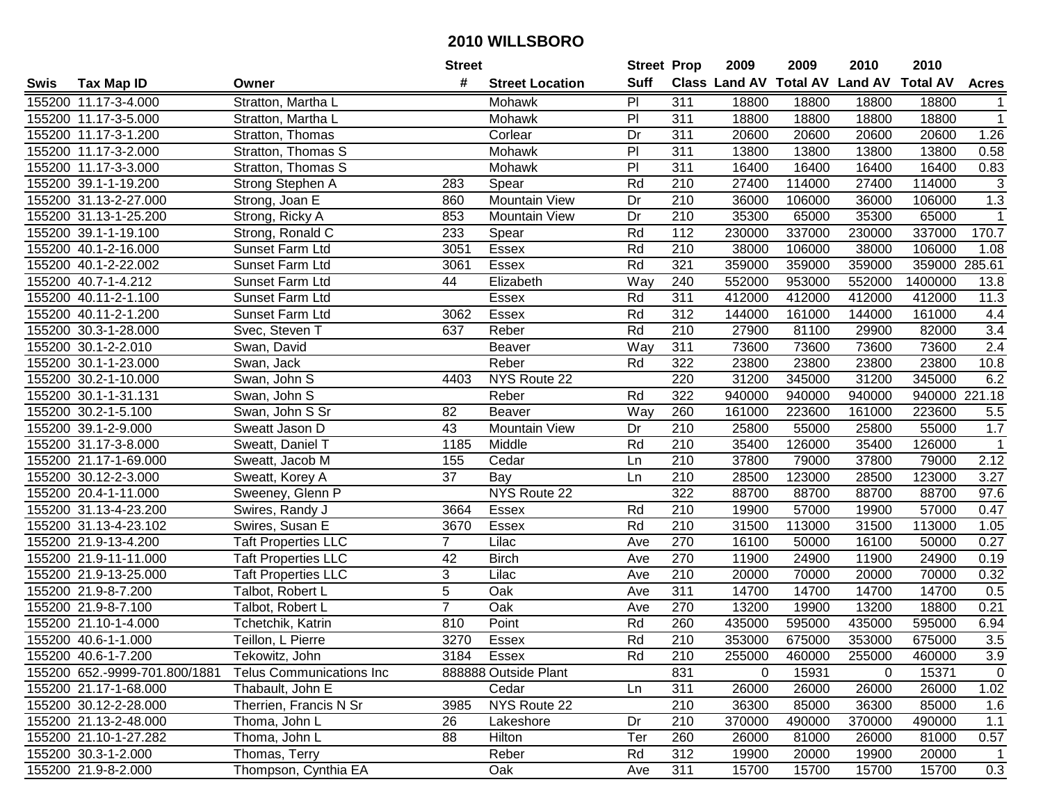|      |                               |                            | <b>Street</b>  |                        | <b>Street Prop</b> |                  | 2009                          | 2009   | 2010           | 2010            |                  |
|------|-------------------------------|----------------------------|----------------|------------------------|--------------------|------------------|-------------------------------|--------|----------------|-----------------|------------------|
| Swis | <b>Tax Map ID</b>             | Owner                      | #              | <b>Street Location</b> | <b>Suff</b>        |                  | <b>Class Land AV Total AV</b> |        | <b>Land AV</b> | <b>Total AV</b> | <b>Acres</b>     |
|      | 155200 11.17-3-4.000          | Stratton, Martha L         |                | Mohawk                 | PI                 | 311              | 18800                         | 18800  | 18800          | 18800           |                  |
|      | 155200 11.17-3-5.000          | Stratton, Martha L         |                | Mohawk                 | PI                 | 311              | 18800                         | 18800  | 18800          | 18800           | $\mathbf{1}$     |
|      | 155200 11.17-3-1.200          | Stratton, Thomas           |                | Corlear                | Dr                 | 311              | 20600                         | 20600  | 20600          | 20600           | 1.26             |
|      | 155200 11.17-3-2.000          | Stratton, Thomas S         |                | Mohawk                 | PI                 | 311              | 13800                         | 13800  | 13800          | 13800           | 0.58             |
|      | 155200 11.17-3-3.000          | Stratton, Thomas S         |                | Mohawk                 | PI                 | 311              | 16400                         | 16400  | 16400          | 16400           | 0.83             |
|      | 155200 39.1-1-19.200          | Strong Stephen A           | 283            | Spear                  | Rd                 | 210              | 27400                         | 114000 | 27400          | 114000          | 3                |
|      | 155200 31.13-2-27.000         | Strong, Joan E             | 860            | <b>Mountain View</b>   | Dr                 | 210              | 36000                         | 106000 | 36000          | 106000          | 1.3              |
|      | 155200 31.13-1-25.200         | Strong, Ricky A            | 853            | <b>Mountain View</b>   | Dr                 | $\overline{210}$ | 35300                         | 65000  | 35300          | 65000           | $\mathbf 1$      |
|      | 155200 39.1-1-19.100          | Strong, Ronald C           | 233            | Spear                  | Rd                 | 112              | 230000                        | 337000 | 230000         | 337000          | 170.7            |
|      | 155200 40.1-2-16.000          | Sunset Farm Ltd            | 3051           | Essex                  | Rd                 | 210              | 38000                         | 106000 | 38000          | 106000          | 1.08             |
|      | 155200 40.1-2-22.002          | Sunset Farm Ltd            | 3061           | Essex                  | Rd                 | 321              | 359000                        | 359000 | 359000         | 359000          | 285.61           |
|      | 155200 40.7-1-4.212           | Sunset Farm Ltd            | 44             | Elizabeth              | Way                | 240              | 552000                        | 953000 | 552000         | 1400000         | 13.8             |
|      | 155200 40.11-2-1.100          | Sunset Farm Ltd            |                | Essex                  | Rd                 | 311              | 412000                        | 412000 | 412000         | 412000          | 11.3             |
|      | 155200 40.11-2-1.200          | Sunset Farm Ltd            | 3062           | Essex                  | Rd                 | 312              | 144000                        | 161000 | 144000         | 161000          | 4.4              |
|      | 155200 30.3-1-28.000          | Svec, Steven T             | 637            | Reber                  | Rd                 | 210              | 27900                         | 81100  | 29900          | 82000           | $\overline{3.4}$ |
|      | 155200 30.1-2-2.010           | Swan, David                |                | Beaver                 | Way                | 311              | 73600                         | 73600  | 73600          | 73600           | 2.4              |
|      | 155200 30.1-1-23.000          | Swan, Jack                 |                | Reber                  | Rd                 | 322              | 23800                         | 23800  | 23800          | 23800           | 10.8             |
|      | 155200 30.2-1-10.000          | Swan, John S               | 4403           | NYS Route 22           |                    | 220              | 31200                         | 345000 | 31200          | 345000          | 6.2              |
|      | 155200 30.1-1-31.131          | Swan, John S               |                | Reber                  | Rd                 | 322              | 940000                        | 940000 | 940000         | 940000 221.18   |                  |
|      | 155200 30.2-1-5.100           | Swan, John S Sr            | 82             | Beaver                 | Way                | 260              | 161000                        | 223600 | 161000         | 223600          | 5.5              |
|      | 155200 39.1-2-9.000           | Sweatt Jason D             | 43             | <b>Mountain View</b>   | Dr                 | 210              | 25800                         | 55000  | 25800          | 55000           | 1.7              |
|      | 155200 31.17-3-8.000          | Sweatt, Daniel T           | 1185           | Middle                 | Rd                 | 210              | 35400                         | 126000 | 35400          | 126000          | $\mathbf 1$      |
|      | 155200 21.17-1-69.000         | Sweatt, Jacob M            | 155            | Cedar                  | Ln                 | 210              | 37800                         | 79000  | 37800          | 79000           | 2.12             |
|      | 155200 30.12-2-3.000          | Sweatt, Korey A            | 37             | Bay                    | Ln                 | 210              | 28500                         | 123000 | 28500          | 123000          | 3.27             |
|      | 155200 20.4-1-11.000          | Sweeney, Glenn P           |                | NYS Route 22           |                    | 322              | 88700                         | 88700  | 88700          | 88700           | 97.6             |
|      | 155200 31.13-4-23.200         | Swires, Randy J            | 3664           | Essex                  | Rd                 | 210              | 19900                         | 57000  | 19900          | 57000           | 0.47             |
|      | 155200 31.13-4-23.102         | Swires, Susan E            | 3670           | Essex                  | Rd                 | 210              | 31500                         | 113000 | 31500          | 113000          | 1.05             |
|      | 155200 21.9-13-4.200          | <b>Taft Properties LLC</b> | $\overline{7}$ | Lilac                  | Ave                | 270              | 16100                         | 50000  | 16100          | 50000           | 0.27             |
|      | 155200 21.9-11-11.000         | <b>Taft Properties LLC</b> | 42             | <b>Birch</b>           | Ave                | 270              | 11900                         | 24900  | 11900          | 24900           | 0.19             |
|      | 155200 21.9-13-25.000         | <b>Taft Properties LLC</b> | 3              | Lilac                  | Ave                | $\overline{210}$ | 20000                         | 70000  | 20000          | 70000           | 0.32             |
|      | 155200 21.9-8-7.200           | Talbot, Robert L           | $\overline{5}$ | Oak                    | Ave                | 311              | 14700                         | 14700  | 14700          | 14700           | 0.5              |
|      | 155200 21.9-8-7.100           | Talbot, Robert L           | $\overline{7}$ | Oak                    | Ave                | 270              | 13200                         | 19900  | 13200          | 18800           | 0.21             |
|      | 155200 21.10-1-4.000          | Tchetchik, Katrin          | 810            | Point                  | Rd                 | 260              | 435000                        | 595000 | 435000         | 595000          | 6.94             |
|      | 155200 40.6-1-1.000           | Teillon, L Pierre          | 3270           | Essex                  | Rd                 | $\overline{210}$ | 353000                        | 675000 | 353000         | 675000          | 3.5              |
|      | 155200 40.6-1-7.200           | Tekowitz, John             | 3184           | Essex                  | Rd                 | 210              | 255000                        | 460000 | 255000         | 460000          | 3.9              |
|      | 155200 652.-9999-701.800/1881 | Telus Communications Inc   |                | 888888 Outside Plant   |                    | 831              | 0                             | 15931  | 0              | 15371           | $\mathbf 0$      |
|      | 155200 21.17-1-68.000         | Thabault, John E           |                | Cedar                  | Ln                 | 311              | 26000                         | 26000  | 26000          | 26000           | 1.02             |
|      | 155200 30.12-2-28.000         | Therrien, Francis N Sr     | 3985           | NYS Route 22           |                    | 210              | 36300                         | 85000  | 36300          | 85000           | 1.6              |
|      | 155200 21.13-2-48.000         | Thoma, John L              | 26             | Lakeshore              | Dr                 | 210              | 370000                        | 490000 | 370000         | 490000          | 1.1              |
|      | 155200 21.10-1-27.282         | Thoma, John L              | 88             | Hilton                 | Ter                | 260              | 26000                         | 81000  | 26000          | 81000           | 0.57             |
|      | 155200 30.3-1-2.000           | Thomas, Terry              |                | Reber                  | Rd                 | 312              | 19900                         | 20000  | 19900          | 20000           | 1                |
|      | 155200 21.9-8-2.000           | Thompson, Cynthia EA       |                | Oak                    | Ave                | 311              | 15700                         | 15700  | 15700          | 15700           | 0.3              |
|      |                               |                            |                |                        |                    |                  |                               |        |                |                 |                  |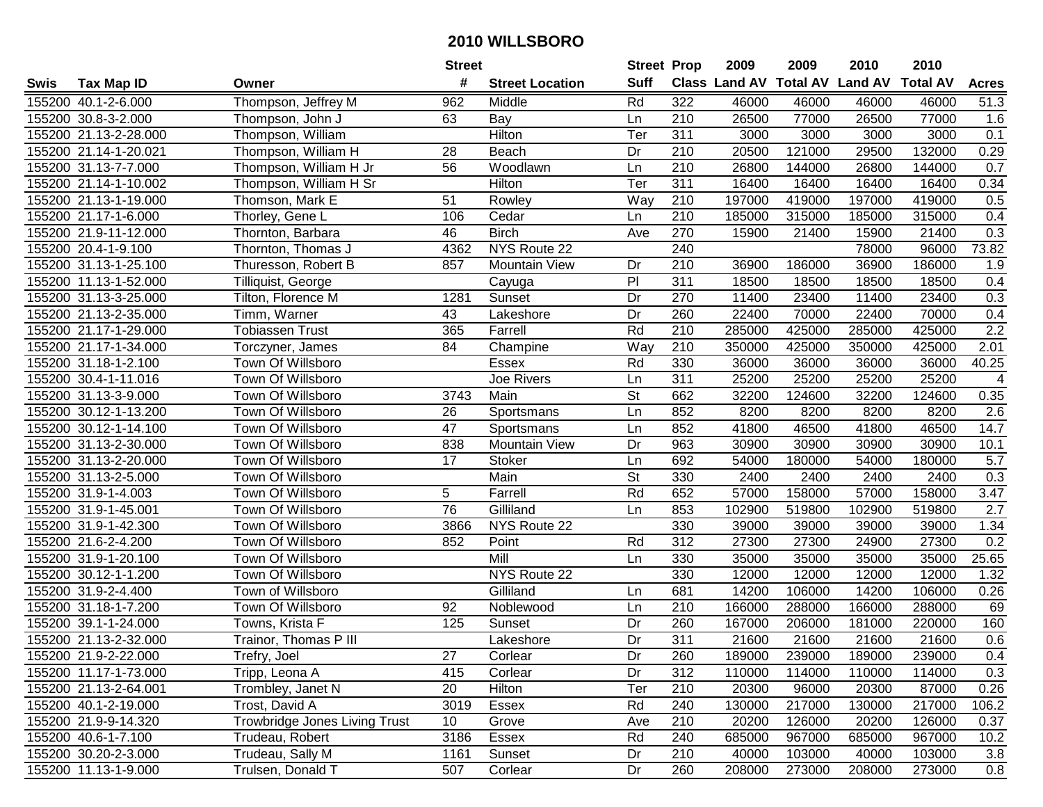|      |                       |                                      | <b>Street</b>   |                        | <b>Street Prop</b> |     | 2009   | 2009   | 2010                           | 2010            |                  |
|------|-----------------------|--------------------------------------|-----------------|------------------------|--------------------|-----|--------|--------|--------------------------------|-----------------|------------------|
| Swis | <b>Tax Map ID</b>     | Owner                                | #               | <b>Street Location</b> | <b>Suff</b>        |     |        |        | Class Land AV Total AV Land AV | <b>Total AV</b> | <b>Acres</b>     |
|      | 155200 40.1-2-6.000   | Thompson, Jeffrey M                  | 962             | Middle                 | Rd                 | 322 | 46000  | 46000  | 46000                          | 46000           | 51.3             |
|      | 155200 30.8-3-2.000   | Thompson, John J                     | 63              | Bay                    | Ln                 | 210 | 26500  | 77000  | 26500                          | 77000           | 1.6              |
|      | 155200 21.13-2-28.000 | Thompson, William                    |                 | Hilton                 | Ter                | 311 | 3000   | 3000   | 3000                           | 3000            | 0.1              |
|      | 155200 21.14-1-20.021 | Thompson, William H                  | 28              | Beach                  | Dr                 | 210 | 20500  | 121000 | 29500                          | 132000          | 0.29             |
|      | 155200 31.13-7-7.000  | Thompson, William H Jr               | 56              | Woodlawn               | Ln                 | 210 | 26800  | 144000 | 26800                          | 144000          | 0.7              |
|      | 155200 21.14-1-10.002 | Thompson, William H Sr               |                 | Hilton                 | Ter                | 311 | 16400  | 16400  | 16400                          | 16400           | 0.34             |
|      | 155200 21.13-1-19.000 | Thomson, Mark E                      | 51              | Rowley                 | Way                | 210 | 197000 | 419000 | 197000                         | 419000          | 0.5              |
|      | 155200 21.17-1-6.000  | Thorley, Gene L                      | 106             | Cedar                  | Ln                 | 210 | 185000 | 315000 | 185000                         | 315000          | 0.4              |
|      | 155200 21.9-11-12.000 | Thornton, Barbara                    | 46              | <b>Birch</b>           | Ave                | 270 | 15900  | 21400  | 15900                          | 21400           | 0.3              |
|      | 155200 20.4-1-9.100   | Thornton, Thomas J                   | 4362            | NYS Route 22           |                    | 240 |        |        | 78000                          | 96000           | 73.82            |
|      | 155200 31.13-1-25.100 | Thuresson, Robert B                  | 857             | <b>Mountain View</b>   | Dr                 | 210 | 36900  | 186000 | 36900                          | 186000          | 1.9              |
|      | 155200 11.13-1-52.000 | Tilliquist, George                   |                 | Cayuga                 | P <sub>1</sub>     | 311 | 18500  | 18500  | 18500                          | 18500           | 0.4              |
|      | 155200 31.13-3-25.000 | Tilton, Florence M                   | 1281            | Sunset                 | Dr                 | 270 | 11400  | 23400  | 11400                          | 23400           | 0.3              |
|      | 155200 21.13-2-35.000 | Timm, Warner                         | 43              | Lakeshore              | Dr                 | 260 | 22400  | 70000  | 22400                          | 70000           | 0.4              |
|      | 155200 21.17-1-29.000 | <b>Tobiassen Trust</b>               | 365             | Farrell                | Rd                 | 210 | 285000 | 425000 | 285000                         | 425000          | $\overline{2.2}$ |
|      | 155200 21.17-1-34.000 | Torczyner, James                     | 84              | Champine               | Way                | 210 | 350000 | 425000 | 350000                         | 425000          | 2.01             |
|      | 155200 31.18-1-2.100  | Town Of Willsboro                    |                 | <b>Essex</b>           | Rd                 | 330 | 36000  | 36000  | 36000                          | 36000           | 40.25            |
|      | 155200 30.4-1-11.016  | Town Of Willsboro                    |                 | Joe Rivers             | Ln                 | 311 | 25200  | 25200  | 25200                          | 25200           | 4                |
|      | 155200 31.13-3-9.000  | Town Of Willsboro                    | 3743            | Main                   | St                 | 662 | 32200  | 124600 | 32200                          | 124600          | 0.35             |
|      | 155200 30.12-1-13.200 | Town Of Willsboro                    | 26              | Sportsmans             | Ln                 | 852 | 8200   | 8200   | 8200                           | 8200            | 2.6              |
|      | 155200 30.12-1-14.100 | Town Of Willsboro                    | 47              | Sportsmans             | Ln                 | 852 | 41800  | 46500  | 41800                          | 46500           | 14.7             |
|      | 155200 31.13-2-30.000 | Town Of Willsboro                    | 838             | <b>Mountain View</b>   | Dr                 | 963 | 30900  | 30900  | 30900                          | 30900           | 10.1             |
|      | 155200 31.13-2-20.000 | Town Of Willsboro                    | 17              | <b>Stoker</b>          | Ln                 | 692 | 54000  | 180000 | 54000                          | 180000          | 5.7              |
|      | 155200 31.13-2-5.000  | Town Of Willsboro                    |                 | Main                   | St                 | 330 | 2400   | 2400   | 2400                           | 2400            | 0.3              |
|      | 155200 31.9-1-4.003   | Town Of Willsboro                    | 5               | Farrell                | Rd                 | 652 | 57000  | 158000 | 57000                          | 158000          | 3.47             |
|      | 155200 31.9-1-45.001  | Town Of Willsboro                    | $\overline{76}$ | Gilliland              | Ln                 | 853 | 102900 | 519800 | 102900                         | 519800          | 2.7              |
|      | 155200 31.9-1-42.300  | Town Of Willsboro                    | 3866            | NYS Route 22           |                    | 330 | 39000  | 39000  | 39000                          | 39000           | 1.34             |
|      | 155200 21.6-2-4.200   | Town Of Willsboro                    | 852             | Point                  | Rd                 | 312 | 27300  | 27300  | 24900                          | 27300           | 0.2              |
|      | 155200 31.9-1-20.100  | Town Of Willsboro                    |                 | Mill                   | Ln                 | 330 | 35000  | 35000  | 35000                          | 35000           | 25.65            |
|      | 155200 30.12-1-1.200  | Town Of Willsboro                    |                 | NYS Route 22           |                    | 330 | 12000  | 12000  | 12000                          | 12000           | 1.32             |
|      | 155200 31.9-2-4.400   | Town of Willsboro                    |                 | Gilliland              | Ln                 | 681 | 14200  | 106000 | 14200                          | 106000          | 0.26             |
|      | 155200 31.18-1-7.200  | Town Of Willsboro                    | 92              | Noblewood              | Ln                 | 210 | 166000 | 288000 | 166000                         | 288000          | 69               |
|      | 155200 39.1-1-24.000  | Towns, Krista F                      | 125             | Sunset                 | Dr                 | 260 | 167000 | 206000 | 181000                         | 220000          | 160              |
|      | 155200 21.13-2-32.000 | Trainor, Thomas P III                |                 | Lakeshore              | Dr                 | 311 | 21600  | 21600  | 21600                          | 21600           | 0.6              |
|      | 155200 21.9-2-22.000  | Trefry, Joel                         | 27              | Corlear                | Dr                 | 260 | 189000 | 239000 | 189000                         | 239000          | 0.4              |
|      | 155200 11.17-1-73.000 | Tripp, Leona A                       | 415             | Corlear                | Dr                 | 312 | 110000 | 114000 | 110000                         | 114000          | 0.3              |
|      | 155200 21.13-2-64.001 | Trombley, Janet N                    | 20              | Hilton                 | Ter                | 210 | 20300  | 96000  | 20300                          | 87000           | 0.26             |
|      | 155200 40.1-2-19.000  | Trost, David A                       | 3019            | Essex                  | Rd                 | 240 | 130000 | 217000 | 130000                         | 217000          | 106.2            |
|      | 155200 21.9-9-14.320  | <b>Trowbridge Jones Living Trust</b> | 10 <sup>°</sup> | Grove                  | Ave                | 210 | 20200  | 126000 | 20200                          | 126000          | 0.37             |
|      | 155200 40.6-1-7.100   | Trudeau, Robert                      | 3186            | Essex                  | Rd                 | 240 | 685000 | 967000 | 685000                         | 967000          | 10.2             |
|      | 155200 30.20-2-3.000  | Trudeau, Sally M                     | 1161            | Sunset                 | Dr                 | 210 | 40000  | 103000 | 40000                          | 103000          | 3.8              |
|      | 155200 11.13-1-9.000  | Trulsen, Donald T                    | 507             | Corlear                | Dr                 | 260 | 208000 | 273000 | 208000                         | 273000          | 0.8              |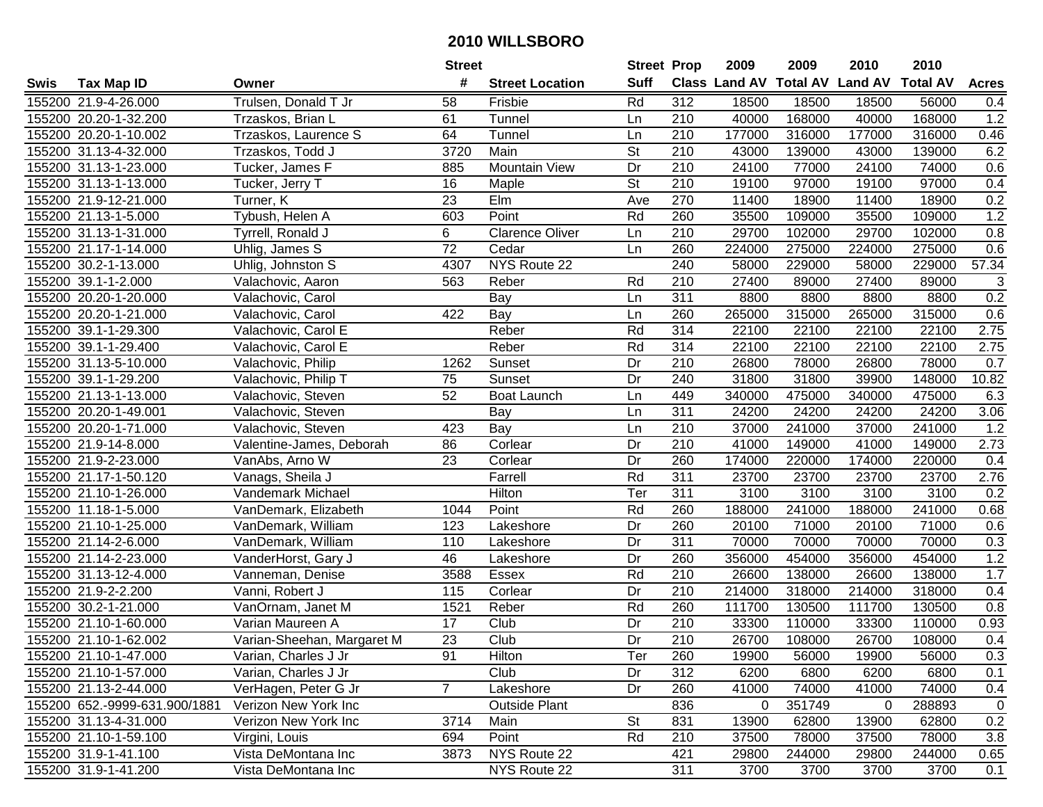|      |                               |                            | <b>Street</b>   |                        | <b>Street Prop</b>       |                  | 2009   | 2009   | 2010                           | 2010            |              |
|------|-------------------------------|----------------------------|-----------------|------------------------|--------------------------|------------------|--------|--------|--------------------------------|-----------------|--------------|
| Swis | <b>Tax Map ID</b>             | Owner                      | #               | <b>Street Location</b> | <b>Suff</b>              |                  |        |        | Class Land AV Total AV Land AV | <b>Total AV</b> | <b>Acres</b> |
|      | 155200 21.9-4-26.000          | Trulsen, Donald T Jr       | 58              | Frisbie                | Rd                       | 312              | 18500  | 18500  | 18500                          | 56000           | 0.4          |
|      | 155200 20.20-1-32.200         | Trzaskos, Brian L          | 61              | Tunnel                 | Ln                       | 210              | 40000  | 168000 | 40000                          | 168000          | 1.2          |
|      | 155200 20.20-1-10.002         | Trzaskos, Laurence S       | 64              | Tunnel                 | Ln                       | 210              | 177000 | 316000 | 177000                         | 316000          | 0.46         |
|      | 155200 31.13-4-32.000         | Trzaskos, Todd J           | 3720            | Main                   | St                       | 210              | 43000  | 139000 | 43000                          | 139000          | 6.2          |
|      | 155200 31.13-1-23.000         | Tucker, James F            | 885             | <b>Mountain View</b>   | Dr                       | 210              | 24100  | 77000  | 24100                          | 74000           | 0.6          |
|      | 155200 31.13-1-13.000         | Tucker, Jerry T            | 16              | Maple                  | $\overline{\mathsf{St}}$ | 210              | 19100  | 97000  | 19100                          | 97000           | 0.4          |
|      | 155200 21.9-12-21.000         | Turner, K                  | 23              | Elm                    | Ave                      | 270              | 11400  | 18900  | 11400                          | 18900           | 0.2          |
|      | 155200 21.13-1-5.000          | Tybush, Helen A            | 603             | Point                  | Rd                       | 260              | 35500  | 109000 | 35500                          | 109000          | 1.2          |
|      | 155200 31.13-1-31.000         | Tyrrell, Ronald J          | 6               | <b>Clarence Oliver</b> | Ln                       | $\overline{210}$ | 29700  | 102000 | 29700                          | 102000          | 0.8          |
|      | 155200 21.17-1-14.000         | Uhlig, James S             | $\overline{72}$ | Cedar                  | Ln                       | 260              | 224000 | 275000 | 224000                         | 275000          | 0.6          |
|      | 155200 30.2-1-13.000          | Uhlig, Johnston S          | 4307            | NYS Route 22           |                          | 240              | 58000  | 229000 | 58000                          | 229000          | 57.34        |
|      | 155200 39.1-1-2.000           | Valachovic, Aaron          | 563             | Reber                  | Rd                       | 210              | 27400  | 89000  | 27400                          | 89000           | 3            |
|      | 155200 20.20-1-20.000         | Valachovic, Carol          |                 | Bay                    | Ln                       | 311              | 8800   | 8800   | 8800                           | 8800            | 0.2          |
|      | 155200 20.20-1-21.000         | Valachovic, Carol          | 422             | Bay                    | Ln                       | 260              | 265000 | 315000 | 265000                         | 315000          | 0.6          |
|      | 155200 39.1-1-29.300          | Valachovic, Carol E        |                 | Reber                  | Rd                       | 314              | 22100  | 22100  | 22100                          | 22100           | 2.75         |
|      | 155200 39.1-1-29.400          | Valachovic, Carol E        |                 | Reber                  | Rd                       | 314              | 22100  | 22100  | 22100                          | 22100           | 2.75         |
|      | 155200 31.13-5-10.000         | Valachovic, Philip         | 1262            | Sunset                 | Dr                       | 210              | 26800  | 78000  | 26800                          | 78000           | 0.7          |
|      | 155200 39.1-1-29.200          | Valachovic, Philip T       | 75              | Sunset                 | Dr                       | 240              | 31800  | 31800  | 39900                          | 148000          | 10.82        |
|      | 155200 21.13-1-13.000         | Valachovic, Steven         | 52              | <b>Boat Launch</b>     | Ln                       | 449              | 340000 | 475000 | 340000                         | 475000          | 6.3          |
|      | 155200 20.20-1-49.001         | Valachovic, Steven         |                 | Bay                    | Ln                       | 311              | 24200  | 24200  | 24200                          | 24200           | 3.06         |
|      | 155200 20.20-1-71.000         | Valachovic, Steven         | 423             | Bay                    | Ln                       | 210              | 37000  | 241000 | 37000                          | 241000          | 1.2          |
|      | 155200 21.9-14-8.000          | Valentine-James, Deborah   | 86              | Corlear                | Dr                       | 210              | 41000  | 149000 | 41000                          | 149000          | 2.73         |
|      | 155200 21.9-2-23.000          | VanAbs, Arno W             | 23              | Corlear                | Dr                       | 260              | 174000 | 220000 | 174000                         | 220000          | 0.4          |
|      | 155200 21.17-1-50.120         | Vanags, Sheila J           |                 | Farrell                | Rd                       | 311              | 23700  | 23700  | 23700                          | 23700           | 2.76         |
|      | 155200 21.10-1-26.000         | Vandemark Michael          |                 | Hilton                 | Ter                      | 311              | 3100   | 3100   | 3100                           | 3100            | 0.2          |
|      | 155200 11.18-1-5.000          | VanDemark, Elizabeth       | 1044            | Point                  | Rd                       | 260              | 188000 | 241000 | 188000                         | 241000          | 0.68         |
|      | 155200 21.10-1-25.000         | VanDemark, William         | 123             | Lakeshore              | Dr                       | 260              | 20100  | 71000  | 20100                          | 71000           | 0.6          |
|      | 155200 21.14-2-6.000          | VanDemark, William         | 110             | Lakeshore              | Dr                       | 311              | 70000  | 70000  | 70000                          | 70000           | 0.3          |
|      | 155200 21.14-2-23.000         | VanderHorst, Gary J        | 46              | Lakeshore              | Dr                       | 260              | 356000 | 454000 | 356000                         | 454000          | 1.2          |
|      | 155200 31.13-12-4.000         | Vanneman, Denise           | 3588            | Essex                  | Rd                       | $\overline{210}$ | 26600  | 138000 | 26600                          | 138000          | 1.7          |
|      | 155200 21.9-2-2.200           | Vanni, Robert J            | 115             | Corlear                | Dr                       | $\overline{210}$ | 214000 | 318000 | 214000                         | 318000          | 0.4          |
|      | 155200 30.2-1-21.000          | VanOrnam, Janet M          | 1521            | Reber                  | Rd                       | 260              | 111700 | 130500 | 111700                         | 130500          | 0.8          |
|      | 155200 21.10-1-60.000         | Varian Maureen A           | 17              | Club                   | Dr                       | $\overline{210}$ | 33300  | 110000 | 33300                          | 110000          | 0.93         |
|      | 155200 21.10-1-62.002         | Varian-Sheehan, Margaret M | $\overline{23}$ | Club                   | $\overline{Dr}$          | $\overline{210}$ | 26700  | 108000 | 26700                          | 108000          | 0.4          |
|      | 155200 21.10-1-47.000         | Varian, Charles J Jr       | 91              | Hilton                 | Ter                      | 260              | 19900  | 56000  | 19900                          | 56000           | 0.3          |
|      | 155200 21.10-1-57.000         | Varian, Charles J Jr       |                 | Club                   | Dr                       | 312              | 6200   | 6800   | 6200                           | 6800            | 0.1          |
|      | 155200 21.13-2-44.000         | VerHagen, Peter G Jr       | $7^{\circ}$     | Lakeshore              | Dr                       | 260              | 41000  | 74000  | 41000                          | 74000           | 0.4          |
|      | 155200 652.-9999-631.900/1881 | Verizon New York Inc       |                 | <b>Outside Plant</b>   |                          | 836              | 0      | 351749 | 0                              | 288893          | $\mathbf 0$  |
|      | 155200 31.13-4-31.000         | Verizon New York Inc       | 3714            | Main                   | <b>St</b>                | 831              | 13900  | 62800  | 13900                          | 62800           | 0.2          |
|      | 155200 21.10-1-59.100         | Virgini, Louis             | 694             | Point                  | Rd                       | 210              | 37500  | 78000  | 37500                          | 78000           | 3.8          |
|      | 155200 31.9-1-41.100          | Vista DeMontana Inc        | 3873            | NYS Route 22           |                          | 421              | 29800  | 244000 | 29800                          | 244000          | 0.65         |
|      | 155200 31.9-1-41.200          | Vista DeMontana Inc        |                 | NYS Route 22           |                          | 311              | 3700   | 3700   | 3700                           | 3700            | 0.1          |
|      |                               |                            |                 |                        |                          |                  |        |        |                                |                 |              |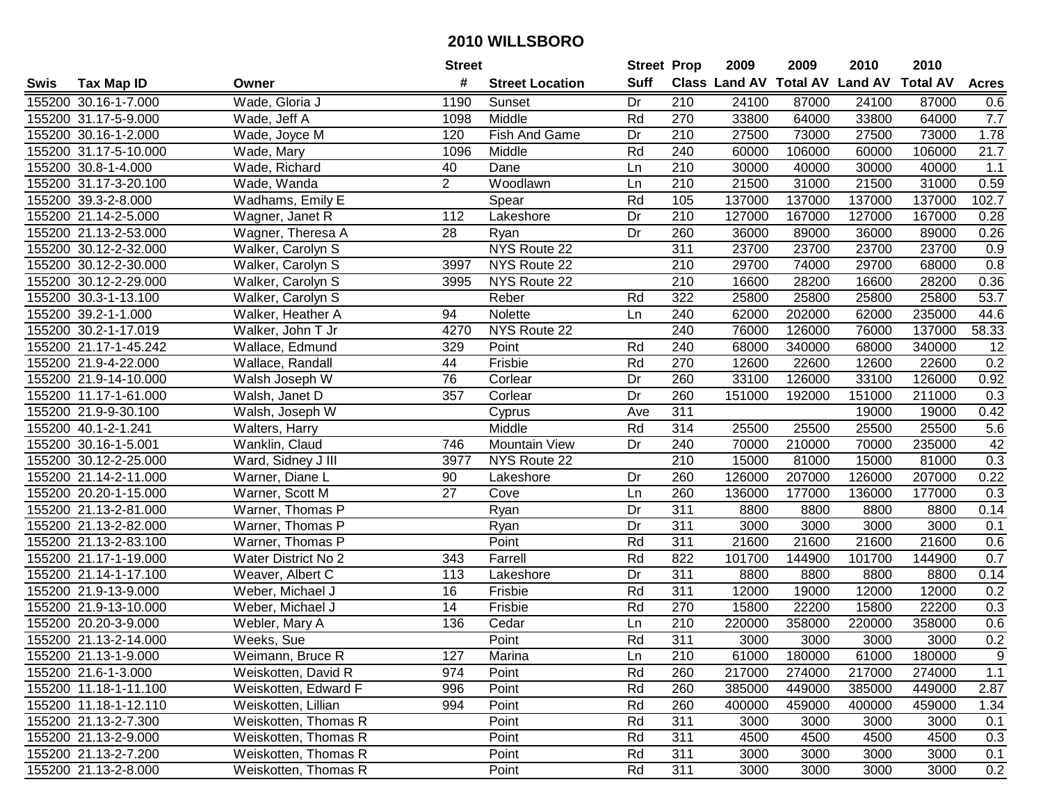|      |                       |                      | <b>Street</b>   |                        | <b>Street Prop</b> |                  | 2009                           | 2009   | 2010   | 2010            |                   |
|------|-----------------------|----------------------|-----------------|------------------------|--------------------|------------------|--------------------------------|--------|--------|-----------------|-------------------|
| Swis | <b>Tax Map ID</b>     | Owner                | #               | <b>Street Location</b> | <b>Suff</b>        |                  | Class Land AV Total AV Land AV |        |        | <b>Total AV</b> | <b>Acres</b>      |
|      | 155200 30.16-1-7.000  | Wade, Gloria J       | 1190            | Sunset                 | Dr                 | 210              | 24100                          | 87000  | 24100  | 87000           | 0.6               |
|      | 155200 31.17-5-9.000  | Wade, Jeff A         | 1098            | Middle                 | Rd                 | 270              | 33800                          | 64000  | 33800  | 64000           | 7.7               |
|      | 155200 30.16-1-2.000  | Wade, Joyce M        | 120             | Fish And Game          | Dr                 | 210              | 27500                          | 73000  | 27500  | 73000           | 1.78              |
|      | 155200 31.17-5-10.000 | Wade, Mary           | 1096            | Middle                 | Rd                 | 240              | 60000                          | 106000 | 60000  | 106000          | $\overline{21.7}$ |
|      | 155200 30.8-1-4.000   | Wade, Richard        | 40              | Dane                   | Ln                 | 210              | 30000                          | 40000  | 30000  | 40000           | 1.1               |
|      | 155200 31.17-3-20.100 | Wade, Wanda          | $\overline{2}$  | Woodlawn               | Ln                 | 210              | 21500                          | 31000  | 21500  | 31000           | 0.59              |
|      | 155200 39.3-2-8.000   | Wadhams, Emily E     |                 | Spear                  | Rd                 | 105              | 137000                         | 137000 | 137000 | 137000          | 102.7             |
|      | 155200 21.14-2-5.000  | Wagner, Janet R      | 112             | Lakeshore              | Dr                 | 210              | 127000                         | 167000 | 127000 | 167000          | 0.28              |
|      | 155200 21.13-2-53.000 | Wagner, Theresa A    | $\overline{28}$ | Ryan                   | Dr                 | 260              | 36000                          | 89000  | 36000  | 89000           | 0.26              |
|      | 155200 30.12-2-32.000 | Walker, Carolyn S    |                 | NYS Route 22           |                    | 311              | 23700                          | 23700  | 23700  | 23700           | 0.9               |
|      | 155200 30.12-2-30.000 | Walker, Carolyn S    | 3997            | NYS Route 22           |                    | 210              | 29700                          | 74000  | 29700  | 68000           | 0.8               |
|      | 155200 30.12-2-29.000 | Walker, Carolyn S    | 3995            | NYS Route 22           |                    | 210              | 16600                          | 28200  | 16600  | 28200           | 0.36              |
|      | 155200 30.3-1-13.100  | Walker, Carolyn S    |                 | Reber                  | Rd                 | 322              | 25800                          | 25800  | 25800  | 25800           | 53.7              |
|      | 155200 39.2-1-1.000   | Walker, Heather A    | 94              | Nolette                | Ln                 | 240              | 62000                          | 202000 | 62000  | 235000          | 44.6              |
|      | 155200 30.2-1-17.019  | Walker, John T Jr    | 4270            | NYS Route 22           |                    | 240              | 76000                          | 126000 | 76000  | 137000          | 58.33             |
|      | 155200 21.17-1-45.242 | Wallace, Edmund      | 329             | Point                  | Rd                 | 240              | 68000                          | 340000 | 68000  | 340000          | 12                |
|      | 155200 21.9-4-22.000  | Wallace, Randall     | 44              | Frisbie                | Rd                 | 270              | 12600                          | 22600  | 12600  | 22600           | 0.2               |
|      | 155200 21.9-14-10.000 | Walsh Joseph W       | 76              | Corlear                | Dr                 | 260              | 33100                          | 126000 | 33100  | 126000          | 0.92              |
|      | 155200 11.17-1-61.000 | Walsh, Janet D       | 357             | Corlear                | Dr                 | 260              | 151000                         | 192000 | 151000 | 211000          | 0.3               |
|      | 155200 21.9-9-30.100  | Walsh, Joseph W      |                 | Cyprus                 | Ave                | 311              |                                |        | 19000  | 19000           | 0.42              |
|      | 155200 40.1-2-1.241   | Walters, Harry       |                 | Middle                 | Rd                 | 314              | 25500                          | 25500  | 25500  | 25500           | 5.6               |
|      | 155200 30.16-1-5.001  | Wanklin, Claud       | 746             | Mountain View          | Dr                 | 240              | 70000                          | 210000 | 70000  | 235000          | 42                |
|      | 155200 30.12-2-25.000 | Ward, Sidney J III   | 3977            | NYS Route 22           |                    | 210              | 15000                          | 81000  | 15000  | 81000           | 0.3               |
|      | 155200 21.14-2-11.000 | Warner, Diane L      | 90              | Lakeshore              | Dr                 | 260              | 126000                         | 207000 | 126000 | 207000          | 0.22              |
|      | 155200 20.20-1-15.000 | Warner, Scott M      | $\overline{27}$ | Cove                   | Ln                 | 260              | 136000                         | 177000 | 136000 | 177000          | 0.3               |
|      | 155200 21.13-2-81.000 | Warner, Thomas P     |                 | Ryan                   | Dr                 | 311              | 8800                           | 8800   | 8800   | 8800            | 0.14              |
|      | 155200 21.13-2-82.000 | Warner, Thomas P     |                 | Ryan                   | Dr                 | 311              | 3000                           | 3000   | 3000   | 3000            | 0.1               |
|      | 155200 21.13-2-83.100 | Warner, Thomas P     |                 | Point                  | Rd                 | 311              | 21600                          | 21600  | 21600  | 21600           | 0.6               |
|      | 155200 21.17-1-19.000 | Water District No 2  | 343             | Farrell                | Rd                 | 822              | 101700                         | 144900 | 101700 | 144900          | 0.7               |
|      | 155200 21.14-1-17.100 | Weaver, Albert C     | 113             | Lakeshore              | Dr                 | $\overline{311}$ | 8800                           | 8800   | 8800   | 8800            | 0.14              |
|      | 155200 21.9-13-9.000  | Weber, Michael J     | 16              | Frisbie                | Rd                 | $\overline{311}$ | 12000                          | 19000  | 12000  | 12000           | 0.2               |
|      | 155200 21.9-13-10.000 | Weber, Michael J     | 14              | Frisbie                | Rd                 | 270              | 15800                          | 22200  | 15800  | 22200           | 0.3               |
|      | 155200 20.20-3-9.000  | Webler, Mary A       | 136             | Cedar                  | Ln                 | 210              | 220000                         | 358000 | 220000 | 358000          | 0.6               |
|      | 155200 21.13-2-14.000 | Weeks, Sue           |                 | Point                  | Rd                 | 311              | 3000                           | 3000   | 3000   | 3000            | 0.2               |
|      | 155200 21.13-1-9.000  | Weimann, Bruce R     | 127             | Marina                 | Ln                 | 210              | 61000                          | 180000 | 61000  | 180000          | 9                 |
|      | 155200 21.6-1-3.000   | Weiskotten, David R  | 974             | Point                  | Rd                 | 260              | 217000                         | 274000 | 217000 | 274000          | 1.1               |
|      | 155200 11.18-1-11.100 | Weiskotten, Edward F | 996             | Point                  | Rd                 | 260              | 385000                         | 449000 | 385000 | 449000          | 2.87              |
|      | 155200 11.18-1-12.110 | Weiskotten, Lillian  | 994             | Point                  | Rd                 | 260              | 400000                         | 459000 | 400000 | 459000          | 1.34              |
|      | 155200 21.13-2-7.300  | Weiskotten, Thomas R |                 | Point                  | Rd                 | 311              | 3000                           | 3000   | 3000   | 3000            | 0.1               |
|      | 155200 21.13-2-9.000  | Weiskotten, Thomas R |                 | Point                  | Rd                 | 311              | 4500                           | 4500   | 4500   | 4500            | 0.3               |
|      | 155200 21.13-2-7.200  | Weiskotten, Thomas R |                 | Point                  | Rd                 | 311              | 3000                           | 3000   | 3000   | 3000            | 0.1               |
|      | 155200 21.13-2-8.000  | Weiskotten, Thomas R |                 | Point                  | Rd                 | 311              | 3000                           | 3000   | 3000   | 3000            | 0.2               |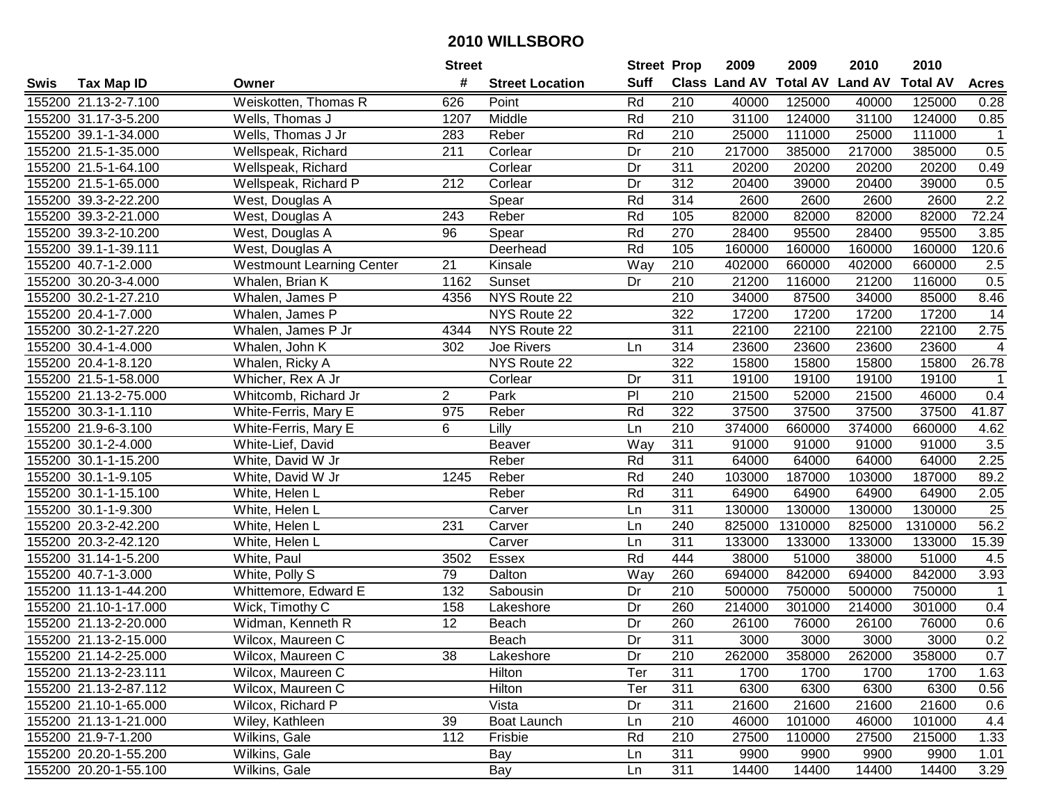|      |                       |                                  | <b>Street</b>    |                        | <b>Street Prop</b> |                  | 2009                 | 2009            | 2010           | 2010            |                  |
|------|-----------------------|----------------------------------|------------------|------------------------|--------------------|------------------|----------------------|-----------------|----------------|-----------------|------------------|
| Swis | <b>Tax Map ID</b>     | Owner                            | #                | <b>Street Location</b> | <b>Suff</b>        |                  | <b>Class Land AV</b> | <b>Total AV</b> | <b>Land AV</b> | <b>Total AV</b> | <b>Acres</b>     |
|      | 155200 21.13-2-7.100  | Weiskotten, Thomas R             | 626              | Point                  | Rd                 | 210              | 40000                | 125000          | 40000          | 125000          | 0.28             |
|      | 155200 31.17-3-5.200  | Wells, Thomas J                  | 1207             | Middle                 | Rd                 | 210              | 31100                | 124000          | 31100          | 124000          | 0.85             |
|      | 155200 39.1-1-34.000  | Wells, Thomas J Jr               | 283              | Reber                  | Rd                 | 210              | 25000                | 111000          | 25000          | 111000          | $\overline{1}$   |
|      | 155200 21.5-1-35.000  | Wellspeak, Richard               | 211              | Corlear                | Dr                 | 210              | 217000               | 385000          | 217000         | 385000          | 0.5              |
|      | 155200 21.5-1-64.100  | Wellspeak, Richard               |                  | Corlear                | Dr                 | 311              | 20200                | 20200           | 20200          | 20200           | 0.49             |
|      | 155200 21.5-1-65.000  | Wellspeak, Richard P             | $\overline{212}$ | Corlear                | Dr                 | 312              | 20400                | 39000           | 20400          | 39000           | 0.5              |
|      | 155200 39.3-2-22.200  | West, Douglas A                  |                  | Spear                  | Rd                 | 314              | 2600                 | 2600            | 2600           | 2600            | $\overline{2.2}$ |
|      | 155200 39.3-2-21.000  | West, Douglas A                  | 243              | Reber                  | Rd                 | 105              | 82000                | 82000           | 82000          | 82000           | 72.24            |
|      | 155200 39.3-2-10.200  | West, Douglas A                  | 96               | Spear                  | Rd                 | 270              | 28400                | 95500           | 28400          | 95500           | 3.85             |
|      | 155200 39.1-1-39.111  | West, Douglas A                  |                  | Deerhead               | Rd                 | 105              | 160000               | 160000          | 160000         | 160000          | 120.6            |
|      | 155200 40.7-1-2.000   | <b>Westmount Learning Center</b> | 21               | Kinsale                | Way                | 210              | 402000               | 660000          | 402000         | 660000          | 2.5              |
|      | 155200 30.20-3-4.000  | Whalen, Brian K                  | 1162             | Sunset                 | Dr                 | 210              | 21200                | 116000          | 21200          | 116000          | 0.5              |
|      | 155200 30.2-1-27.210  | Whalen, James P                  | 4356             | NYS Route 22           |                    | 210              | 34000                | 87500           | 34000          | 85000           | 8.46             |
|      | 155200 20.4-1-7.000   | Whalen, James P                  |                  | NYS Route 22           |                    | 322              | 17200                | 17200           | 17200          | 17200           | 14               |
|      | 155200 30.2-1-27.220  | Whalen, James P Jr               | 4344             | NYS Route 22           |                    | 311              | 22100                | 22100           | 22100          | 22100           | 2.75             |
|      | 155200 30.4-1-4.000   | Whalen, John K                   | 302              | Joe Rivers             | Ln                 | 314              | 23600                | 23600           | 23600          | 23600           | 4                |
|      | 155200 20.4-1-8.120   | Whalen, Ricky A                  |                  | NYS Route 22           |                    | 322              | 15800                | 15800           | 15800          | 15800           | 26.78            |
|      | 155200 21.5-1-58.000  | Whicher, Rex A Jr                |                  | Corlear                | Dr                 | 311              | 19100                | 19100           | 19100          | 19100           | 1                |
|      | 155200 21.13-2-75.000 | Whitcomb, Richard Jr             | $\overline{2}$   | Park                   | $\overline{P}$     | 210              | 21500                | 52000           | 21500          | 46000           | 0.4              |
|      | 155200 30.3-1-1.110   | White-Ferris, Mary E             | 975              | Reber                  | Rd                 | 322              | 37500                | 37500           | 37500          | 37500           | 41.87            |
|      | 155200 21.9-6-3.100   | White-Ferris, Mary E             | 6                | Lilly                  | Ln                 | 210              | 374000               | 660000          | 374000         | 660000          | 4.62             |
|      | 155200 30.1-2-4.000   | White-Lief, David                |                  | Beaver                 | Way                | 311              | 91000                | 91000           | 91000          | 91000           | 3.5              |
|      | 155200 30.1-1-15.200  | White, David W Jr                |                  | Reber                  | Rd                 | 311              | 64000                | 64000           | 64000          | 64000           | 2.25             |
|      | 155200 30.1-1-9.105   | White, David W Jr                | 1245             | Reber                  | Rd                 | 240              | 103000               | 187000          | 103000         | 187000          | 89.2             |
|      | 155200 30.1-1-15.100  | White, Helen L                   |                  | Reber                  | Rd                 | $\overline{311}$ | 64900                | 64900           | 64900          | 64900           | 2.05             |
|      | 155200 30.1-1-9.300   | White, Helen L                   |                  | Carver                 | Ln                 | 311              | 130000               | 130000          | 130000         | 130000          | 25               |
|      | 155200 20.3-2-42.200  | White, Helen L                   | 231              | Carver                 | Ln                 | 240              | 825000               | 1310000         | 825000         | 1310000         | 56.2             |
|      | 155200 20.3-2-42.120  | White, Helen L                   |                  | Carver                 | Ln                 | 311              | 133000               | 133000          | 133000         | 133000          | 15.39            |
|      | 155200 31.14-1-5.200  | White, Paul                      | 3502             | Essex                  | Rd                 | 444              | 38000                | 51000           | 38000          | 51000           | 4.5              |
|      | 155200 40.7-1-3.000   | White, Polly S                   | 79               | Dalton                 | Way                | 260              | 694000               | 842000          | 694000         | 842000          | 3.93             |
|      | 155200 11.13-1-44.200 | Whittemore, Edward E             | $\overline{132}$ | Sabousin               | Dr                 | $\overline{210}$ | 500000               | 750000          | 500000         | 750000          | $\overline{1}$   |
|      | 155200 21.10-1-17.000 | Wick, Timothy C                  | 158              | Lakeshore              | Dr                 | 260              | 214000               | 301000          | 214000         | 301000          | 0.4              |
|      | 155200 21.13-2-20.000 | Widman, Kenneth R                | $\overline{12}$  | Beach                  | Dr                 | 260              | 26100                | 76000           | 26100          | 76000           | 0.6              |
|      | 155200 21.13-2-15.000 | Wilcox, Maureen C                |                  | Beach                  | $\overline{Dr}$    | 311              | 3000                 | 3000            | 3000           | 3000            | 0.2              |
|      | 155200 21.14-2-25.000 | Wilcox, Maureen C                | 38               | Lakeshore              | Dr                 | 210              | 262000               | 358000          | 262000         | 358000          | 0.7              |
|      | 155200 21.13-2-23.111 | Wilcox, Maureen C                |                  | Hilton                 | Ter                | 311              | 1700                 | 1700            | 1700           | 1700            | 1.63             |
|      | 155200 21.13-2-87.112 | Wilcox, Maureen C                |                  | Hilton                 | Ter                | 311              | 6300                 | 6300            | 6300           | 6300            | 0.56             |
|      | 155200 21.10-1-65.000 | Wilcox, Richard P                |                  | Vista                  | Dr                 | 311              | 21600                | 21600           | 21600          | 21600           | 0.6              |
|      | 155200 21.13-1-21.000 | Wiley, Kathleen                  | 39               | Boat Launch            | Ln                 | 210              | 46000                | 101000          | 46000          | 101000          | 4.4              |
|      | 155200 21.9-7-1.200   | Wilkins, Gale                    | 112              | Frisbie                | Rd                 | 210              | 27500                | 110000          | 27500          | 215000          | 1.33             |
|      | 155200 20.20-1-55.200 | Wilkins, Gale                    |                  | Bay                    | Ln                 | 311              | 9900                 | 9900            | 9900           | 9900            | 1.01             |
|      | 155200 20.20-1-55.100 | Wilkins, Gale                    |                  | Bay                    | Ln                 | 311              | 14400                | 14400           | 14400          | 14400           | 3.29             |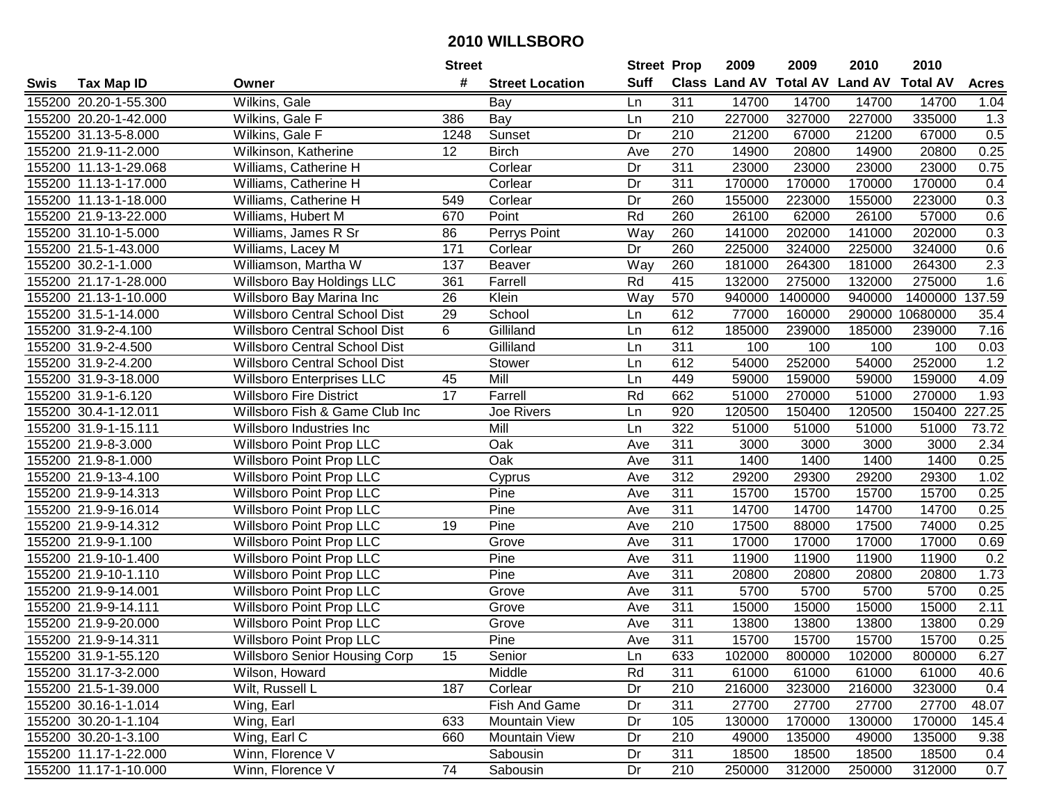|      |                       |                                      | <b>Street</b>   |                        | <b>Street Prop</b> |     | 2009                          | 2009    | 2010           | 2010            |              |
|------|-----------------------|--------------------------------------|-----------------|------------------------|--------------------|-----|-------------------------------|---------|----------------|-----------------|--------------|
| Swis | <b>Tax Map ID</b>     | Owner                                | #               | <b>Street Location</b> | <b>Suff</b>        |     | <b>Class Land AV Total AV</b> |         | <b>Land AV</b> | <b>Total AV</b> | <b>Acres</b> |
|      | 155200 20.20-1-55.300 | Wilkins, Gale                        |                 | Bay                    | Ln                 | 311 | 14700                         | 14700   | 14700          | 14700           | 1.04         |
|      | 155200 20.20-1-42.000 | Wilkins, Gale F                      | 386             | Bay                    | Ln                 | 210 | 227000                        | 327000  | 227000         | 335000          | 1.3          |
|      | 155200 31.13-5-8.000  | Wilkins, Gale F                      | 1248            | Sunset                 | Dr                 | 210 | 21200                         | 67000   | 21200          | 67000           | 0.5          |
|      | 155200 21.9-11-2.000  | Wilkinson, Katherine                 | 12              | <b>Birch</b>           | Ave                | 270 | 14900                         | 20800   | 14900          | 20800           | 0.25         |
|      | 155200 11.13-1-29.068 | Williams, Catherine H                |                 | Corlear                | Dr                 | 311 | 23000                         | 23000   | 23000          | 23000           | 0.75         |
|      | 155200 11.13-1-17.000 | Williams, Catherine H                |                 | Corlear                | Dr                 | 311 | 170000                        | 170000  | 170000         | 170000          | 0.4          |
|      | 155200 11.13-1-18.000 | Williams, Catherine H                | 549             | Corlear                | Dr                 | 260 | 155000                        | 223000  | 155000         | 223000          | 0.3          |
|      | 155200 21.9-13-22.000 | Williams, Hubert M                   | 670             | Point                  | Rd                 | 260 | 26100                         | 62000   | 26100          | 57000           | 0.6          |
|      | 155200 31.10-1-5.000  | Williams, James R Sr                 | 86              | Perrys Point           | Way                | 260 | 141000                        | 202000  | 141000         | 202000          | 0.3          |
|      | 155200 21.5-1-43.000  | Williams, Lacey M                    | 171             | Corlear                | Dr                 | 260 | 225000                        | 324000  | 225000         | 324000          | 0.6          |
|      | 155200 30.2-1-1.000   | Williamson, Martha W                 | 137             | Beaver                 | Way                | 260 | 181000                        | 264300  | 181000         | 264300          | 2.3          |
|      | 155200 21.17-1-28.000 | Willsboro Bay Holdings LLC           | 361             | Farrell                | Rd                 | 415 | 132000                        | 275000  | 132000         | 275000          | 1.6          |
|      | 155200 21.13-1-10.000 | Willsboro Bay Marina Inc             | $\overline{26}$ | Klein                  | Way                | 570 | 940000                        | 1400000 | 940000         | 1400000         | 137.59       |
|      | 155200 31.5-1-14.000  | Willsboro Central School Dist        | 29              | School                 | Ln                 | 612 | 77000                         | 160000  | 290000         | 10680000        | 35.4         |
|      | 155200 31.9-2-4.100   | <b>Willsboro Central School Dist</b> | 6               | Gilliland              | Ln                 | 612 | 185000                        | 239000  | 185000         | 239000          | 7.16         |
|      | 155200 31.9-2-4.500   | <b>Willsboro Central School Dist</b> |                 | Gilliland              | Ln                 | 311 | 100                           | 100     | 100            | 100             | 0.03         |
|      | 155200 31.9-2-4.200   | <b>Willsboro Central School Dist</b> |                 | Stower                 | Ln                 | 612 | 54000                         | 252000  | 54000          | 252000          | 1.2          |
|      | 155200 31.9-3-18.000  | <b>Willsboro Enterprises LLC</b>     | 45              | Mill                   | Ln                 | 449 | 59000                         | 159000  | 59000          | 159000          | 4.09         |
|      | 155200 31.9-1-6.120   | <b>Willsboro Fire District</b>       | $\overline{17}$ | Farrell                | Rd                 | 662 | 51000                         | 270000  | 51000          | 270000          | 1.93         |
|      | 155200 30.4-1-12.011  | Willsboro Fish & Game Club Inc       |                 | Joe Rivers             | Ln                 | 920 | 120500                        | 150400  | 120500         | 150400          | 227.25       |
|      | 155200 31.9-1-15.111  | Willsboro Industries Inc             |                 | Mill                   | Ln                 | 322 | 51000                         | 51000   | 51000          | 51000           | 73.72        |
|      | 155200 21.9-8-3.000   | Willsboro Point Prop LLC             |                 | Oak                    | Ave                | 311 | 3000                          | 3000    | 3000           | 3000            | 2.34         |
|      | 155200 21.9-8-1.000   | <b>Willsboro Point Prop LLC</b>      |                 | Oak                    | Ave                | 311 | 1400                          | 1400    | 1400           | 1400            | 0.25         |
|      | 155200 21.9-13-4.100  | <b>Willsboro Point Prop LLC</b>      |                 | Cyprus                 | Ave                | 312 | 29200                         | 29300   | 29200          | 29300           | 1.02         |
|      | 155200 21.9-9-14.313  | Willsboro Point Prop LLC             |                 | Pine                   | Ave                | 311 | 15700                         | 15700   | 15700          | 15700           | 0.25         |
|      | 155200 21.9-9-16.014  | Willsboro Point Prop LLC             |                 | Pine                   | Ave                | 311 | 14700                         | 14700   | 14700          | 14700           | 0.25         |
|      | 155200 21.9-9-14.312  | Willsboro Point Prop LLC             | 19              | Pine                   | Ave                | 210 | 17500                         | 88000   | 17500          | 74000           | 0.25         |
|      | 155200 21.9-9-1.100   | Willsboro Point Prop LLC             |                 | Grove                  | Ave                | 311 | 17000                         | 17000   | 17000          | 17000           | 0.69         |
|      | 155200 21.9-10-1.400  | <b>Willsboro Point Prop LLC</b>      |                 | Pine                   | Ave                | 311 | 11900                         | 11900   | 11900          | 11900           | 0.2          |
|      | 155200 21.9-10-1.110  | Willsboro Point Prop LLC             |                 | Pine                   | Ave                | 311 | 20800                         | 20800   | 20800          | 20800           | 1.73         |
|      | 155200 21.9-9-14.001  | <b>Willsboro Point Prop LLC</b>      |                 | Grove                  | Ave                | 311 | 5700                          | 5700    | 5700           | 5700            | 0.25         |
|      | 155200 21.9-9-14.111  | Willsboro Point Prop LLC             |                 | Grove                  | Ave                | 311 | 15000                         | 15000   | 15000          | 15000           | 2.11         |
|      | 155200 21.9-9-20.000  | <b>Willsboro Point Prop LLC</b>      |                 | Grove                  | Ave                | 311 | 13800                         | 13800   | 13800          | 13800           | 0.29         |
|      | 155200 21.9-9-14.311  | <b>Willsboro Point Prop LLC</b>      |                 | Pine                   | Ave                | 311 | 15700                         | 15700   | 15700          | 15700           | 0.25         |
|      | 155200 31.9-1-55.120  | <b>Willsboro Senior Housing Corp</b> | 15              | Senior                 | Ln                 | 633 | 102000                        | 800000  | 102000         | 800000          | 6.27         |
|      | 155200 31.17-3-2.000  | Wilson, Howard                       |                 | Middle                 | Rd                 | 311 | 61000                         | 61000   | 61000          | 61000           | 40.6         |
|      | 155200 21.5-1-39.000  | Wilt, Russell L                      | 187             | Corlear                | Dr                 | 210 | 216000                        | 323000  | 216000         | 323000          | 0.4          |
|      | 155200 30.16-1-1.014  | Wing, Earl                           |                 | Fish And Game          | Dr                 | 311 | 27700                         | 27700   | 27700          | 27700           | 48.07        |
|      | 155200 30.20-1-1.104  | Wing, Earl                           | 633             | Mountain View          | Dr                 | 105 | 130000                        | 170000  | 130000         | 170000          | 145.4        |
|      | 155200 30.20-1-3.100  | Wing, Earl $\overline{C}$            | 660             | Mountain View          | Dr                 | 210 | 49000                         | 135000  | 49000          | 135000          | 9.38         |
|      | 155200 11.17-1-22.000 | Winn, Florence V                     |                 | Sabousin               | Dr                 | 311 | 18500                         | 18500   | 18500          | 18500           | 0.4          |
|      | 155200 11.17-1-10.000 | Winn, Florence V                     | 74              | Sabousin               | Dr                 | 210 | 250000                        | 312000  | 250000         | 312000          | 0.7          |
|      |                       |                                      |                 |                        |                    |     |                               |         |                |                 |              |